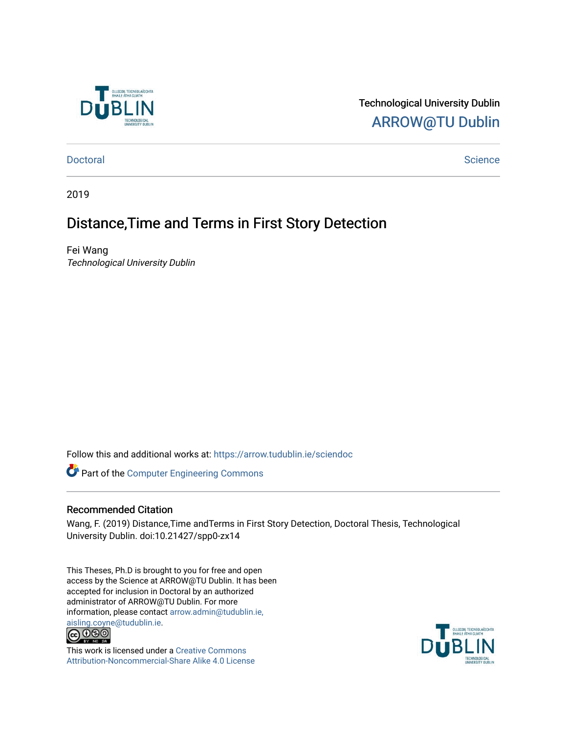

Technological University Dublin [ARROW@TU Dublin](https://arrow.tudublin.ie/) 

[Doctoral](https://arrow.tudublin.ie/sciendoc) [Science](https://arrow.tudublin.ie/scienthe) **Doctoral** Science **Science** Science **Science** Science **Science** Science

2019

### Distance,Time and Terms in First Story Detection

Fei Wang Technological University Dublin

Follow this and additional works at: [https://arrow.tudublin.ie/sciendoc](https://arrow.tudublin.ie/sciendoc?utm_source=arrow.tudublin.ie%2Fsciendoc%2F233&utm_medium=PDF&utm_campaign=PDFCoverPages)

Part of the [Computer Engineering Commons](http://network.bepress.com/hgg/discipline/258?utm_source=arrow.tudublin.ie%2Fsciendoc%2F233&utm_medium=PDF&utm_campaign=PDFCoverPages) 

#### Recommended Citation

Wang, F. (2019) Distance,Time andTerms in First Story Detection, Doctoral Thesis, Technological University Dublin. doi:10.21427/spp0-zx14

This Theses, Ph.D is brought to you for free and open access by the Science at ARROW@TU Dublin. It has been accepted for inclusion in Doctoral by an authorized administrator of ARROW@TU Dublin. For more information, please contact [arrow.admin@tudublin.ie,](mailto:arrow.admin@tudublin.ie,%20aisling.coyne@tudublin.ie)  [aisling.coyne@tudublin.ie.](mailto:arrow.admin@tudublin.ie,%20aisling.coyne@tudublin.ie)<br>© 000



This work is licensed under a [Creative Commons](http://creativecommons.org/licenses/by-nc-sa/4.0/) [Attribution-Noncommercial-Share Alike 4.0 License](http://creativecommons.org/licenses/by-nc-sa/4.0/)

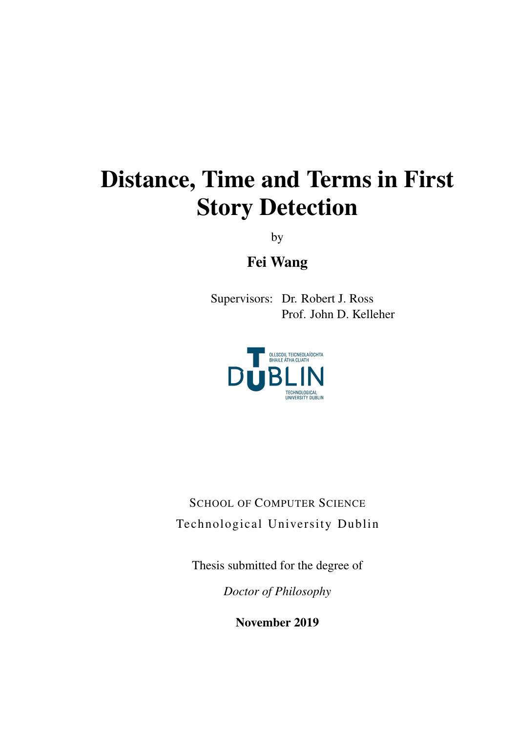# Distance, Time and Terms in First Story Detection

by

Fei Wang

Supervisors: Dr. Robert J. Ross Prof. John D. Kelleher



SCHOOL OF COMPUTER SCIENCE Technological University Dublin

Thesis submitted for the degree of

*Doctor of Philosophy*

November 2019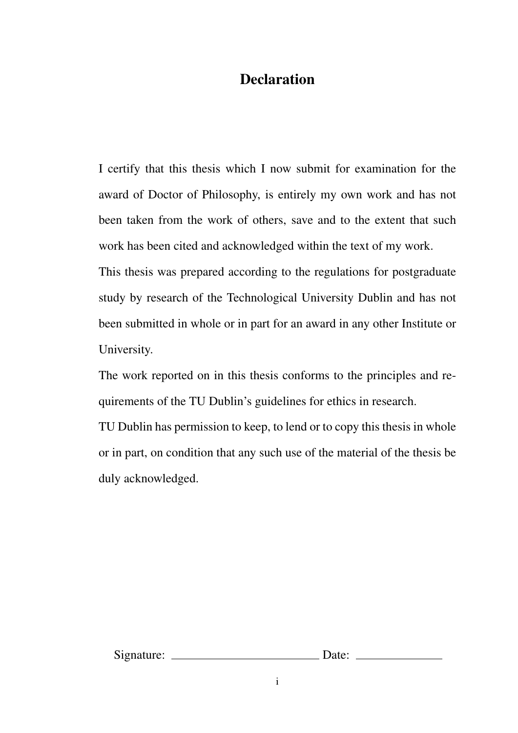### **Declaration**

I certify that this thesis which I now submit for examination for the award of Doctor of Philosophy, is entirely my own work and has not been taken from the work of others, save and to the extent that such work has been cited and acknowledged within the text of my work.

This thesis was prepared according to the regulations for postgraduate study by research of the Technological University Dublin and has not been submitted in whole or in part for an award in any other Institute or University.

The work reported on in this thesis conforms to the principles and requirements of the TU Dublin's guidelines for ethics in research.

TU Dublin has permission to keep, to lend or to copy this thesis in whole or in part, on condition that any such use of the material of the thesis be duly acknowledged.

Signature: Date: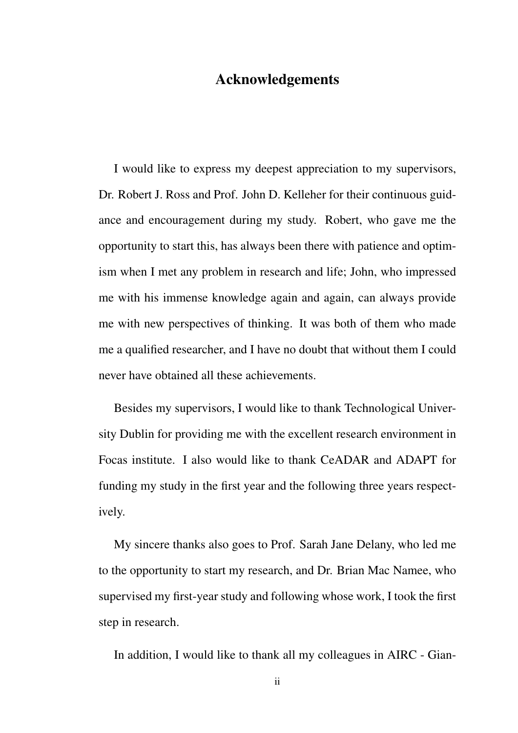#### Acknowledgements

I would like to express my deepest appreciation to my supervisors, Dr. Robert J. Ross and Prof. John D. Kelleher for their continuous guidance and encouragement during my study. Robert, who gave me the opportunity to start this, has always been there with patience and optimism when I met any problem in research and life; John, who impressed me with his immense knowledge again and again, can always provide me with new perspectives of thinking. It was both of them who made me a qualified researcher, and I have no doubt that without them I could never have obtained all these achievements.

Besides my supervisors, I would like to thank Technological University Dublin for providing me with the excellent research environment in Focas institute. I also would like to thank CeADAR and ADAPT for funding my study in the first year and the following three years respectively.

My sincere thanks also goes to Prof. Sarah Jane Delany, who led me to the opportunity to start my research, and Dr. Brian Mac Namee, who supervised my first-year study and following whose work, I took the first step in research.

In addition, I would like to thank all my colleagues in AIRC - Gian-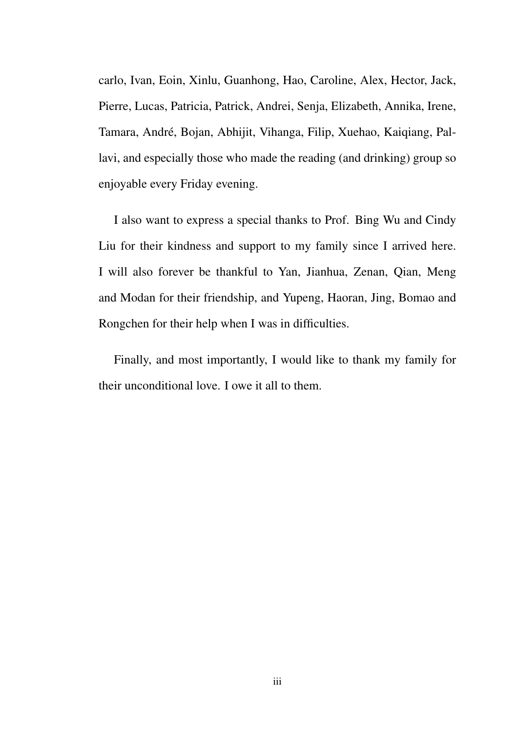carlo, Ivan, Eoin, Xinlu, Guanhong, Hao, Caroline, Alex, Hector, Jack, Pierre, Lucas, Patricia, Patrick, Andrei, Senja, Elizabeth, Annika, Irene, Tamara, André, Bojan, Abhijit, Vihanga, Filip, Xuehao, Kaiqiang, Pallavi, and especially those who made the reading (and drinking) group so enjoyable every Friday evening.

I also want to express a special thanks to Prof. Bing Wu and Cindy Liu for their kindness and support to my family since I arrived here. I will also forever be thankful to Yan, Jianhua, Zenan, Qian, Meng and Modan for their friendship, and Yupeng, Haoran, Jing, Bomao and Rongchen for their help when I was in difficulties.

Finally, and most importantly, I would like to thank my family for their unconditional love. I owe it all to them.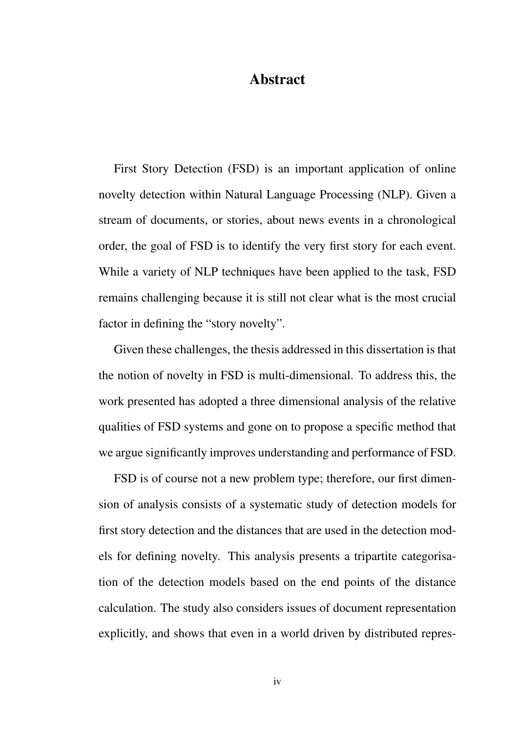#### Abstract

First Story Detection (FSD) is an important application of online novelty detection within Natural Language Processing (NLP). Given a stream of documents, or stories, about news events in a chronological order, the goal of FSD is to identify the very first story for each event. While a variety of NLP techniques have been applied to the task, FSD remains challenging because it is still not clear what is the most crucial factor in defining the "story novelty".

Given these challenges, the thesis addressed in this dissertation is that the notion of novelty in FSD is multi-dimensional. To address this, the work presented has adopted a three dimensional analysis of the relative qualities of FSD systems and gone on to propose a specific method that we argue significantly improves understanding and performance of FSD.

FSD is of course not a new problem type; therefore, our first dimension of analysis consists of a systematic study of detection models for first story detection and the distances that are used in the detection models for defining novelty. This analysis presents a tripartite categorisation of the detection models based on the end points of the distance calculation. The study also considers issues of document representation explicitly, and shows that even in a world driven by distributed repres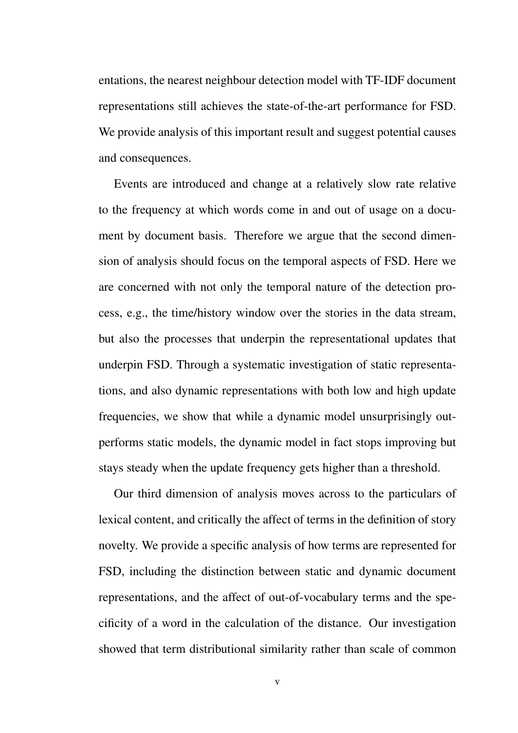entations, the nearest neighbour detection model with TF-IDF document representations still achieves the state-of-the-art performance for FSD. We provide analysis of this important result and suggest potential causes and consequences.

Events are introduced and change at a relatively slow rate relative to the frequency at which words come in and out of usage on a document by document basis. Therefore we argue that the second dimension of analysis should focus on the temporal aspects of FSD. Here we are concerned with not only the temporal nature of the detection process, e.g., the time/history window over the stories in the data stream, but also the processes that underpin the representational updates that underpin FSD. Through a systematic investigation of static representations, and also dynamic representations with both low and high update frequencies, we show that while a dynamic model unsurprisingly outperforms static models, the dynamic model in fact stops improving but stays steady when the update frequency gets higher than a threshold.

Our third dimension of analysis moves across to the particulars of lexical content, and critically the affect of terms in the definition of story novelty. We provide a specific analysis of how terms are represented for FSD, including the distinction between static and dynamic document representations, and the affect of out-of-vocabulary terms and the specificity of a word in the calculation of the distance. Our investigation showed that term distributional similarity rather than scale of common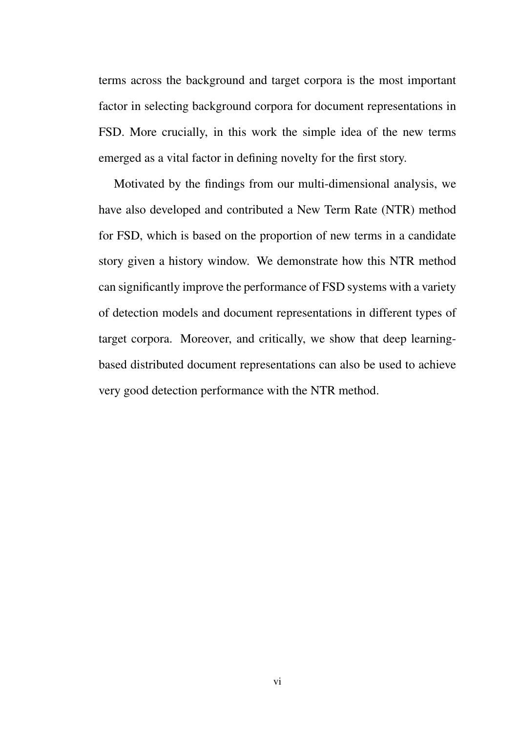terms across the background and target corpora is the most important factor in selecting background corpora for document representations in FSD. More crucially, in this work the simple idea of the new terms emerged as a vital factor in defining novelty for the first story.

Motivated by the findings from our multi-dimensional analysis, we have also developed and contributed a New Term Rate (NTR) method for FSD, which is based on the proportion of new terms in a candidate story given a history window. We demonstrate how this NTR method can significantly improve the performance of FSD systems with a variety of detection models and document representations in different types of target corpora. Moreover, and critically, we show that deep learningbased distributed document representations can also be used to achieve very good detection performance with the NTR method.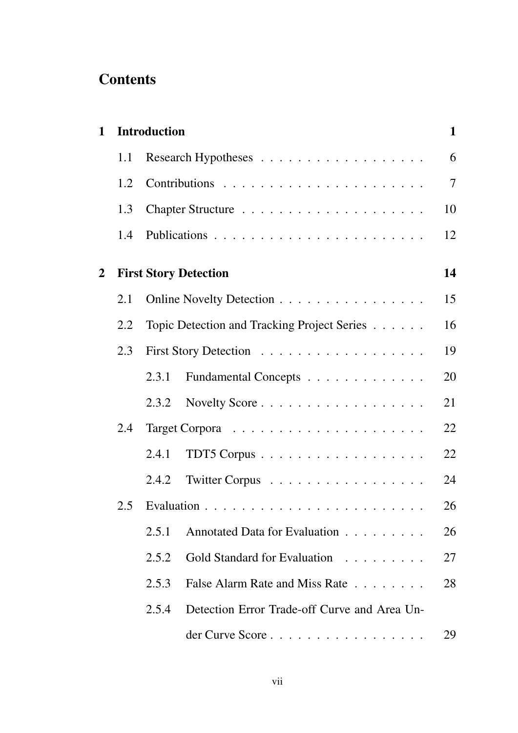### **Contents**

| $\mathbf{1}$ |     | <b>Introduction</b> |                                              | $\mathbf{1}$   |
|--------------|-----|---------------------|----------------------------------------------|----------------|
|              | 1.1 |                     |                                              | 6              |
|              | 1.2 |                     |                                              | $\overline{7}$ |
|              | 1.3 |                     |                                              | 10             |
|              | 1.4 |                     |                                              | 12             |
| 2            |     |                     | <b>First Story Detection</b>                 | 14             |
|              | 2.1 |                     | Online Novelty Detection                     | 15             |
|              | 2.2 |                     | Topic Detection and Tracking Project Series  | 16             |
|              | 2.3 |                     |                                              | 19             |
|              |     | 2.3.1               | Fundamental Concepts                         | 20             |
|              |     | 2.3.2               |                                              | 21             |
|              | 2.4 |                     |                                              | 22             |
|              |     | 2.4.1               |                                              | 22             |
|              |     | 2.4.2               | Twitter Corpus                               | 24             |
|              | 2.5 |                     |                                              | 26             |
|              |     | 2.5.1               | Annotated Data for Evaluation                | 26             |
|              |     | 2.5.2               | Gold Standard for Evaluation                 | 27             |
|              |     | 2.5.3               | False Alarm Rate and Miss Rate               | 28             |
|              |     | 2.5.4               | Detection Error Trade-off Curve and Area Un- |                |
|              |     |                     | der Curve Score                              | 29             |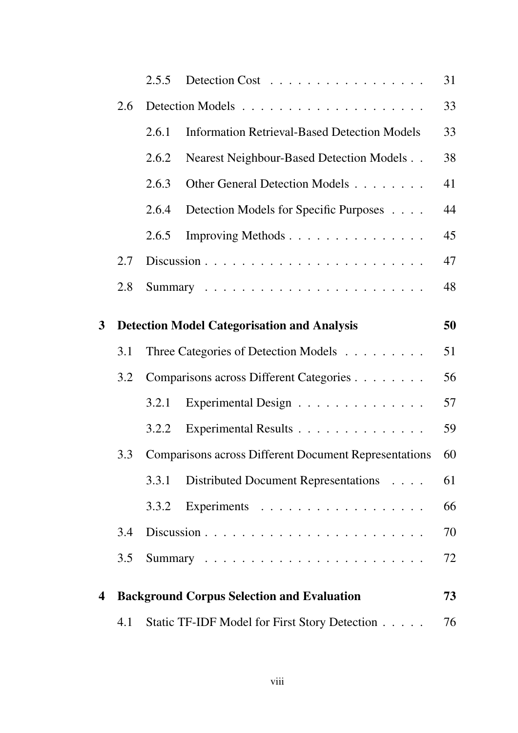|                         |     | 2.5.5 | Detection Cost                                               | 31 |
|-------------------------|-----|-------|--------------------------------------------------------------|----|
|                         | 2.6 |       |                                                              | 33 |
|                         |     | 2.6.1 | <b>Information Retrieval-Based Detection Models</b>          | 33 |
|                         |     | 2.6.2 | Nearest Neighbour-Based Detection Models                     | 38 |
|                         |     | 2.6.3 | Other General Detection Models                               | 41 |
|                         |     | 2.6.4 | Detection Models for Specific Purposes                       | 44 |
|                         |     | 2.6.5 | Improving Methods                                            | 45 |
|                         | 2.7 |       |                                                              | 47 |
|                         | 2.8 |       |                                                              | 48 |
| $\mathbf{3}$            |     |       | <b>Detection Model Categorisation and Analysis</b>           | 50 |
|                         | 3.1 |       | Three Categories of Detection Models                         | 51 |
|                         | 3.2 |       | Comparisons across Different Categories                      | 56 |
|                         |     | 3.2.1 | Experimental Design                                          | 57 |
|                         |     | 3.2.2 | Experimental Results                                         | 59 |
|                         | 3.3 |       | <b>Comparisons across Different Document Representations</b> | 60 |
|                         |     | 3.3.1 | Distributed Document Representations                         | 61 |
|                         |     | 3.3.2 | Experiments                                                  | 66 |
|                         | 3.4 |       |                                                              | 70 |
|                         | 3.5 |       |                                                              | 72 |
| $\overline{\mathbf{4}}$ |     |       | <b>Background Corpus Selection and Evaluation</b>            | 73 |
|                         | 4.1 |       | Static TF-IDF Model for First Story Detection                | 76 |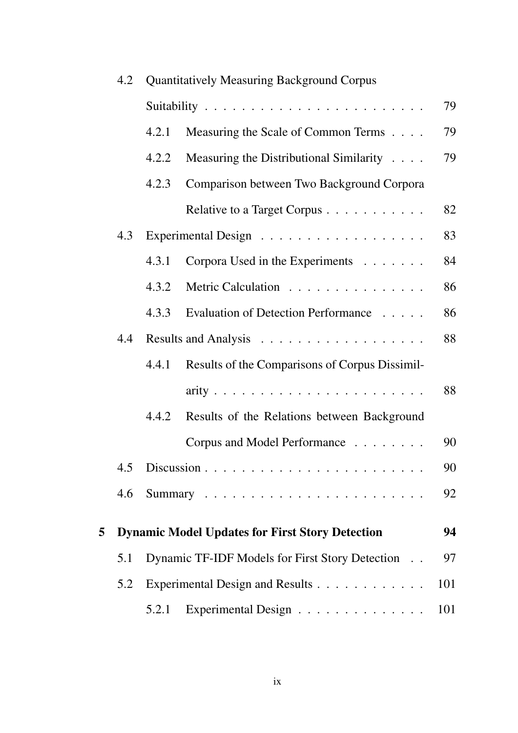|   | <b>Quantitatively Measuring Background Corpus</b><br>4.2 |       |                                                        |     |
|---|----------------------------------------------------------|-------|--------------------------------------------------------|-----|
|   |                                                          |       |                                                        | 79  |
|   |                                                          | 4.2.1 | Measuring the Scale of Common Terms                    | 79  |
|   |                                                          | 4.2.2 | Measuring the Distributional Similarity                | 79  |
|   |                                                          | 4.2.3 | Comparison between Two Background Corpora              |     |
|   |                                                          |       | Relative to a Target Corpus                            | 82  |
|   | 4.3                                                      |       |                                                        | 83  |
|   |                                                          | 4.3.1 | Corpora Used in the Experiments                        | 84  |
|   |                                                          | 4.3.2 | Metric Calculation                                     | 86  |
|   |                                                          | 4.3.3 | Evaluation of Detection Performance                    | 86  |
|   | 4.4                                                      |       |                                                        | 88  |
|   |                                                          | 4.4.1 | Results of the Comparisons of Corpus Dissimil-         |     |
|   |                                                          |       |                                                        | 88  |
|   |                                                          | 4.4.2 | Results of the Relations between Background            |     |
|   |                                                          |       | Corpus and Model Performance                           | 90  |
|   | 4.5                                                      |       |                                                        | 90  |
|   | 4.6                                                      |       |                                                        | 92  |
|   |                                                          |       |                                                        | 94  |
| 5 |                                                          |       | <b>Dynamic Model Updates for First Story Detection</b> |     |
|   | 5.1                                                      |       | Dynamic TF-IDF Models for First Story Detection        | 97  |
|   | 5.2                                                      |       | Experimental Design and Results                        | 101 |
|   |                                                          | 5.2.1 | Experimental Design                                    | 101 |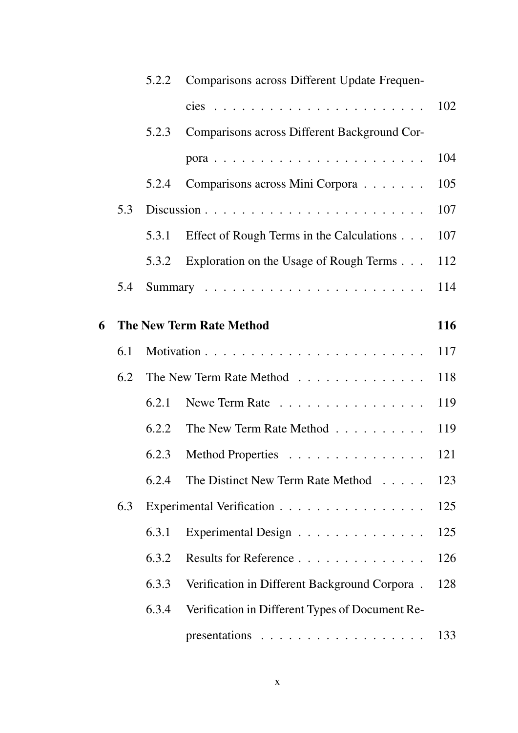|   |     | 5.2.2 | Comparisons across Different Update Frequen-    |     |
|---|-----|-------|-------------------------------------------------|-----|
|   |     |       | $cies$                                          | 102 |
|   |     | 5.2.3 | Comparisons across Different Background Cor-    |     |
|   |     |       |                                                 | 104 |
|   |     | 5.2.4 | Comparisons across Mini Corpora                 | 105 |
|   | 5.3 |       |                                                 | 107 |
|   |     | 5.3.1 | Effect of Rough Terms in the Calculations       | 107 |
|   |     |       | 5.3.2 Exploration on the Usage of Rough Terms   | 112 |
|   | 5.4 |       |                                                 | 114 |
| 6 |     |       | <b>The New Term Rate Method</b>                 | 116 |
|   | 6.1 |       |                                                 | 117 |
|   | 6.2 |       | The New Term Rate Method                        | 118 |
|   |     | 6.2.1 | Newe Term Rate                                  | 119 |
|   |     | 6.2.2 | The New Term Rate Method                        | 119 |
|   |     | 6.2.3 | Method Properties                               | 121 |
|   |     | 6.2.4 | The Distinct New Term Rate Method               | 123 |
|   | 6.3 |       | Experimental Verification                       | 125 |
|   |     | 6.3.1 | Experimental Design                             | 125 |
|   |     | 6.3.2 | Results for Reference                           | 126 |
|   |     | 6.3.3 | Verification in Different Background Corpora.   | 128 |
|   |     | 6.3.4 | Verification in Different Types of Document Re- |     |
|   |     |       |                                                 | 133 |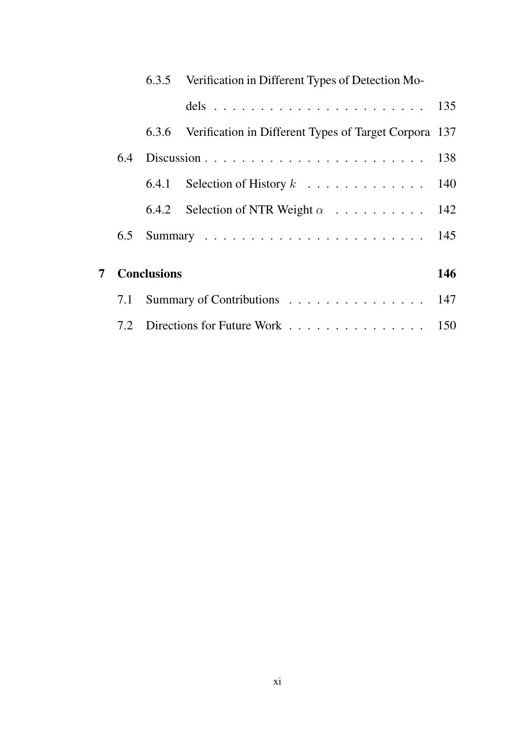|   |                    | 6.3.5 Verification in Different Types of Detection Mo-      |     |
|---|--------------------|-------------------------------------------------------------|-----|
|   |                    | dels 135                                                    |     |
|   |                    | 6.3.6 Verification in Different Types of Target Corpora 137 |     |
|   |                    |                                                             |     |
|   |                    |                                                             |     |
|   |                    | 6.4.2 Selection of NTR Weight $\alpha$ 142                  |     |
|   |                    |                                                             |     |
|   |                    |                                                             |     |
| 7 | <b>Conclusions</b> |                                                             | 146 |
|   |                    | 7.1 Summary of Contributions 147                            |     |
|   |                    | 7.2 Directions for Future Work 150                          |     |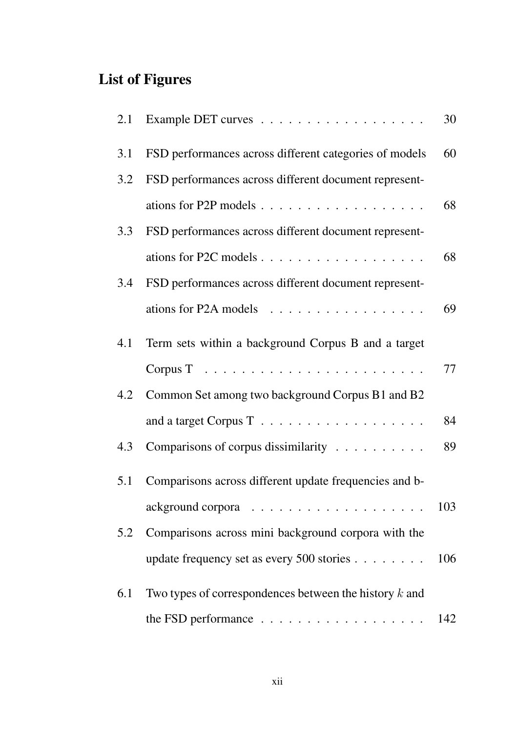# List of Figures

| 2.1 |                                                                   | 30  |
|-----|-------------------------------------------------------------------|-----|
| 3.1 | FSD performances across different categories of models            | 60  |
| 3.2 | FSD performances across different document represent-             |     |
|     | ations for P2P models $\dots \dots \dots \dots \dots \dots \dots$ | 68  |
| 3.3 | FSD performances across different document represent-             |     |
|     | ations for P2C models $\dots \dots \dots \dots \dots \dots \dots$ | 68  |
| 3.4 | FSD performances across different document represent-             |     |
|     | ations for P2A models $\dots \dots \dots \dots \dots \dots$       | 69  |
| 4.1 | Term sets within a background Corpus B and a target               |     |
|     |                                                                   | 77  |
| 4.2 | Common Set among two background Corpus B1 and B2                  |     |
|     |                                                                   | 84  |
| 4.3 | Comparisons of corpus dissimilarity                               | 89  |
| 5.1 | Comparisons across different update frequencies and b-            |     |
|     |                                                                   | 103 |
| 5.2 | Comparisons across mini background corpora with the               |     |
|     | update frequency set as every 500 stories                         | 106 |
| 6.1 | Two types of correspondences between the history $k$ and          |     |
|     | the FSD performance                                               | 142 |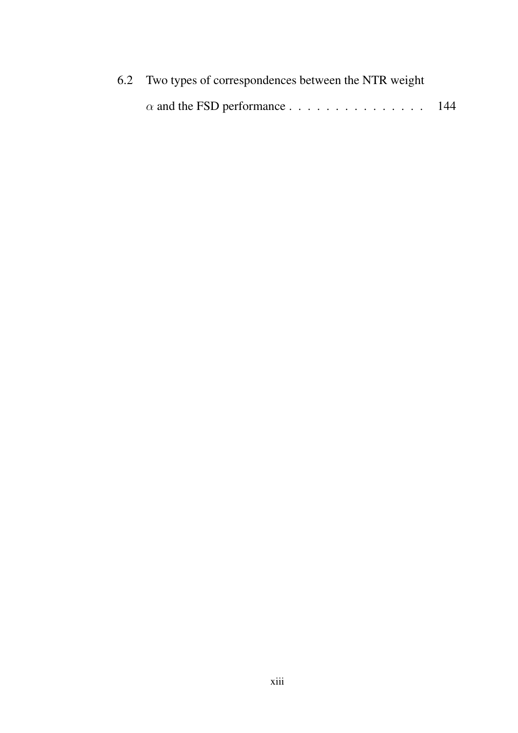| 6.2 Two types of correspondences between the NTR weight |  |  |  |
|---------------------------------------------------------|--|--|--|
| $\alpha$ and the FSD performance 144                    |  |  |  |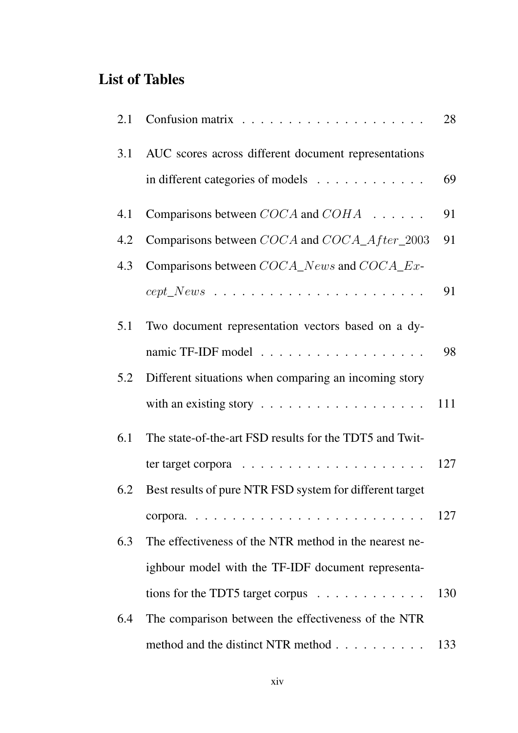### List of Tables

| 2.1 |                                                                | 28  |
|-----|----------------------------------------------------------------|-----|
| 3.1 | AUC scores across different document representations           |     |
|     | in different categories of models                              | 69  |
| 4.1 | Comparisons between $COCA$ and $COHA$                          | 91  |
| 4.2 | Comparisons between COCA and COCA_After_2003                   | 91  |
| 4.3 | Comparisons between COCA_News and COCA_Ex-                     |     |
|     |                                                                | 91  |
| 5.1 | Two document representation vectors based on a dy-             |     |
|     | namic TF-IDF model                                             | 98  |
| 5.2 | Different situations when comparing an incoming story          |     |
|     | with an existing story $\dots \dots \dots \dots \dots \dots$   | 111 |
| 6.1 | The state-of-the-art FSD results for the TDT5 and Twit-        |     |
|     | ter target corpora $\dots \dots \dots \dots \dots \dots \dots$ | 127 |
| 6.2 | Best results of pure NTR FSD system for different target       |     |
|     |                                                                |     |
| 6.3 | The effectiveness of the NTR method in the nearest ne-         |     |
|     | ighbour model with the TF-IDF document representa-             |     |
|     | tions for the TDT5 target corpus $\dots \dots \dots \dots$     | 130 |
| 6.4 | The comparison between the effectiveness of the NTR            |     |
|     | method and the distinct NTR method                             | 133 |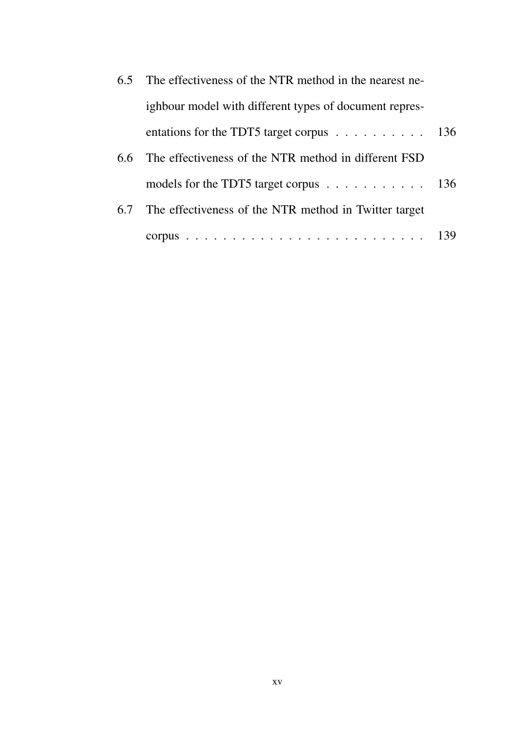| $6.5^{\circ}$ | The effectiveness of the NTR method in the nearest ne-                   |     |
|---------------|--------------------------------------------------------------------------|-----|
|               | ighbour model with different types of document repres-                   |     |
|               | entations for the TDT5 target corpus $\dots \dots \dots \dots \dots$ 136 |     |
| 6.6           | The effectiveness of the NTR method in different FSD                     |     |
|               | models for the TDT5 target corpus $\ldots \ldots \ldots \ldots 136$      |     |
| 6.7           | The effectiveness of the NTR method in Twitter target                    |     |
|               |                                                                          | 139 |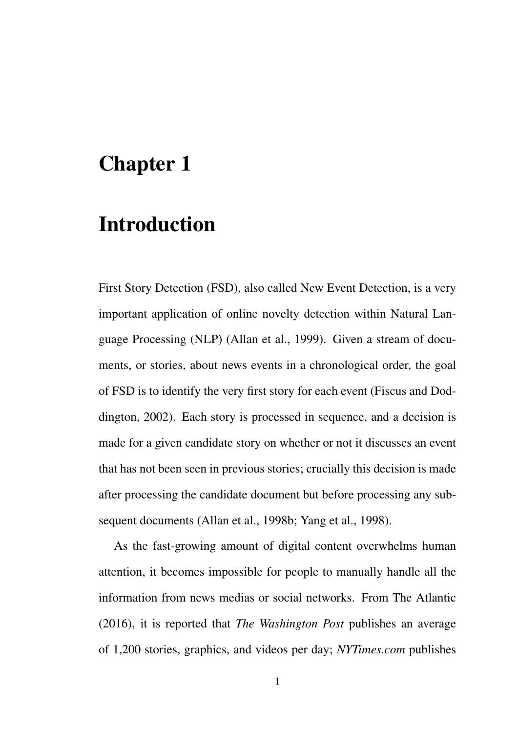# Chapter 1

### Introduction

First Story Detection (FSD), also called New Event Detection, is a very important application of online novelty detection within Natural Language Processing (NLP) (Allan et al., 1999). Given a stream of documents, or stories, about news events in a chronological order, the goal of FSD is to identify the very first story for each event (Fiscus and Doddington, 2002). Each story is processed in sequence, and a decision is made for a given candidate story on whether or not it discusses an event that has not been seen in previous stories; crucially this decision is made after processing the candidate document but before processing any subsequent documents (Allan et al., 1998b; Yang et al., 1998).

As the fast-growing amount of digital content overwhelms human attention, it becomes impossible for people to manually handle all the information from news medias or social networks. From The Atlantic (2016), it is reported that *The Washington Post* publishes an average of 1,200 stories, graphics, and videos per day; *NYTimes.com* publishes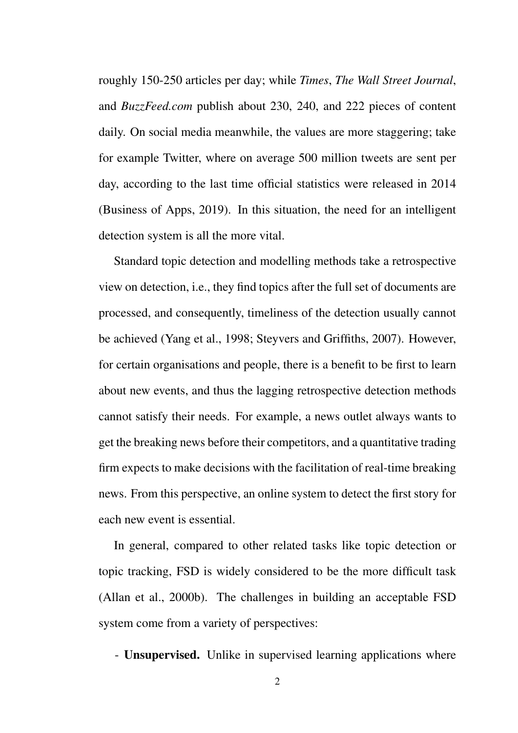roughly 150-250 articles per day; while *Times*, *The Wall Street Journal*, and *BuzzFeed.com* publish about 230, 240, and 222 pieces of content daily. On social media meanwhile, the values are more staggering; take for example Twitter, where on average 500 million tweets are sent per day, according to the last time official statistics were released in 2014 (Business of Apps, 2019). In this situation, the need for an intelligent detection system is all the more vital.

Standard topic detection and modelling methods take a retrospective view on detection, i.e., they find topics after the full set of documents are processed, and consequently, timeliness of the detection usually cannot be achieved (Yang et al., 1998; Steyvers and Griffiths, 2007). However, for certain organisations and people, there is a benefit to be first to learn about new events, and thus the lagging retrospective detection methods cannot satisfy their needs. For example, a news outlet always wants to get the breaking news before their competitors, and a quantitative trading firm expects to make decisions with the facilitation of real-time breaking news. From this perspective, an online system to detect the first story for each new event is essential.

In general, compared to other related tasks like topic detection or topic tracking, FSD is widely considered to be the more difficult task (Allan et al., 2000b). The challenges in building an acceptable FSD system come from a variety of perspectives:

- Unsupervised. Unlike in supervised learning applications where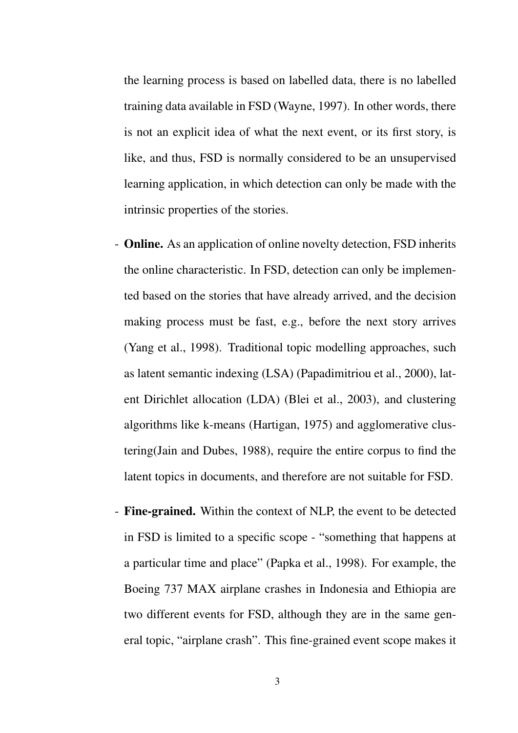the learning process is based on labelled data, there is no labelled training data available in FSD (Wayne, 1997). In other words, there is not an explicit idea of what the next event, or its first story, is like, and thus, FSD is normally considered to be an unsupervised learning application, in which detection can only be made with the intrinsic properties of the stories.

- Online. As an application of online novelty detection, FSD inherits the online characteristic. In FSD, detection can only be implemented based on the stories that have already arrived, and the decision making process must be fast, e.g., before the next story arrives (Yang et al., 1998). Traditional topic modelling approaches, such as latent semantic indexing (LSA) (Papadimitriou et al., 2000), latent Dirichlet allocation (LDA) (Blei et al., 2003), and clustering algorithms like k-means (Hartigan, 1975) and agglomerative clustering(Jain and Dubes, 1988), require the entire corpus to find the latent topics in documents, and therefore are not suitable for FSD.
- Fine-grained. Within the context of NLP, the event to be detected in FSD is limited to a specific scope - "something that happens at a particular time and place" (Papka et al., 1998). For example, the Boeing 737 MAX airplane crashes in Indonesia and Ethiopia are two different events for FSD, although they are in the same general topic, "airplane crash". This fine-grained event scope makes it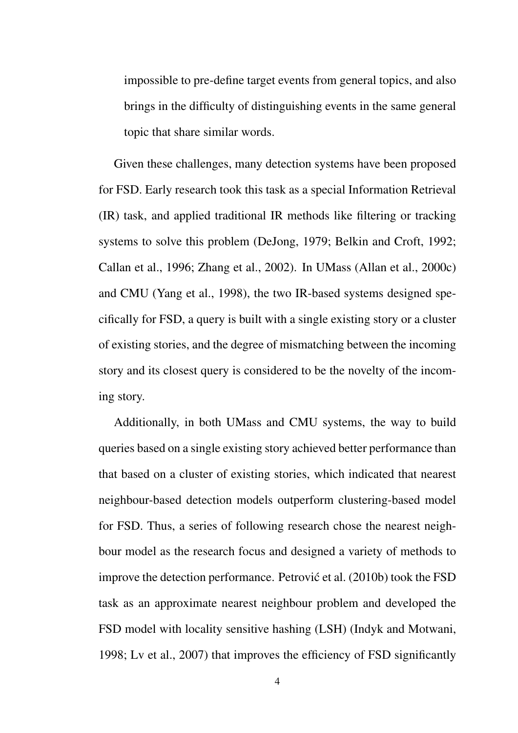impossible to pre-define target events from general topics, and also brings in the difficulty of distinguishing events in the same general topic that share similar words.

Given these challenges, many detection systems have been proposed for FSD. Early research took this task as a special Information Retrieval (IR) task, and applied traditional IR methods like filtering or tracking systems to solve this problem (DeJong, 1979; Belkin and Croft, 1992; Callan et al., 1996; Zhang et al., 2002). In UMass (Allan et al., 2000c) and CMU (Yang et al., 1998), the two IR-based systems designed specifically for FSD, a query is built with a single existing story or a cluster of existing stories, and the degree of mismatching between the incoming story and its closest query is considered to be the novelty of the incoming story.

Additionally, in both UMass and CMU systems, the way to build queries based on a single existing story achieved better performance than that based on a cluster of existing stories, which indicated that nearest neighbour-based detection models outperform clustering-based model for FSD. Thus, a series of following research chose the nearest neighbour model as the research focus and designed a variety of methods to improve the detection performance. Petrović et al.  $(2010b)$  took the FSD task as an approximate nearest neighbour problem and developed the FSD model with locality sensitive hashing (LSH) (Indyk and Motwani, 1998; Lv et al., 2007) that improves the efficiency of FSD significantly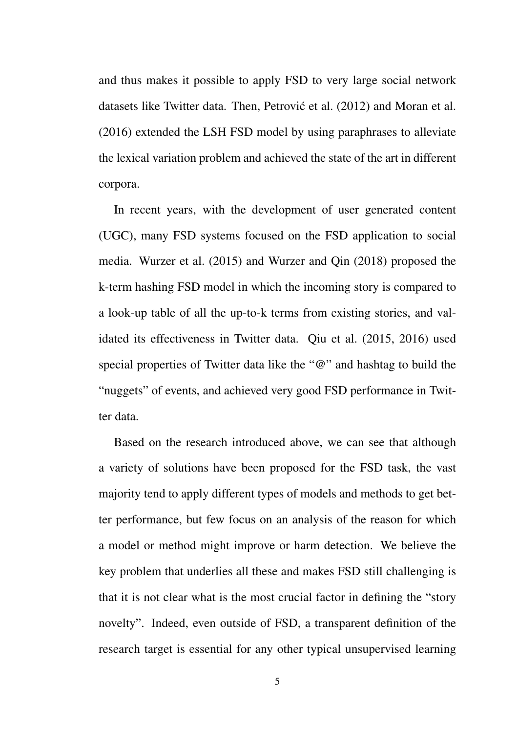and thus makes it possible to apply FSD to very large social network datasets like Twitter data. Then, Petrović et al. (2012) and Moran et al. (2016) extended the LSH FSD model by using paraphrases to alleviate the lexical variation problem and achieved the state of the art in different corpora.

In recent years, with the development of user generated content (UGC), many FSD systems focused on the FSD application to social media. Wurzer et al. (2015) and Wurzer and Qin (2018) proposed the k-term hashing FSD model in which the incoming story is compared to a look-up table of all the up-to-k terms from existing stories, and validated its effectiveness in Twitter data. Qiu et al. (2015, 2016) used special properties of Twitter data like the "@" and hashtag to build the "nuggets" of events, and achieved very good FSD performance in Twitter data.

Based on the research introduced above, we can see that although a variety of solutions have been proposed for the FSD task, the vast majority tend to apply different types of models and methods to get better performance, but few focus on an analysis of the reason for which a model or method might improve or harm detection. We believe the key problem that underlies all these and makes FSD still challenging is that it is not clear what is the most crucial factor in defining the "story novelty". Indeed, even outside of FSD, a transparent definition of the research target is essential for any other typical unsupervised learning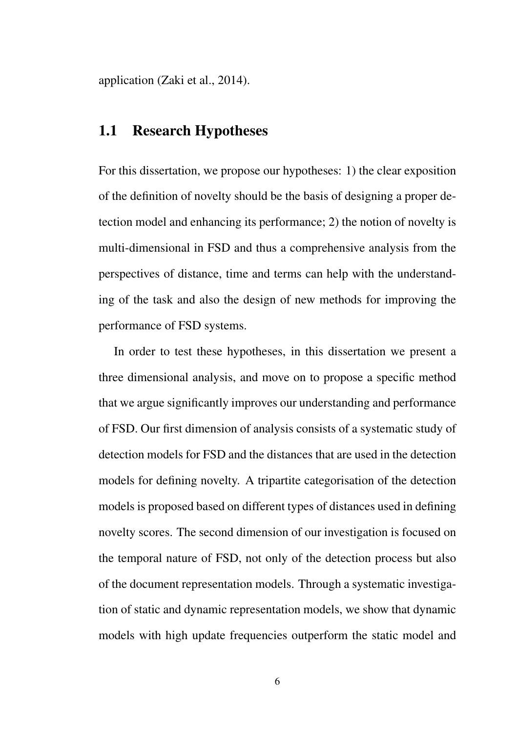application (Zaki et al., 2014).

### 1.1 Research Hypotheses

For this dissertation, we propose our hypotheses: 1) the clear exposition of the definition of novelty should be the basis of designing a proper detection model and enhancing its performance; 2) the notion of novelty is multi-dimensional in FSD and thus a comprehensive analysis from the perspectives of distance, time and terms can help with the understanding of the task and also the design of new methods for improving the performance of FSD systems.

In order to test these hypotheses, in this dissertation we present a three dimensional analysis, and move on to propose a specific method that we argue significantly improves our understanding and performance of FSD. Our first dimension of analysis consists of a systematic study of detection models for FSD and the distances that are used in the detection models for defining novelty. A tripartite categorisation of the detection models is proposed based on different types of distances used in defining novelty scores. The second dimension of our investigation is focused on the temporal nature of FSD, not only of the detection process but also of the document representation models. Through a systematic investigation of static and dynamic representation models, we show that dynamic models with high update frequencies outperform the static model and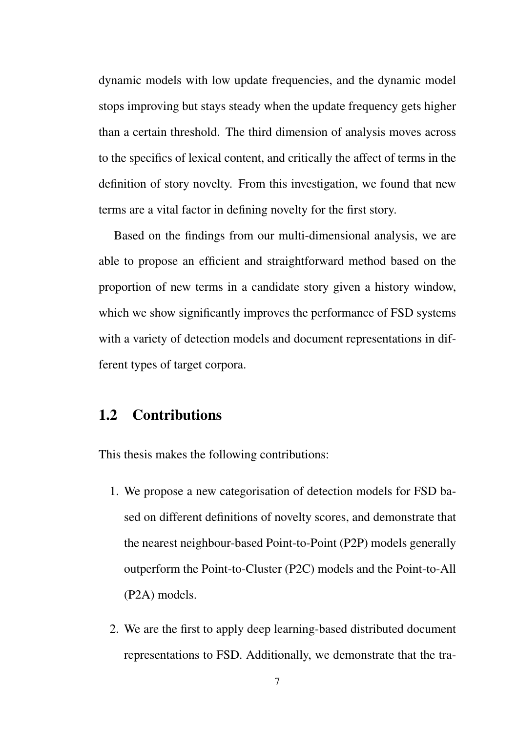dynamic models with low update frequencies, and the dynamic model stops improving but stays steady when the update frequency gets higher than a certain threshold. The third dimension of analysis moves across to the specifics of lexical content, and critically the affect of terms in the definition of story novelty. From this investigation, we found that new terms are a vital factor in defining novelty for the first story.

Based on the findings from our multi-dimensional analysis, we are able to propose an efficient and straightforward method based on the proportion of new terms in a candidate story given a history window, which we show significantly improves the performance of FSD systems with a variety of detection models and document representations in different types of target corpora.

#### 1.2 Contributions

This thesis makes the following contributions:

- 1. We propose a new categorisation of detection models for FSD based on different definitions of novelty scores, and demonstrate that the nearest neighbour-based Point-to-Point (P2P) models generally outperform the Point-to-Cluster (P2C) models and the Point-to-All (P2A) models.
- 2. We are the first to apply deep learning-based distributed document representations to FSD. Additionally, we demonstrate that the tra-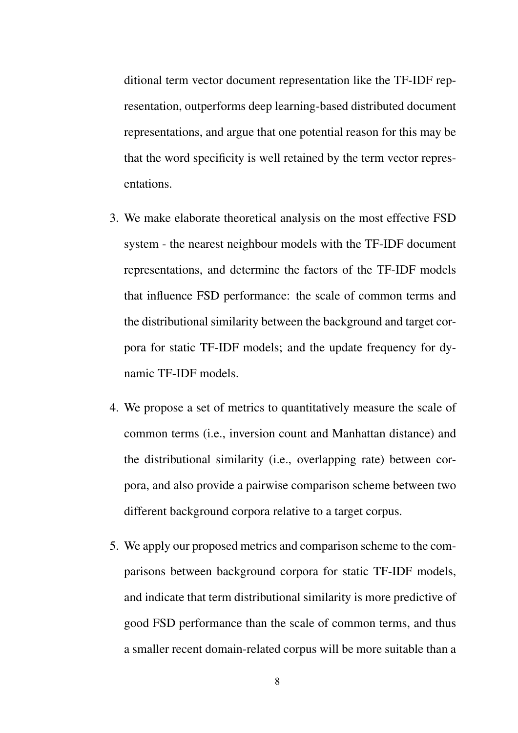ditional term vector document representation like the TF-IDF representation, outperforms deep learning-based distributed document representations, and argue that one potential reason for this may be that the word specificity is well retained by the term vector representations.

- 3. We make elaborate theoretical analysis on the most effective FSD system - the nearest neighbour models with the TF-IDF document representations, and determine the factors of the TF-IDF models that influence FSD performance: the scale of common terms and the distributional similarity between the background and target corpora for static TF-IDF models; and the update frequency for dynamic TF-IDF models.
- 4. We propose a set of metrics to quantitatively measure the scale of common terms (i.e., inversion count and Manhattan distance) and the distributional similarity (i.e., overlapping rate) between corpora, and also provide a pairwise comparison scheme between two different background corpora relative to a target corpus.
- 5. We apply our proposed metrics and comparison scheme to the comparisons between background corpora for static TF-IDF models, and indicate that term distributional similarity is more predictive of good FSD performance than the scale of common terms, and thus a smaller recent domain-related corpus will be more suitable than a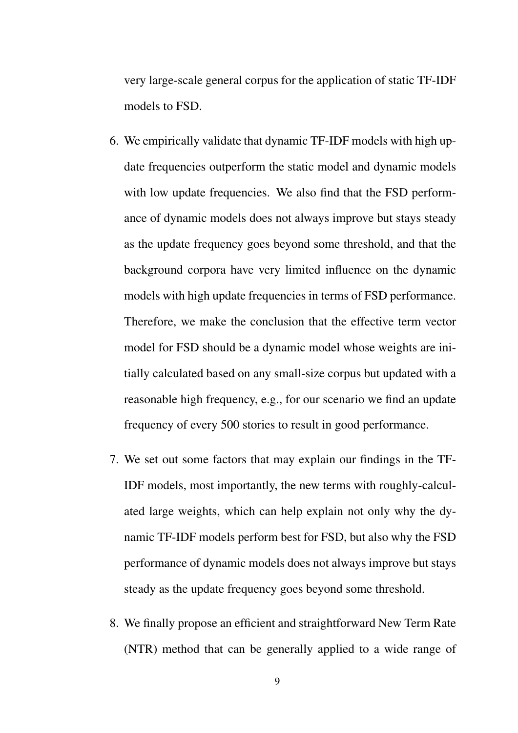very large-scale general corpus for the application of static TF-IDF models to FSD.

- 6. We empirically validate that dynamic TF-IDF models with high update frequencies outperform the static model and dynamic models with low update frequencies. We also find that the FSD performance of dynamic models does not always improve but stays steady as the update frequency goes beyond some threshold, and that the background corpora have very limited influence on the dynamic models with high update frequencies in terms of FSD performance. Therefore, we make the conclusion that the effective term vector model for FSD should be a dynamic model whose weights are initially calculated based on any small-size corpus but updated with a reasonable high frequency, e.g., for our scenario we find an update frequency of every 500 stories to result in good performance.
- 7. We set out some factors that may explain our findings in the TF-IDF models, most importantly, the new terms with roughly-calculated large weights, which can help explain not only why the dynamic TF-IDF models perform best for FSD, but also why the FSD performance of dynamic models does not always improve but stays steady as the update frequency goes beyond some threshold.
- 8. We finally propose an efficient and straightforward New Term Rate (NTR) method that can be generally applied to a wide range of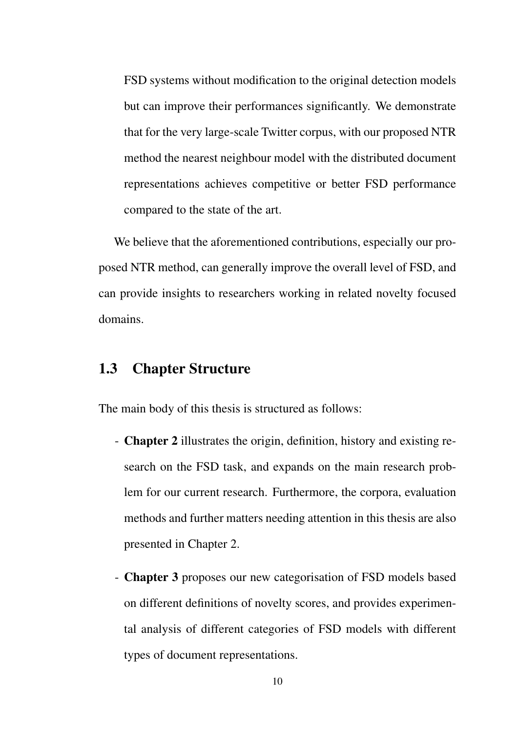FSD systems without modification to the original detection models but can improve their performances significantly. We demonstrate that for the very large-scale Twitter corpus, with our proposed NTR method the nearest neighbour model with the distributed document representations achieves competitive or better FSD performance compared to the state of the art.

We believe that the aforementioned contributions, especially our proposed NTR method, can generally improve the overall level of FSD, and can provide insights to researchers working in related novelty focused domains.

### 1.3 Chapter Structure

The main body of this thesis is structured as follows:

- Chapter 2 illustrates the origin, definition, history and existing research on the FSD task, and expands on the main research problem for our current research. Furthermore, the corpora, evaluation methods and further matters needing attention in this thesis are also presented in Chapter 2.
- Chapter 3 proposes our new categorisation of FSD models based on different definitions of novelty scores, and provides experimental analysis of different categories of FSD models with different types of document representations.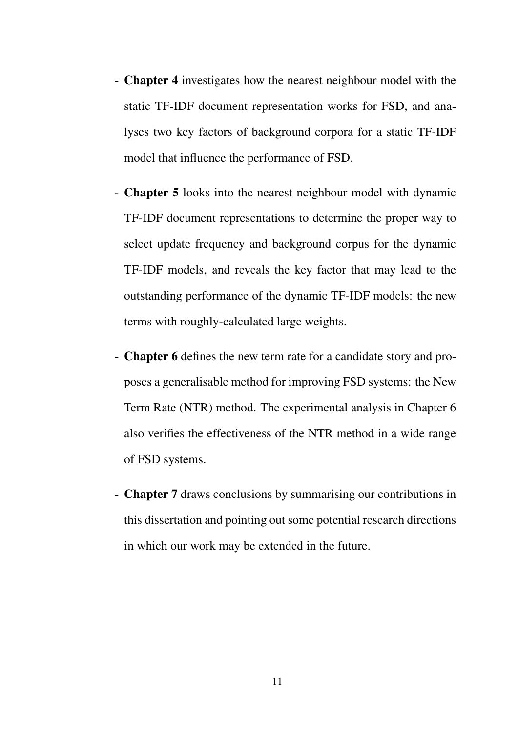- Chapter 4 investigates how the nearest neighbour model with the static TF-IDF document representation works for FSD, and analyses two key factors of background corpora for a static TF-IDF model that influence the performance of FSD.
- Chapter 5 looks into the nearest neighbour model with dynamic TF-IDF document representations to determine the proper way to select update frequency and background corpus for the dynamic TF-IDF models, and reveals the key factor that may lead to the outstanding performance of the dynamic TF-IDF models: the new terms with roughly-calculated large weights.
- Chapter 6 defines the new term rate for a candidate story and proposes a generalisable method for improving FSD systems: the New Term Rate (NTR) method. The experimental analysis in Chapter 6 also verifies the effectiveness of the NTR method in a wide range of FSD systems.
- Chapter 7 draws conclusions by summarising our contributions in this dissertation and pointing out some potential research directions in which our work may be extended in the future.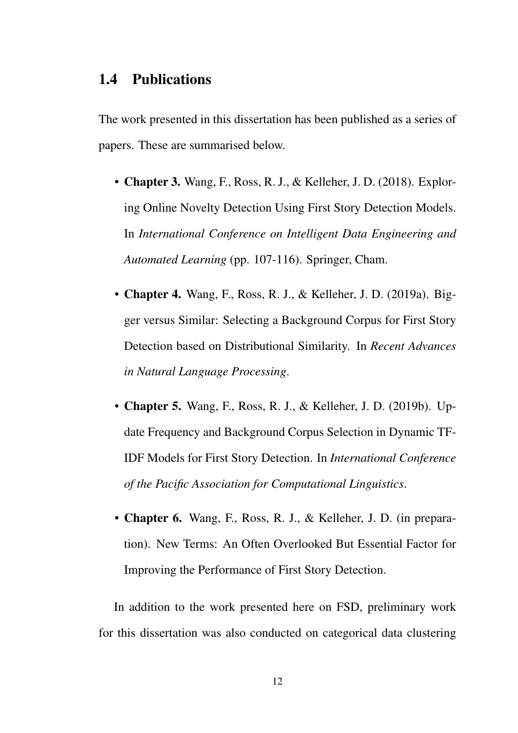#### 1.4 Publications

The work presented in this dissertation has been published as a series of papers. These are summarised below.

- Chapter 3. Wang, F., Ross, R. J., & Kelleher, J. D. (2018). Exploring Online Novelty Detection Using First Story Detection Models. In *International Conference on Intelligent Data Engineering and Automated Learning* (pp. 107-116). Springer, Cham.
- Chapter 4. Wang, F., Ross, R. J., & Kelleher, J. D. (2019a). Bigger versus Similar: Selecting a Background Corpus for First Story Detection based on Distributional Similarity. In *Recent Advances in Natural Language Processing*.
- Chapter 5. Wang, F., Ross, R. J., & Kelleher, J. D. (2019b). Update Frequency and Background Corpus Selection in Dynamic TF-IDF Models for First Story Detection. In *International Conference of the Pacific Association for Computational Linguistics*.
- Chapter 6. Wang, F., Ross, R. J., & Kelleher, J. D. (in preparation). New Terms: An Often Overlooked But Essential Factor for Improving the Performance of First Story Detection.

In addition to the work presented here on FSD, preliminary work for this dissertation was also conducted on categorical data clustering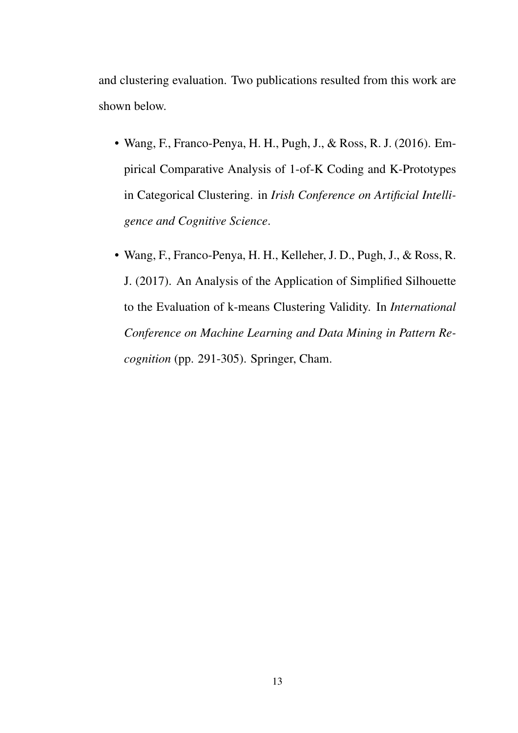and clustering evaluation. Two publications resulted from this work are shown below.

- Wang, F., Franco-Penya, H. H., Pugh, J., & Ross, R. J. (2016). Empirical Comparative Analysis of 1-of-K Coding and K-Prototypes in Categorical Clustering. in *Irish Conference on Artificial Intelligence and Cognitive Science*.
- Wang, F., Franco-Penya, H. H., Kelleher, J. D., Pugh, J., & Ross, R. J. (2017). An Analysis of the Application of Simplified Silhouette to the Evaluation of k-means Clustering Validity. In *International Conference on Machine Learning and Data Mining in Pattern Recognition* (pp. 291-305). Springer, Cham.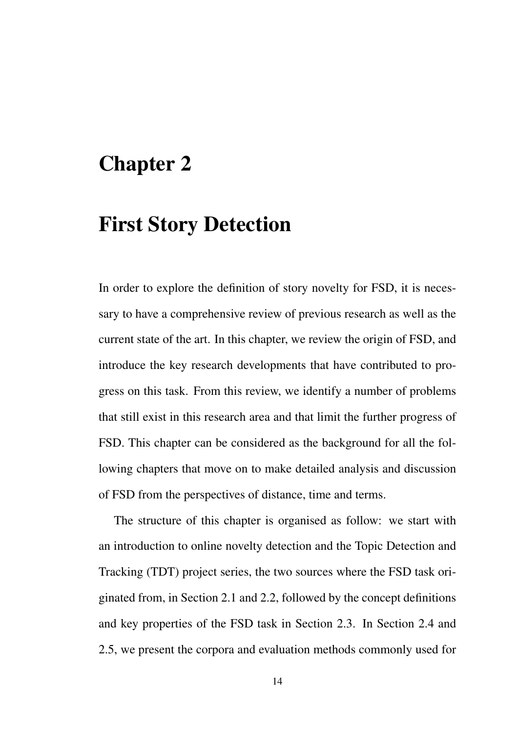# Chapter 2

### First Story Detection

In order to explore the definition of story novelty for FSD, it is necessary to have a comprehensive review of previous research as well as the current state of the art. In this chapter, we review the origin of FSD, and introduce the key research developments that have contributed to progress on this task. From this review, we identify a number of problems that still exist in this research area and that limit the further progress of FSD. This chapter can be considered as the background for all the following chapters that move on to make detailed analysis and discussion of FSD from the perspectives of distance, time and terms.

The structure of this chapter is organised as follow: we start with an introduction to online novelty detection and the Topic Detection and Tracking (TDT) project series, the two sources where the FSD task originated from, in Section 2.1 and 2.2, followed by the concept definitions and key properties of the FSD task in Section 2.3. In Section 2.4 and 2.5, we present the corpora and evaluation methods commonly used for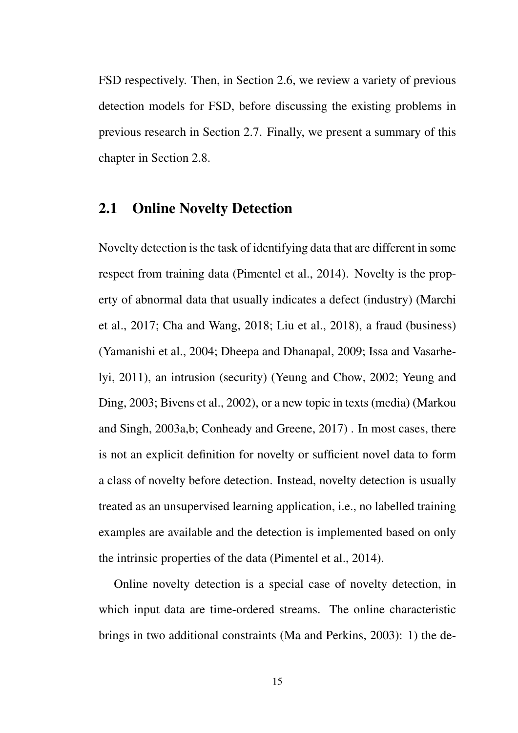FSD respectively. Then, in Section 2.6, we review a variety of previous detection models for FSD, before discussing the existing problems in previous research in Section 2.7. Finally, we present a summary of this chapter in Section 2.8.

### 2.1 Online Novelty Detection

Novelty detection is the task of identifying data that are different in some respect from training data (Pimentel et al., 2014). Novelty is the property of abnormal data that usually indicates a defect (industry) (Marchi et al., 2017; Cha and Wang, 2018; Liu et al., 2018), a fraud (business) (Yamanishi et al., 2004; Dheepa and Dhanapal, 2009; Issa and Vasarhelyi, 2011), an intrusion (security) (Yeung and Chow, 2002; Yeung and Ding, 2003; Bivens et al., 2002), or a new topic in texts (media) (Markou and Singh, 2003a,b; Conheady and Greene, 2017) . In most cases, there is not an explicit definition for novelty or sufficient novel data to form a class of novelty before detection. Instead, novelty detection is usually treated as an unsupervised learning application, i.e., no labelled training examples are available and the detection is implemented based on only the intrinsic properties of the data (Pimentel et al., 2014).

Online novelty detection is a special case of novelty detection, in which input data are time-ordered streams. The online characteristic brings in two additional constraints (Ma and Perkins, 2003): 1) the de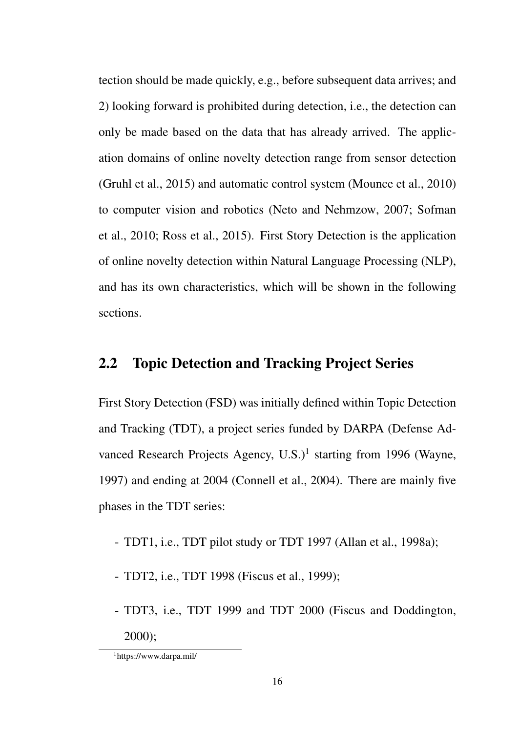tection should be made quickly, e.g., before subsequent data arrives; and 2) looking forward is prohibited during detection, i.e., the detection can only be made based on the data that has already arrived. The application domains of online novelty detection range from sensor detection (Gruhl et al., 2015) and automatic control system (Mounce et al., 2010) to computer vision and robotics (Neto and Nehmzow, 2007; Sofman et al., 2010; Ross et al., 2015). First Story Detection is the application of online novelty detection within Natural Language Processing (NLP), and has its own characteristics, which will be shown in the following sections.

### 2.2 Topic Detection and Tracking Project Series

First Story Detection (FSD) was initially defined within Topic Detection and Tracking (TDT), a project series funded by DARPA (Defense Advanced Research Projects Agency, U.S.)<sup>1</sup> starting from 1996 (Wayne, 1997) and ending at 2004 (Connell et al., 2004). There are mainly five phases in the TDT series:

- TDT1, i.e., TDT pilot study or TDT 1997 (Allan et al., 1998a);
- TDT2, i.e., TDT 1998 (Fiscus et al., 1999);
- TDT3, i.e., TDT 1999 and TDT 2000 (Fiscus and Doddington, 2000);

<sup>1</sup>https://www.darpa.mil/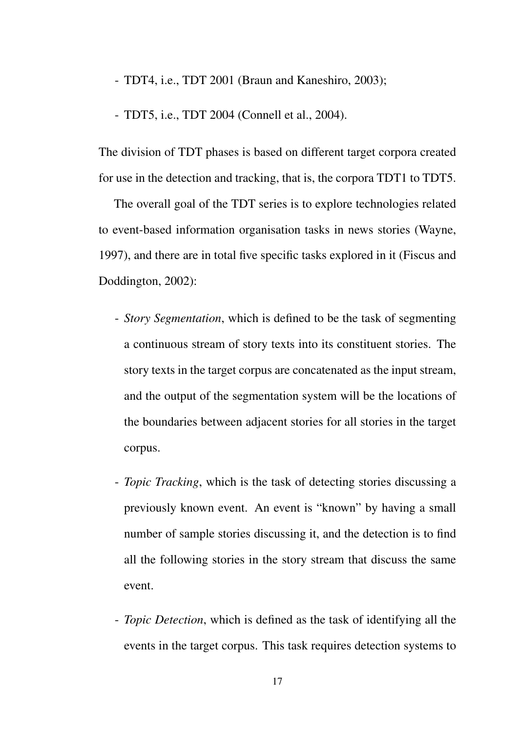- TDT4, i.e., TDT 2001 (Braun and Kaneshiro, 2003);

- TDT5, i.e., TDT 2004 (Connell et al., 2004).

The division of TDT phases is based on different target corpora created for use in the detection and tracking, that is, the corpora TDT1 to TDT5.

The overall goal of the TDT series is to explore technologies related to event-based information organisation tasks in news stories (Wayne, 1997), and there are in total five specific tasks explored in it (Fiscus and Doddington, 2002):

- *Story Segmentation*, which is defined to be the task of segmenting a continuous stream of story texts into its constituent stories. The story texts in the target corpus are concatenated as the input stream, and the output of the segmentation system will be the locations of the boundaries between adjacent stories for all stories in the target corpus.
- *Topic Tracking*, which is the task of detecting stories discussing a previously known event. An event is "known" by having a small number of sample stories discussing it, and the detection is to find all the following stories in the story stream that discuss the same event.
- *Topic Detection*, which is defined as the task of identifying all the events in the target corpus. This task requires detection systems to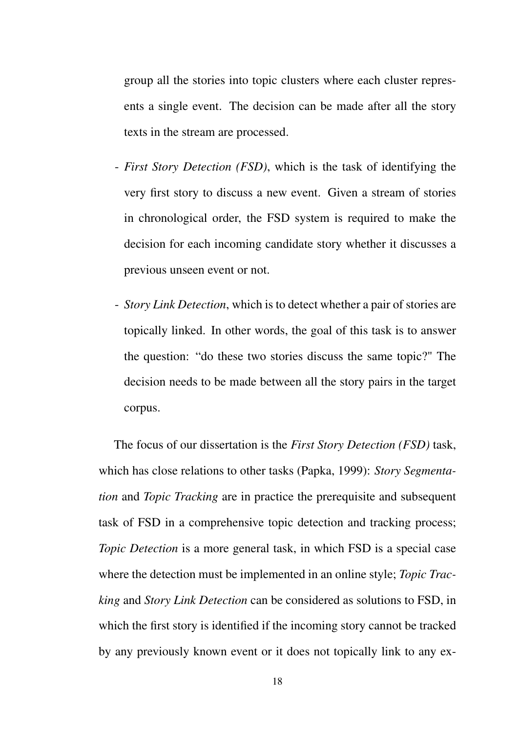group all the stories into topic clusters where each cluster represents a single event. The decision can be made after all the story texts in the stream are processed.

- *First Story Detection (FSD)*, which is the task of identifying the very first story to discuss a new event. Given a stream of stories in chronological order, the FSD system is required to make the decision for each incoming candidate story whether it discusses a previous unseen event or not.
- *Story Link Detection*, which is to detect whether a pair of stories are topically linked. In other words, the goal of this task is to answer the question: "do these two stories discuss the same topic?" The decision needs to be made between all the story pairs in the target corpus.

The focus of our dissertation is the *First Story Detection (FSD)* task, which has close relations to other tasks (Papka, 1999): *Story Segmentation* and *Topic Tracking* are in practice the prerequisite and subsequent task of FSD in a comprehensive topic detection and tracking process; *Topic Detection* is a more general task, in which FSD is a special case where the detection must be implemented in an online style; *Topic Tracking* and *Story Link Detection* can be considered as solutions to FSD, in which the first story is identified if the incoming story cannot be tracked by any previously known event or it does not topically link to any ex-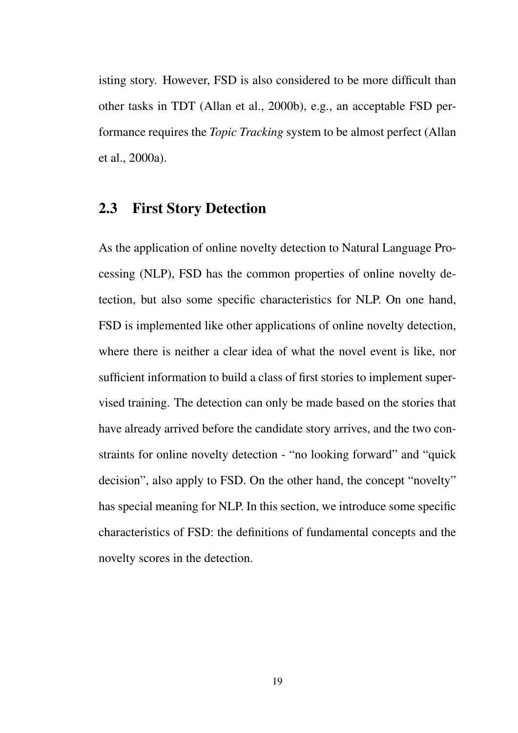isting story. However, FSD is also considered to be more difficult than other tasks in TDT (Allan et al., 2000b), e.g., an acceptable FSD performance requires the *Topic Tracking* system to be almost perfect (Allan et al., 2000a).

### 2.3 First Story Detection

As the application of online novelty detection to Natural Language Processing (NLP), FSD has the common properties of online novelty detection, but also some specific characteristics for NLP. On one hand, FSD is implemented like other applications of online novelty detection, where there is neither a clear idea of what the novel event is like, nor sufficient information to build a class of first stories to implement supervised training. The detection can only be made based on the stories that have already arrived before the candidate story arrives, and the two constraints for online novelty detection - "no looking forward" and "quick decision", also apply to FSD. On the other hand, the concept "novelty" has special meaning for NLP. In this section, we introduce some specific characteristics of FSD: the definitions of fundamental concepts and the novelty scores in the detection.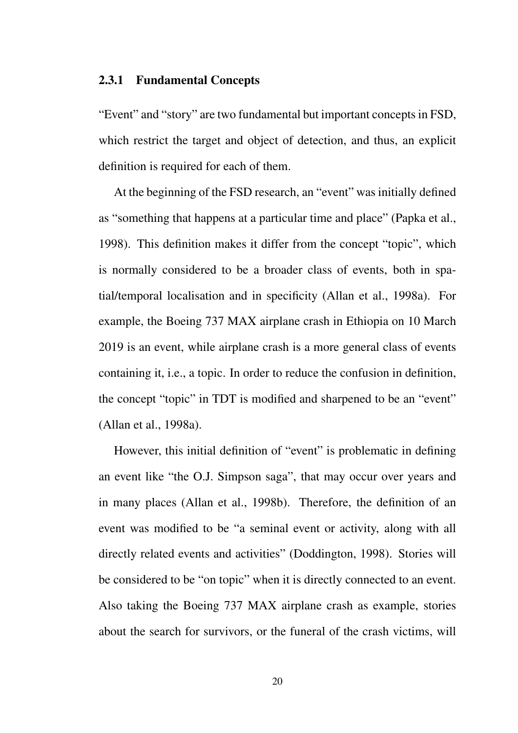#### 2.3.1 Fundamental Concepts

"Event" and "story" are two fundamental but important concepts in FSD, which restrict the target and object of detection, and thus, an explicit definition is required for each of them.

At the beginning of the FSD research, an "event" was initially defined as "something that happens at a particular time and place" (Papka et al., 1998). This definition makes it differ from the concept "topic", which is normally considered to be a broader class of events, both in spatial/temporal localisation and in specificity (Allan et al., 1998a). For example, the Boeing 737 MAX airplane crash in Ethiopia on 10 March 2019 is an event, while airplane crash is a more general class of events containing it, i.e., a topic. In order to reduce the confusion in definition, the concept "topic" in TDT is modified and sharpened to be an "event" (Allan et al., 1998a).

However, this initial definition of "event" is problematic in defining an event like "the O.J. Simpson saga", that may occur over years and in many places (Allan et al., 1998b). Therefore, the definition of an event was modified to be "a seminal event or activity, along with all directly related events and activities" (Doddington, 1998). Stories will be considered to be "on topic" when it is directly connected to an event. Also taking the Boeing 737 MAX airplane crash as example, stories about the search for survivors, or the funeral of the crash victims, will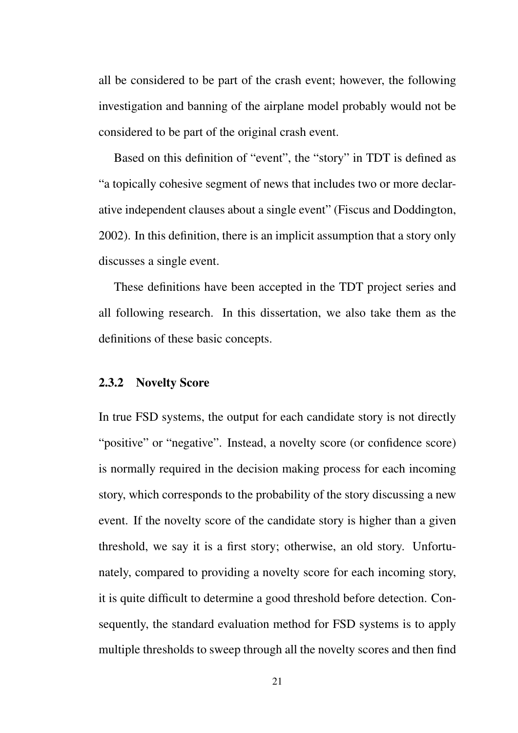all be considered to be part of the crash event; however, the following investigation and banning of the airplane model probably would not be considered to be part of the original crash event.

Based on this definition of "event", the "story" in TDT is defined as "a topically cohesive segment of news that includes two or more declarative independent clauses about a single event" (Fiscus and Doddington, 2002). In this definition, there is an implicit assumption that a story only discusses a single event.

These definitions have been accepted in the TDT project series and all following research. In this dissertation, we also take them as the definitions of these basic concepts.

#### 2.3.2 Novelty Score

In true FSD systems, the output for each candidate story is not directly "positive" or "negative". Instead, a novelty score (or confidence score) is normally required in the decision making process for each incoming story, which corresponds to the probability of the story discussing a new event. If the novelty score of the candidate story is higher than a given threshold, we say it is a first story; otherwise, an old story. Unfortunately, compared to providing a novelty score for each incoming story, it is quite difficult to determine a good threshold before detection. Consequently, the standard evaluation method for FSD systems is to apply multiple thresholds to sweep through all the novelty scores and then find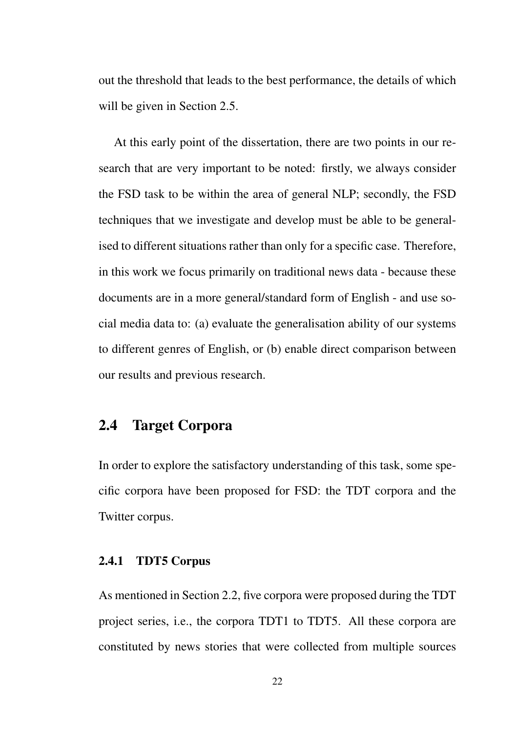out the threshold that leads to the best performance, the details of which will be given in Section 2.5.

At this early point of the dissertation, there are two points in our research that are very important to be noted: firstly, we always consider the FSD task to be within the area of general NLP; secondly, the FSD techniques that we investigate and develop must be able to be generalised to different situations rather than only for a specific case. Therefore, in this work we focus primarily on traditional news data - because these documents are in a more general/standard form of English - and use social media data to: (a) evaluate the generalisation ability of our systems to different genres of English, or (b) enable direct comparison between our results and previous research.

# 2.4 Target Corpora

In order to explore the satisfactory understanding of this task, some specific corpora have been proposed for FSD: the TDT corpora and the Twitter corpus.

#### 2.4.1 TDT5 Corpus

As mentioned in Section 2.2, five corpora were proposed during the TDT project series, i.e., the corpora TDT1 to TDT5. All these corpora are constituted by news stories that were collected from multiple sources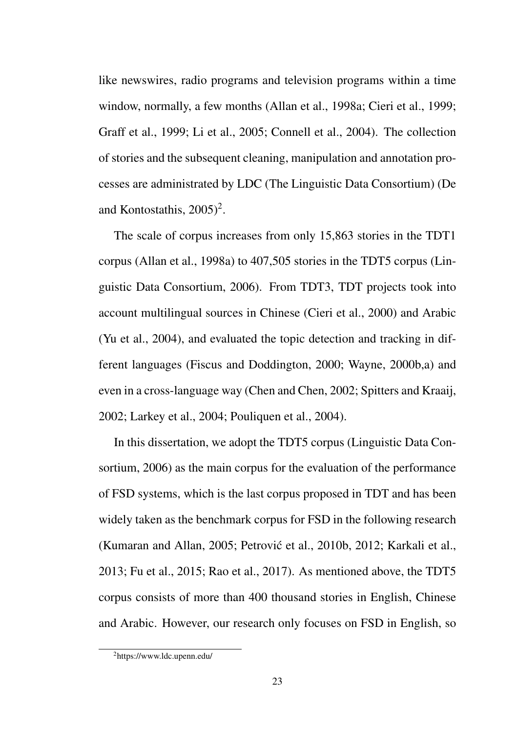like newswires, radio programs and television programs within a time window, normally, a few months (Allan et al., 1998a; Cieri et al., 1999; Graff et al., 1999; Li et al., 2005; Connell et al., 2004). The collection of stories and the subsequent cleaning, manipulation and annotation processes are administrated by LDC (The Linguistic Data Consortium) (De and Kontostathis,  $2005$ <sup>2</sup>.

The scale of corpus increases from only 15,863 stories in the TDT1 corpus (Allan et al., 1998a) to 407,505 stories in the TDT5 corpus (Linguistic Data Consortium, 2006). From TDT3, TDT projects took into account multilingual sources in Chinese (Cieri et al., 2000) and Arabic (Yu et al., 2004), and evaluated the topic detection and tracking in different languages (Fiscus and Doddington, 2000; Wayne, 2000b,a) and even in a cross-language way (Chen and Chen, 2002; Spitters and Kraaij, 2002; Larkey et al., 2004; Pouliquen et al., 2004).

In this dissertation, we adopt the TDT5 corpus (Linguistic Data Consortium, 2006) as the main corpus for the evaluation of the performance of FSD systems, which is the last corpus proposed in TDT and has been widely taken as the benchmark corpus for FSD in the following research (Kumaran and Allan, 2005; Petrovic et al., 2010b, 2012; Karkali et al., ´ 2013; Fu et al., 2015; Rao et al., 2017). As mentioned above, the TDT5 corpus consists of more than 400 thousand stories in English, Chinese and Arabic. However, our research only focuses on FSD in English, so

<sup>2</sup>https://www.ldc.upenn.edu/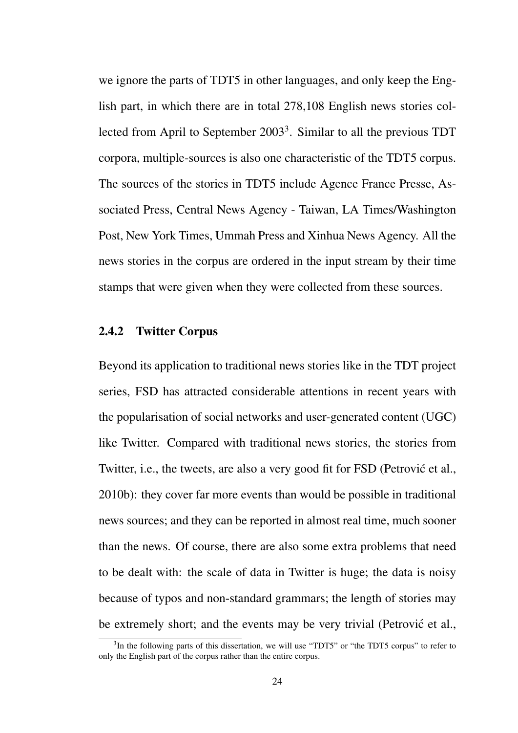we ignore the parts of TDT5 in other languages, and only keep the English part, in which there are in total 278,108 English news stories collected from April to September 2003<sup>3</sup>. Similar to all the previous TDT corpora, multiple-sources is also one characteristic of the TDT5 corpus. The sources of the stories in TDT5 include Agence France Presse, Associated Press, Central News Agency - Taiwan, LA Times/Washington Post, New York Times, Ummah Press and Xinhua News Agency. All the news stories in the corpus are ordered in the input stream by their time stamps that were given when they were collected from these sources.

#### 2.4.2 Twitter Corpus

Beyond its application to traditional news stories like in the TDT project series, FSD has attracted considerable attentions in recent years with the popularisation of social networks and user-generated content (UGC) like Twitter. Compared with traditional news stories, the stories from Twitter, i.e., the tweets, are also a very good fit for FSD (Petrović et al., 2010b): they cover far more events than would be possible in traditional news sources; and they can be reported in almost real time, much sooner than the news. Of course, there are also some extra problems that need to be dealt with: the scale of data in Twitter is huge; the data is noisy because of typos and non-standard grammars; the length of stories may be extremely short; and the events may be very trivial (Petrović et al.,

<sup>&</sup>lt;sup>3</sup>In the following parts of this dissertation, we will use "TDT5" or "the TDT5 corpus" to refer to only the English part of the corpus rather than the entire corpus.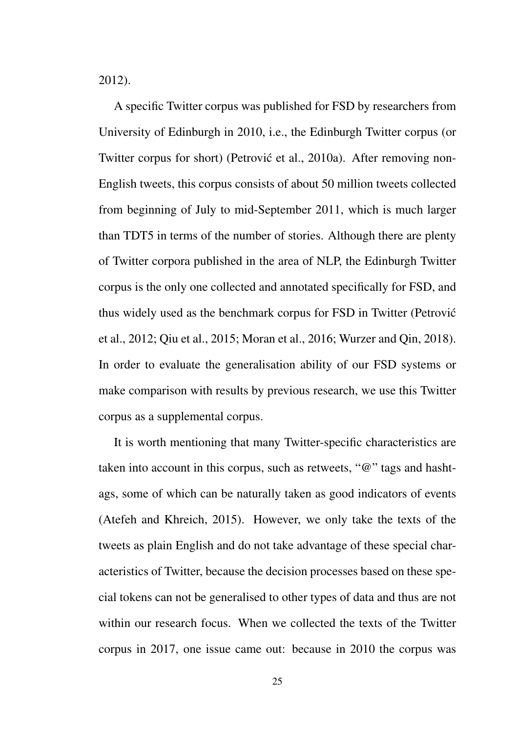2012).

A specific Twitter corpus was published for FSD by researchers from University of Edinburgh in 2010, i.e., the Edinburgh Twitter corpus (or Twitter corpus for short) (Petrović et al., 2010a). After removing non-English tweets, this corpus consists of about 50 million tweets collected from beginning of July to mid-September 2011, which is much larger than TDT5 in terms of the number of stories. Although there are plenty of Twitter corpora published in the area of NLP, the Edinburgh Twitter corpus is the only one collected and annotated specifically for FSD, and thus widely used as the benchmark corpus for FSD in Twitter (Petrovic´ et al., 2012; Qiu et al., 2015; Moran et al., 2016; Wurzer and Qin, 2018). In order to evaluate the generalisation ability of our FSD systems or make comparison with results by previous research, we use this Twitter corpus as a supplemental corpus.

It is worth mentioning that many Twitter-specific characteristics are taken into account in this corpus, such as retweets, "@" tags and hashtags, some of which can be naturally taken as good indicators of events (Atefeh and Khreich, 2015). However, we only take the texts of the tweets as plain English and do not take advantage of these special characteristics of Twitter, because the decision processes based on these special tokens can not be generalised to other types of data and thus are not within our research focus. When we collected the texts of the Twitter corpus in 2017, one issue came out: because in 2010 the corpus was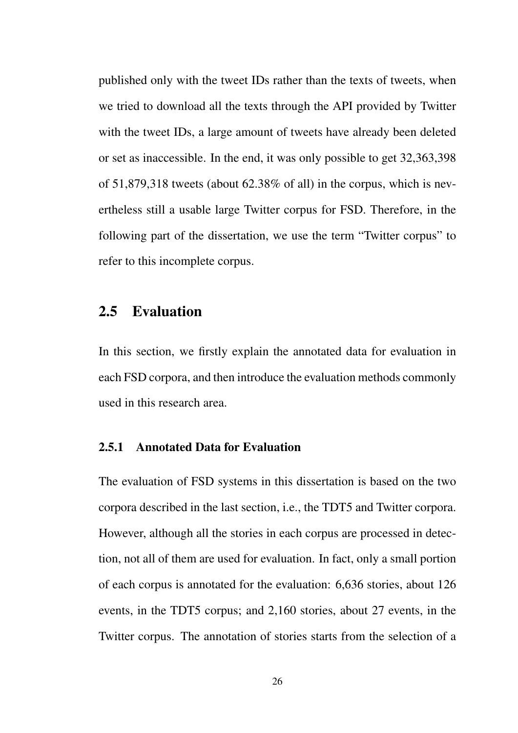published only with the tweet IDs rather than the texts of tweets, when we tried to download all the texts through the API provided by Twitter with the tweet IDs, a large amount of tweets have already been deleted or set as inaccessible. In the end, it was only possible to get 32,363,398 of 51,879,318 tweets (about 62.38% of all) in the corpus, which is nevertheless still a usable large Twitter corpus for FSD. Therefore, in the following part of the dissertation, we use the term "Twitter corpus" to refer to this incomplete corpus.

## 2.5 Evaluation

In this section, we firstly explain the annotated data for evaluation in each FSD corpora, and then introduce the evaluation methods commonly used in this research area.

#### 2.5.1 Annotated Data for Evaluation

The evaluation of FSD systems in this dissertation is based on the two corpora described in the last section, i.e., the TDT5 and Twitter corpora. However, although all the stories in each corpus are processed in detection, not all of them are used for evaluation. In fact, only a small portion of each corpus is annotated for the evaluation: 6,636 stories, about 126 events, in the TDT5 corpus; and 2,160 stories, about 27 events, in the Twitter corpus. The annotation of stories starts from the selection of a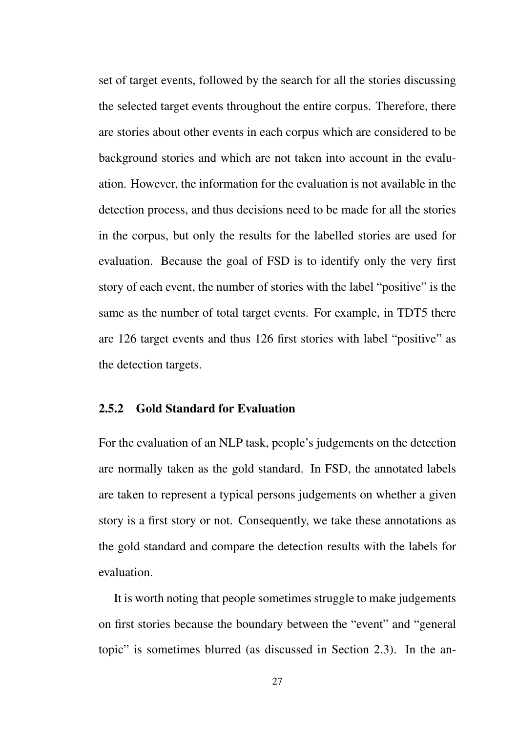set of target events, followed by the search for all the stories discussing the selected target events throughout the entire corpus. Therefore, there are stories about other events in each corpus which are considered to be background stories and which are not taken into account in the evaluation. However, the information for the evaluation is not available in the detection process, and thus decisions need to be made for all the stories in the corpus, but only the results for the labelled stories are used for evaluation. Because the goal of FSD is to identify only the very first story of each event, the number of stories with the label "positive" is the same as the number of total target events. For example, in TDT5 there are 126 target events and thus 126 first stories with label "positive" as the detection targets.

#### 2.5.2 Gold Standard for Evaluation

For the evaluation of an NLP task, people's judgements on the detection are normally taken as the gold standard. In FSD, the annotated labels are taken to represent a typical persons judgements on whether a given story is a first story or not. Consequently, we take these annotations as the gold standard and compare the detection results with the labels for evaluation.

It is worth noting that people sometimes struggle to make judgements on first stories because the boundary between the "event" and "general topic" is sometimes blurred (as discussed in Section 2.3). In the an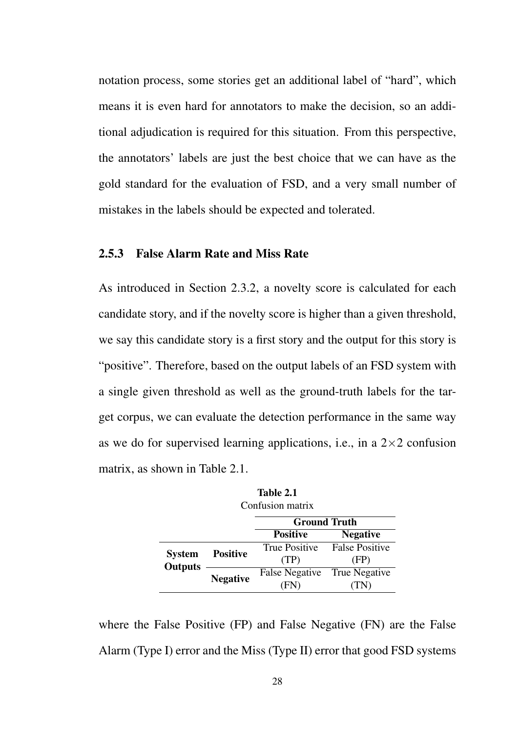notation process, some stories get an additional label of "hard", which means it is even hard for annotators to make the decision, so an additional adjudication is required for this situation. From this perspective, the annotators' labels are just the best choice that we can have as the gold standard for the evaluation of FSD, and a very small number of mistakes in the labels should be expected and tolerated.

#### 2.5.3 False Alarm Rate and Miss Rate

As introduced in Section 2.3.2, a novelty score is calculated for each candidate story, and if the novelty score is higher than a given threshold, we say this candidate story is a first story and the output for this story is "positive". Therefore, based on the output labels of an FSD system with a single given threshold as well as the ground-truth labels for the target corpus, we can evaluate the detection performance in the same way as we do for supervised learning applications, i.e., in a  $2\times 2$  confusion matrix, as shown in Table 2.1.

| <b>Ground Truth</b><br><b>Positive</b><br><b>Negative</b><br><b>False Positive</b><br><b>True Positive</b><br><b>Positive</b><br><b>System</b><br>(TP)<br>(FP)<br><b>Outputs</b><br><b>False Negative</b><br>True Negative<br><b>Negative</b> | Confusion matrix |  |      |  |  |
|-----------------------------------------------------------------------------------------------------------------------------------------------------------------------------------------------------------------------------------------------|------------------|--|------|--|--|
|                                                                                                                                                                                                                                               |                  |  |      |  |  |
|                                                                                                                                                                                                                                               |                  |  |      |  |  |
|                                                                                                                                                                                                                                               |                  |  |      |  |  |
|                                                                                                                                                                                                                                               |                  |  |      |  |  |
|                                                                                                                                                                                                                                               |                  |  |      |  |  |
|                                                                                                                                                                                                                                               |                  |  | F(N) |  |  |

Table 2.1

where the False Positive (FP) and False Negative (FN) are the False Alarm (Type I) error and the Miss (Type II) error that good FSD systems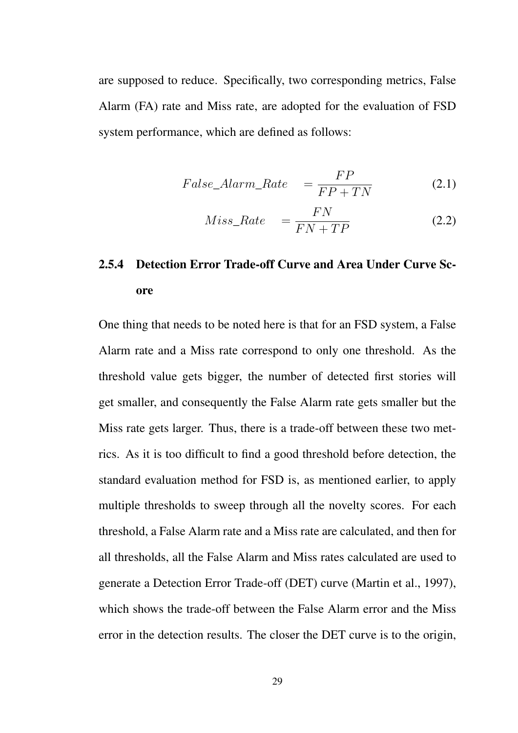are supposed to reduce. Specifically, two corresponding metrics, False Alarm (FA) rate and Miss rate, are adopted for the evaluation of FSD system performance, which are defined as follows:

$$
False\_Alarm\_Rate = \frac{FP}{FP + TN}
$$
 (2.1)

$$
Miss\_Rate = \frac{FN}{FN + TP}
$$
\n(2.2)

# 2.5.4 Detection Error Trade-off Curve and Area Under Curve Score

One thing that needs to be noted here is that for an FSD system, a False Alarm rate and a Miss rate correspond to only one threshold. As the threshold value gets bigger, the number of detected first stories will get smaller, and consequently the False Alarm rate gets smaller but the Miss rate gets larger. Thus, there is a trade-off between these two metrics. As it is too difficult to find a good threshold before detection, the standard evaluation method for FSD is, as mentioned earlier, to apply multiple thresholds to sweep through all the novelty scores. For each threshold, a False Alarm rate and a Miss rate are calculated, and then for all thresholds, all the False Alarm and Miss rates calculated are used to generate a Detection Error Trade-off (DET) curve (Martin et al., 1997), which shows the trade-off between the False Alarm error and the Miss error in the detection results. The closer the DET curve is to the origin,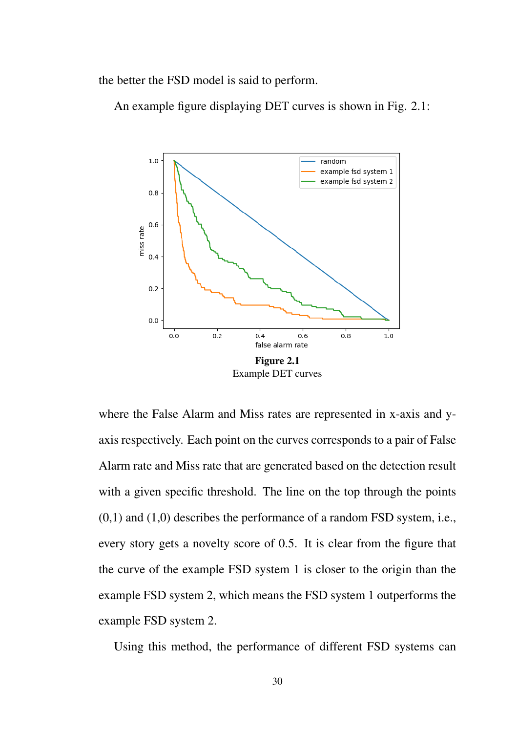the better the FSD model is said to perform.

An example figure displaying DET curves is shown in Fig. 2.1:



where the False Alarm and Miss rates are represented in x-axis and yaxis respectively. Each point on the curves corresponds to a pair of False Alarm rate and Miss rate that are generated based on the detection result with a given specific threshold. The line on the top through the points  $(0,1)$  and  $(1,0)$  describes the performance of a random FSD system, i.e., every story gets a novelty score of 0.5. It is clear from the figure that the curve of the example FSD system 1 is closer to the origin than the example FSD system 2, which means the FSD system 1 outperforms the example FSD system 2.

Using this method, the performance of different FSD systems can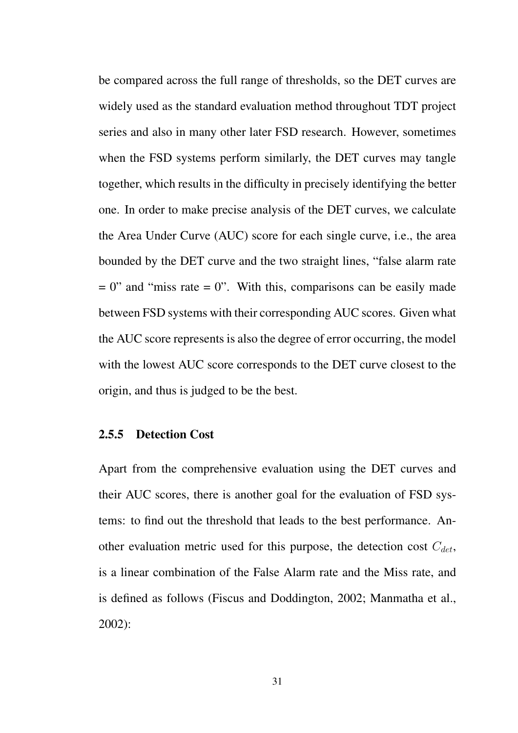be compared across the full range of thresholds, so the DET curves are widely used as the standard evaluation method throughout TDT project series and also in many other later FSD research. However, sometimes when the FSD systems perform similarly, the DET curves may tangle together, which results in the difficulty in precisely identifying the better one. In order to make precise analysis of the DET curves, we calculate the Area Under Curve (AUC) score for each single curve, i.e., the area bounded by the DET curve and the two straight lines, "false alarm rate  $= 0$ " and "miss rate  $= 0$ ". With this, comparisons can be easily made between FSD systems with their corresponding AUC scores. Given what the AUC score represents is also the degree of error occurring, the model with the lowest AUC score corresponds to the DET curve closest to the origin, and thus is judged to be the best.

#### 2.5.5 Detection Cost

Apart from the comprehensive evaluation using the DET curves and their AUC scores, there is another goal for the evaluation of FSD systems: to find out the threshold that leads to the best performance. Another evaluation metric used for this purpose, the detection cost *Cdet*, is a linear combination of the False Alarm rate and the Miss rate, and is defined as follows (Fiscus and Doddington, 2002; Manmatha et al., 2002):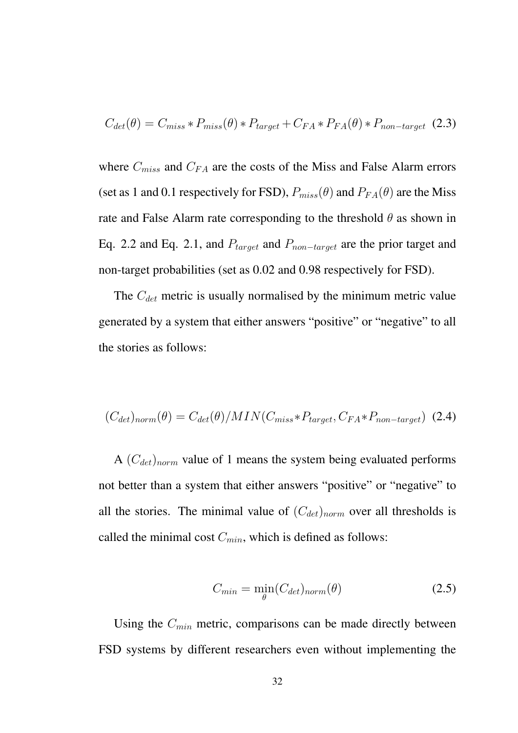$$
C_{det}(\theta) = C_{miss} * P_{miss}(\theta) * P_{target} + C_{FA} * P_{FA}(\theta) * P_{non-target} (2.3)
$$

where *Cmiss* and *CF A* are the costs of the Miss and False Alarm errors (set as 1 and 0.1 respectively for FSD),  $P_{miss}(\theta)$  and  $P_{FA}(\theta)$  are the Miss rate and False Alarm rate corresponding to the threshold *θ* as shown in Eq. 2.2 and Eq. 2.1, and *Ptarget* and *Pnon*−*target* are the prior target and non-target probabilities (set as 0.02 and 0.98 respectively for FSD).

The *Cdet* metric is usually normalised by the minimum metric value generated by a system that either answers "positive" or "negative" to all the stories as follows:

$$
(C_{det})_{norm}(\theta) = C_{det}(\theta)/MIN(C_{miss} * P_{target}, C_{FA} * P_{non-target})
$$
 (2.4)

A (*Cdet*)*norm* value of 1 means the system being evaluated performs not better than a system that either answers "positive" or "negative" to all the stories. The minimal value of (*Cdet*)*norm* over all thresholds is called the minimal cost *Cmin*, which is defined as follows:

$$
C_{min} = \min_{\theta} (C_{det})_{norm}(\theta) \tag{2.5}
$$

Using the *Cmin* metric, comparisons can be made directly between FSD systems by different researchers even without implementing the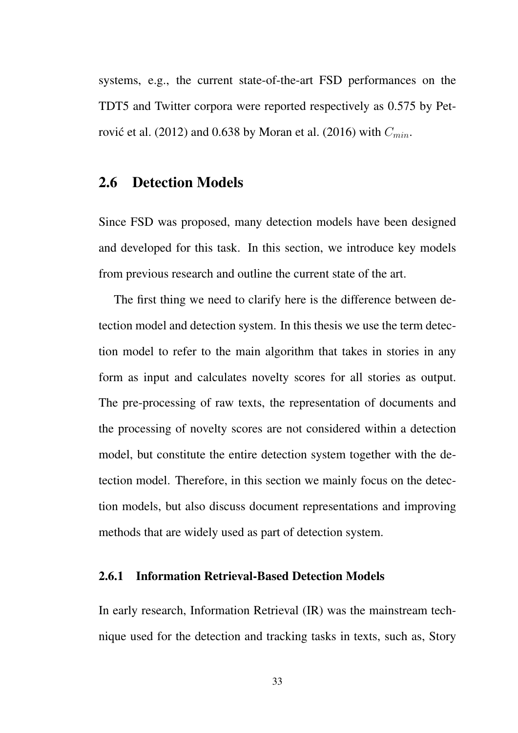systems, e.g., the current state-of-the-art FSD performances on the TDT5 and Twitter corpora were reported respectively as 0.575 by Petrovic et al. (2012) and 0.638 by Moran et al. (2016) with  $C_{min}$ .

## 2.6 Detection Models

Since FSD was proposed, many detection models have been designed and developed for this task. In this section, we introduce key models from previous research and outline the current state of the art.

The first thing we need to clarify here is the difference between detection model and detection system. In this thesis we use the term detection model to refer to the main algorithm that takes in stories in any form as input and calculates novelty scores for all stories as output. The pre-processing of raw texts, the representation of documents and the processing of novelty scores are not considered within a detection model, but constitute the entire detection system together with the detection model. Therefore, in this section we mainly focus on the detection models, but also discuss document representations and improving methods that are widely used as part of detection system.

#### 2.6.1 Information Retrieval-Based Detection Models

In early research, Information Retrieval (IR) was the mainstream technique used for the detection and tracking tasks in texts, such as, Story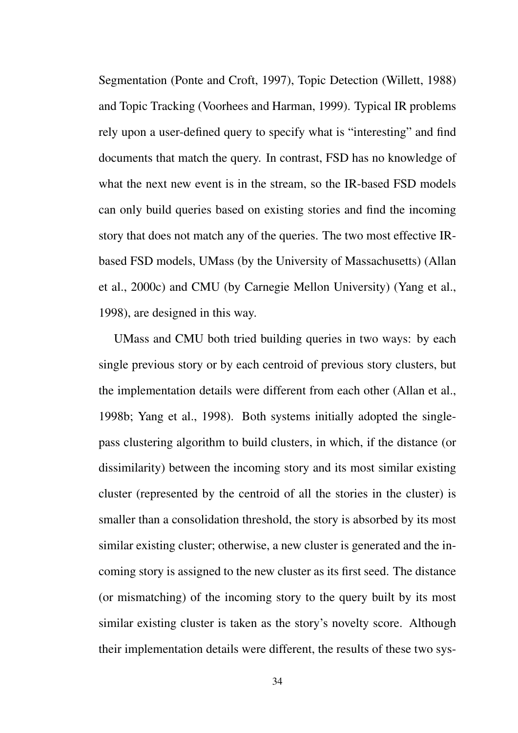Segmentation (Ponte and Croft, 1997), Topic Detection (Willett, 1988) and Topic Tracking (Voorhees and Harman, 1999). Typical IR problems rely upon a user-defined query to specify what is "interesting" and find documents that match the query. In contrast, FSD has no knowledge of what the next new event is in the stream, so the IR-based FSD models can only build queries based on existing stories and find the incoming story that does not match any of the queries. The two most effective IRbased FSD models, UMass (by the University of Massachusetts) (Allan et al., 2000c) and CMU (by Carnegie Mellon University) (Yang et al., 1998), are designed in this way.

UMass and CMU both tried building queries in two ways: by each single previous story or by each centroid of previous story clusters, but the implementation details were different from each other (Allan et al., 1998b; Yang et al., 1998). Both systems initially adopted the singlepass clustering algorithm to build clusters, in which, if the distance (or dissimilarity) between the incoming story and its most similar existing cluster (represented by the centroid of all the stories in the cluster) is smaller than a consolidation threshold, the story is absorbed by its most similar existing cluster; otherwise, a new cluster is generated and the incoming story is assigned to the new cluster as its first seed. The distance (or mismatching) of the incoming story to the query built by its most similar existing cluster is taken as the story's novelty score. Although their implementation details were different, the results of these two sys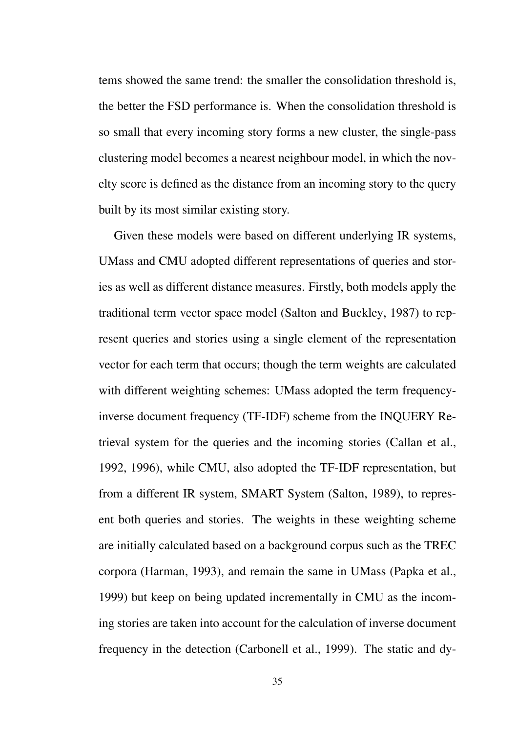tems showed the same trend: the smaller the consolidation threshold is, the better the FSD performance is. When the consolidation threshold is so small that every incoming story forms a new cluster, the single-pass clustering model becomes a nearest neighbour model, in which the novelty score is defined as the distance from an incoming story to the query built by its most similar existing story.

Given these models were based on different underlying IR systems, UMass and CMU adopted different representations of queries and stories as well as different distance measures. Firstly, both models apply the traditional term vector space model (Salton and Buckley, 1987) to represent queries and stories using a single element of the representation vector for each term that occurs; though the term weights are calculated with different weighting schemes: UMass adopted the term frequencyinverse document frequency (TF-IDF) scheme from the INQUERY Retrieval system for the queries and the incoming stories (Callan et al., 1992, 1996), while CMU, also adopted the TF-IDF representation, but from a different IR system, SMART System (Salton, 1989), to represent both queries and stories. The weights in these weighting scheme are initially calculated based on a background corpus such as the TREC corpora (Harman, 1993), and remain the same in UMass (Papka et al., 1999) but keep on being updated incrementally in CMU as the incoming stories are taken into account for the calculation of inverse document frequency in the detection (Carbonell et al., 1999). The static and dy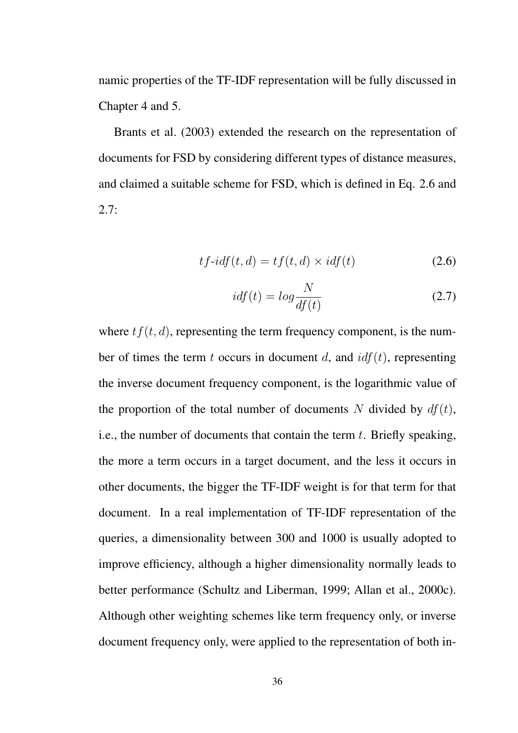namic properties of the TF-IDF representation will be fully discussed in Chapter 4 and 5.

Brants et al. (2003) extended the research on the representation of documents for FSD by considering different types of distance measures, and claimed a suitable scheme for FSD, which is defined in Eq. 2.6 and  $2.7:$ 

$$
tf-idf(t, d) = tf(t, d) \times idf(t)
$$
\n(2.6)

$$
idf(t) = log \frac{N}{df(t)}
$$
\n(2.7)

where  $tf(t, d)$ , representing the term frequency component, is the number of times the term *t* occurs in document *d*, and *idf*(*t*), representing the inverse document frequency component, is the logarithmic value of the proportion of the total number of documents *N* divided by  $df(t)$ , i.e., the number of documents that contain the term *t*. Briefly speaking, the more a term occurs in a target document, and the less it occurs in other documents, the bigger the TF-IDF weight is for that term for that document. In a real implementation of TF-IDF representation of the queries, a dimensionality between 300 and 1000 is usually adopted to improve efficiency, although a higher dimensionality normally leads to better performance (Schultz and Liberman, 1999; Allan et al., 2000c). Although other weighting schemes like term frequency only, or inverse document frequency only, were applied to the representation of both in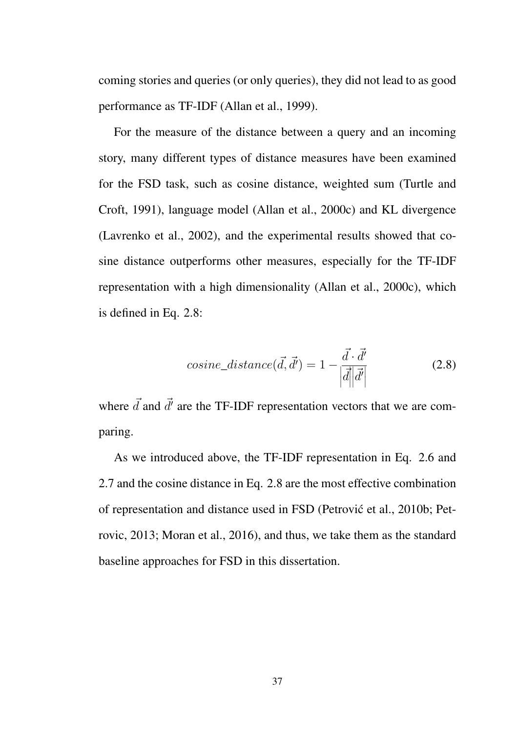coming stories and queries (or only queries), they did not lead to as good performance as TF-IDF (Allan et al., 1999).

For the measure of the distance between a query and an incoming story, many different types of distance measures have been examined for the FSD task, such as cosine distance, weighted sum (Turtle and Croft, 1991), language model (Allan et al., 2000c) and KL divergence (Lavrenko et al., 2002), and the experimental results showed that cosine distance outperforms other measures, especially for the TF-IDF representation with a high dimensionality (Allan et al., 2000c), which is defined in Eq. 2.8:

$$
cosine\_distance(\vec{d}, \vec{d'}) = 1 - \frac{\vec{d} \cdot \vec{d'}}{|\vec{d}||\vec{d'}|}
$$
(2.8)

where  $\vec{d}$  and  $\vec{d'}$  are the TF-IDF representation vectors that we are comparing.

As we introduced above, the TF-IDF representation in Eq. 2.6 and 2.7 and the cosine distance in Eq. 2.8 are the most effective combination of representation and distance used in FSD (Petrovic et al., 2010b; Pet- ´ rovic, 2013; Moran et al., 2016), and thus, we take them as the standard baseline approaches for FSD in this dissertation.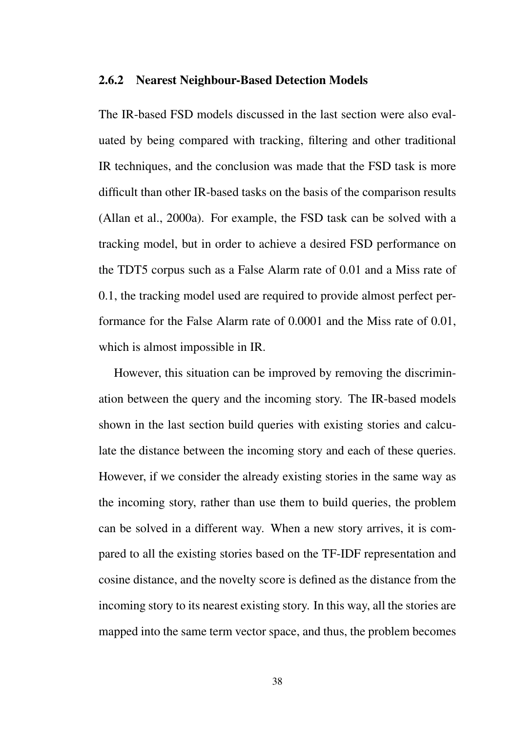#### 2.6.2 Nearest Neighbour-Based Detection Models

The IR-based FSD models discussed in the last section were also evaluated by being compared with tracking, filtering and other traditional IR techniques, and the conclusion was made that the FSD task is more difficult than other IR-based tasks on the basis of the comparison results (Allan et al., 2000a). For example, the FSD task can be solved with a tracking model, but in order to achieve a desired FSD performance on the TDT5 corpus such as a False Alarm rate of 0.01 and a Miss rate of 0.1, the tracking model used are required to provide almost perfect performance for the False Alarm rate of 0.0001 and the Miss rate of 0.01, which is almost impossible in IR.

However, this situation can be improved by removing the discrimination between the query and the incoming story. The IR-based models shown in the last section build queries with existing stories and calculate the distance between the incoming story and each of these queries. However, if we consider the already existing stories in the same way as the incoming story, rather than use them to build queries, the problem can be solved in a different way. When a new story arrives, it is compared to all the existing stories based on the TF-IDF representation and cosine distance, and the novelty score is defined as the distance from the incoming story to its nearest existing story. In this way, all the stories are mapped into the same term vector space, and thus, the problem becomes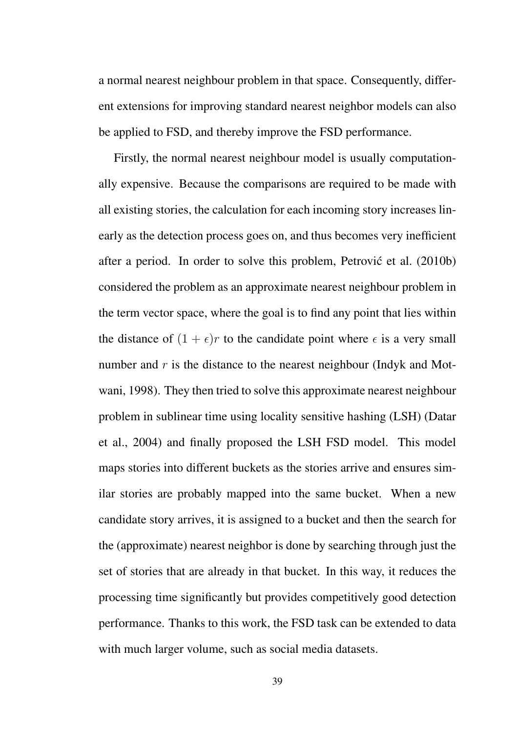a normal nearest neighbour problem in that space. Consequently, different extensions for improving standard nearest neighbor models can also be applied to FSD, and thereby improve the FSD performance.

Firstly, the normal nearest neighbour model is usually computationally expensive. Because the comparisons are required to be made with all existing stories, the calculation for each incoming story increases linearly as the detection process goes on, and thus becomes very inefficient after a period. In order to solve this problem, Petrović et al. (2010b) considered the problem as an approximate nearest neighbour problem in the term vector space, where the goal is to find any point that lies within the distance of  $(1 + \epsilon)r$  to the candidate point where  $\epsilon$  is a very small number and *r* is the distance to the nearest neighbour (Indyk and Motwani, 1998). They then tried to solve this approximate nearest neighbour problem in sublinear time using locality sensitive hashing (LSH) (Datar et al., 2004) and finally proposed the LSH FSD model. This model maps stories into different buckets as the stories arrive and ensures similar stories are probably mapped into the same bucket. When a new candidate story arrives, it is assigned to a bucket and then the search for the (approximate) nearest neighbor is done by searching through just the set of stories that are already in that bucket. In this way, it reduces the processing time significantly but provides competitively good detection performance. Thanks to this work, the FSD task can be extended to data with much larger volume, such as social media datasets.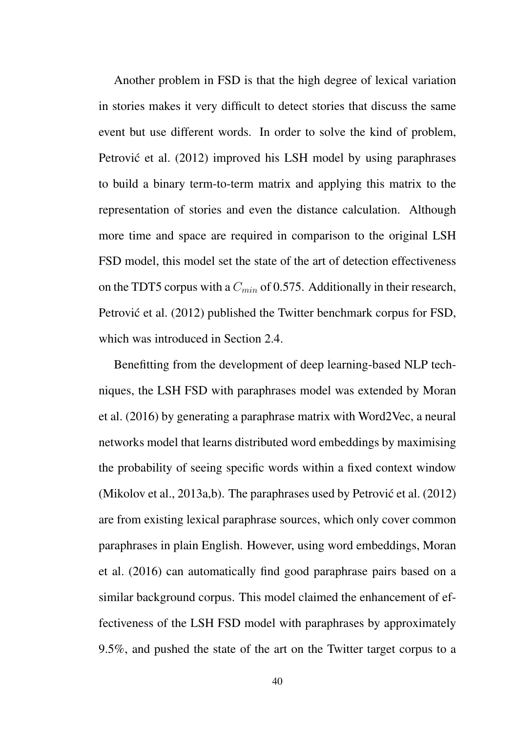Another problem in FSD is that the high degree of lexical variation in stories makes it very difficult to detect stories that discuss the same event but use different words. In order to solve the kind of problem, Petrović et al. (2012) improved his LSH model by using paraphrases to build a binary term-to-term matrix and applying this matrix to the representation of stories and even the distance calculation. Although more time and space are required in comparison to the original LSH FSD model, this model set the state of the art of detection effectiveness on the TDT5 corpus with a *Cmin* of 0.575. Additionally in their research, Petrović et al. (2012) published the Twitter benchmark corpus for FSD, which was introduced in Section 2.4.

Benefitting from the development of deep learning-based NLP techniques, the LSH FSD with paraphrases model was extended by Moran et al. (2016) by generating a paraphrase matrix with Word2Vec, a neural networks model that learns distributed word embeddings by maximising the probability of seeing specific words within a fixed context window (Mikolov et al., 2013a,b). The paraphrases used by Petrović et al.  $(2012)$ are from existing lexical paraphrase sources, which only cover common paraphrases in plain English. However, using word embeddings, Moran et al. (2016) can automatically find good paraphrase pairs based on a similar background corpus. This model claimed the enhancement of effectiveness of the LSH FSD model with paraphrases by approximately 9.5%, and pushed the state of the art on the Twitter target corpus to a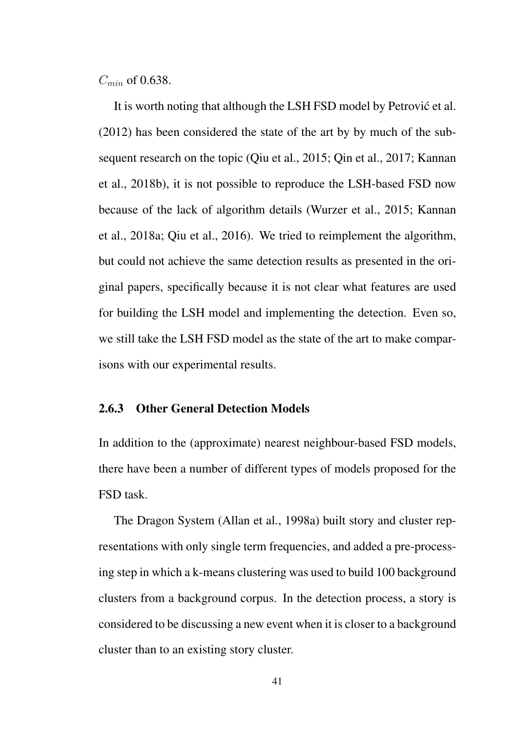*Cmin* of 0.638.

It is worth noting that although the LSH FSD model by Petrovic et al. ´ (2012) has been considered the state of the art by by much of the subsequent research on the topic (Qiu et al., 2015; Qin et al., 2017; Kannan et al., 2018b), it is not possible to reproduce the LSH-based FSD now because of the lack of algorithm details (Wurzer et al., 2015; Kannan et al., 2018a; Qiu et al., 2016). We tried to reimplement the algorithm, but could not achieve the same detection results as presented in the original papers, specifically because it is not clear what features are used for building the LSH model and implementing the detection. Even so, we still take the LSH FSD model as the state of the art to make comparisons with our experimental results.

#### 2.6.3 Other General Detection Models

In addition to the (approximate) nearest neighbour-based FSD models, there have been a number of different types of models proposed for the FSD task.

The Dragon System (Allan et al., 1998a) built story and cluster representations with only single term frequencies, and added a pre-processing step in which a k-means clustering was used to build 100 background clusters from a background corpus. In the detection process, a story is considered to be discussing a new event when it is closer to a background cluster than to an existing story cluster.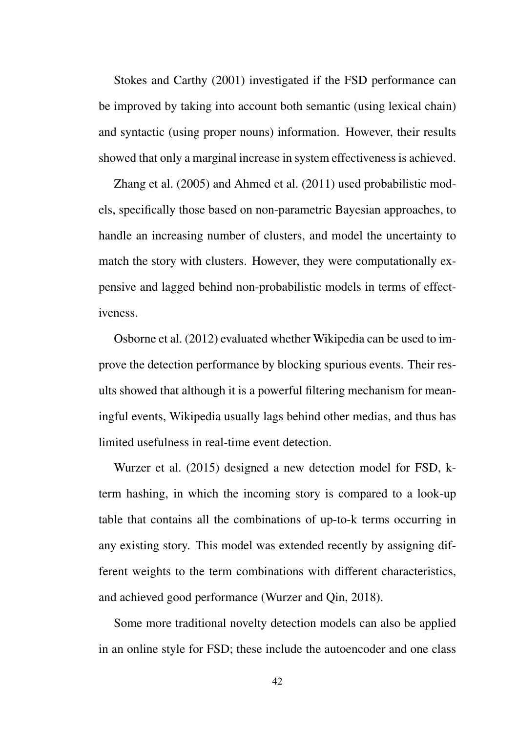Stokes and Carthy (2001) investigated if the FSD performance can be improved by taking into account both semantic (using lexical chain) and syntactic (using proper nouns) information. However, their results showed that only a marginal increase in system effectiveness is achieved.

Zhang et al. (2005) and Ahmed et al. (2011) used probabilistic models, specifically those based on non-parametric Bayesian approaches, to handle an increasing number of clusters, and model the uncertainty to match the story with clusters. However, they were computationally expensive and lagged behind non-probabilistic models in terms of effectiveness.

Osborne et al. (2012) evaluated whether Wikipedia can be used to improve the detection performance by blocking spurious events. Their results showed that although it is a powerful filtering mechanism for meaningful events, Wikipedia usually lags behind other medias, and thus has limited usefulness in real-time event detection.

Wurzer et al. (2015) designed a new detection model for FSD, kterm hashing, in which the incoming story is compared to a look-up table that contains all the combinations of up-to-k terms occurring in any existing story. This model was extended recently by assigning different weights to the term combinations with different characteristics, and achieved good performance (Wurzer and Qin, 2018).

Some more traditional novelty detection models can also be applied in an online style for FSD; these include the autoencoder and one class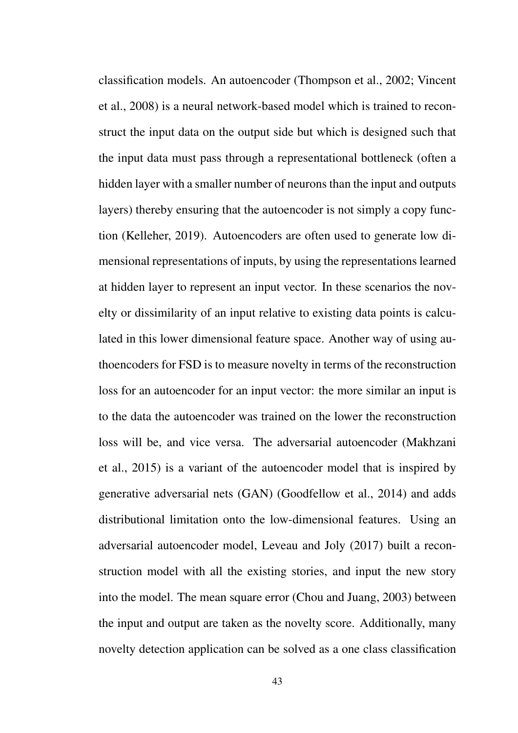classification models. An autoencoder (Thompson et al., 2002; Vincent et al., 2008) is a neural network-based model which is trained to reconstruct the input data on the output side but which is designed such that the input data must pass through a representational bottleneck (often a hidden layer with a smaller number of neurons than the input and outputs layers) thereby ensuring that the autoencoder is not simply a copy function (Kelleher, 2019). Autoencoders are often used to generate low dimensional representations of inputs, by using the representations learned at hidden layer to represent an input vector. In these scenarios the novelty or dissimilarity of an input relative to existing data points is calculated in this lower dimensional feature space. Another way of using authoencoders for FSD is to measure novelty in terms of the reconstruction loss for an autoencoder for an input vector: the more similar an input is to the data the autoencoder was trained on the lower the reconstruction loss will be, and vice versa. The adversarial autoencoder (Makhzani et al., 2015) is a variant of the autoencoder model that is inspired by generative adversarial nets (GAN) (Goodfellow et al., 2014) and adds distributional limitation onto the low-dimensional features. Using an adversarial autoencoder model, Leveau and Joly (2017) built a reconstruction model with all the existing stories, and input the new story into the model. The mean square error (Chou and Juang, 2003) between the input and output are taken as the novelty score. Additionally, many novelty detection application can be solved as a one class classification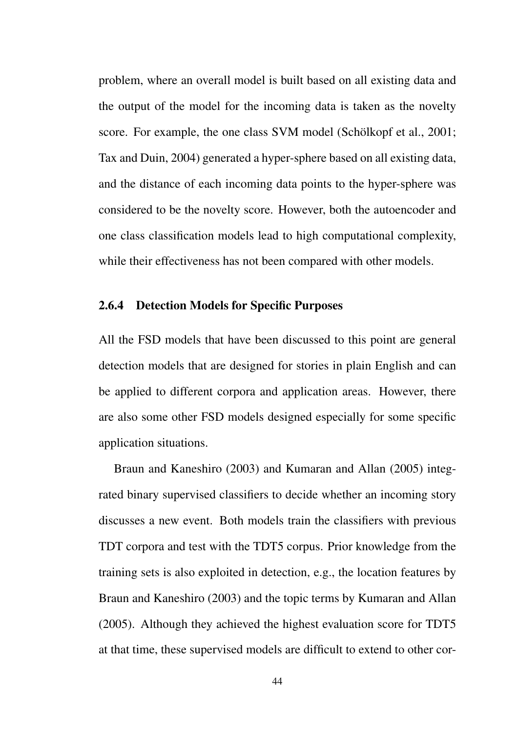problem, where an overall model is built based on all existing data and the output of the model for the incoming data is taken as the novelty score. For example, the one class SVM model (Schölkopf et al., 2001; Tax and Duin, 2004) generated a hyper-sphere based on all existing data, and the distance of each incoming data points to the hyper-sphere was considered to be the novelty score. However, both the autoencoder and one class classification models lead to high computational complexity, while their effectiveness has not been compared with other models.

#### 2.6.4 Detection Models for Specific Purposes

All the FSD models that have been discussed to this point are general detection models that are designed for stories in plain English and can be applied to different corpora and application areas. However, there are also some other FSD models designed especially for some specific application situations.

Braun and Kaneshiro (2003) and Kumaran and Allan (2005) integrated binary supervised classifiers to decide whether an incoming story discusses a new event. Both models train the classifiers with previous TDT corpora and test with the TDT5 corpus. Prior knowledge from the training sets is also exploited in detection, e.g., the location features by Braun and Kaneshiro (2003) and the topic terms by Kumaran and Allan (2005). Although they achieved the highest evaluation score for TDT5 at that time, these supervised models are difficult to extend to other cor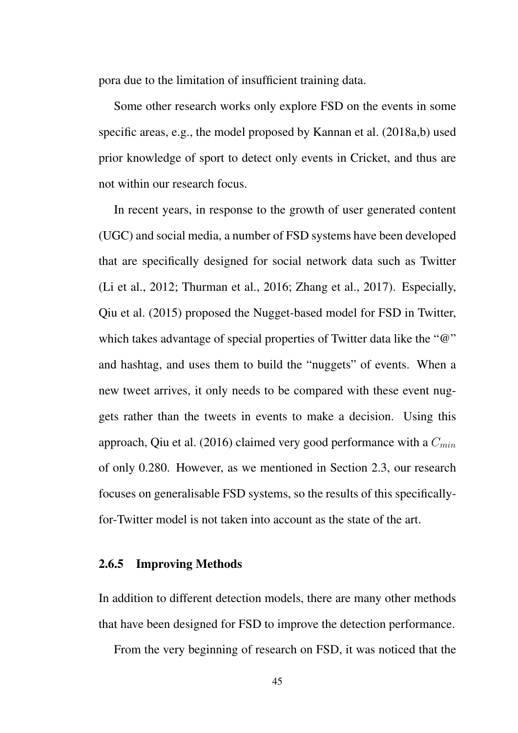pora due to the limitation of insufficient training data.

Some other research works only explore FSD on the events in some specific areas, e.g., the model proposed by Kannan et al. (2018a,b) used prior knowledge of sport to detect only events in Cricket, and thus are not within our research focus.

In recent years, in response to the growth of user generated content (UGC) and social media, a number of FSD systems have been developed that are specifically designed for social network data such as Twitter (Li et al., 2012; Thurman et al., 2016; Zhang et al., 2017). Especially, Qiu et al. (2015) proposed the Nugget-based model for FSD in Twitter, which takes advantage of special properties of Twitter data like the " $@$ " and hashtag, and uses them to build the "nuggets" of events. When a new tweet arrives, it only needs to be compared with these event nuggets rather than the tweets in events to make a decision. Using this approach, Qiu et al. (2016) claimed very good performance with a *Cmin* of only 0.280. However, as we mentioned in Section 2.3, our research focuses on generalisable FSD systems, so the results of this specificallyfor-Twitter model is not taken into account as the state of the art.

#### 2.6.5 Improving Methods

In addition to different detection models, there are many other methods that have been designed for FSD to improve the detection performance.

From the very beginning of research on FSD, it was noticed that the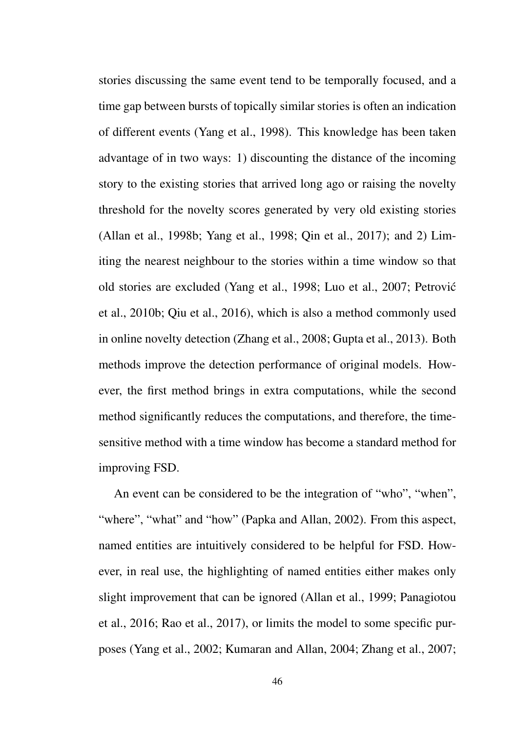stories discussing the same event tend to be temporally focused, and a time gap between bursts of topically similar stories is often an indication of different events (Yang et al., 1998). This knowledge has been taken advantage of in two ways: 1) discounting the distance of the incoming story to the existing stories that arrived long ago or raising the novelty threshold for the novelty scores generated by very old existing stories (Allan et al., 1998b; Yang et al., 1998; Qin et al., 2017); and 2) Limiting the nearest neighbour to the stories within a time window so that old stories are excluded (Yang et al., 1998; Luo et al., 2007; Petrovic´ et al., 2010b; Qiu et al., 2016), which is also a method commonly used in online novelty detection (Zhang et al., 2008; Gupta et al., 2013). Both methods improve the detection performance of original models. However, the first method brings in extra computations, while the second method significantly reduces the computations, and therefore, the timesensitive method with a time window has become a standard method for improving FSD.

An event can be considered to be the integration of "who", "when", "where", "what" and "how" (Papka and Allan, 2002). From this aspect, named entities are intuitively considered to be helpful for FSD. However, in real use, the highlighting of named entities either makes only slight improvement that can be ignored (Allan et al., 1999; Panagiotou et al., 2016; Rao et al., 2017), or limits the model to some specific purposes (Yang et al., 2002; Kumaran and Allan, 2004; Zhang et al., 2007;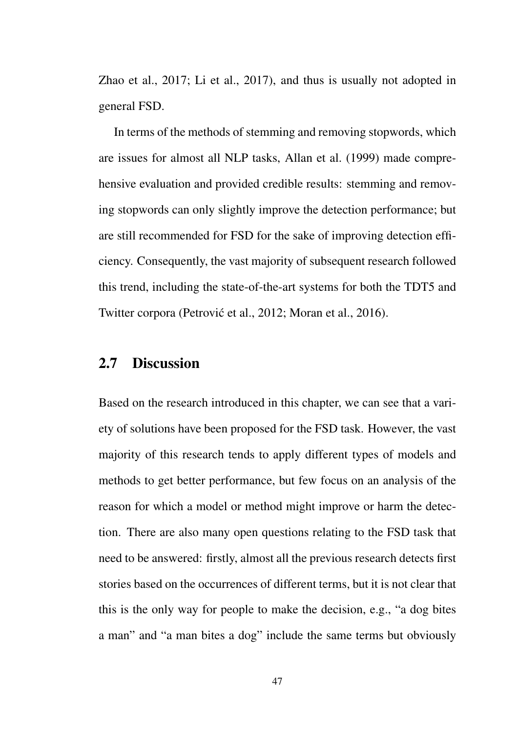Zhao et al., 2017; Li et al., 2017), and thus is usually not adopted in general FSD.

In terms of the methods of stemming and removing stopwords, which are issues for almost all NLP tasks, Allan et al. (1999) made comprehensive evaluation and provided credible results: stemming and removing stopwords can only slightly improve the detection performance; but are still recommended for FSD for the sake of improving detection efficiency. Consequently, the vast majority of subsequent research followed this trend, including the state-of-the-art systems for both the TDT5 and Twitter corpora (Petrović et al., 2012; Moran et al., 2016).

# 2.7 Discussion

Based on the research introduced in this chapter, we can see that a variety of solutions have been proposed for the FSD task. However, the vast majority of this research tends to apply different types of models and methods to get better performance, but few focus on an analysis of the reason for which a model or method might improve or harm the detection. There are also many open questions relating to the FSD task that need to be answered: firstly, almost all the previous research detects first stories based on the occurrences of different terms, but it is not clear that this is the only way for people to make the decision, e.g., "a dog bites a man" and "a man bites a dog" include the same terms but obviously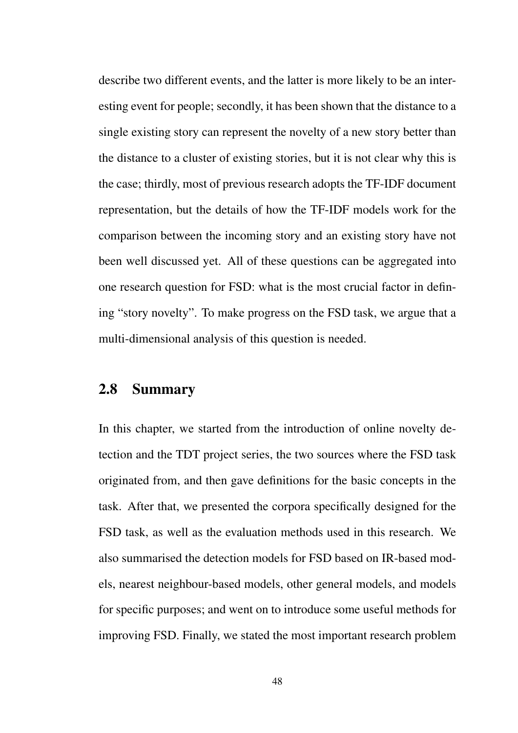describe two different events, and the latter is more likely to be an interesting event for people; secondly, it has been shown that the distance to a single existing story can represent the novelty of a new story better than the distance to a cluster of existing stories, but it is not clear why this is the case; thirdly, most of previous research adopts the TF-IDF document representation, but the details of how the TF-IDF models work for the comparison between the incoming story and an existing story have not been well discussed yet. All of these questions can be aggregated into one research question for FSD: what is the most crucial factor in defining "story novelty". To make progress on the FSD task, we argue that a multi-dimensional analysis of this question is needed.

## 2.8 Summary

In this chapter, we started from the introduction of online novelty detection and the TDT project series, the two sources where the FSD task originated from, and then gave definitions for the basic concepts in the task. After that, we presented the corpora specifically designed for the FSD task, as well as the evaluation methods used in this research. We also summarised the detection models for FSD based on IR-based models, nearest neighbour-based models, other general models, and models for specific purposes; and went on to introduce some useful methods for improving FSD. Finally, we stated the most important research problem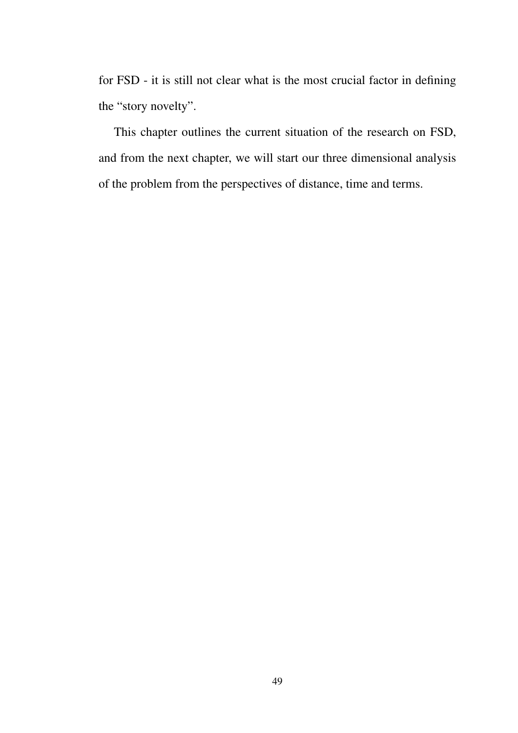for FSD - it is still not clear what is the most crucial factor in defining the "story novelty".

This chapter outlines the current situation of the research on FSD, and from the next chapter, we will start our three dimensional analysis of the problem from the perspectives of distance, time and terms.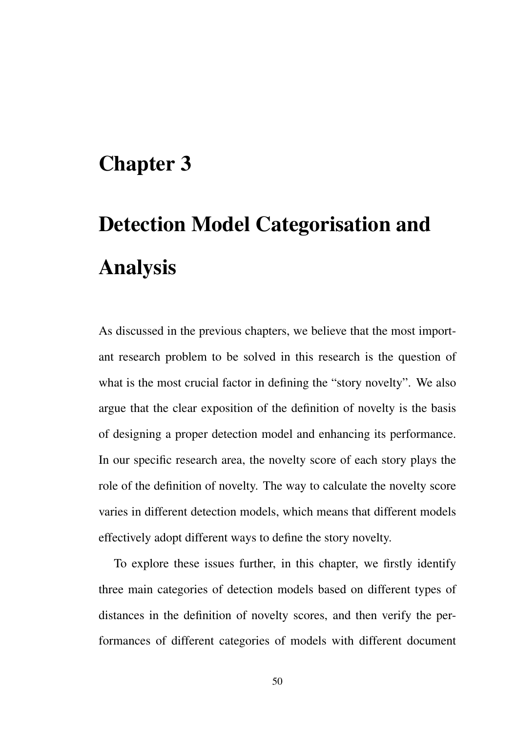# Chapter 3

# Detection Model Categorisation and Analysis

As discussed in the previous chapters, we believe that the most important research problem to be solved in this research is the question of what is the most crucial factor in defining the "story novelty". We also argue that the clear exposition of the definition of novelty is the basis of designing a proper detection model and enhancing its performance. In our specific research area, the novelty score of each story plays the role of the definition of novelty. The way to calculate the novelty score varies in different detection models, which means that different models effectively adopt different ways to define the story novelty.

To explore these issues further, in this chapter, we firstly identify three main categories of detection models based on different types of distances in the definition of novelty scores, and then verify the performances of different categories of models with different document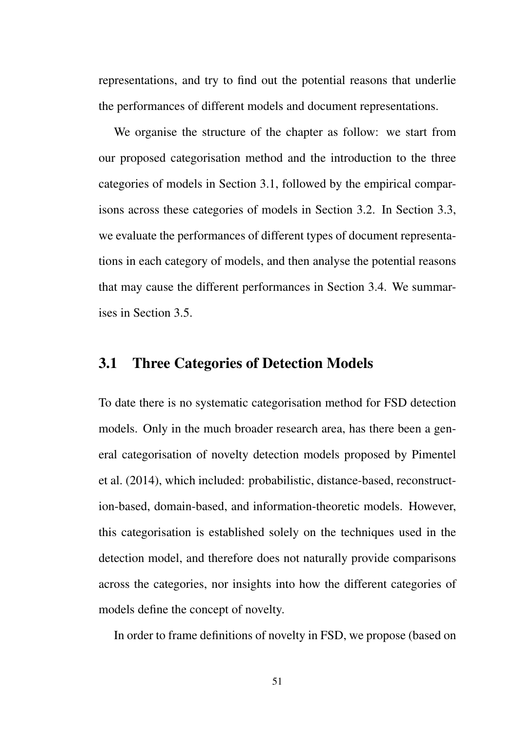representations, and try to find out the potential reasons that underlie the performances of different models and document representations.

We organise the structure of the chapter as follow: we start from our proposed categorisation method and the introduction to the three categories of models in Section 3.1, followed by the empirical comparisons across these categories of models in Section 3.2. In Section 3.3, we evaluate the performances of different types of document representations in each category of models, and then analyse the potential reasons that may cause the different performances in Section 3.4. We summarises in Section 3.5.

# 3.1 Three Categories of Detection Models

To date there is no systematic categorisation method for FSD detection models. Only in the much broader research area, has there been a general categorisation of novelty detection models proposed by Pimentel et al. (2014), which included: probabilistic, distance-based, reconstruction-based, domain-based, and information-theoretic models. However, this categorisation is established solely on the techniques used in the detection model, and therefore does not naturally provide comparisons across the categories, nor insights into how the different categories of models define the concept of novelty.

In order to frame definitions of novelty in FSD, we propose (based on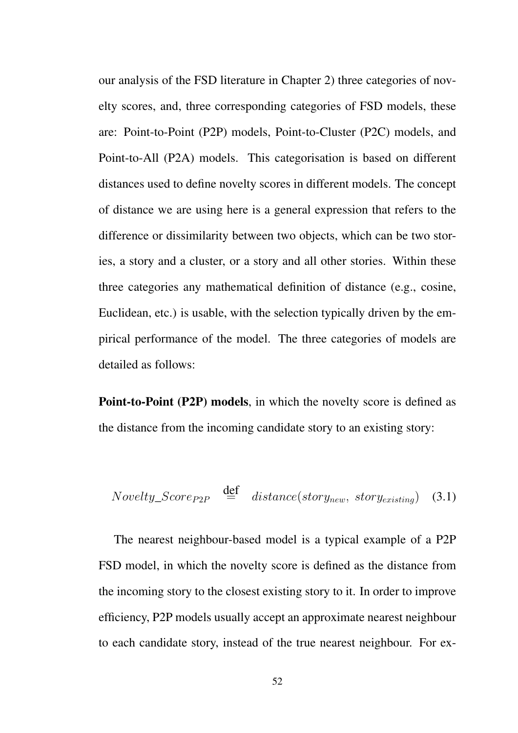our analysis of the FSD literature in Chapter 2) three categories of novelty scores, and, three corresponding categories of FSD models, these are: Point-to-Point (P2P) models, Point-to-Cluster (P2C) models, and Point-to-All (P2A) models. This categorisation is based on different distances used to define novelty scores in different models. The concept of distance we are using here is a general expression that refers to the difference or dissimilarity between two objects, which can be two stories, a story and a cluster, or a story and all other stories. Within these three categories any mathematical definition of distance (e.g., cosine, Euclidean, etc.) is usable, with the selection typically driven by the empirical performance of the model. The three categories of models are detailed as follows:

Point-to-Point (P2P) models, in which the novelty score is defined as the distance from the incoming candidate story to an existing story:

*Novelly\_Score<sub>P2P</sub>* 
$$
\stackrel{\text{def}}{=}
$$
 *distance*(*story<sub>new</sub>*, *story<sub>existing</sub>*) (3.1)

The nearest neighbour-based model is a typical example of a P2P FSD model, in which the novelty score is defined as the distance from the incoming story to the closest existing story to it. In order to improve efficiency, P2P models usually accept an approximate nearest neighbour to each candidate story, instead of the true nearest neighbour. For ex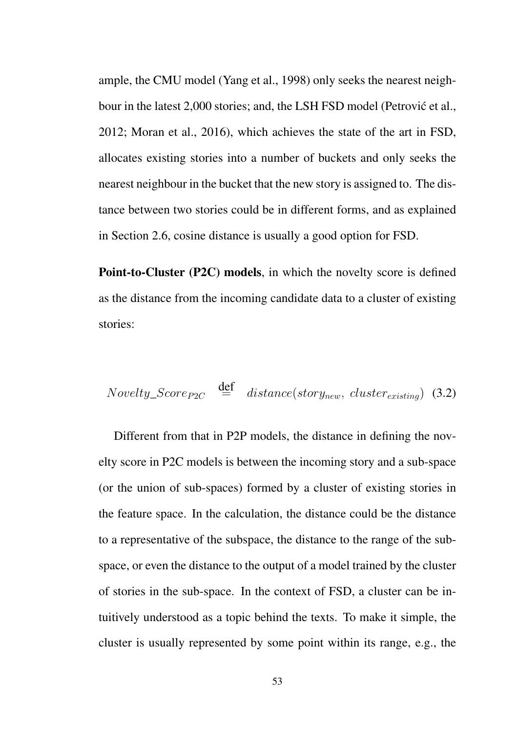ample, the CMU model (Yang et al., 1998) only seeks the nearest neighbour in the latest 2,000 stories; and, the LSH FSD model (Petrović et al., 2012; Moran et al., 2016), which achieves the state of the art in FSD, allocates existing stories into a number of buckets and only seeks the nearest neighbour in the bucket that the new story is assigned to. The distance between two stories could be in different forms, and as explained in Section 2.6, cosine distance is usually a good option for FSD.

Point-to-Cluster (P2C) models, in which the novelty score is defined as the distance from the incoming candidate data to a cluster of existing stories:

$$
Nowelly\_Score_{P2C} \stackrel{\text{def}}{=} distance(store_{new}, \; clustering) \tag{3.2}
$$

Different from that in P2P models, the distance in defining the novelty score in P2C models is between the incoming story and a sub-space (or the union of sub-spaces) formed by a cluster of existing stories in the feature space. In the calculation, the distance could be the distance to a representative of the subspace, the distance to the range of the subspace, or even the distance to the output of a model trained by the cluster of stories in the sub-space. In the context of FSD, a cluster can be intuitively understood as a topic behind the texts. To make it simple, the cluster is usually represented by some point within its range, e.g., the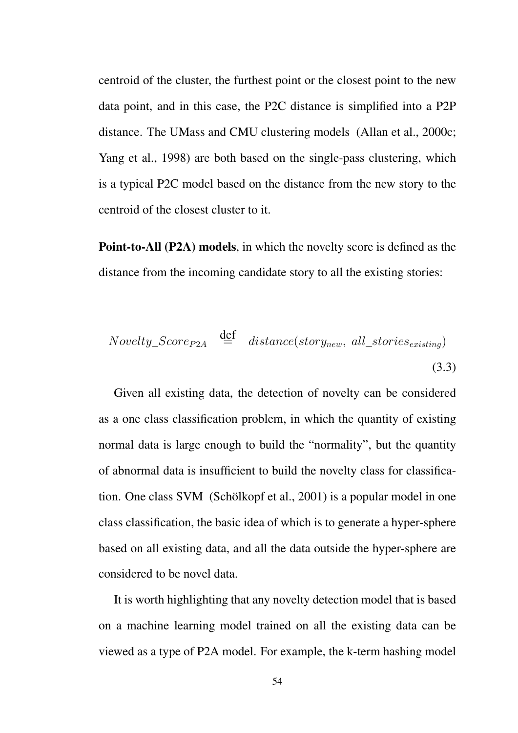centroid of the cluster, the furthest point or the closest point to the new data point, and in this case, the P2C distance is simplified into a P2P distance. The UMass and CMU clustering models (Allan et al., 2000c; Yang et al., 1998) are both based on the single-pass clustering, which is a typical P2C model based on the distance from the new story to the centroid of the closest cluster to it.

Point-to-All (P2A) models, in which the novelty score is defined as the distance from the incoming candidate story to all the existing stories:

$$
Novelly\_Score_{P2A} \stackrel{\text{def}}{=} distance(store_{new}, all\_stories_{existing})
$$
\n(3.3)

Given all existing data, the detection of novelty can be considered as a one class classification problem, in which the quantity of existing normal data is large enough to build the "normality", but the quantity of abnormal data is insufficient to build the novelty class for classification. One class SVM (Schölkopf et al., 2001) is a popular model in one class classification, the basic idea of which is to generate a hyper-sphere based on all existing data, and all the data outside the hyper-sphere are considered to be novel data.

It is worth highlighting that any novelty detection model that is based on a machine learning model trained on all the existing data can be viewed as a type of P2A model. For example, the k-term hashing model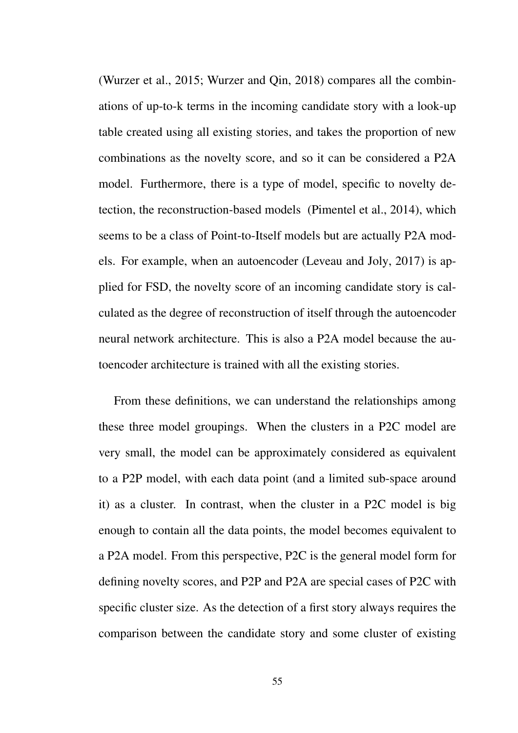(Wurzer et al., 2015; Wurzer and Qin, 2018) compares all the combinations of up-to-k terms in the incoming candidate story with a look-up table created using all existing stories, and takes the proportion of new combinations as the novelty score, and so it can be considered a P2A model. Furthermore, there is a type of model, specific to novelty detection, the reconstruction-based models (Pimentel et al., 2014), which seems to be a class of Point-to-Itself models but are actually P2A models. For example, when an autoencoder (Leveau and Joly, 2017) is applied for FSD, the novelty score of an incoming candidate story is calculated as the degree of reconstruction of itself through the autoencoder neural network architecture. This is also a P2A model because the autoencoder architecture is trained with all the existing stories.

From these definitions, we can understand the relationships among these three model groupings. When the clusters in a P2C model are very small, the model can be approximately considered as equivalent to a P2P model, with each data point (and a limited sub-space around it) as a cluster. In contrast, when the cluster in a P2C model is big enough to contain all the data points, the model becomes equivalent to a P2A model. From this perspective, P2C is the general model form for defining novelty scores, and P2P and P2A are special cases of P2C with specific cluster size. As the detection of a first story always requires the comparison between the candidate story and some cluster of existing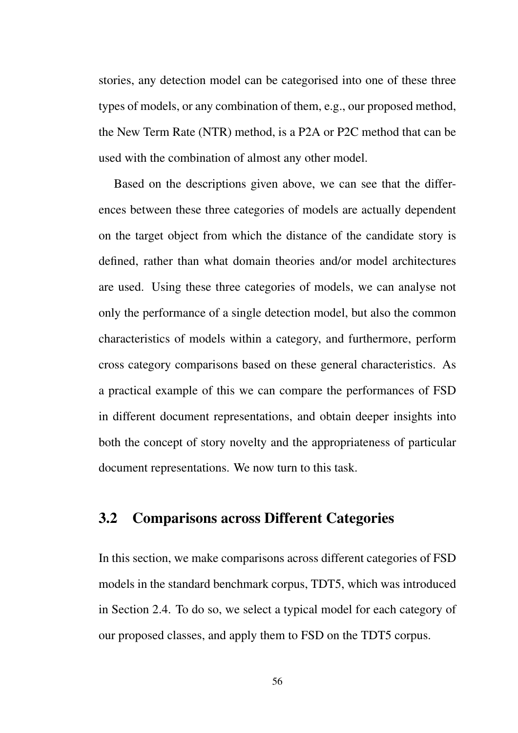stories, any detection model can be categorised into one of these three types of models, or any combination of them, e.g., our proposed method, the New Term Rate (NTR) method, is a P2A or P2C method that can be used with the combination of almost any other model.

Based on the descriptions given above, we can see that the differences between these three categories of models are actually dependent on the target object from which the distance of the candidate story is defined, rather than what domain theories and/or model architectures are used. Using these three categories of models, we can analyse not only the performance of a single detection model, but also the common characteristics of models within a category, and furthermore, perform cross category comparisons based on these general characteristics. As a practical example of this we can compare the performances of FSD in different document representations, and obtain deeper insights into both the concept of story novelty and the appropriateness of particular document representations. We now turn to this task.

## 3.2 Comparisons across Different Categories

In this section, we make comparisons across different categories of FSD models in the standard benchmark corpus, TDT5, which was introduced in Section 2.4. To do so, we select a typical model for each category of our proposed classes, and apply them to FSD on the TDT5 corpus.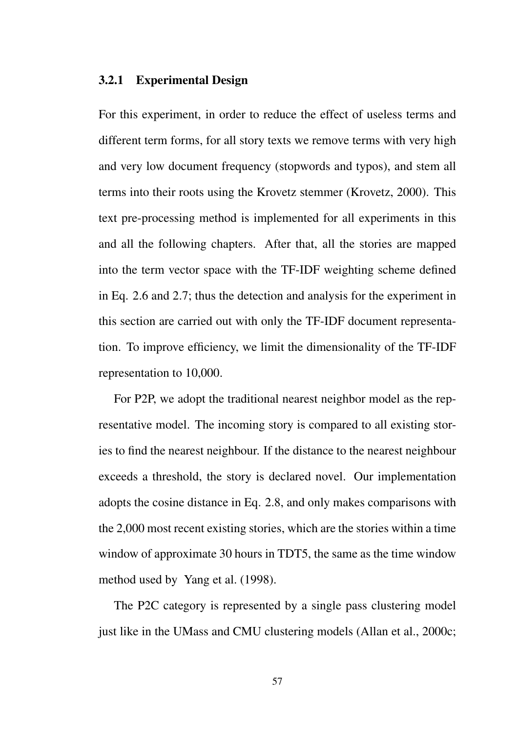#### 3.2.1 Experimental Design

For this experiment, in order to reduce the effect of useless terms and different term forms, for all story texts we remove terms with very high and very low document frequency (stopwords and typos), and stem all terms into their roots using the Krovetz stemmer (Krovetz, 2000). This text pre-processing method is implemented for all experiments in this and all the following chapters. After that, all the stories are mapped into the term vector space with the TF-IDF weighting scheme defined in Eq. 2.6 and 2.7; thus the detection and analysis for the experiment in this section are carried out with only the TF-IDF document representation. To improve efficiency, we limit the dimensionality of the TF-IDF representation to 10,000.

For P2P, we adopt the traditional nearest neighbor model as the representative model. The incoming story is compared to all existing stories to find the nearest neighbour. If the distance to the nearest neighbour exceeds a threshold, the story is declared novel. Our implementation adopts the cosine distance in Eq. 2.8, and only makes comparisons with the 2,000 most recent existing stories, which are the stories within a time window of approximate 30 hours in TDT5, the same as the time window method used by Yang et al. (1998).

The P2C category is represented by a single pass clustering model just like in the UMass and CMU clustering models (Allan et al., 2000c;

57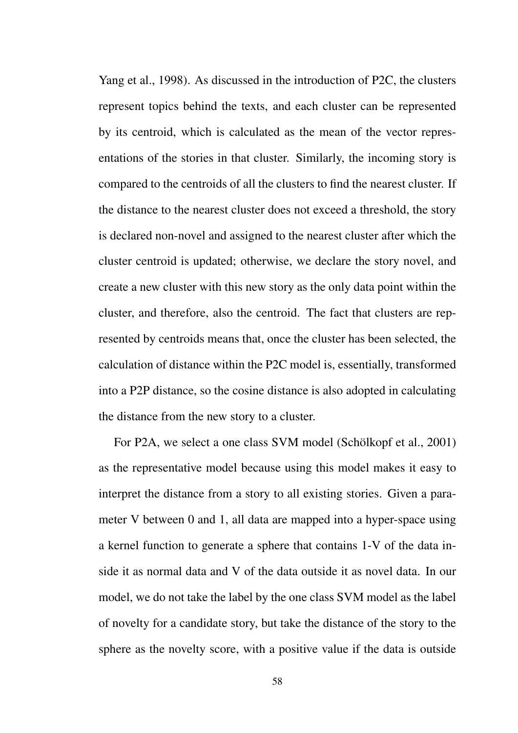Yang et al., 1998). As discussed in the introduction of P2C, the clusters represent topics behind the texts, and each cluster can be represented by its centroid, which is calculated as the mean of the vector representations of the stories in that cluster. Similarly, the incoming story is compared to the centroids of all the clusters to find the nearest cluster. If the distance to the nearest cluster does not exceed a threshold, the story is declared non-novel and assigned to the nearest cluster after which the cluster centroid is updated; otherwise, we declare the story novel, and create a new cluster with this new story as the only data point within the cluster, and therefore, also the centroid. The fact that clusters are represented by centroids means that, once the cluster has been selected, the calculation of distance within the P2C model is, essentially, transformed into a P2P distance, so the cosine distance is also adopted in calculating the distance from the new story to a cluster.

For P2A, we select a one class SVM model (Schölkopf et al., 2001) as the representative model because using this model makes it easy to interpret the distance from a story to all existing stories. Given a parameter V between 0 and 1, all data are mapped into a hyper-space using a kernel function to generate a sphere that contains 1-V of the data inside it as normal data and V of the data outside it as novel data. In our model, we do not take the label by the one class SVM model as the label of novelty for a candidate story, but take the distance of the story to the sphere as the novelty score, with a positive value if the data is outside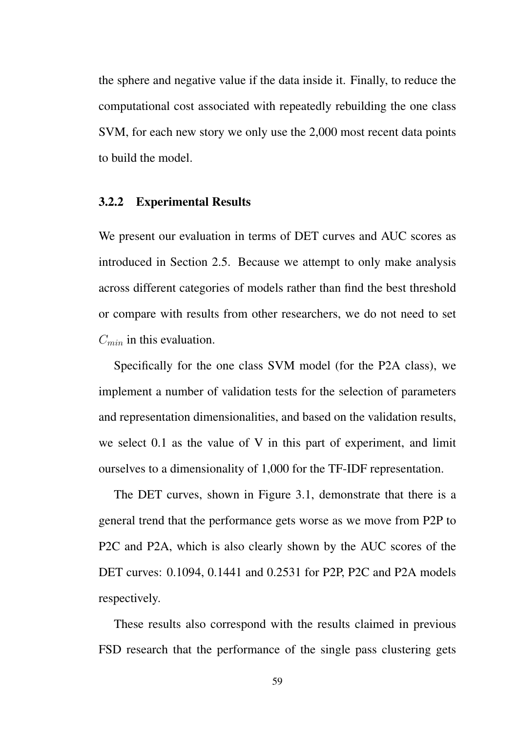the sphere and negative value if the data inside it. Finally, to reduce the computational cost associated with repeatedly rebuilding the one class SVM, for each new story we only use the 2,000 most recent data points to build the model.

#### 3.2.2 Experimental Results

We present our evaluation in terms of DET curves and AUC scores as introduced in Section 2.5. Because we attempt to only make analysis across different categories of models rather than find the best threshold or compare with results from other researchers, we do not need to set *Cmin* in this evaluation.

Specifically for the one class SVM model (for the P2A class), we implement a number of validation tests for the selection of parameters and representation dimensionalities, and based on the validation results, we select 0.1 as the value of V in this part of experiment, and limit ourselves to a dimensionality of 1,000 for the TF-IDF representation.

The DET curves, shown in Figure 3.1, demonstrate that there is a general trend that the performance gets worse as we move from P2P to P2C and P2A, which is also clearly shown by the AUC scores of the DET curves: 0.1094, 0.1441 and 0.2531 for P2P, P2C and P2A models respectively.

These results also correspond with the results claimed in previous FSD research that the performance of the single pass clustering gets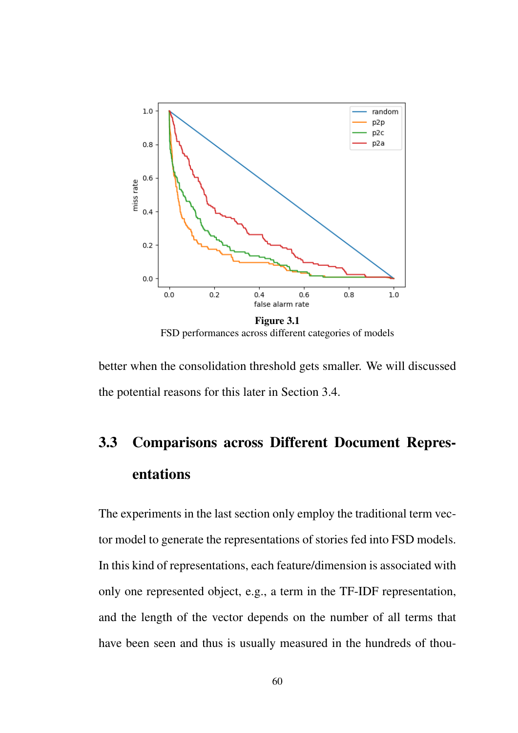

FSD performances across different categories of models

better when the consolidation threshold gets smaller. We will discussed the potential reasons for this later in Section 3.4.

# 3.3 Comparisons across Different Document Representations

The experiments in the last section only employ the traditional term vector model to generate the representations of stories fed into FSD models. In this kind of representations, each feature/dimension is associated with only one represented object, e.g., a term in the TF-IDF representation, and the length of the vector depends on the number of all terms that have been seen and thus is usually measured in the hundreds of thou-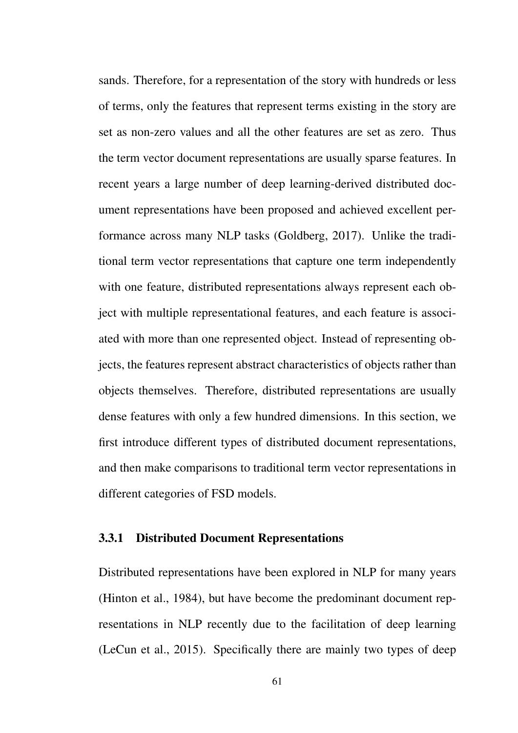sands. Therefore, for a representation of the story with hundreds or less of terms, only the features that represent terms existing in the story are set as non-zero values and all the other features are set as zero. Thus the term vector document representations are usually sparse features. In recent years a large number of deep learning-derived distributed document representations have been proposed and achieved excellent performance across many NLP tasks (Goldberg, 2017). Unlike the traditional term vector representations that capture one term independently with one feature, distributed representations always represent each object with multiple representational features, and each feature is associated with more than one represented object. Instead of representing objects, the features represent abstract characteristics of objects rather than objects themselves. Therefore, distributed representations are usually dense features with only a few hundred dimensions. In this section, we first introduce different types of distributed document representations, and then make comparisons to traditional term vector representations in different categories of FSD models.

#### 3.3.1 Distributed Document Representations

Distributed representations have been explored in NLP for many years (Hinton et al., 1984), but have become the predominant document representations in NLP recently due to the facilitation of deep learning (LeCun et al., 2015). Specifically there are mainly two types of deep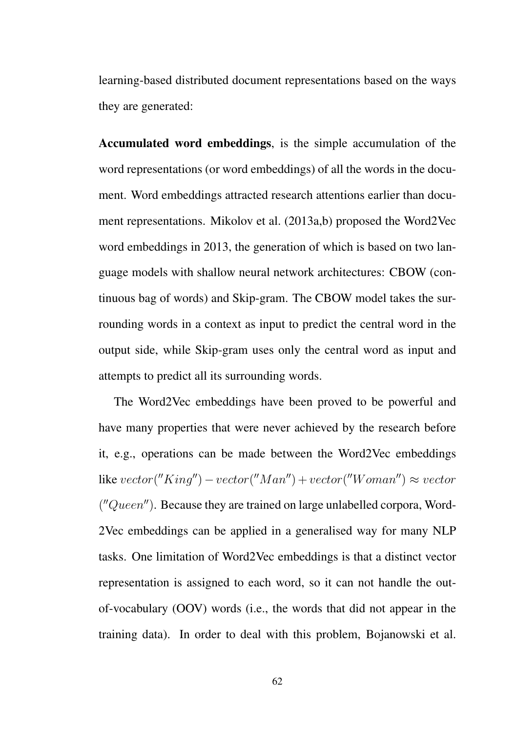learning-based distributed document representations based on the ways they are generated:

Accumulated word embeddings, is the simple accumulation of the word representations (or word embeddings) of all the words in the document. Word embeddings attracted research attentions earlier than document representations. Mikolov et al. (2013a,b) proposed the Word2Vec word embeddings in 2013, the generation of which is based on two language models with shallow neural network architectures: CBOW (continuous bag of words) and Skip-gram. The CBOW model takes the surrounding words in a context as input to predict the central word in the output side, while Skip-gram uses only the central word as input and attempts to predict all its surrounding words.

The Word2Vec embeddings have been proved to be powerful and have many properties that were never achieved by the research before it, e.g., operations can be made between the Word2Vec embeddings  $\text{like } vector("King") - vector("Man") + vector("Woman") \approx vector$ ("Queen"). Because they are trained on large unlabelled corpora, Word-2Vec embeddings can be applied in a generalised way for many NLP tasks. One limitation of Word2Vec embeddings is that a distinct vector representation is assigned to each word, so it can not handle the outof-vocabulary (OOV) words (i.e., the words that did not appear in the training data). In order to deal with this problem, Bojanowski et al.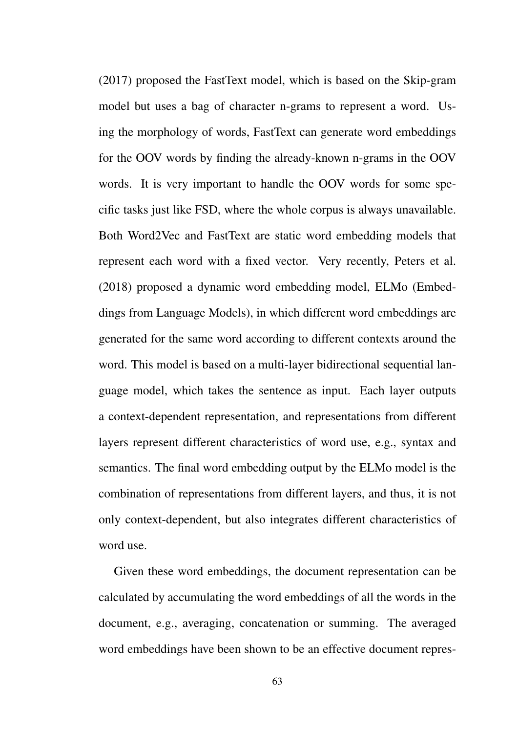(2017) proposed the FastText model, which is based on the Skip-gram model but uses a bag of character n-grams to represent a word. Using the morphology of words, FastText can generate word embeddings for the OOV words by finding the already-known n-grams in the OOV words. It is very important to handle the OOV words for some specific tasks just like FSD, where the whole corpus is always unavailable. Both Word2Vec and FastText are static word embedding models that represent each word with a fixed vector. Very recently, Peters et al. (2018) proposed a dynamic word embedding model, ELMo (Embeddings from Language Models), in which different word embeddings are generated for the same word according to different contexts around the word. This model is based on a multi-layer bidirectional sequential language model, which takes the sentence as input. Each layer outputs a context-dependent representation, and representations from different layers represent different characteristics of word use, e.g., syntax and semantics. The final word embedding output by the ELMo model is the combination of representations from different layers, and thus, it is not only context-dependent, but also integrates different characteristics of word use.

Given these word embeddings, the document representation can be calculated by accumulating the word embeddings of all the words in the document, e.g., averaging, concatenation or summing. The averaged word embeddings have been shown to be an effective document repres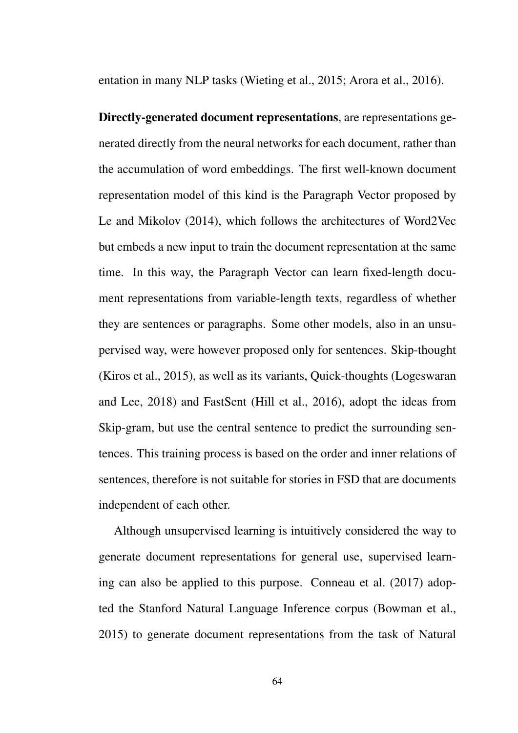entation in many NLP tasks (Wieting et al., 2015; Arora et al., 2016).

Directly-generated document representations, are representations generated directly from the neural networks for each document, rather than the accumulation of word embeddings. The first well-known document representation model of this kind is the Paragraph Vector proposed by Le and Mikolov (2014), which follows the architectures of Word2Vec but embeds a new input to train the document representation at the same time. In this way, the Paragraph Vector can learn fixed-length document representations from variable-length texts, regardless of whether they are sentences or paragraphs. Some other models, also in an unsupervised way, were however proposed only for sentences. Skip-thought (Kiros et al., 2015), as well as its variants, Quick-thoughts (Logeswaran and Lee, 2018) and FastSent (Hill et al., 2016), adopt the ideas from Skip-gram, but use the central sentence to predict the surrounding sentences. This training process is based on the order and inner relations of sentences, therefore is not suitable for stories in FSD that are documents independent of each other.

Although unsupervised learning is intuitively considered the way to generate document representations for general use, supervised learning can also be applied to this purpose. Conneau et al. (2017) adopted the Stanford Natural Language Inference corpus (Bowman et al., 2015) to generate document representations from the task of Natural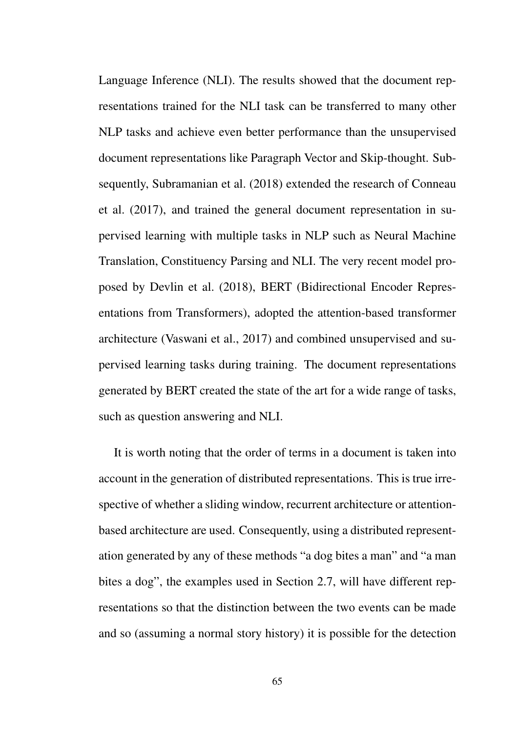Language Inference (NLI). The results showed that the document representations trained for the NLI task can be transferred to many other NLP tasks and achieve even better performance than the unsupervised document representations like Paragraph Vector and Skip-thought. Subsequently, Subramanian et al. (2018) extended the research of Conneau et al. (2017), and trained the general document representation in supervised learning with multiple tasks in NLP such as Neural Machine Translation, Constituency Parsing and NLI. The very recent model proposed by Devlin et al. (2018), BERT (Bidirectional Encoder Representations from Transformers), adopted the attention-based transformer architecture (Vaswani et al., 2017) and combined unsupervised and supervised learning tasks during training. The document representations generated by BERT created the state of the art for a wide range of tasks, such as question answering and NLI.

It is worth noting that the order of terms in a document is taken into account in the generation of distributed representations. This is true irrespective of whether a sliding window, recurrent architecture or attentionbased architecture are used. Consequently, using a distributed representation generated by any of these methods "a dog bites a man" and "a man bites a dog", the examples used in Section 2.7, will have different representations so that the distinction between the two events can be made and so (assuming a normal story history) it is possible for the detection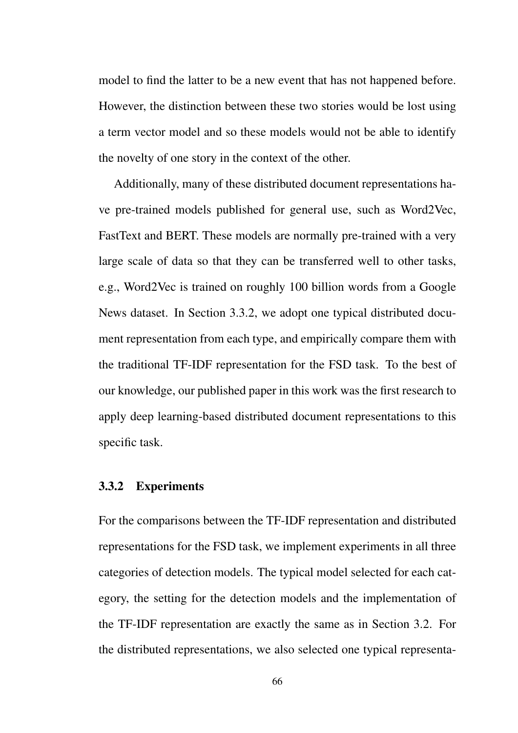model to find the latter to be a new event that has not happened before. However, the distinction between these two stories would be lost using a term vector model and so these models would not be able to identify the novelty of one story in the context of the other.

Additionally, many of these distributed document representations have pre-trained models published for general use, such as Word2Vec, FastText and BERT. These models are normally pre-trained with a very large scale of data so that they can be transferred well to other tasks, e.g., Word2Vec is trained on roughly 100 billion words from a Google News dataset. In Section 3.3.2, we adopt one typical distributed document representation from each type, and empirically compare them with the traditional TF-IDF representation for the FSD task. To the best of our knowledge, our published paper in this work was the first research to apply deep learning-based distributed document representations to this specific task.

#### 3.3.2 Experiments

For the comparisons between the TF-IDF representation and distributed representations for the FSD task, we implement experiments in all three categories of detection models. The typical model selected for each category, the setting for the detection models and the implementation of the TF-IDF representation are exactly the same as in Section 3.2. For the distributed representations, we also selected one typical representa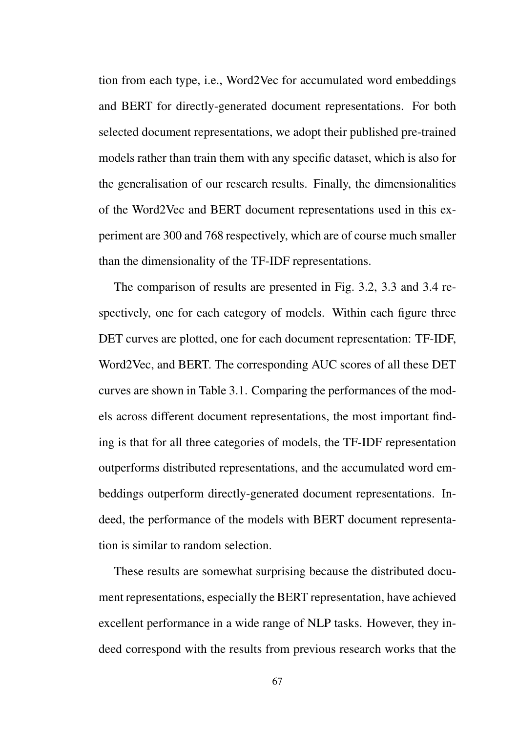tion from each type, i.e., Word2Vec for accumulated word embeddings and BERT for directly-generated document representations. For both selected document representations, we adopt their published pre-trained models rather than train them with any specific dataset, which is also for the generalisation of our research results. Finally, the dimensionalities of the Word2Vec and BERT document representations used in this experiment are 300 and 768 respectively, which are of course much smaller than the dimensionality of the TF-IDF representations.

The comparison of results are presented in Fig. 3.2, 3.3 and 3.4 respectively, one for each category of models. Within each figure three DET curves are plotted, one for each document representation: TF-IDF, Word2Vec, and BERT. The corresponding AUC scores of all these DET curves are shown in Table 3.1. Comparing the performances of the models across different document representations, the most important finding is that for all three categories of models, the TF-IDF representation outperforms distributed representations, and the accumulated word embeddings outperform directly-generated document representations. Indeed, the performance of the models with BERT document representation is similar to random selection.

These results are somewhat surprising because the distributed document representations, especially the BERT representation, have achieved excellent performance in a wide range of NLP tasks. However, they indeed correspond with the results from previous research works that the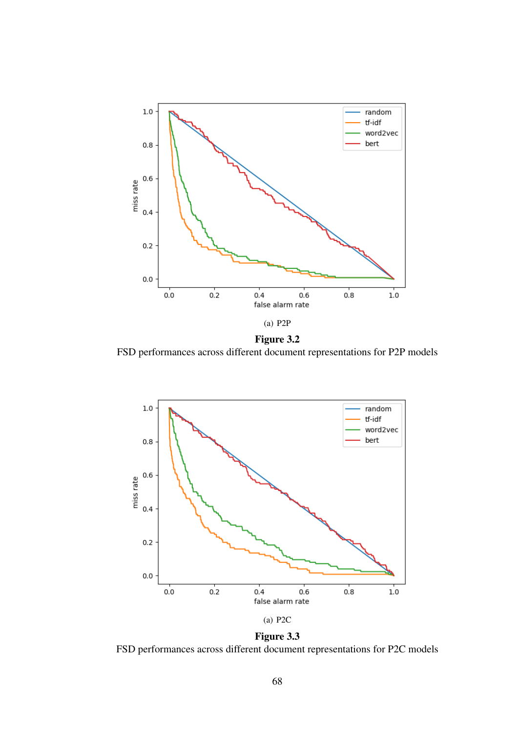

Figure 3.2 FSD performances across different document representations for P2P models



Figure 3.3 FSD performances across different document representations for P2C models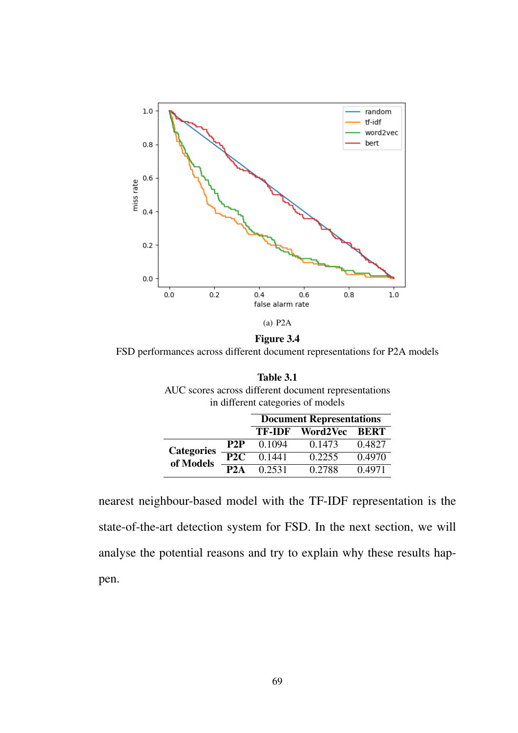

Figure 3.4 FSD performances across different document representations for P2A models

| Table 3.1                                            |
|------------------------------------------------------|
| AUC scores across different document representations |
| in different categories of models                    |

|                   |     |                 | <b>Document Representations</b> |        |
|-------------------|-----|-----------------|---------------------------------|--------|
|                   |     | <b>TF-IDF</b>   | Word2Vec BERT                   |        |
| <b>Categories</b> | P2P | 0.1094          | 0.1473                          | 0.4827 |
| of Models         | P2C | $\sqrt{0.1441}$ | 0.2255                          | 0.4970 |
|                   | P2A | 0.2531          | 0.2788                          | 0.4971 |

nearest neighbour-based model with the TF-IDF representation is the state-of-the-art detection system for FSD. In the next section, we will analyse the potential reasons and try to explain why these results happen.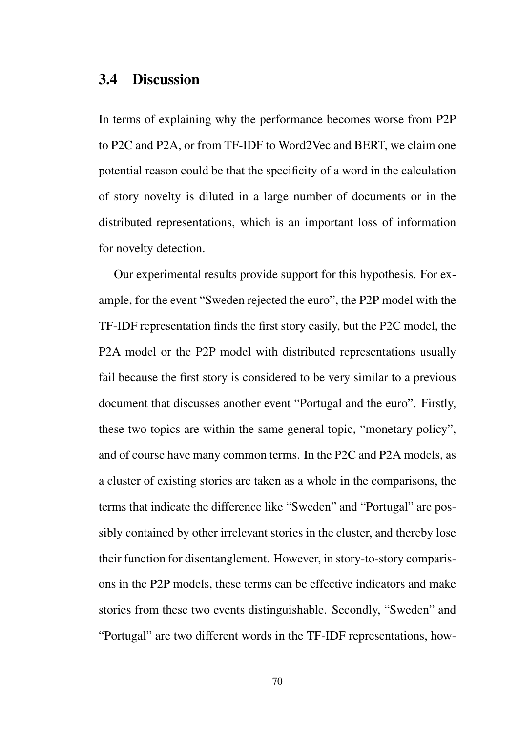#### 3.4 Discussion

In terms of explaining why the performance becomes worse from P2P to P2C and P2A, or from TF-IDF to Word2Vec and BERT, we claim one potential reason could be that the specificity of a word in the calculation of story novelty is diluted in a large number of documents or in the distributed representations, which is an important loss of information for novelty detection.

Our experimental results provide support for this hypothesis. For example, for the event "Sweden rejected the euro", the P2P model with the TF-IDF representation finds the first story easily, but the P2C model, the P2A model or the P2P model with distributed representations usually fail because the first story is considered to be very similar to a previous document that discusses another event "Portugal and the euro". Firstly, these two topics are within the same general topic, "monetary policy", and of course have many common terms. In the P2C and P2A models, as a cluster of existing stories are taken as a whole in the comparisons, the terms that indicate the difference like "Sweden" and "Portugal" are possibly contained by other irrelevant stories in the cluster, and thereby lose their function for disentanglement. However, in story-to-story comparisons in the P2P models, these terms can be effective indicators and make stories from these two events distinguishable. Secondly, "Sweden" and "Portugal" are two different words in the TF-IDF representations, how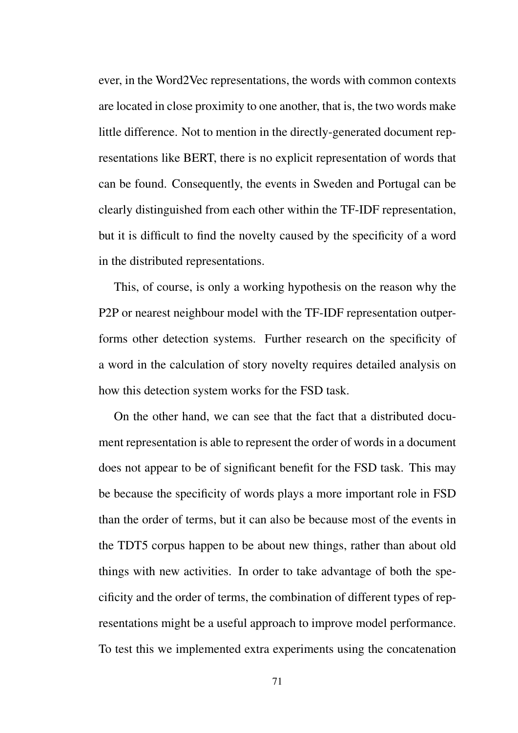ever, in the Word2Vec representations, the words with common contexts are located in close proximity to one another, that is, the two words make little difference. Not to mention in the directly-generated document representations like BERT, there is no explicit representation of words that can be found. Consequently, the events in Sweden and Portugal can be clearly distinguished from each other within the TF-IDF representation, but it is difficult to find the novelty caused by the specificity of a word in the distributed representations.

This, of course, is only a working hypothesis on the reason why the P2P or nearest neighbour model with the TF-IDF representation outperforms other detection systems. Further research on the specificity of a word in the calculation of story novelty requires detailed analysis on how this detection system works for the FSD task.

On the other hand, we can see that the fact that a distributed document representation is able to represent the order of words in a document does not appear to be of significant benefit for the FSD task. This may be because the specificity of words plays a more important role in FSD than the order of terms, but it can also be because most of the events in the TDT5 corpus happen to be about new things, rather than about old things with new activities. In order to take advantage of both the specificity and the order of terms, the combination of different types of representations might be a useful approach to improve model performance. To test this we implemented extra experiments using the concatenation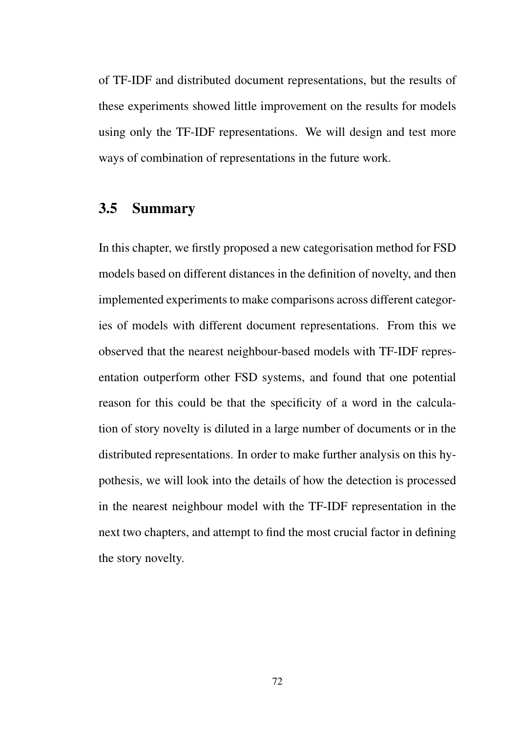of TF-IDF and distributed document representations, but the results of these experiments showed little improvement on the results for models using only the TF-IDF representations. We will design and test more ways of combination of representations in the future work.

## 3.5 Summary

In this chapter, we firstly proposed a new categorisation method for FSD models based on different distances in the definition of novelty, and then implemented experiments to make comparisons across different categories of models with different document representations. From this we observed that the nearest neighbour-based models with TF-IDF representation outperform other FSD systems, and found that one potential reason for this could be that the specificity of a word in the calculation of story novelty is diluted in a large number of documents or in the distributed representations. In order to make further analysis on this hypothesis, we will look into the details of how the detection is processed in the nearest neighbour model with the TF-IDF representation in the next two chapters, and attempt to find the most crucial factor in defining the story novelty.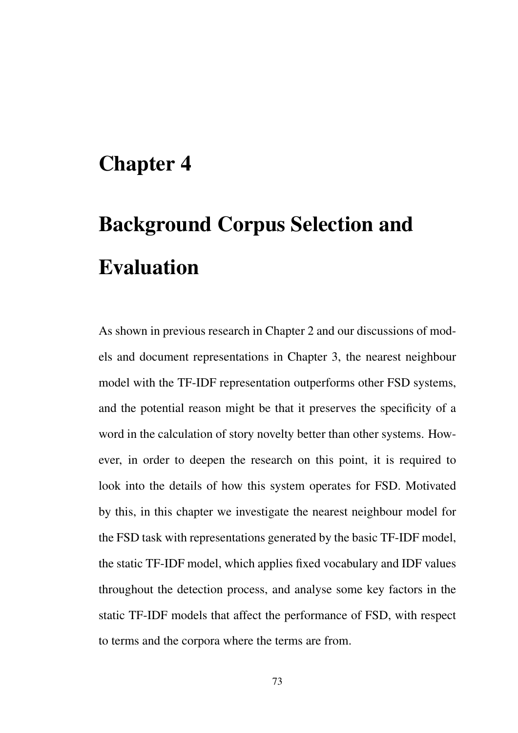# Chapter 4

# Background Corpus Selection and Evaluation

As shown in previous research in Chapter 2 and our discussions of models and document representations in Chapter 3, the nearest neighbour model with the TF-IDF representation outperforms other FSD systems, and the potential reason might be that it preserves the specificity of a word in the calculation of story novelty better than other systems. However, in order to deepen the research on this point, it is required to look into the details of how this system operates for FSD. Motivated by this, in this chapter we investigate the nearest neighbour model for the FSD task with representations generated by the basic TF-IDF model, the static TF-IDF model, which applies fixed vocabulary and IDF values throughout the detection process, and analyse some key factors in the static TF-IDF models that affect the performance of FSD, with respect to terms and the corpora where the terms are from.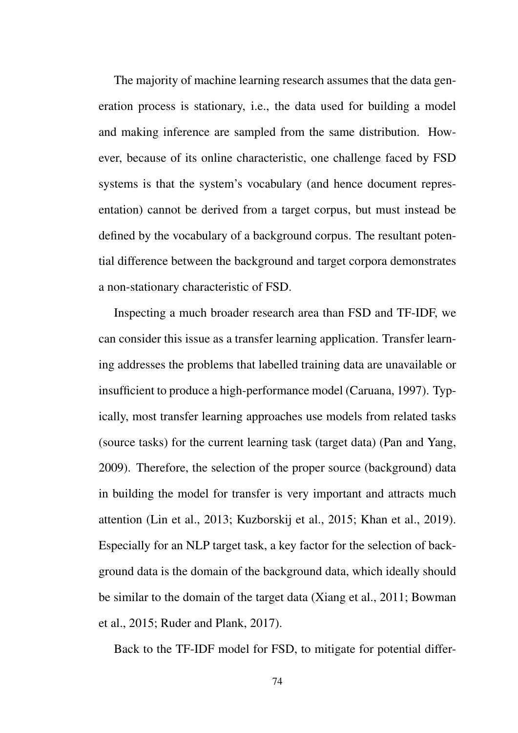The majority of machine learning research assumes that the data generation process is stationary, i.e., the data used for building a model and making inference are sampled from the same distribution. However, because of its online characteristic, one challenge faced by FSD systems is that the system's vocabulary (and hence document representation) cannot be derived from a target corpus, but must instead be defined by the vocabulary of a background corpus. The resultant potential difference between the background and target corpora demonstrates a non-stationary characteristic of FSD.

Inspecting a much broader research area than FSD and TF-IDF, we can consider this issue as a transfer learning application. Transfer learning addresses the problems that labelled training data are unavailable or insufficient to produce a high-performance model (Caruana, 1997). Typically, most transfer learning approaches use models from related tasks (source tasks) for the current learning task (target data) (Pan and Yang, 2009). Therefore, the selection of the proper source (background) data in building the model for transfer is very important and attracts much attention (Lin et al., 2013; Kuzborskij et al., 2015; Khan et al., 2019). Especially for an NLP target task, a key factor for the selection of background data is the domain of the background data, which ideally should be similar to the domain of the target data (Xiang et al., 2011; Bowman et al., 2015; Ruder and Plank, 2017).

Back to the TF-IDF model for FSD, to mitigate for potential differ-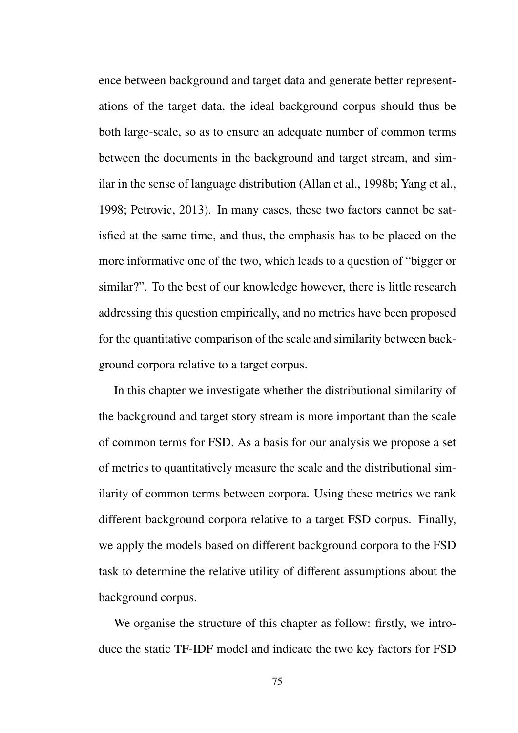ence between background and target data and generate better representations of the target data, the ideal background corpus should thus be both large-scale, so as to ensure an adequate number of common terms between the documents in the background and target stream, and similar in the sense of language distribution (Allan et al., 1998b; Yang et al., 1998; Petrovic, 2013). In many cases, these two factors cannot be satisfied at the same time, and thus, the emphasis has to be placed on the more informative one of the two, which leads to a question of "bigger or similar?". To the best of our knowledge however, there is little research addressing this question empirically, and no metrics have been proposed for the quantitative comparison of the scale and similarity between background corpora relative to a target corpus.

In this chapter we investigate whether the distributional similarity of the background and target story stream is more important than the scale of common terms for FSD. As a basis for our analysis we propose a set of metrics to quantitatively measure the scale and the distributional similarity of common terms between corpora. Using these metrics we rank different background corpora relative to a target FSD corpus. Finally, we apply the models based on different background corpora to the FSD task to determine the relative utility of different assumptions about the background corpus.

We organise the structure of this chapter as follow: firstly, we introduce the static TF-IDF model and indicate the two key factors for FSD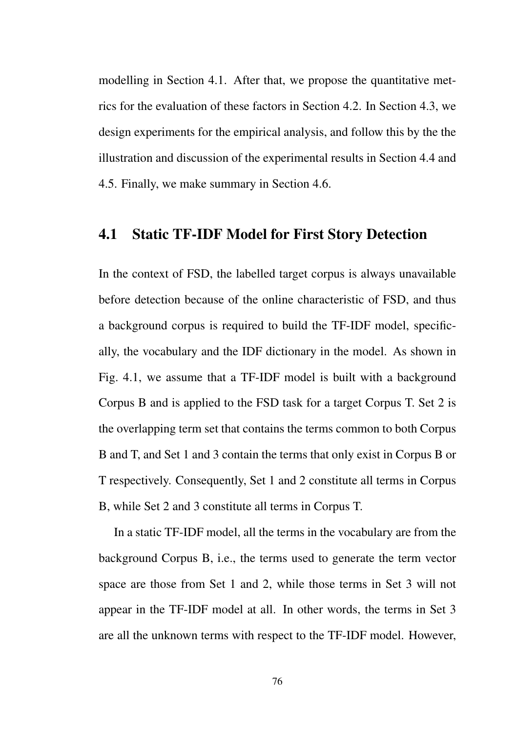modelling in Section 4.1. After that, we propose the quantitative metrics for the evaluation of these factors in Section 4.2. In Section 4.3, we design experiments for the empirical analysis, and follow this by the the illustration and discussion of the experimental results in Section 4.4 and 4.5. Finally, we make summary in Section 4.6.

### 4.1 Static TF-IDF Model for First Story Detection

In the context of FSD, the labelled target corpus is always unavailable before detection because of the online characteristic of FSD, and thus a background corpus is required to build the TF-IDF model, specifically, the vocabulary and the IDF dictionary in the model. As shown in Fig. 4.1, we assume that a TF-IDF model is built with a background Corpus B and is applied to the FSD task for a target Corpus T. Set 2 is the overlapping term set that contains the terms common to both Corpus B and T, and Set 1 and 3 contain the terms that only exist in Corpus B or T respectively. Consequently, Set 1 and 2 constitute all terms in Corpus B, while Set 2 and 3 constitute all terms in Corpus T.

In a static TF-IDF model, all the terms in the vocabulary are from the background Corpus B, i.e., the terms used to generate the term vector space are those from Set 1 and 2, while those terms in Set 3 will not appear in the TF-IDF model at all. In other words, the terms in Set 3 are all the unknown terms with respect to the TF-IDF model. However,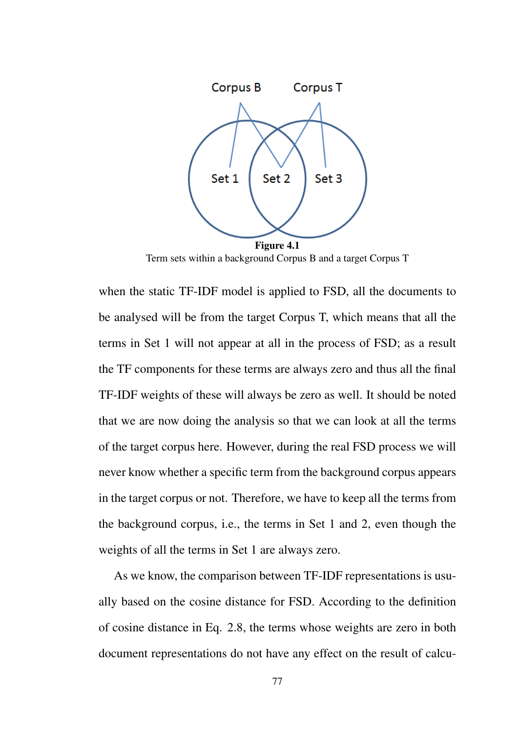

Term sets within a background Corpus B and a target Corpus T

when the static TF-IDF model is applied to FSD, all the documents to be analysed will be from the target Corpus T, which means that all the terms in Set 1 will not appear at all in the process of FSD; as a result the TF components for these terms are always zero and thus all the final TF-IDF weights of these will always be zero as well. It should be noted that we are now doing the analysis so that we can look at all the terms of the target corpus here. However, during the real FSD process we will never know whether a specific term from the background corpus appears in the target corpus or not. Therefore, we have to keep all the terms from the background corpus, i.e., the terms in Set 1 and 2, even though the weights of all the terms in Set 1 are always zero.

As we know, the comparison between TF-IDF representations is usually based on the cosine distance for FSD. According to the definition of cosine distance in Eq. 2.8, the terms whose weights are zero in both document representations do not have any effect on the result of calcu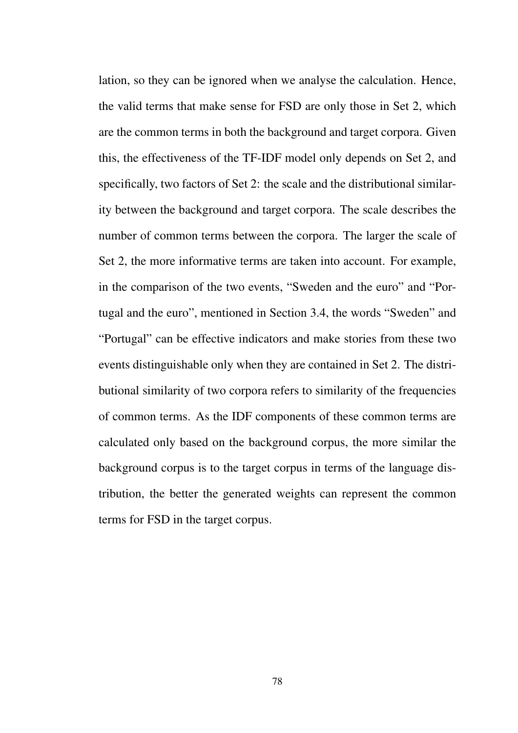lation, so they can be ignored when we analyse the calculation. Hence, the valid terms that make sense for FSD are only those in Set 2, which are the common terms in both the background and target corpora. Given this, the effectiveness of the TF-IDF model only depends on Set 2, and specifically, two factors of Set 2: the scale and the distributional similarity between the background and target corpora. The scale describes the number of common terms between the corpora. The larger the scale of Set 2, the more informative terms are taken into account. For example, in the comparison of the two events, "Sweden and the euro" and "Portugal and the euro", mentioned in Section 3.4, the words "Sweden" and "Portugal" can be effective indicators and make stories from these two events distinguishable only when they are contained in Set 2. The distributional similarity of two corpora refers to similarity of the frequencies of common terms. As the IDF components of these common terms are calculated only based on the background corpus, the more similar the background corpus is to the target corpus in terms of the language distribution, the better the generated weights can represent the common terms for FSD in the target corpus.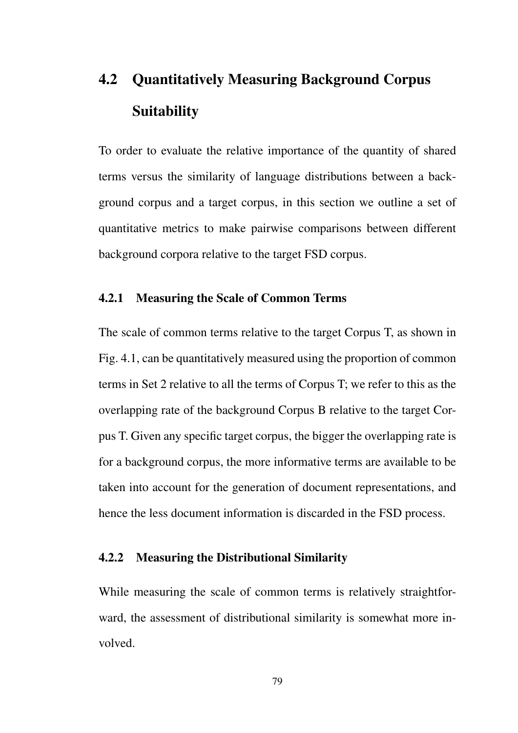# 4.2 Quantitatively Measuring Background Corpus Suitability

To order to evaluate the relative importance of the quantity of shared terms versus the similarity of language distributions between a background corpus and a target corpus, in this section we outline a set of quantitative metrics to make pairwise comparisons between different background corpora relative to the target FSD corpus.

#### 4.2.1 Measuring the Scale of Common Terms

The scale of common terms relative to the target Corpus T, as shown in Fig. 4.1, can be quantitatively measured using the proportion of common terms in Set 2 relative to all the terms of Corpus T; we refer to this as the overlapping rate of the background Corpus B relative to the target Corpus T. Given any specific target corpus, the bigger the overlapping rate is for a background corpus, the more informative terms are available to be taken into account for the generation of document representations, and hence the less document information is discarded in the FSD process.

#### 4.2.2 Measuring the Distributional Similarity

While measuring the scale of common terms is relatively straightforward, the assessment of distributional similarity is somewhat more involved.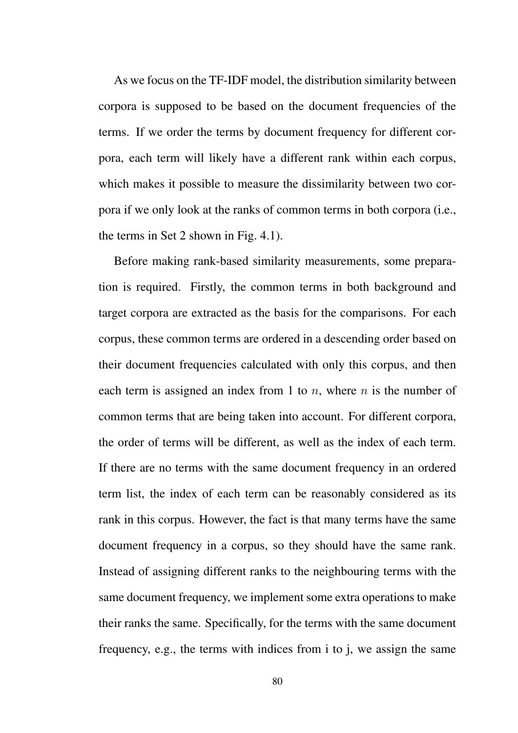As we focus on the TF-IDF model, the distribution similarity between corpora is supposed to be based on the document frequencies of the terms. If we order the terms by document frequency for different corpora, each term will likely have a different rank within each corpus, which makes it possible to measure the dissimilarity between two corpora if we only look at the ranks of common terms in both corpora (i.e., the terms in Set 2 shown in Fig. 4.1).

Before making rank-based similarity measurements, some preparation is required. Firstly, the common terms in both background and target corpora are extracted as the basis for the comparisons. For each corpus, these common terms are ordered in a descending order based on their document frequencies calculated with only this corpus, and then each term is assigned an index from 1 to *n*, where *n* is the number of common terms that are being taken into account. For different corpora, the order of terms will be different, as well as the index of each term. If there are no terms with the same document frequency in an ordered term list, the index of each term can be reasonably considered as its rank in this corpus. However, the fact is that many terms have the same document frequency in a corpus, so they should have the same rank. Instead of assigning different ranks to the neighbouring terms with the same document frequency, we implement some extra operations to make their ranks the same. Specifically, for the terms with the same document frequency, e.g., the terms with indices from i to j, we assign the same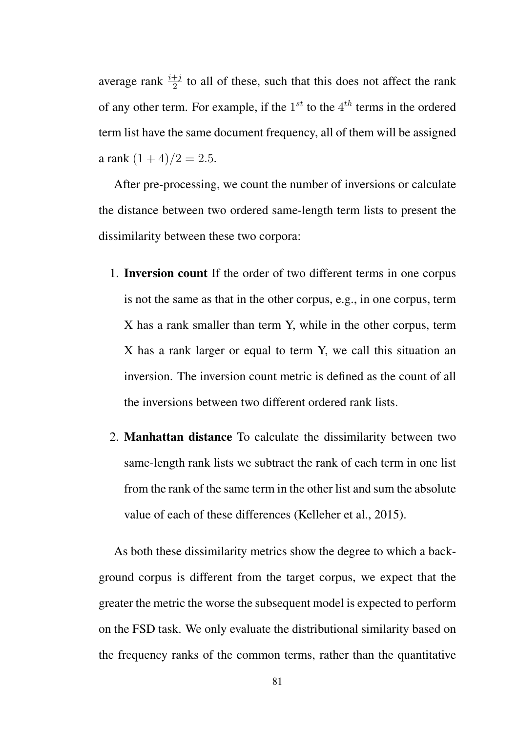average rank  $\frac{i+j}{2}$  to all of these, such that this does not affect the rank of any other term. For example, if the 1 *st* to the 4 *th* terms in the ordered term list have the same document frequency, all of them will be assigned a rank  $(1+4)/2 = 2.5$ .

After pre-processing, we count the number of inversions or calculate the distance between two ordered same-length term lists to present the dissimilarity between these two corpora:

- 1. Inversion count If the order of two different terms in one corpus is not the same as that in the other corpus, e.g., in one corpus, term X has a rank smaller than term Y, while in the other corpus, term X has a rank larger or equal to term Y, we call this situation an inversion. The inversion count metric is defined as the count of all the inversions between two different ordered rank lists.
- 2. Manhattan distance To calculate the dissimilarity between two same-length rank lists we subtract the rank of each term in one list from the rank of the same term in the other list and sum the absolute value of each of these differences (Kelleher et al., 2015).

As both these dissimilarity metrics show the degree to which a background corpus is different from the target corpus, we expect that the greater the metric the worse the subsequent model is expected to perform on the FSD task. We only evaluate the distributional similarity based on the frequency ranks of the common terms, rather than the quantitative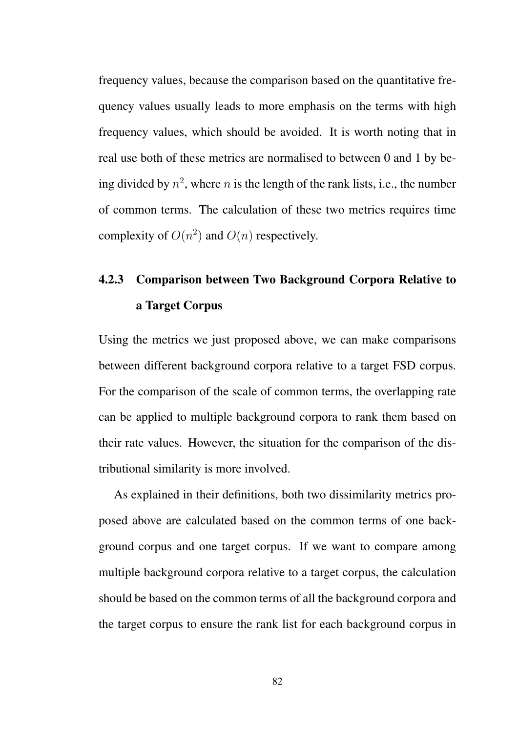frequency values, because the comparison based on the quantitative frequency values usually leads to more emphasis on the terms with high frequency values, which should be avoided. It is worth noting that in real use both of these metrics are normalised to between 0 and 1 by being divided by  $n^2$ , where  $n$  is the length of the rank lists, i.e., the number of common terms. The calculation of these two metrics requires time complexity of  $O(n^2)$  and  $O(n)$  respectively.

# 4.2.3 Comparison between Two Background Corpora Relative to a Target Corpus

Using the metrics we just proposed above, we can make comparisons between different background corpora relative to a target FSD corpus. For the comparison of the scale of common terms, the overlapping rate can be applied to multiple background corpora to rank them based on their rate values. However, the situation for the comparison of the distributional similarity is more involved.

As explained in their definitions, both two dissimilarity metrics proposed above are calculated based on the common terms of one background corpus and one target corpus. If we want to compare among multiple background corpora relative to a target corpus, the calculation should be based on the common terms of all the background corpora and the target corpus to ensure the rank list for each background corpus in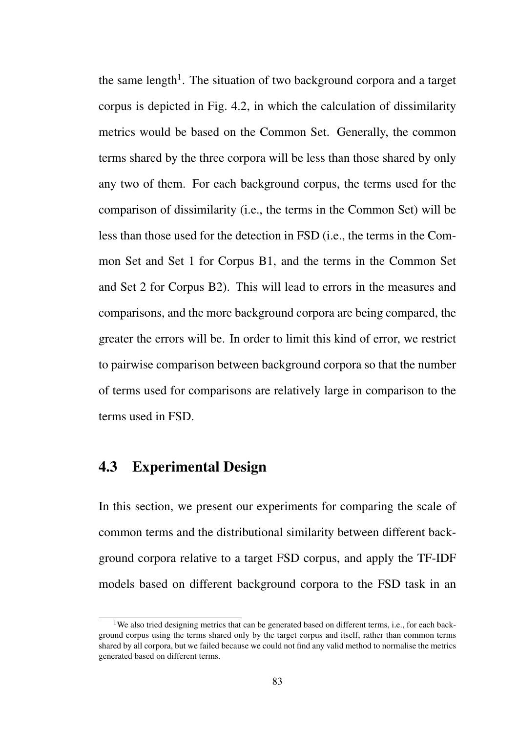the same length<sup>1</sup>. The situation of two background corpora and a target corpus is depicted in Fig. 4.2, in which the calculation of dissimilarity metrics would be based on the Common Set. Generally, the common terms shared by the three corpora will be less than those shared by only any two of them. For each background corpus, the terms used for the comparison of dissimilarity (i.e., the terms in the Common Set) will be less than those used for the detection in FSD (i.e., the terms in the Common Set and Set 1 for Corpus B1, and the terms in the Common Set and Set 2 for Corpus B2). This will lead to errors in the measures and comparisons, and the more background corpora are being compared, the greater the errors will be. In order to limit this kind of error, we restrict to pairwise comparison between background corpora so that the number of terms used for comparisons are relatively large in comparison to the terms used in FSD.

## 4.3 Experimental Design

In this section, we present our experiments for comparing the scale of common terms and the distributional similarity between different background corpora relative to a target FSD corpus, and apply the TF-IDF models based on different background corpora to the FSD task in an

<sup>&</sup>lt;sup>1</sup>We also tried designing metrics that can be generated based on different terms, i.e., for each background corpus using the terms shared only by the target corpus and itself, rather than common terms shared by all corpora, but we failed because we could not find any valid method to normalise the metrics generated based on different terms.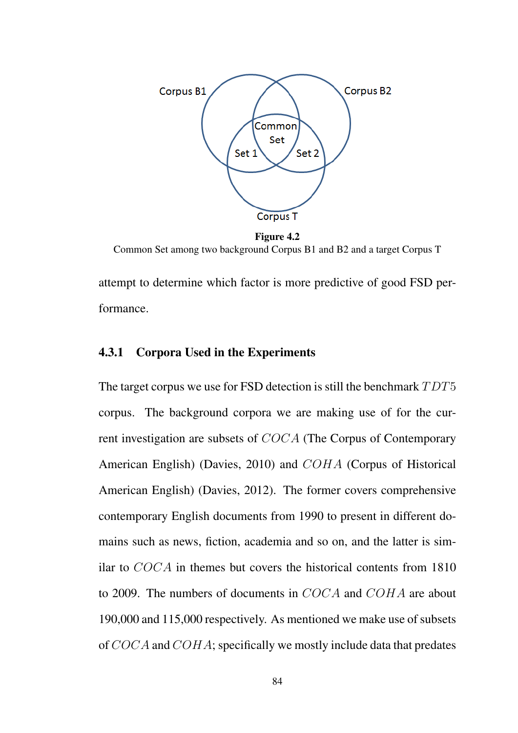

Figure 4.2 Common Set among two background Corpus B1 and B2 and a target Corpus T

attempt to determine which factor is more predictive of good FSD performance.

#### 4.3.1 Corpora Used in the Experiments

The target corpus we use for FSD detection is still the benchmark *T DT*5 corpus. The background corpora we are making use of for the current investigation are subsets of *COCA* (The Corpus of Contemporary American English) (Davies, 2010) and *COHA* (Corpus of Historical American English) (Davies, 2012). The former covers comprehensive contemporary English documents from 1990 to present in different domains such as news, fiction, academia and so on, and the latter is similar to *COCA* in themes but covers the historical contents from 1810 to 2009. The numbers of documents in *COCA* and *COHA* are about 190,000 and 115,000 respectively. As mentioned we make use of subsets of *COCA* and *COHA*; specifically we mostly include data that predates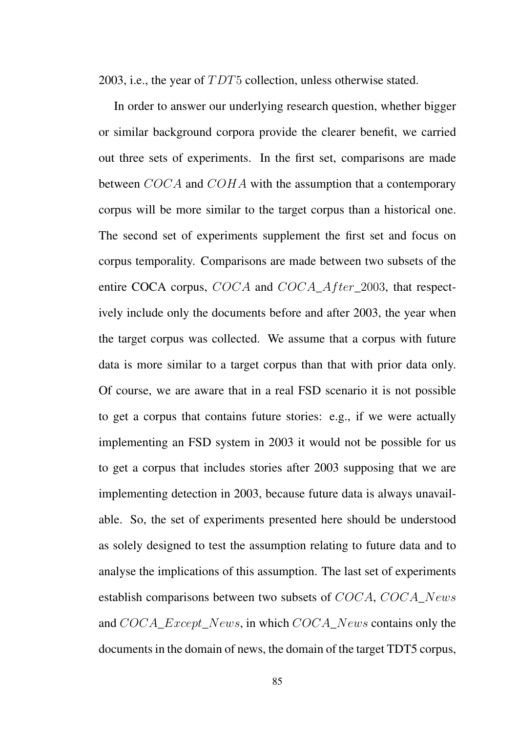2003, i.e., the year of *T DT*5 collection, unless otherwise stated.

In order to answer our underlying research question, whether bigger or similar background corpora provide the clearer benefit, we carried out three sets of experiments. In the first set, comparisons are made between *COCA* and *COHA* with the assumption that a contemporary corpus will be more similar to the target corpus than a historical one. The second set of experiments supplement the first set and focus on corpus temporality. Comparisons are made between two subsets of the entire COCA corpus, *COCA* and *COCA*\_*Af ter*\_2003, that respectively include only the documents before and after 2003, the year when the target corpus was collected. We assume that a corpus with future data is more similar to a target corpus than that with prior data only. Of course, we are aware that in a real FSD scenario it is not possible to get a corpus that contains future stories: e.g., if we were actually implementing an FSD system in 2003 it would not be possible for us to get a corpus that includes stories after 2003 supposing that we are implementing detection in 2003, because future data is always unavailable. So, the set of experiments presented here should be understood as solely designed to test the assumption relating to future data and to analyse the implications of this assumption. The last set of experiments establish comparisons between two subsets of *COCA*, *COCA*\_*News* and *COCA*\_*Except*\_*News*, in which *COCA*\_*News* contains only the documents in the domain of news, the domain of the target TDT5 corpus,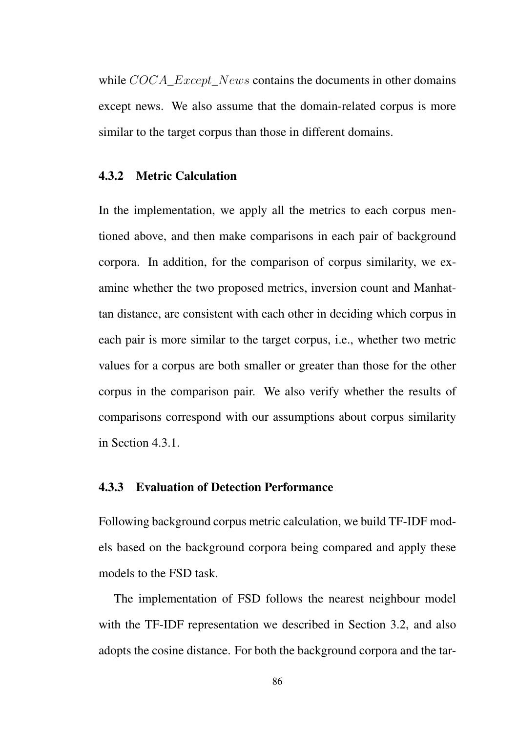while *COCA*\_*Except*\_*News* contains the documents in other domains except news. We also assume that the domain-related corpus is more similar to the target corpus than those in different domains.

#### 4.3.2 Metric Calculation

In the implementation, we apply all the metrics to each corpus mentioned above, and then make comparisons in each pair of background corpora. In addition, for the comparison of corpus similarity, we examine whether the two proposed metrics, inversion count and Manhattan distance, are consistent with each other in deciding which corpus in each pair is more similar to the target corpus, i.e., whether two metric values for a corpus are both smaller or greater than those for the other corpus in the comparison pair. We also verify whether the results of comparisons correspond with our assumptions about corpus similarity in Section 4.3.1.

#### 4.3.3 Evaluation of Detection Performance

Following background corpus metric calculation, we build TF-IDF models based on the background corpora being compared and apply these models to the FSD task.

The implementation of FSD follows the nearest neighbour model with the TF-IDF representation we described in Section 3.2, and also adopts the cosine distance. For both the background corpora and the tar-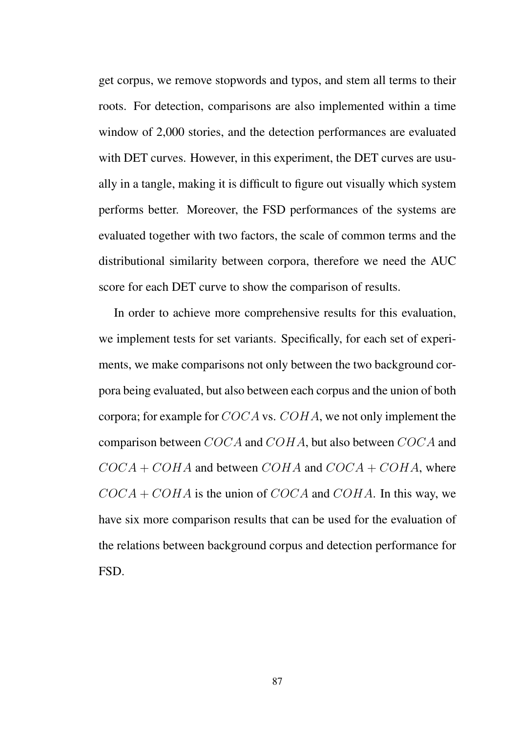get corpus, we remove stopwords and typos, and stem all terms to their roots. For detection, comparisons are also implemented within a time window of 2,000 stories, and the detection performances are evaluated with DET curves. However, in this experiment, the DET curves are usually in a tangle, making it is difficult to figure out visually which system performs better. Moreover, the FSD performances of the systems are evaluated together with two factors, the scale of common terms and the distributional similarity between corpora, therefore we need the AUC score for each DET curve to show the comparison of results.

In order to achieve more comprehensive results for this evaluation, we implement tests for set variants. Specifically, for each set of experiments, we make comparisons not only between the two background corpora being evaluated, but also between each corpus and the union of both corpora; for example for *COCA* vs. *COHA*, we not only implement the comparison between *COCA* and *COHA*, but also between *COCA* and  $COCA + COHA$  and between  $COHA$  and  $COCA + COHA$ , where *COCA* + *COHA* is the union of *COCA* and *COHA*. In this way, we have six more comparison results that can be used for the evaluation of the relations between background corpus and detection performance for FSD.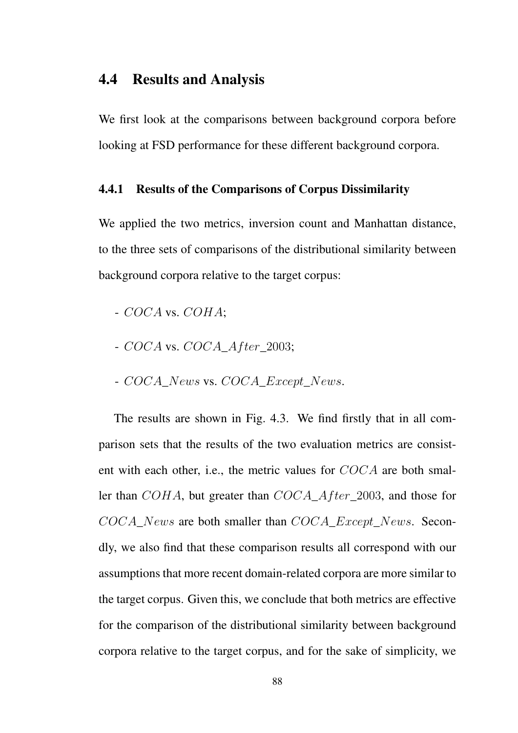## 4.4 Results and Analysis

We first look at the comparisons between background corpora before looking at FSD performance for these different background corpora.

#### 4.4.1 Results of the Comparisons of Corpus Dissimilarity

We applied the two metrics, inversion count and Manhattan distance, to the three sets of comparisons of the distributional similarity between background corpora relative to the target corpus:

- *COCA* vs. *COHA*;
- *COCA* vs. *COCA*\_*Af ter*\_2003;
- *COCA*\_*News* vs. *COCA*\_*Except*\_*News*.

The results are shown in Fig. 4.3. We find firstly that in all comparison sets that the results of the two evaluation metrics are consistent with each other, i.e., the metric values for *COCA* are both smaller than *COHA*, but greater than *COCA*\_*Af ter*\_2003, and those for *COCA*\_*News* are both smaller than *COCA*\_*Except*\_*News*. Secondly, we also find that these comparison results all correspond with our assumptions that more recent domain-related corpora are more similar to the target corpus. Given this, we conclude that both metrics are effective for the comparison of the distributional similarity between background corpora relative to the target corpus, and for the sake of simplicity, we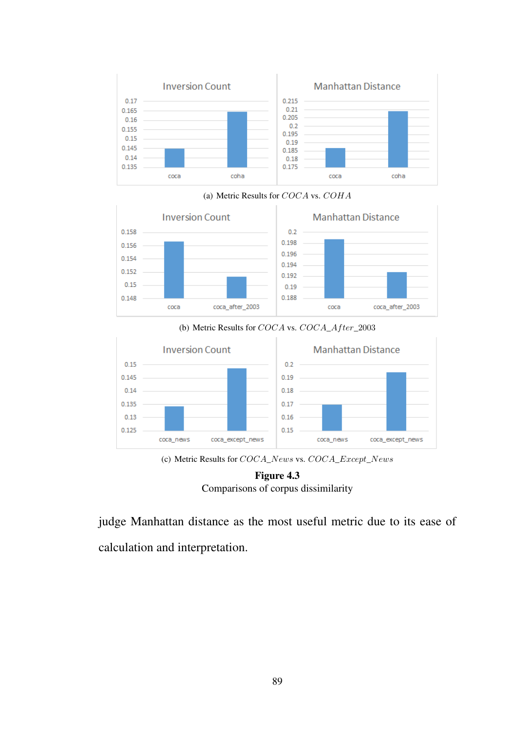

(a) Metric Results for *COCA* vs. *COHA*



(b) Metric Results for *COCA* vs. *COCA*\_*Af ter*\_2003



(c) Metric Results for *COCA*\_*News* vs. *COCA*\_*Except*\_*News*



judge Manhattan distance as the most useful metric due to its ease of calculation and interpretation.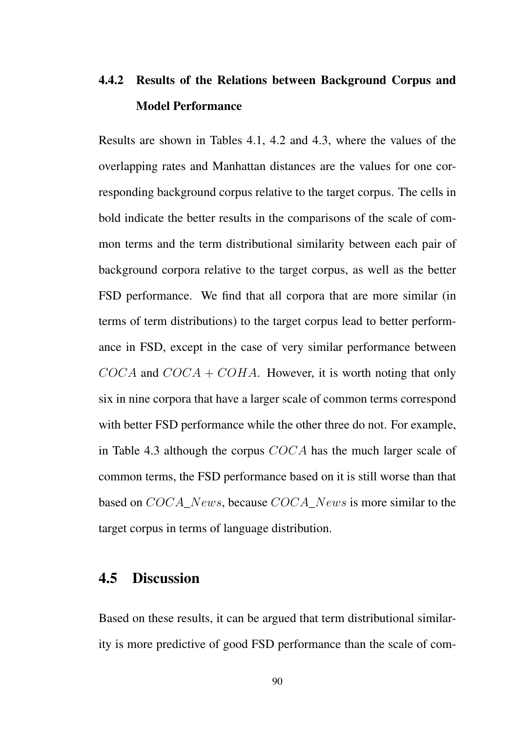# 4.4.2 Results of the Relations between Background Corpus and Model Performance

Results are shown in Tables 4.1, 4.2 and 4.3, where the values of the overlapping rates and Manhattan distances are the values for one corresponding background corpus relative to the target corpus. The cells in bold indicate the better results in the comparisons of the scale of common terms and the term distributional similarity between each pair of background corpora relative to the target corpus, as well as the better FSD performance. We find that all corpora that are more similar (in terms of term distributions) to the target corpus lead to better performance in FSD, except in the case of very similar performance between *COCA* and *COCA* + *COHA*. However, it is worth noting that only six in nine corpora that have a larger scale of common terms correspond with better FSD performance while the other three do not. For example, in Table 4.3 although the corpus *COCA* has the much larger scale of common terms, the FSD performance based on it is still worse than that based on *COCA*\_*News*, because *COCA*\_*News* is more similar to the target corpus in terms of language distribution.

## 4.5 Discussion

Based on these results, it can be argued that term distributional similarity is more predictive of good FSD performance than the scale of com-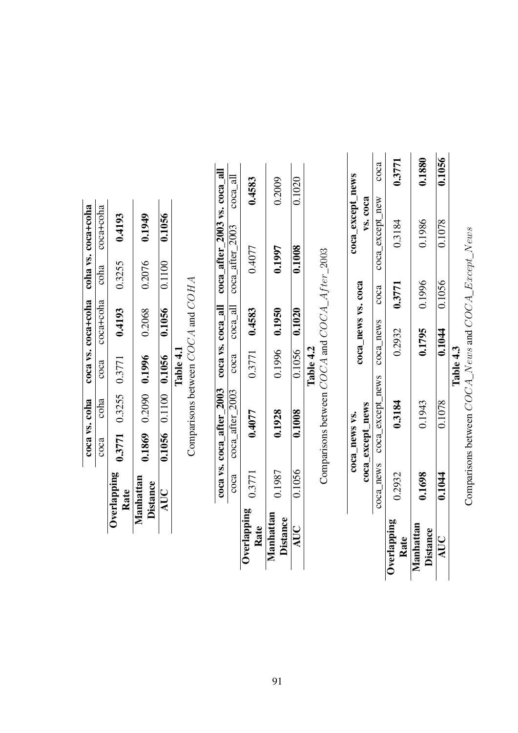|                              |        | coca_news vs.                             |                    | coca_except_news |                       |
|------------------------------|--------|-------------------------------------------|--------------------|------------------|-----------------------|
|                              |        | coca_except_news                          | coca_news vs. coca | vs. coca         |                       |
|                              |        | coca_news coca_except_news coca_news coca |                    | coca_except_new  | $\operatorname{coca}$ |
| Overlapping<br>Rate          | 0.2932 | 0.3184                                    | $0.2932$ $0.3771$  | 0.3184           | 0.3771                |
| Manhattan<br><b>Distance</b> | 0.1698 | 0.1943                                    | 0.1795 0.1996      | 0.1986           | 0.1880                |
| AUC                          | 0.1044 | 0.1078                                    | $0.1044$ 0.1056    | 0.1078           | 0.1056                |
|                              |        |                                           | Table 4.3          |                  |                       |

Comparisons between  $COCA\_News$  and  $COCA\_Except\_News$ Comparisons between *COCA*\_*News* and *COCA*\_*Except*\_*News*

onno  $\overline{A}$   $\overline{P}$  $10001$  $\ddot{\phantom{0}}$  $\ddot{\phantom{a}}$  $\vec{\zeta}$ 

|                                |        |        |           |                 | coca vs. $\csc a$ after 2003 $\csc a$ vs. $\csc a$ all $\csc a$ after 2003 vs. $\csc a$ all       |        |
|--------------------------------|--------|--------|-----------|-----------------|---------------------------------------------------------------------------------------------------|--------|
|                                |        |        |           |                 | $\csc{a}$ $\csc{a}$ $\arctan{2003}$ $\csc{a}$ $\cot{a}$ $\arctan{2003}$ $\csc{a}$ $\arctan{2003}$ |        |
| $Overlapping$ $0.3771$<br>Rate |        | 0.4077 |           | $0.3771$ 0.4583 | 0.4077                                                                                            | 0.4583 |
| Manhattan<br><b>Distance</b>   | 0.1987 | 0.1928 |           | 0.1996 0.1950   | 0.1997                                                                                            | 0.2009 |
| AUC                            | 0.1056 | 0.1008 |           | 0.1056 0.1020   | 0.1008                                                                                            | 0.1020 |
|                                |        |        | Table 4.2 |                 |                                                                                                   |        |

coca vs. coha coca vs. coca+coha coha vs. coca+coha coca coha coca coca+coha coha coca+coha

 $\overline{\text{cosa}}$ 

 $\overline{\text{cola}}$ 

 $\overline{\text{coa}}$ 

coca vs. coha

coca vs. coca+coha coha vs. coca+coha

coca+coha coha coca+coha

Overlapping

Manhattan

AUC

Rate 0.3771 0.3255 0.3771 0.4193 0.3255 0.4193

 $0.3771$   $0.3255$   $0.3771$ 

Distance 0.1869 0.2090 0.1996 0.2068 0.2076 0.1949 AUC 0.1056 0.1100 0.1056 0.1056 0.1100 0.1056

0.1869 0.2090 0.1996

0.1949

0.2076

0.2068

0.4193

0.3255

0.4193

0.1056

0.1100

0.1056

0.1056 0.1100 0.1056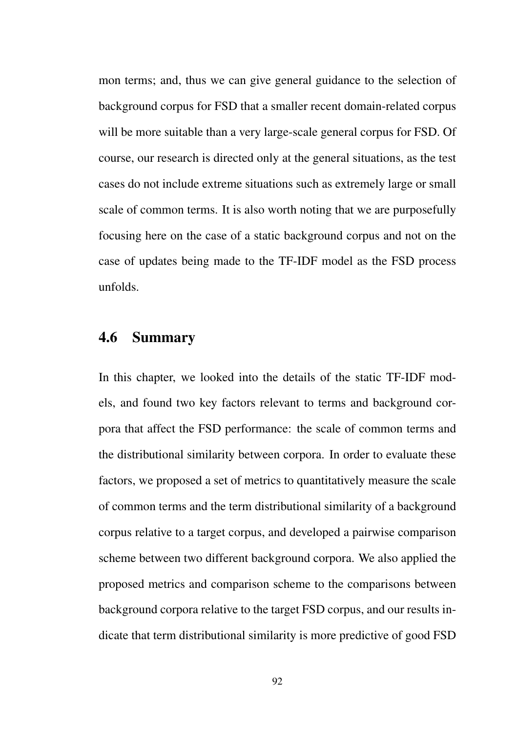mon terms; and, thus we can give general guidance to the selection of background corpus for FSD that a smaller recent domain-related corpus will be more suitable than a very large-scale general corpus for FSD. Of course, our research is directed only at the general situations, as the test cases do not include extreme situations such as extremely large or small scale of common terms. It is also worth noting that we are purposefully focusing here on the case of a static background corpus and not on the case of updates being made to the TF-IDF model as the FSD process unfolds.

## 4.6 Summary

In this chapter, we looked into the details of the static TF-IDF models, and found two key factors relevant to terms and background corpora that affect the FSD performance: the scale of common terms and the distributional similarity between corpora. In order to evaluate these factors, we proposed a set of metrics to quantitatively measure the scale of common terms and the term distributional similarity of a background corpus relative to a target corpus, and developed a pairwise comparison scheme between two different background corpora. We also applied the proposed metrics and comparison scheme to the comparisons between background corpora relative to the target FSD corpus, and our results indicate that term distributional similarity is more predictive of good FSD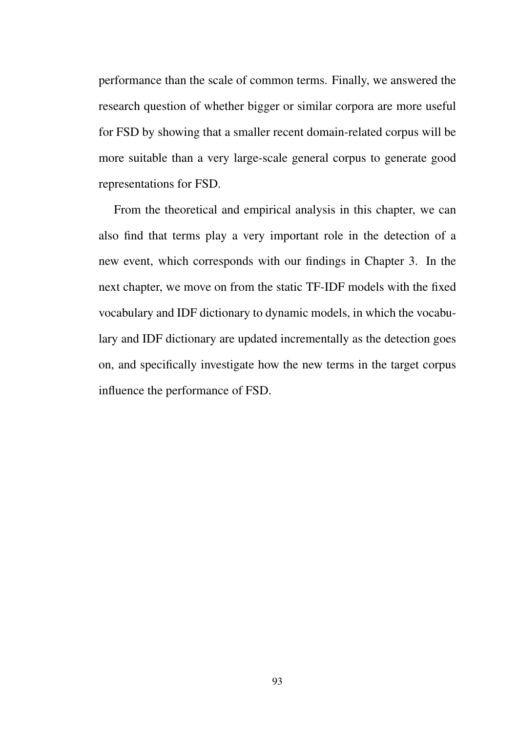performance than the scale of common terms. Finally, we answered the research question of whether bigger or similar corpora are more useful for FSD by showing that a smaller recent domain-related corpus will be more suitable than a very large-scale general corpus to generate good representations for FSD.

From the theoretical and empirical analysis in this chapter, we can also find that terms play a very important role in the detection of a new event, which corresponds with our findings in Chapter 3. In the next chapter, we move on from the static TF-IDF models with the fixed vocabulary and IDF dictionary to dynamic models, in which the vocabulary and IDF dictionary are updated incrementally as the detection goes on, and specifically investigate how the new terms in the target corpus influence the performance of FSD.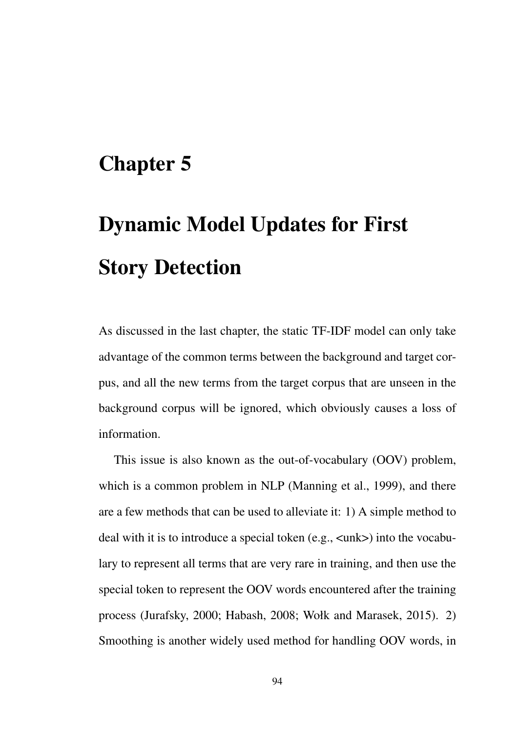# Chapter 5

# Dynamic Model Updates for First Story Detection

As discussed in the last chapter, the static TF-IDF model can only take advantage of the common terms between the background and target corpus, and all the new terms from the target corpus that are unseen in the background corpus will be ignored, which obviously causes a loss of information.

This issue is also known as the out-of-vocabulary (OOV) problem, which is a common problem in NLP (Manning et al., 1999), and there are a few methods that can be used to alleviate it: 1) A simple method to deal with it is to introduce a special token (e.g., <unk>) into the vocabulary to represent all terms that are very rare in training, and then use the special token to represent the OOV words encountered after the training process (Jurafsky, 2000; Habash, 2008; Wołk and Marasek, 2015). 2) Smoothing is another widely used method for handling OOV words, in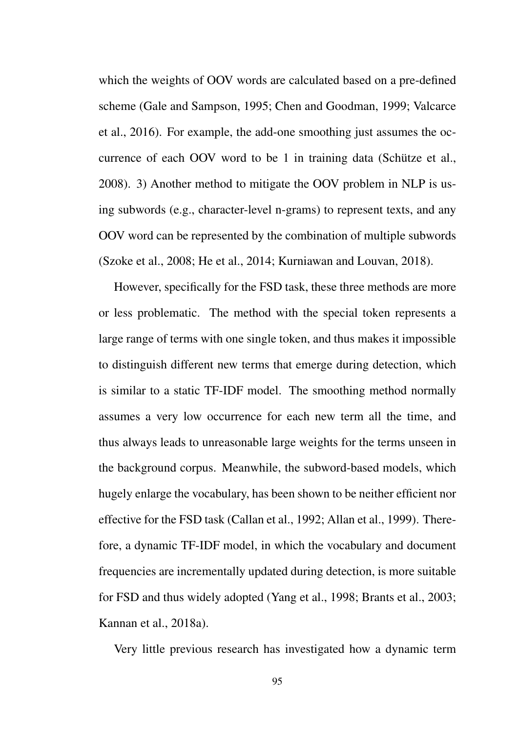which the weights of OOV words are calculated based on a pre-defined scheme (Gale and Sampson, 1995; Chen and Goodman, 1999; Valcarce et al., 2016). For example, the add-one smoothing just assumes the occurrence of each OOV word to be 1 in training data (Schütze et al., 2008). 3) Another method to mitigate the OOV problem in NLP is using subwords (e.g., character-level n-grams) to represent texts, and any OOV word can be represented by the combination of multiple subwords (Szoke et al., 2008; He et al., 2014; Kurniawan and Louvan, 2018).

However, specifically for the FSD task, these three methods are more or less problematic. The method with the special token represents a large range of terms with one single token, and thus makes it impossible to distinguish different new terms that emerge during detection, which is similar to a static TF-IDF model. The smoothing method normally assumes a very low occurrence for each new term all the time, and thus always leads to unreasonable large weights for the terms unseen in the background corpus. Meanwhile, the subword-based models, which hugely enlarge the vocabulary, has been shown to be neither efficient nor effective for the FSD task (Callan et al., 1992; Allan et al., 1999). Therefore, a dynamic TF-IDF model, in which the vocabulary and document frequencies are incrementally updated during detection, is more suitable for FSD and thus widely adopted (Yang et al., 1998; Brants et al., 2003; Kannan et al., 2018a).

Very little previous research has investigated how a dynamic term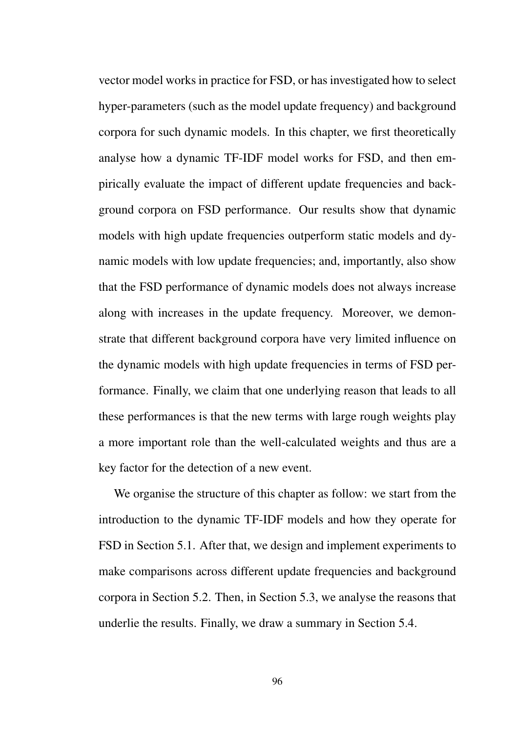vector model works in practice for FSD, or has investigated how to select hyper-parameters (such as the model update frequency) and background corpora for such dynamic models. In this chapter, we first theoretically analyse how a dynamic TF-IDF model works for FSD, and then empirically evaluate the impact of different update frequencies and background corpora on FSD performance. Our results show that dynamic models with high update frequencies outperform static models and dynamic models with low update frequencies; and, importantly, also show that the FSD performance of dynamic models does not always increase along with increases in the update frequency. Moreover, we demonstrate that different background corpora have very limited influence on the dynamic models with high update frequencies in terms of FSD performance. Finally, we claim that one underlying reason that leads to all these performances is that the new terms with large rough weights play a more important role than the well-calculated weights and thus are a key factor for the detection of a new event.

We organise the structure of this chapter as follow: we start from the introduction to the dynamic TF-IDF models and how they operate for FSD in Section 5.1. After that, we design and implement experiments to make comparisons across different update frequencies and background corpora in Section 5.2. Then, in Section 5.3, we analyse the reasons that underlie the results. Finally, we draw a summary in Section 5.4.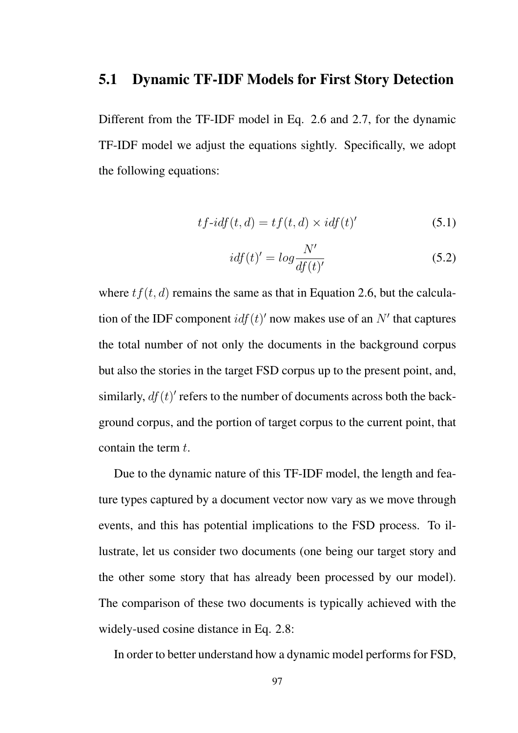### 5.1 Dynamic TF-IDF Models for First Story Detection

Different from the TF-IDF model in Eq. 2.6 and 2.7, for the dynamic TF-IDF model we adjust the equations sightly. Specifically, we adopt the following equations:

$$
tf-idf(t,d) = tf(t,d) \times idf(t)'
$$
\n(5.1)

$$
idf(t)' = log \frac{N'}{df(t)'} \tag{5.2}
$$

where  $tf(t, d)$  remains the same as that in Equation 2.6, but the calculation of the IDF component  $\frac{if(t)}{]}$  now makes use of an  $N'$  that captures the total number of not only the documents in the background corpus but also the stories in the target FSD corpus up to the present point, and, similarly,  $df(t)$ <sup> $\prime$ </sup> refers to the number of documents across both the background corpus, and the portion of target corpus to the current point, that contain the term *t*.

Due to the dynamic nature of this TF-IDF model, the length and feature types captured by a document vector now vary as we move through events, and this has potential implications to the FSD process. To illustrate, let us consider two documents (one being our target story and the other some story that has already been processed by our model). The comparison of these two documents is typically achieved with the widely-used cosine distance in Eq. 2.8:

In order to better understand how a dynamic model performs for FSD,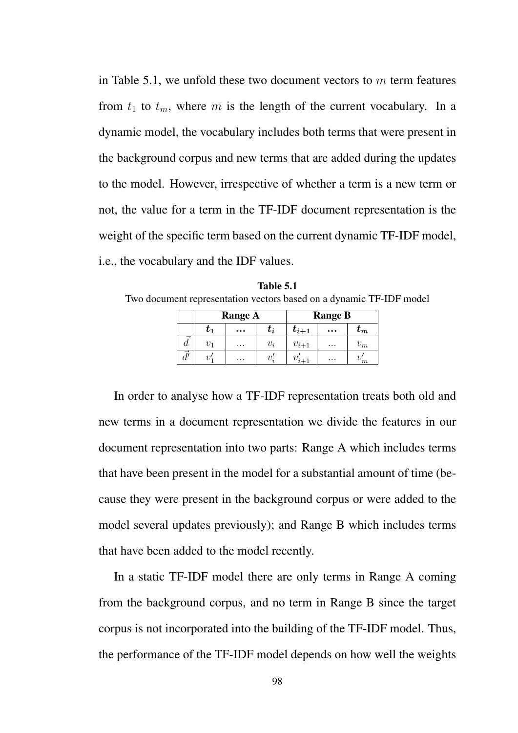in Table 5.1, we unfold these two document vectors to *m* term features from  $t_1$  to  $t_m$ , where  $m$  is the length of the current vocabulary. In a dynamic model, the vocabulary includes both terms that were present in the background corpus and new terms that are added during the updates to the model. However, irrespective of whether a term is a new term or not, the value for a term in the TF-IDF document representation is the weight of the specific term based on the current dynamic TF-IDF model, i.e., the vocabulary and the IDF values.

|  |                                                                     | тане э. г |  |              |  |  |
|--|---------------------------------------------------------------------|-----------|--|--------------|--|--|
|  | Two document representation vectors based on a dynamic TF-IDF model |           |  |              |  |  |
|  | $\mathbf{D}$                                                        |           |  | $\mathbf{D}$ |  |  |

Table 5.1

|   | <b>Range A</b>       |          |                        | <b>Range B</b> |          |           |  |
|---|----------------------|----------|------------------------|----------------|----------|-----------|--|
|   | $\boldsymbol{\iota}$ | $\cdots$ | $\boldsymbol{\iota}_i$ | $t_{i+1}$      | $\cdots$ | $\iota_m$ |  |
| u | v-                   | $\cdots$ | $v_i$                  | $v_{i+1}$      | $\cdots$ | $v_m$     |  |
|   |                      | .        |                        |                | $\cdots$ | m         |  |

In order to analyse how a TF-IDF representation treats both old and new terms in a document representation we divide the features in our document representation into two parts: Range A which includes terms that have been present in the model for a substantial amount of time (because they were present in the background corpus or were added to the model several updates previously); and Range B which includes terms that have been added to the model recently.

In a static TF-IDF model there are only terms in Range A coming from the background corpus, and no term in Range B since the target corpus is not incorporated into the building of the TF-IDF model. Thus, the performance of the TF-IDF model depends on how well the weights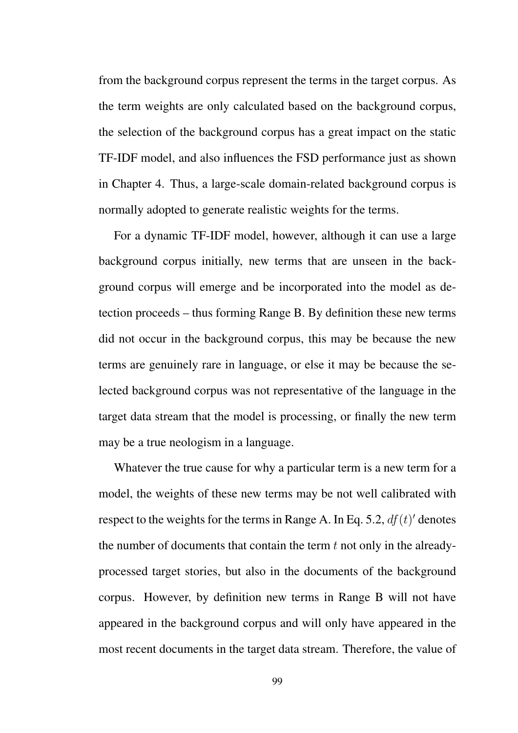from the background corpus represent the terms in the target corpus. As the term weights are only calculated based on the background corpus, the selection of the background corpus has a great impact on the static TF-IDF model, and also influences the FSD performance just as shown in Chapter 4. Thus, a large-scale domain-related background corpus is normally adopted to generate realistic weights for the terms.

For a dynamic TF-IDF model, however, although it can use a large background corpus initially, new terms that are unseen in the background corpus will emerge and be incorporated into the model as detection proceeds – thus forming Range B. By definition these new terms did not occur in the background corpus, this may be because the new terms are genuinely rare in language, or else it may be because the selected background corpus was not representative of the language in the target data stream that the model is processing, or finally the new term may be a true neologism in a language.

Whatever the true cause for why a particular term is a new term for a model, the weights of these new terms may be not well calibrated with respect to the weights for the terms in Range A. In Eq. 5.2,  $df(t)$ ' denotes the number of documents that contain the term *t* not only in the alreadyprocessed target stories, but also in the documents of the background corpus. However, by definition new terms in Range B will not have appeared in the background corpus and will only have appeared in the most recent documents in the target data stream. Therefore, the value of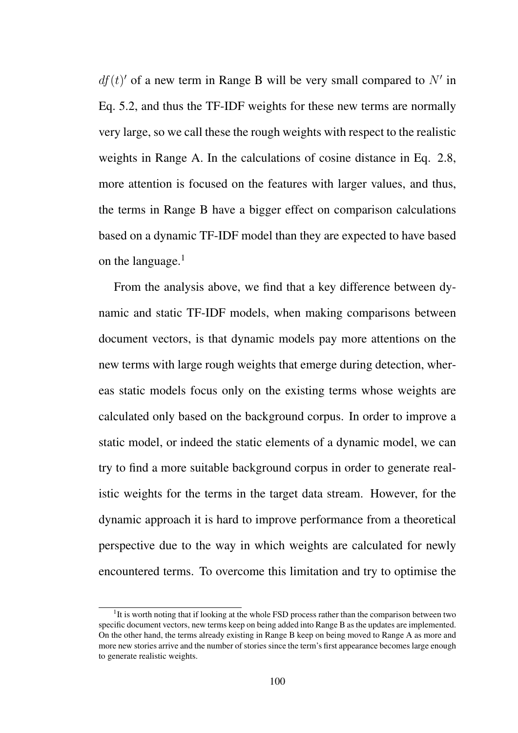$df(t)$ <sup>*f*</sup> of a new term in Range B will be very small compared to  $N'$  in Eq. 5.2, and thus the TF-IDF weights for these new terms are normally very large, so we call these the rough weights with respect to the realistic weights in Range A. In the calculations of cosine distance in Eq. 2.8, more attention is focused on the features with larger values, and thus, the terms in Range B have a bigger effect on comparison calculations based on a dynamic TF-IDF model than they are expected to have based on the language.<sup>1</sup>

From the analysis above, we find that a key difference between dynamic and static TF-IDF models, when making comparisons between document vectors, is that dynamic models pay more attentions on the new terms with large rough weights that emerge during detection, whereas static models focus only on the existing terms whose weights are calculated only based on the background corpus. In order to improve a static model, or indeed the static elements of a dynamic model, we can try to find a more suitable background corpus in order to generate realistic weights for the terms in the target data stream. However, for the dynamic approach it is hard to improve performance from a theoretical perspective due to the way in which weights are calculated for newly encountered terms. To overcome this limitation and try to optimise the

<sup>&</sup>lt;sup>1</sup>It is worth noting that if looking at the whole FSD process rather than the comparison between two specific document vectors, new terms keep on being added into Range B as the updates are implemented. On the other hand, the terms already existing in Range B keep on being moved to Range A as more and more new stories arrive and the number of stories since the term's first appearance becomes large enough to generate realistic weights.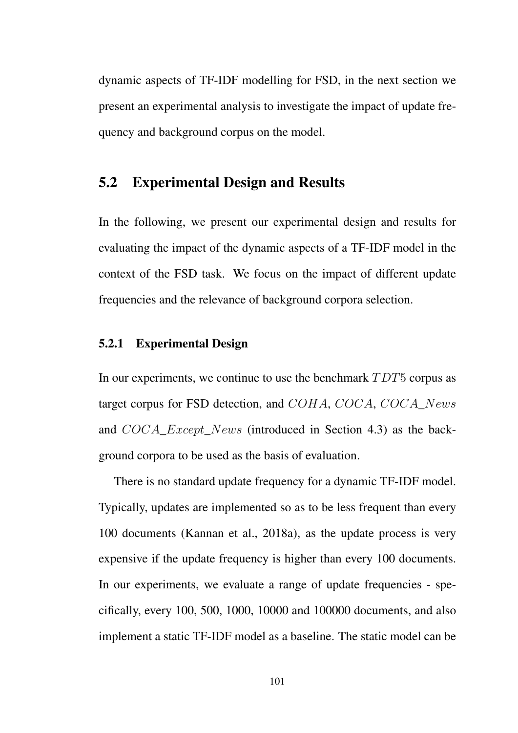dynamic aspects of TF-IDF modelling for FSD, in the next section we present an experimental analysis to investigate the impact of update frequency and background corpus on the model.

# 5.2 Experimental Design and Results

In the following, we present our experimental design and results for evaluating the impact of the dynamic aspects of a TF-IDF model in the context of the FSD task. We focus on the impact of different update frequencies and the relevance of background corpora selection.

### 5.2.1 Experimental Design

In our experiments, we continue to use the benchmark *T DT*5 corpus as target corpus for FSD detection, and *COHA*, *COCA*, *COCA*\_*News* and *COCA*\_*Except*\_*News* (introduced in Section 4.3) as the background corpora to be used as the basis of evaluation.

There is no standard update frequency for a dynamic TF-IDF model. Typically, updates are implemented so as to be less frequent than every 100 documents (Kannan et al., 2018a), as the update process is very expensive if the update frequency is higher than every 100 documents. In our experiments, we evaluate a range of update frequencies - specifically, every 100, 500, 1000, 10000 and 100000 documents, and also implement a static TF-IDF model as a baseline. The static model can be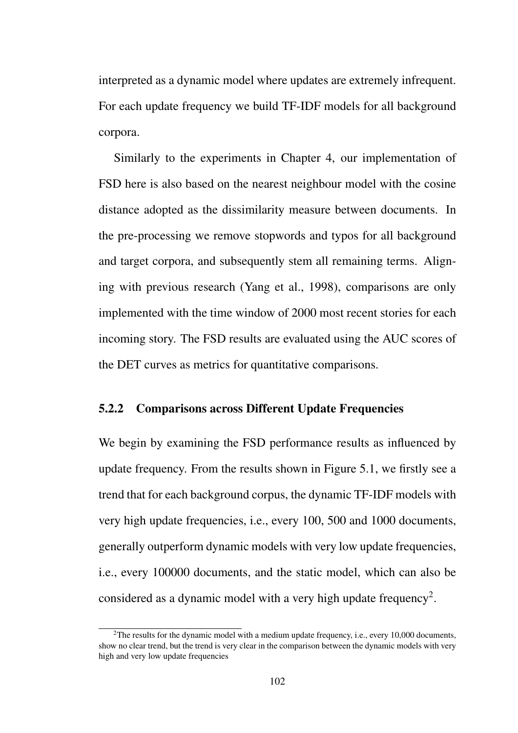interpreted as a dynamic model where updates are extremely infrequent. For each update frequency we build TF-IDF models for all background corpora.

Similarly to the experiments in Chapter 4, our implementation of FSD here is also based on the nearest neighbour model with the cosine distance adopted as the dissimilarity measure between documents. In the pre-processing we remove stopwords and typos for all background and target corpora, and subsequently stem all remaining terms. Aligning with previous research (Yang et al., 1998), comparisons are only implemented with the time window of 2000 most recent stories for each incoming story. The FSD results are evaluated using the AUC scores of the DET curves as metrics for quantitative comparisons.

#### 5.2.2 Comparisons across Different Update Frequencies

We begin by examining the FSD performance results as influenced by update frequency. From the results shown in Figure 5.1, we firstly see a trend that for each background corpus, the dynamic TF-IDF models with very high update frequencies, i.e., every 100, 500 and 1000 documents, generally outperform dynamic models with very low update frequencies, i.e., every 100000 documents, and the static model, which can also be considered as a dynamic model with a very high update frequency<sup>2</sup>.

 ${}^{2}$ The results for the dynamic model with a medium update frequency, i.e., every 10,000 documents, show no clear trend, but the trend is very clear in the comparison between the dynamic models with very high and very low update frequencies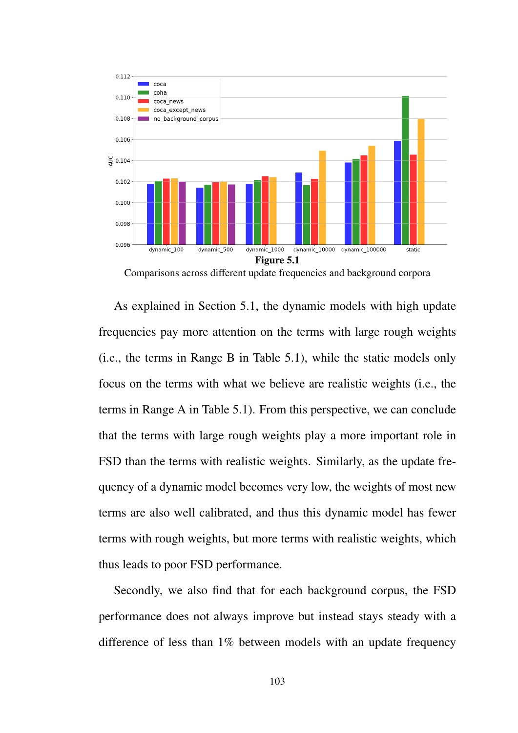

Comparisons across different update frequencies and background corpora

As explained in Section 5.1, the dynamic models with high update frequencies pay more attention on the terms with large rough weights (i.e., the terms in Range B in Table 5.1), while the static models only focus on the terms with what we believe are realistic weights (i.e., the terms in Range A in Table 5.1). From this perspective, we can conclude that the terms with large rough weights play a more important role in FSD than the terms with realistic weights. Similarly, as the update frequency of a dynamic model becomes very low, the weights of most new terms are also well calibrated, and thus this dynamic model has fewer terms with rough weights, but more terms with realistic weights, which thus leads to poor FSD performance.

Secondly, we also find that for each background corpus, the FSD performance does not always improve but instead stays steady with a difference of less than 1% between models with an update frequency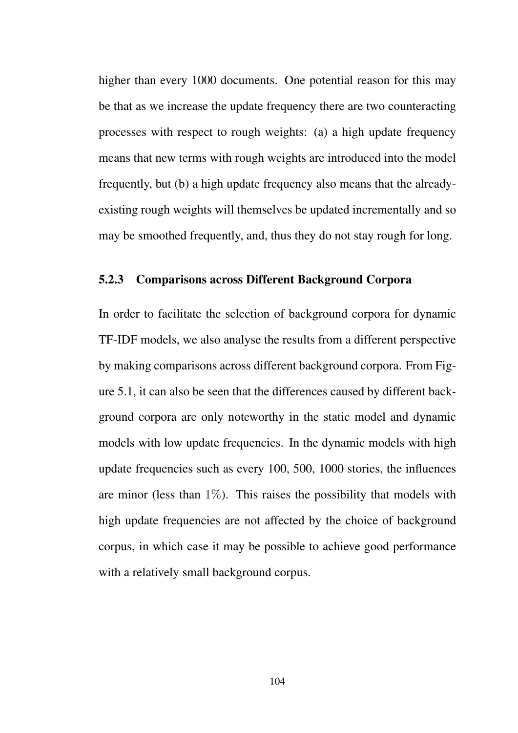higher than every 1000 documents. One potential reason for this may be that as we increase the update frequency there are two counteracting processes with respect to rough weights: (a) a high update frequency means that new terms with rough weights are introduced into the model frequently, but (b) a high update frequency also means that the alreadyexisting rough weights will themselves be updated incrementally and so may be smoothed frequently, and, thus they do not stay rough for long.

### 5.2.3 Comparisons across Different Background Corpora

In order to facilitate the selection of background corpora for dynamic TF-IDF models, we also analyse the results from a different perspective by making comparisons across different background corpora. From Figure 5.1, it can also be seen that the differences caused by different background corpora are only noteworthy in the static model and dynamic models with low update frequencies. In the dynamic models with high update frequencies such as every 100, 500, 1000 stories, the influences are minor (less than  $1\%$ ). This raises the possibility that models with high update frequencies are not affected by the choice of background corpus, in which case it may be possible to achieve good performance with a relatively small background corpus.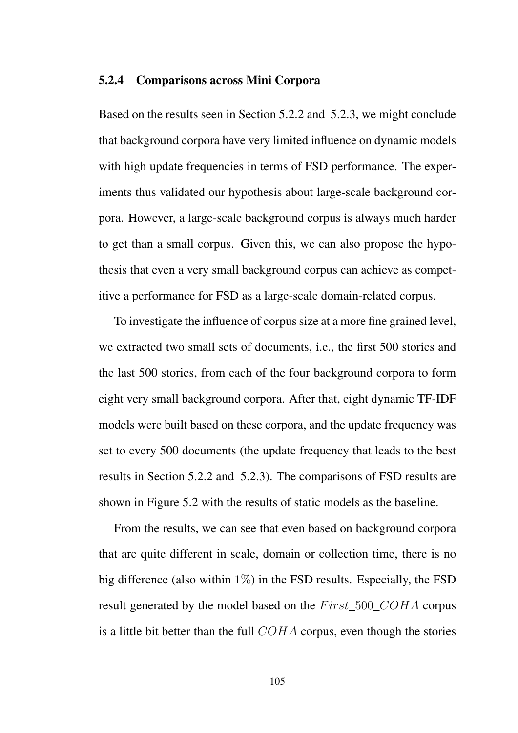#### 5.2.4 Comparisons across Mini Corpora

Based on the results seen in Section 5.2.2 and 5.2.3, we might conclude that background corpora have very limited influence on dynamic models with high update frequencies in terms of FSD performance. The experiments thus validated our hypothesis about large-scale background corpora. However, a large-scale background corpus is always much harder to get than a small corpus. Given this, we can also propose the hypothesis that even a very small background corpus can achieve as competitive a performance for FSD as a large-scale domain-related corpus.

To investigate the influence of corpus size at a more fine grained level, we extracted two small sets of documents, i.e., the first 500 stories and the last 500 stories, from each of the four background corpora to form eight very small background corpora. After that, eight dynamic TF-IDF models were built based on these corpora, and the update frequency was set to every 500 documents (the update frequency that leads to the best results in Section 5.2.2 and 5.2.3). The comparisons of FSD results are shown in Figure 5.2 with the results of static models as the baseline.

From the results, we can see that even based on background corpora that are quite different in scale, domain or collection time, there is no big difference (also within  $1\%$ ) in the FSD results. Especially, the FSD result generated by the model based on the *F irst*\_500\_*COHA* corpus is a little bit better than the full *COHA* corpus, even though the stories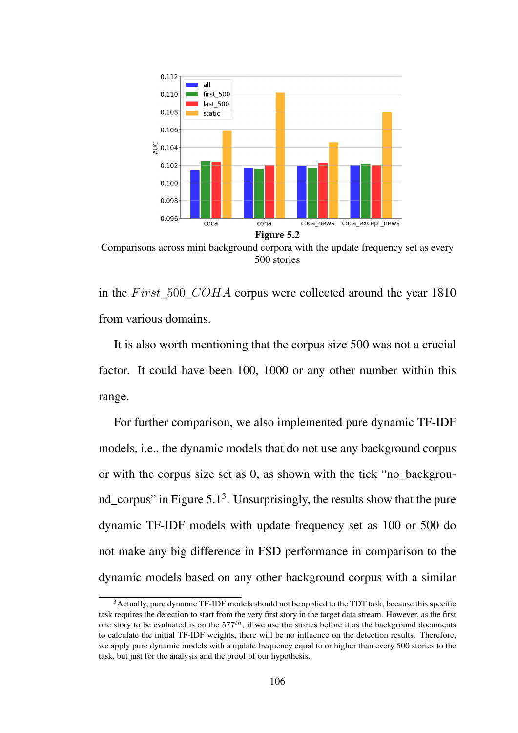

Comparisons across mini background corpora with the update frequency set as every 500 stories

in the *F irst*\_500\_*COHA* corpus were collected around the year 1810 from various domains.

It is also worth mentioning that the corpus size 500 was not a crucial factor. It could have been 100, 1000 or any other number within this range.

For further comparison, we also implemented pure dynamic TF-IDF models, i.e., the dynamic models that do not use any background corpus or with the corpus size set as 0, as shown with the tick "no\_background\_corpus" in Figure  $5.1<sup>3</sup>$ . Unsurprisingly, the results show that the pure dynamic TF-IDF models with update frequency set as 100 or 500 do not make any big difference in FSD performance in comparison to the dynamic models based on any other background corpus with a similar

<sup>&</sup>lt;sup>3</sup> Actually, pure dynamic TF-IDF models should not be applied to the TDT task, because this specific task requires the detection to start from the very first story in the target data stream. However, as the first one story to be evaluated is on the 577*th*, if we use the stories before it as the background documents to calculate the initial TF-IDF weights, there will be no influence on the detection results. Therefore, we apply pure dynamic models with a update frequency equal to or higher than every 500 stories to the task, but just for the analysis and the proof of our hypothesis.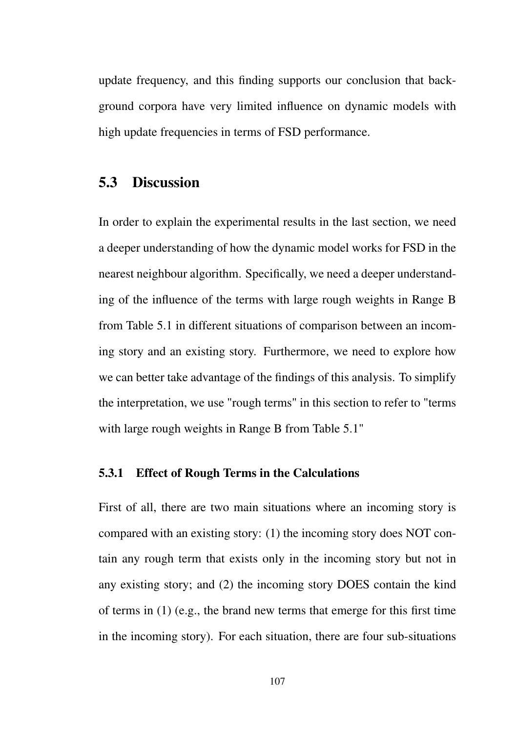update frequency, and this finding supports our conclusion that background corpora have very limited influence on dynamic models with high update frequencies in terms of FSD performance.

# 5.3 Discussion

In order to explain the experimental results in the last section, we need a deeper understanding of how the dynamic model works for FSD in the nearest neighbour algorithm. Specifically, we need a deeper understanding of the influence of the terms with large rough weights in Range B from Table 5.1 in different situations of comparison between an incoming story and an existing story. Furthermore, we need to explore how we can better take advantage of the findings of this analysis. To simplify the interpretation, we use "rough terms" in this section to refer to "terms with large rough weights in Range B from Table 5.1"

### 5.3.1 Effect of Rough Terms in the Calculations

First of all, there are two main situations where an incoming story is compared with an existing story: (1) the incoming story does NOT contain any rough term that exists only in the incoming story but not in any existing story; and (2) the incoming story DOES contain the kind of terms in (1) (e.g., the brand new terms that emerge for this first time in the incoming story). For each situation, there are four sub-situations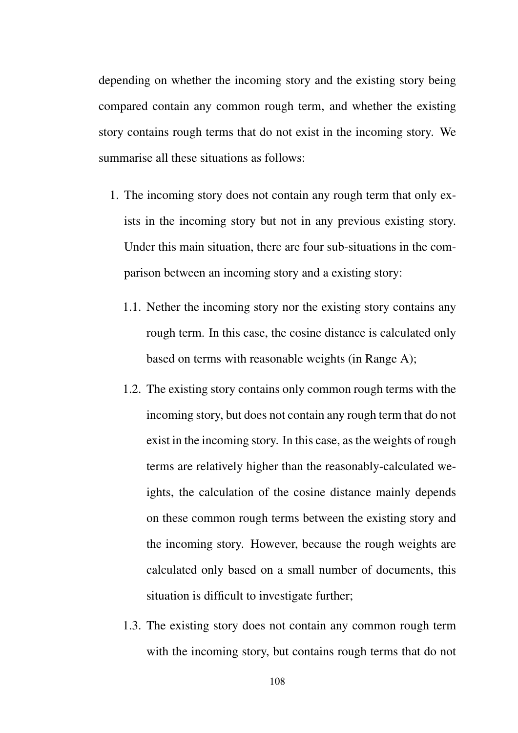depending on whether the incoming story and the existing story being compared contain any common rough term, and whether the existing story contains rough terms that do not exist in the incoming story. We summarise all these situations as follows:

- 1. The incoming story does not contain any rough term that only exists in the incoming story but not in any previous existing story. Under this main situation, there are four sub-situations in the comparison between an incoming story and a existing story:
	- 1.1. Nether the incoming story nor the existing story contains any rough term. In this case, the cosine distance is calculated only based on terms with reasonable weights (in Range A);
	- 1.2. The existing story contains only common rough terms with the incoming story, but does not contain any rough term that do not exist in the incoming story. In this case, as the weights of rough terms are relatively higher than the reasonably-calculated weights, the calculation of the cosine distance mainly depends on these common rough terms between the existing story and the incoming story. However, because the rough weights are calculated only based on a small number of documents, this situation is difficult to investigate further;
	- 1.3. The existing story does not contain any common rough term with the incoming story, but contains rough terms that do not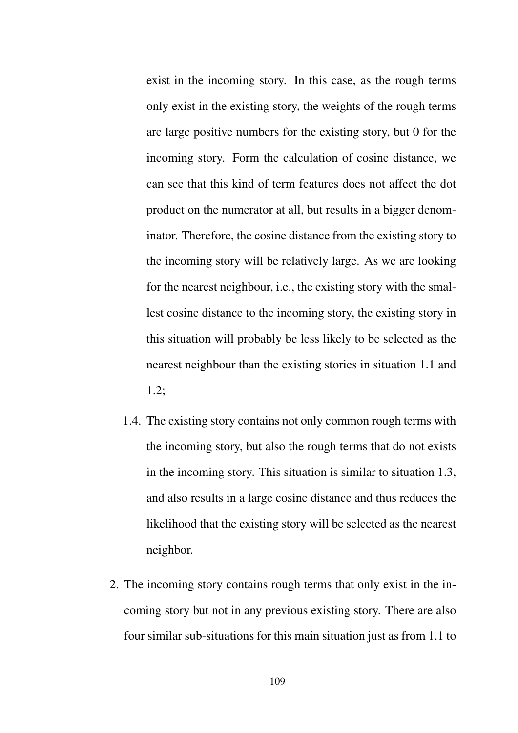exist in the incoming story. In this case, as the rough terms only exist in the existing story, the weights of the rough terms are large positive numbers for the existing story, but 0 for the incoming story. Form the calculation of cosine distance, we can see that this kind of term features does not affect the dot product on the numerator at all, but results in a bigger denominator. Therefore, the cosine distance from the existing story to the incoming story will be relatively large. As we are looking for the nearest neighbour, i.e., the existing story with the smallest cosine distance to the incoming story, the existing story in this situation will probably be less likely to be selected as the nearest neighbour than the existing stories in situation 1.1 and 1.2;

- 1.4. The existing story contains not only common rough terms with the incoming story, but also the rough terms that do not exists in the incoming story. This situation is similar to situation 1.3, and also results in a large cosine distance and thus reduces the likelihood that the existing story will be selected as the nearest neighbor.
- 2. The incoming story contains rough terms that only exist in the incoming story but not in any previous existing story. There are also four similar sub-situations for this main situation just as from 1.1 to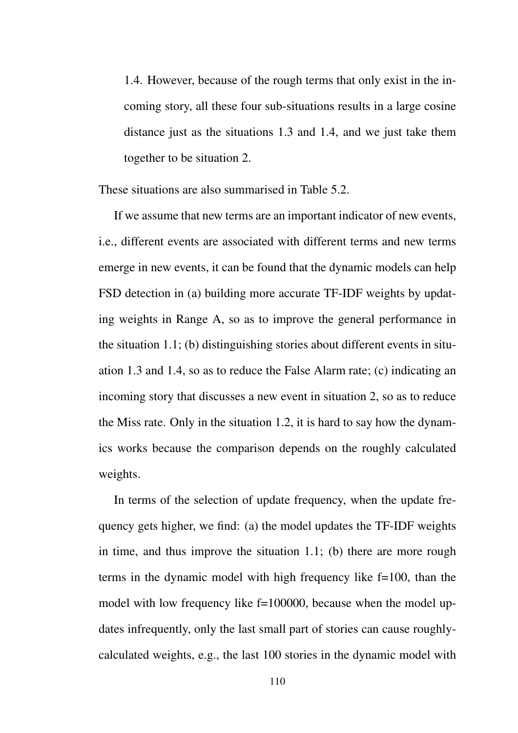1.4. However, because of the rough terms that only exist in the incoming story, all these four sub-situations results in a large cosine distance just as the situations 1.3 and 1.4, and we just take them together to be situation 2.

These situations are also summarised in Table 5.2.

If we assume that new terms are an important indicator of new events, i.e., different events are associated with different terms and new terms emerge in new events, it can be found that the dynamic models can help FSD detection in (a) building more accurate TF-IDF weights by updating weights in Range A, so as to improve the general performance in the situation 1.1; (b) distinguishing stories about different events in situation 1.3 and 1.4, so as to reduce the False Alarm rate; (c) indicating an incoming story that discusses a new event in situation 2, so as to reduce the Miss rate. Only in the situation 1.2, it is hard to say how the dynamics works because the comparison depends on the roughly calculated weights.

In terms of the selection of update frequency, when the update frequency gets higher, we find: (a) the model updates the TF-IDF weights in time, and thus improve the situation 1.1; (b) there are more rough terms in the dynamic model with high frequency like f=100, than the model with low frequency like f=100000, because when the model updates infrequently, only the last small part of stories can cause roughlycalculated weights, e.g., the last 100 stories in the dynamic model with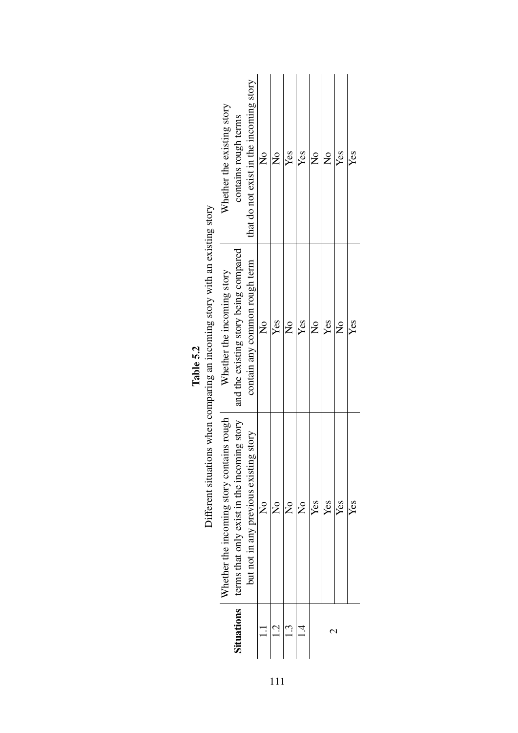|                                                                              | Whether the existing story                | contains rough terms                        | that do not exist in the incoming story | $\frac{1}{2}$ | $\overline{\mathsf{z}}$ | Yes           | Yes           | $\frac{1}{2}$ | $\overline{\mathsf{S}}$ | Yes            | Yes |
|------------------------------------------------------------------------------|-------------------------------------------|---------------------------------------------|-----------------------------------------|---------------|-------------------------|---------------|---------------|---------------|-------------------------|----------------|-----|
| Different situations when comparing an incoming story with an existing story | Whether the incoming story                | and the existing story being compared       | contain any common rough term           | $\frac{1}{2}$ | Yes                     | $\frac{1}{2}$ | Yes           | $\frac{1}{2}$ | Yes                     | $\overline{R}$ | Yes |
|                                                                              | Whether the incoming story contains rough | terms that only exist in the incoming story | but not in any previous existing story  | $\frac{1}{2}$ | $\frac{1}{2}$           | $\frac{1}{2}$ | $\frac{1}{2}$ | Yes           | Yes                     | Yes            | Yes |
|                                                                              |                                           | Situations                                  |                                         |               | $\vec{c}$               |               |               |               | r                       | ⇃              |     |

| Table 5.2 |  |
|-----------|--|
|           |  |
|           |  |
|           |  |

111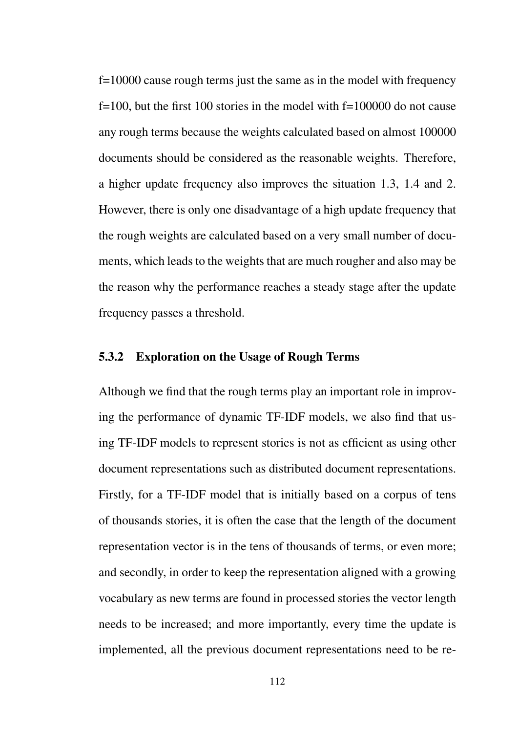f=10000 cause rough terms just the same as in the model with frequency f=100, but the first 100 stories in the model with f=100000 do not cause any rough terms because the weights calculated based on almost 100000 documents should be considered as the reasonable weights. Therefore, a higher update frequency also improves the situation 1.3, 1.4 and 2. However, there is only one disadvantage of a high update frequency that the rough weights are calculated based on a very small number of documents, which leads to the weights that are much rougher and also may be the reason why the performance reaches a steady stage after the update frequency passes a threshold.

### 5.3.2 Exploration on the Usage of Rough Terms

Although we find that the rough terms play an important role in improving the performance of dynamic TF-IDF models, we also find that using TF-IDF models to represent stories is not as efficient as using other document representations such as distributed document representations. Firstly, for a TF-IDF model that is initially based on a corpus of tens of thousands stories, it is often the case that the length of the document representation vector is in the tens of thousands of terms, or even more; and secondly, in order to keep the representation aligned with a growing vocabulary as new terms are found in processed stories the vector length needs to be increased; and more importantly, every time the update is implemented, all the previous document representations need to be re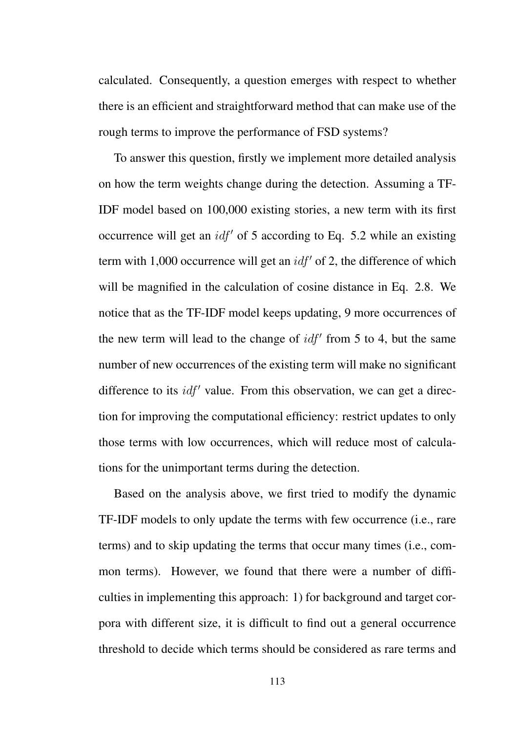calculated. Consequently, a question emerges with respect to whether there is an efficient and straightforward method that can make use of the rough terms to improve the performance of FSD systems?

To answer this question, firstly we implement more detailed analysis on how the term weights change during the detection. Assuming a TF-IDF model based on 100,000 existing stories, a new term with its first occurrence will get an *idf'* of 5 according to Eq. 5.2 while an existing term with 1,000 occurrence will get an  $idf'$  of 2, the difference of which will be magnified in the calculation of cosine distance in Eq. 2.8. We notice that as the TF-IDF model keeps updating, 9 more occurrences of the new term will lead to the change of  $\text{id}f'$  from 5 to 4, but the same number of new occurrences of the existing term will make no significant difference to its *idf'* value. From this observation, we can get a direction for improving the computational efficiency: restrict updates to only those terms with low occurrences, which will reduce most of calculations for the unimportant terms during the detection.

Based on the analysis above, we first tried to modify the dynamic TF-IDF models to only update the terms with few occurrence (i.e., rare terms) and to skip updating the terms that occur many times (i.e., common terms). However, we found that there were a number of difficulties in implementing this approach: 1) for background and target corpora with different size, it is difficult to find out a general occurrence threshold to decide which terms should be considered as rare terms and

113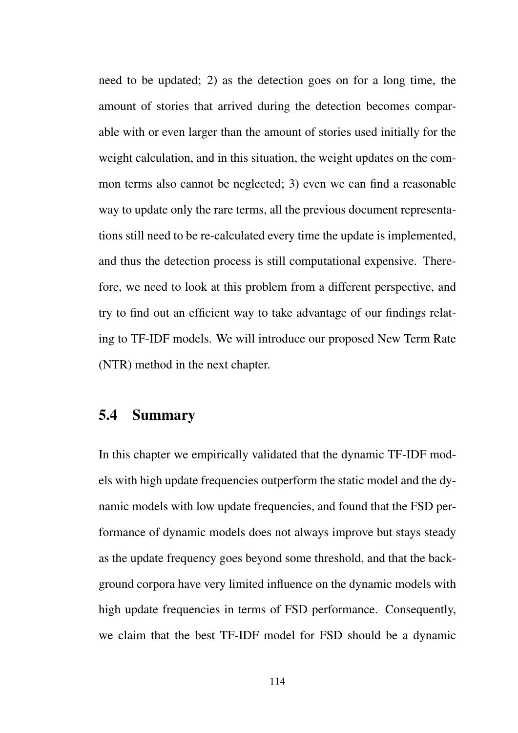need to be updated; 2) as the detection goes on for a long time, the amount of stories that arrived during the detection becomes comparable with or even larger than the amount of stories used initially for the weight calculation, and in this situation, the weight updates on the common terms also cannot be neglected; 3) even we can find a reasonable way to update only the rare terms, all the previous document representations still need to be re-calculated every time the update is implemented, and thus the detection process is still computational expensive. Therefore, we need to look at this problem from a different perspective, and try to find out an efficient way to take advantage of our findings relating to TF-IDF models. We will introduce our proposed New Term Rate (NTR) method in the next chapter.

## 5.4 Summary

In this chapter we empirically validated that the dynamic TF-IDF models with high update frequencies outperform the static model and the dynamic models with low update frequencies, and found that the FSD performance of dynamic models does not always improve but stays steady as the update frequency goes beyond some threshold, and that the background corpora have very limited influence on the dynamic models with high update frequencies in terms of FSD performance. Consequently, we claim that the best TF-IDF model for FSD should be a dynamic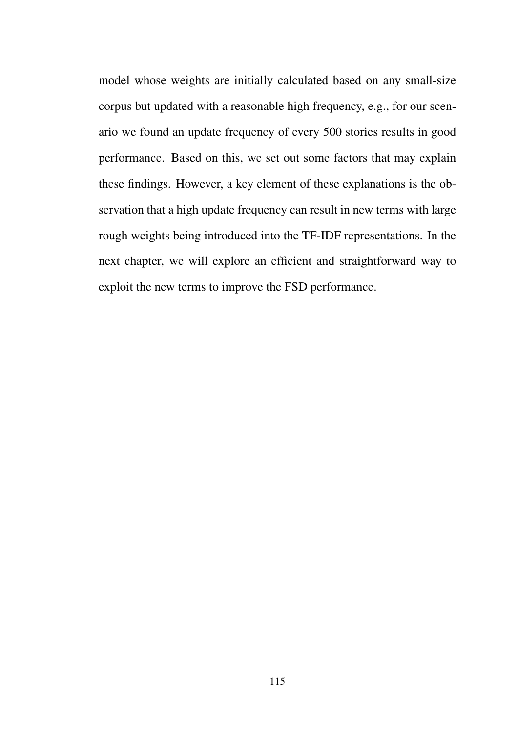model whose weights are initially calculated based on any small-size corpus but updated with a reasonable high frequency, e.g., for our scenario we found an update frequency of every 500 stories results in good performance. Based on this, we set out some factors that may explain these findings. However, a key element of these explanations is the observation that a high update frequency can result in new terms with large rough weights being introduced into the TF-IDF representations. In the next chapter, we will explore an efficient and straightforward way to exploit the new terms to improve the FSD performance.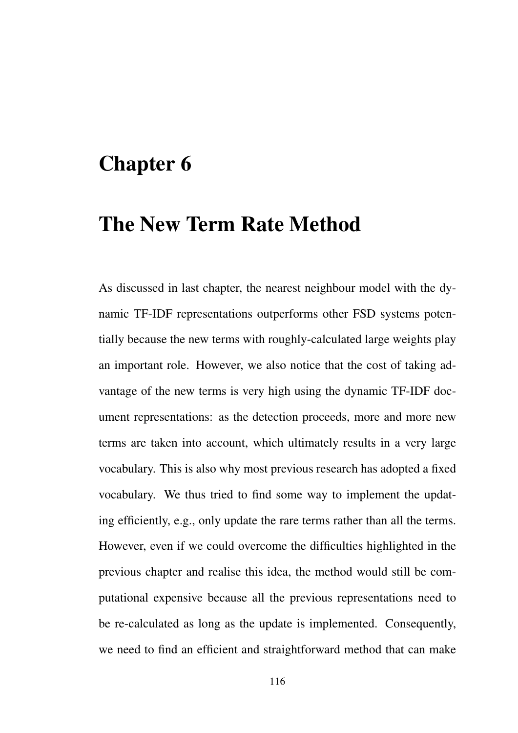# Chapter 6

# The New Term Rate Method

As discussed in last chapter, the nearest neighbour model with the dynamic TF-IDF representations outperforms other FSD systems potentially because the new terms with roughly-calculated large weights play an important role. However, we also notice that the cost of taking advantage of the new terms is very high using the dynamic TF-IDF document representations: as the detection proceeds, more and more new terms are taken into account, which ultimately results in a very large vocabulary. This is also why most previous research has adopted a fixed vocabulary. We thus tried to find some way to implement the updating efficiently, e.g., only update the rare terms rather than all the terms. However, even if we could overcome the difficulties highlighted in the previous chapter and realise this idea, the method would still be computational expensive because all the previous representations need to be re-calculated as long as the update is implemented. Consequently, we need to find an efficient and straightforward method that can make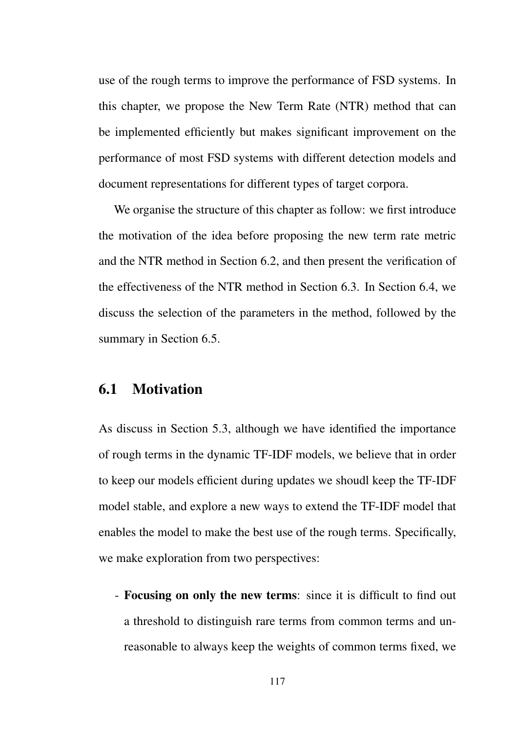use of the rough terms to improve the performance of FSD systems. In this chapter, we propose the New Term Rate (NTR) method that can be implemented efficiently but makes significant improvement on the performance of most FSD systems with different detection models and document representations for different types of target corpora.

We organise the structure of this chapter as follow: we first introduce the motivation of the idea before proposing the new term rate metric and the NTR method in Section 6.2, and then present the verification of the effectiveness of the NTR method in Section 6.3. In Section 6.4, we discuss the selection of the parameters in the method, followed by the summary in Section 6.5.

# 6.1 Motivation

As discuss in Section 5.3, although we have identified the importance of rough terms in the dynamic TF-IDF models, we believe that in order to keep our models efficient during updates we shoudl keep the TF-IDF model stable, and explore a new ways to extend the TF-IDF model that enables the model to make the best use of the rough terms. Specifically, we make exploration from two perspectives:

- Focusing on only the new terms: since it is difficult to find out a threshold to distinguish rare terms from common terms and unreasonable to always keep the weights of common terms fixed, we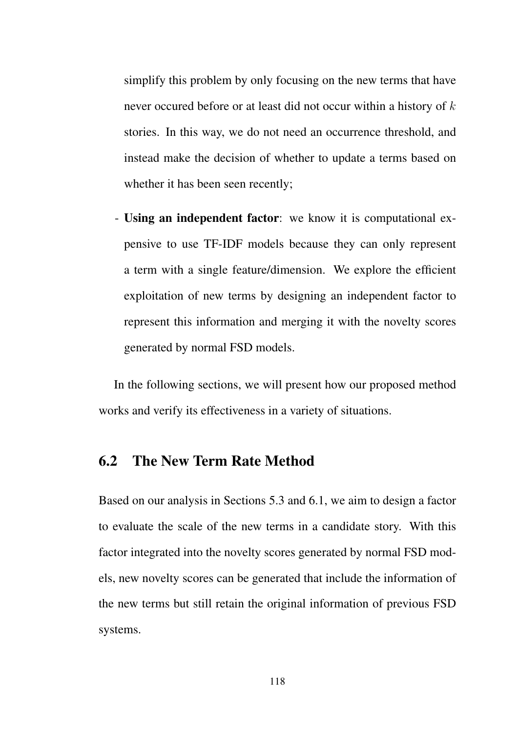simplify this problem by only focusing on the new terms that have never occured before or at least did not occur within a history of *k* stories. In this way, we do not need an occurrence threshold, and instead make the decision of whether to update a terms based on whether it has been seen recently;

- Using an independent factor: we know it is computational expensive to use TF-IDF models because they can only represent a term with a single feature/dimension. We explore the efficient exploitation of new terms by designing an independent factor to represent this information and merging it with the novelty scores generated by normal FSD models.

In the following sections, we will present how our proposed method works and verify its effectiveness in a variety of situations.

### 6.2 The New Term Rate Method

Based on our analysis in Sections 5.3 and 6.1, we aim to design a factor to evaluate the scale of the new terms in a candidate story. With this factor integrated into the novelty scores generated by normal FSD models, new novelty scores can be generated that include the information of the new terms but still retain the original information of previous FSD systems.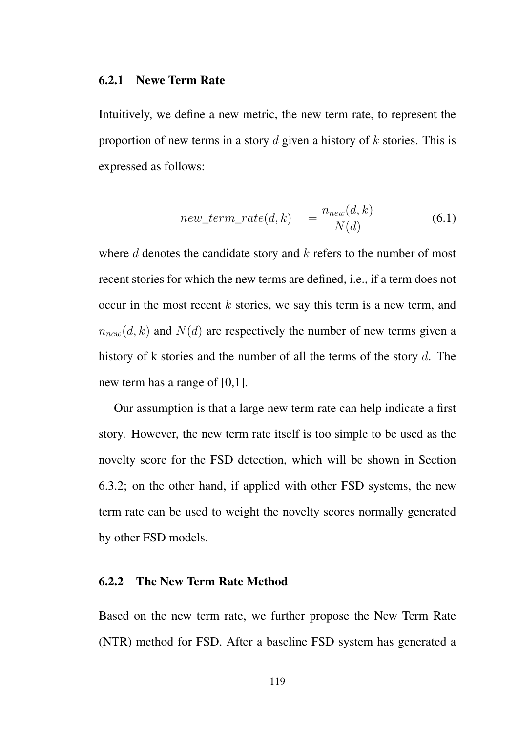#### 6.2.1 Newe Term Rate

Intuitively, we define a new metric, the new term rate, to represent the proportion of new terms in a story *d* given a history of *k* stories. This is expressed as follows:

$$
new\_term\_rate(d, k) = \frac{n_{new}(d, k)}{N(d)} \tag{6.1}
$$

where *d* denotes the candidate story and *k* refers to the number of most recent stories for which the new terms are defined, i.e., if a term does not occur in the most recent *k* stories, we say this term is a new term, and  $n_{new}(d, k)$  and  $N(d)$  are respectively the number of new terms given a history of k stories and the number of all the terms of the story *d*. The new term has a range of [0,1].

Our assumption is that a large new term rate can help indicate a first story. However, the new term rate itself is too simple to be used as the novelty score for the FSD detection, which will be shown in Section 6.3.2; on the other hand, if applied with other FSD systems, the new term rate can be used to weight the novelty scores normally generated by other FSD models.

### 6.2.2 The New Term Rate Method

Based on the new term rate, we further propose the New Term Rate (NTR) method for FSD. After a baseline FSD system has generated a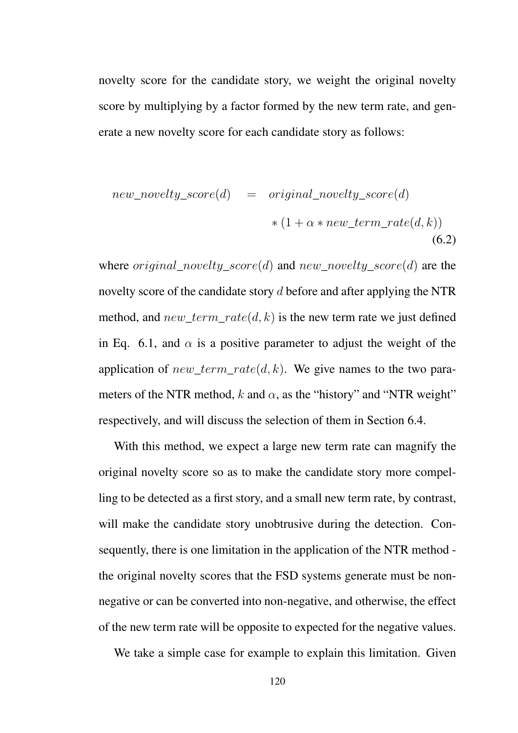novelty score for the candidate story, we weight the original novelty score by multiplying by a factor formed by the new term rate, and generate a new novelty score for each candidate story as follows:

new\_novelty\_score(d) = original\_novelty\_score(d)  
\n
$$
*(1 + \alpha * new\_term_rate(d, k))
$$
\n(6.2)

where *original*\_*novelty*\_*score*(*d*) and *new*\_*novelty*\_*score*(*d*) are the novelty score of the candidate story *d* before and after applying the NTR method, and *new*\_*term*\_*rate*(*d, k*) is the new term rate we just defined in Eq. 6.1, and  $\alpha$  is a positive parameter to adjust the weight of the application of *new*\_*term*\_*rate*(*d, k*). We give names to the two parameters of the NTR method,  $k$  and  $\alpha$ , as the "history" and "NTR weight" respectively, and will discuss the selection of them in Section 6.4.

With this method, we expect a large new term rate can magnify the original novelty score so as to make the candidate story more compelling to be detected as a first story, and a small new term rate, by contrast, will make the candidate story unobtrusive during the detection. Consequently, there is one limitation in the application of the NTR method the original novelty scores that the FSD systems generate must be nonnegative or can be converted into non-negative, and otherwise, the effect of the new term rate will be opposite to expected for the negative values.

We take a simple case for example to explain this limitation. Given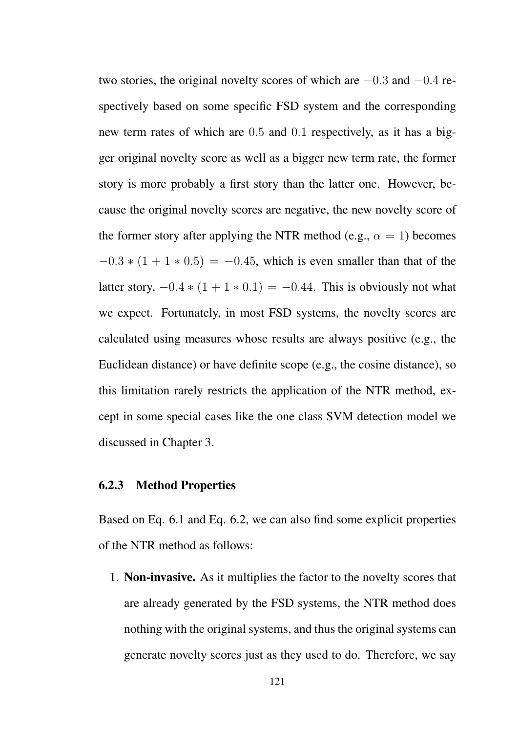two stories, the original novelty scores of which are −0*.*3 and −0*.*4 respectively based on some specific FSD system and the corresponding new term rates of which are 0*.*5 and 0*.*1 respectively, as it has a bigger original novelty score as well as a bigger new term rate, the former story is more probably a first story than the latter one. However, because the original novelty scores are negative, the new novelty score of the former story after applying the NTR method (e.g.,  $\alpha = 1$ ) becomes  $-0.3 * (1 + 1 * 0.5) = -0.45$ , which is even smaller than that of the latter story,  $-0.4 * (1 + 1 * 0.1) = -0.44$ . This is obviously not what we expect. Fortunately, in most FSD systems, the novelty scores are calculated using measures whose results are always positive (e.g., the Euclidean distance) or have definite scope (e.g., the cosine distance), so this limitation rarely restricts the application of the NTR method, except in some special cases like the one class SVM detection model we discussed in Chapter 3.

### 6.2.3 Method Properties

Based on Eq. 6.1 and Eq. 6.2, we can also find some explicit properties of the NTR method as follows:

1. Non-invasive. As it multiplies the factor to the novelty scores that are already generated by the FSD systems, the NTR method does nothing with the original systems, and thus the original systems can generate novelty scores just as they used to do. Therefore, we say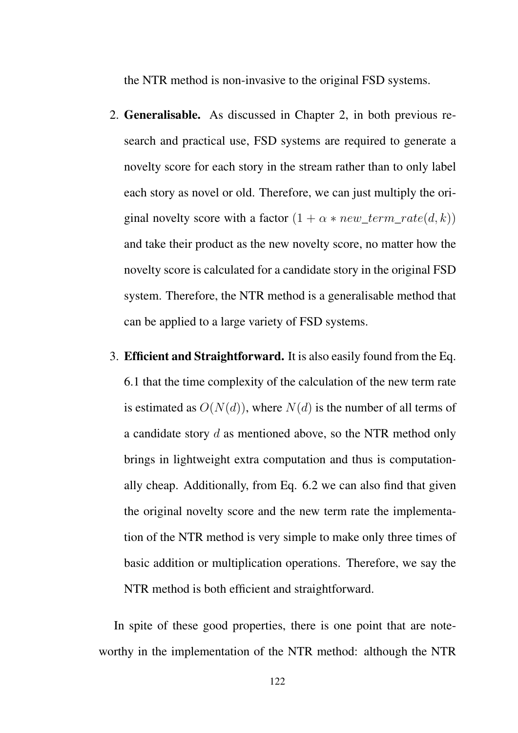the NTR method is non-invasive to the original FSD systems.

- 2. Generalisable. As discussed in Chapter 2, in both previous research and practical use, FSD systems are required to generate a novelty score for each story in the stream rather than to only label each story as novel or old. Therefore, we can just multiply the original novelty score with a factor  $(1 + \alpha * new\_term\_rate(d, k))$ and take their product as the new novelty score, no matter how the novelty score is calculated for a candidate story in the original FSD system. Therefore, the NTR method is a generalisable method that can be applied to a large variety of FSD systems.
- 3. Efficient and Straightforward. It is also easily found from the Eq. 6.1 that the time complexity of the calculation of the new term rate is estimated as  $O(N(d))$ , where  $N(d)$  is the number of all terms of a candidate story *d* as mentioned above, so the NTR method only brings in lightweight extra computation and thus is computationally cheap. Additionally, from Eq. 6.2 we can also find that given the original novelty score and the new term rate the implementation of the NTR method is very simple to make only three times of basic addition or multiplication operations. Therefore, we say the NTR method is both efficient and straightforward.

In spite of these good properties, there is one point that are noteworthy in the implementation of the NTR method: although the NTR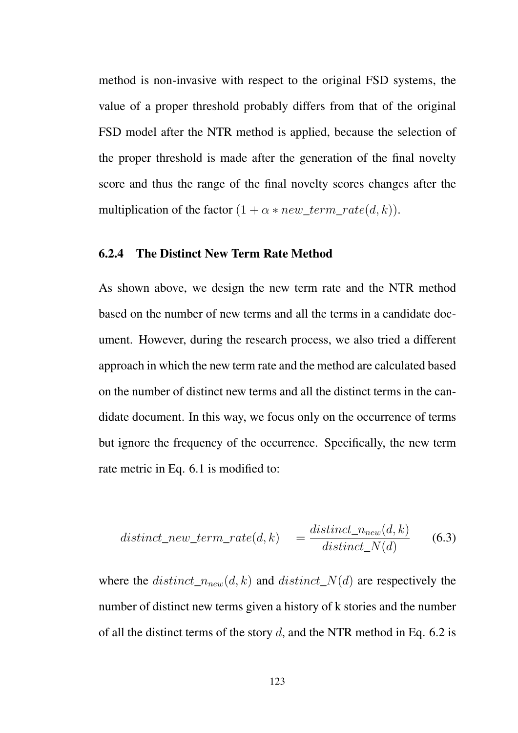method is non-invasive with respect to the original FSD systems, the value of a proper threshold probably differs from that of the original FSD model after the NTR method is applied, because the selection of the proper threshold is made after the generation of the final novelty score and thus the range of the final novelty scores changes after the multiplication of the factor  $(1 + \alpha * new\_term\_rate(d, k))$ .

### 6.2.4 The Distinct New Term Rate Method

As shown above, we design the new term rate and the NTR method based on the number of new terms and all the terms in a candidate document. However, during the research process, we also tried a different approach in which the new term rate and the method are calculated based on the number of distinct new terms and all the distinct terms in the candidate document. In this way, we focus only on the occurrence of terms but ignore the frequency of the occurrence. Specifically, the new term rate metric in Eq. 6.1 is modified to:

$$
distinct\_new\_term\_rate(d,k) = \frac{distinct\_n_{new}(d,k)}{distinct\_N(d)} \qquad (6.3)
$$

where the  $distinct\_n_{new}(d, k)$  and  $distinct\_N(d)$  are respectively the number of distinct new terms given a history of k stories and the number of all the distinct terms of the story *d*, and the NTR method in Eq. 6.2 is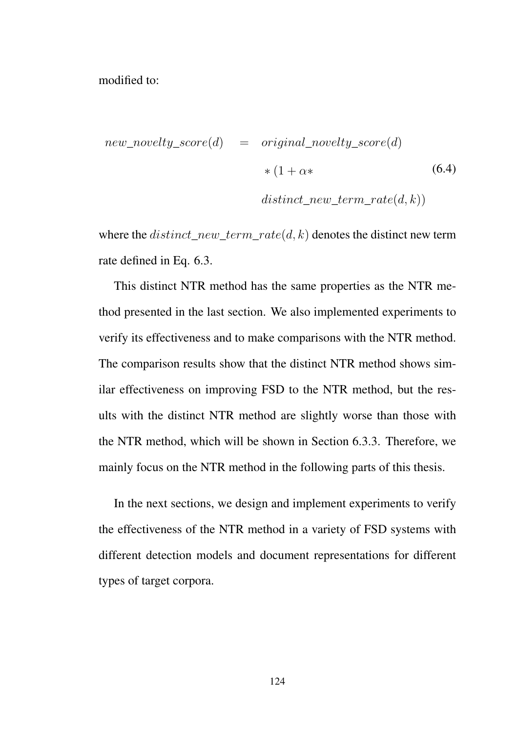modified to:

$$
new\_novelty\_score(d) = original\_novelty\_score(d)
$$
  
\n
$$
*(1 + \alpha *)
$$
  
\n
$$
distinct\_new\_term\_rate(d, k))
$$
\n(6.4)

where the *distinct*\_*new*\_*term*\_*rate*(*d, k*) denotes the distinct new term rate defined in Eq. 6.3.

This distinct NTR method has the same properties as the NTR method presented in the last section. We also implemented experiments to verify its effectiveness and to make comparisons with the NTR method. The comparison results show that the distinct NTR method shows similar effectiveness on improving FSD to the NTR method, but the results with the distinct NTR method are slightly worse than those with the NTR method, which will be shown in Section 6.3.3. Therefore, we mainly focus on the NTR method in the following parts of this thesis.

In the next sections, we design and implement experiments to verify the effectiveness of the NTR method in a variety of FSD systems with different detection models and document representations for different types of target corpora.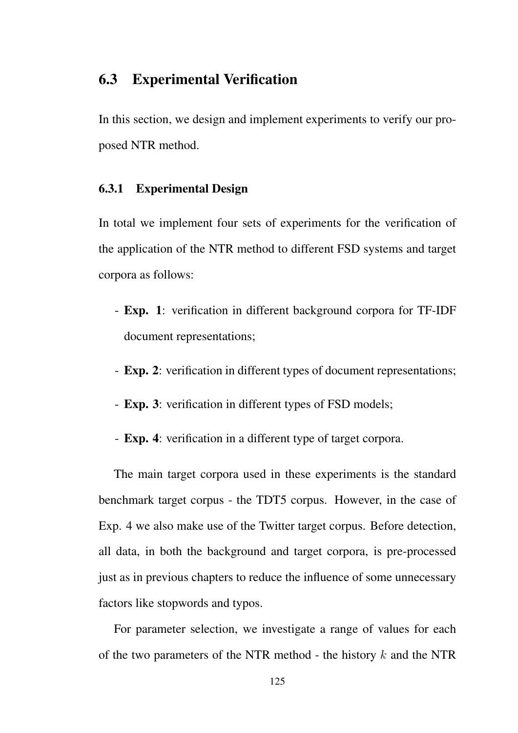# 6.3 Experimental Verification

In this section, we design and implement experiments to verify our proposed NTR method.

### 6.3.1 Experimental Design

In total we implement four sets of experiments for the verification of the application of the NTR method to different FSD systems and target corpora as follows:

- Exp. 1: verification in different background corpora for TF-IDF document representations;
- Exp. 2: verification in different types of document representations;
- Exp. 3: verification in different types of FSD models;
- Exp. 4: verification in a different type of target corpora.

The main target corpora used in these experiments is the standard benchmark target corpus - the TDT5 corpus. However, in the case of Exp. 4 we also make use of the Twitter target corpus. Before detection, all data, in both the background and target corpora, is pre-processed just as in previous chapters to reduce the influence of some unnecessary factors like stopwords and typos.

For parameter selection, we investigate a range of values for each of the two parameters of the NTR method - the history *k* and the NTR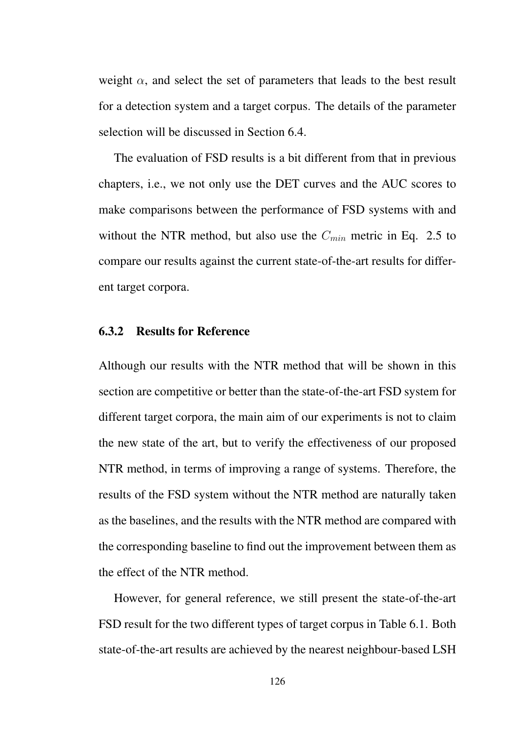weight  $\alpha$ , and select the set of parameters that leads to the best result for a detection system and a target corpus. The details of the parameter selection will be discussed in Section 6.4.

The evaluation of FSD results is a bit different from that in previous chapters, i.e., we not only use the DET curves and the AUC scores to make comparisons between the performance of FSD systems with and without the NTR method, but also use the *Cmin* metric in Eq. 2.5 to compare our results against the current state-of-the-art results for different target corpora.

### 6.3.2 Results for Reference

Although our results with the NTR method that will be shown in this section are competitive or better than the state-of-the-art FSD system for different target corpora, the main aim of our experiments is not to claim the new state of the art, but to verify the effectiveness of our proposed NTR method, in terms of improving a range of systems. Therefore, the results of the FSD system without the NTR method are naturally taken as the baselines, and the results with the NTR method are compared with the corresponding baseline to find out the improvement between them as the effect of the NTR method.

However, for general reference, we still present the state-of-the-art FSD result for the two different types of target corpus in Table 6.1. Both state-of-the-art results are achieved by the nearest neighbour-based LSH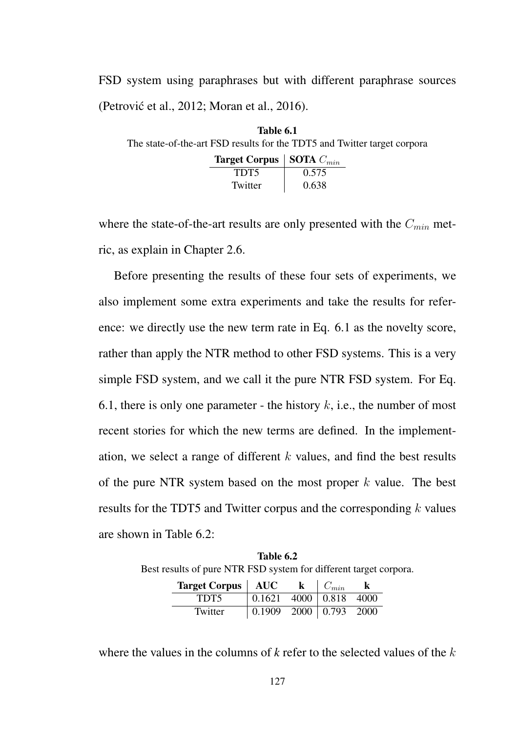FSD system using paraphrases but with different paraphrase sources (Petrović et al., 2012; Moran et al., 2016).

| Table 6.1                                                                |                                              |       |  |  |  |  |  |  |
|--------------------------------------------------------------------------|----------------------------------------------|-------|--|--|--|--|--|--|
| The state-of-the-art FSD results for the TDT5 and Twitter target corpora |                                              |       |  |  |  |  |  |  |
|                                                                          | <b>Target Corpus</b>   <b>SOTA</b> $C_{min}$ |       |  |  |  |  |  |  |
|                                                                          | TDT5                                         | 0.575 |  |  |  |  |  |  |
|                                                                          | Twitter                                      | 0.638 |  |  |  |  |  |  |

where the state-of-the-art results are only presented with the *Cmin* metric, as explain in Chapter 2.6.

Before presenting the results of these four sets of experiments, we also implement some extra experiments and take the results for reference: we directly use the new term rate in Eq. 6.1 as the novelty score, rather than apply the NTR method to other FSD systems. This is a very simple FSD system, and we call it the pure NTR FSD system. For Eq. 6.1, there is only one parameter - the history  $k$ , i.e., the number of most recent stories for which the new terms are defined. In the implementation, we select a range of different *k* values, and find the best results of the pure NTR system based on the most proper *k* value. The best results for the TDT5 and Twitter corpus and the corresponding *k* values are shown in Table 6.2:

Table 6.2 Best results of pure NTR FSD system for different target corpora.

| <b>Target Corpus</b>   AUC |                            | $\bf k$ | $C_{min}$ | K |
|----------------------------|----------------------------|---------|-----------|---|
| TDT5                       | $0.1621$ 4000   0.818 4000 |         |           |   |
| Twitter                    | $0.1909$ 2000 0.793 2000   |         |           |   |

where the values in the columns of *k* refer to the selected values of the *k*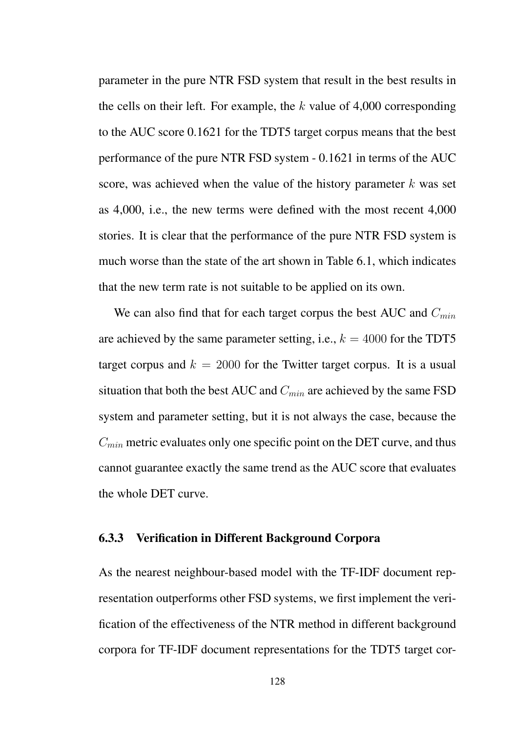parameter in the pure NTR FSD system that result in the best results in the cells on their left. For example, the *k* value of 4,000 corresponding to the AUC score 0.1621 for the TDT5 target corpus means that the best performance of the pure NTR FSD system - 0.1621 in terms of the AUC score, was achieved when the value of the history parameter *k* was set as 4,000, i.e., the new terms were defined with the most recent 4,000 stories. It is clear that the performance of the pure NTR FSD system is much worse than the state of the art shown in Table 6.1, which indicates that the new term rate is not suitable to be applied on its own.

We can also find that for each target corpus the best AUC and *Cmin* are achieved by the same parameter setting, i.e.,  $k = 4000$  for the TDT5 target corpus and  $k = 2000$  for the Twitter target corpus. It is a usual situation that both the best AUC and *Cmin* are achieved by the same FSD system and parameter setting, but it is not always the case, because the *Cmin* metric evaluates only one specific point on the DET curve, and thus cannot guarantee exactly the same trend as the AUC score that evaluates the whole DET curve.

#### 6.3.3 Verification in Different Background Corpora

As the nearest neighbour-based model with the TF-IDF document representation outperforms other FSD systems, we first implement the verification of the effectiveness of the NTR method in different background corpora for TF-IDF document representations for the TDT5 target cor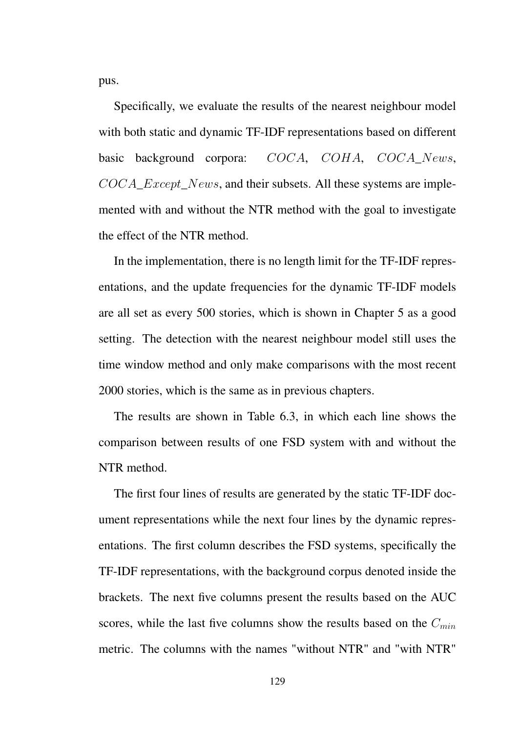pus.

Specifically, we evaluate the results of the nearest neighbour model with both static and dynamic TF-IDF representations based on different basic background corpora: *COCA*, *COHA*, *COCA*\_*News*, *COCA*\_*Except*\_*News*, and their subsets. All these systems are implemented with and without the NTR method with the goal to investigate the effect of the NTR method.

In the implementation, there is no length limit for the TF-IDF representations, and the update frequencies for the dynamic TF-IDF models are all set as every 500 stories, which is shown in Chapter 5 as a good setting. The detection with the nearest neighbour model still uses the time window method and only make comparisons with the most recent 2000 stories, which is the same as in previous chapters.

The results are shown in Table 6.3, in which each line shows the comparison between results of one FSD system with and without the NTR method.

The first four lines of results are generated by the static TF-IDF document representations while the next four lines by the dynamic representations. The first column describes the FSD systems, specifically the TF-IDF representations, with the background corpus denoted inside the brackets. The next five columns present the results based on the AUC scores, while the last five columns show the results based on the *Cmin* metric. The columns with the names "without NTR" and "with NTR"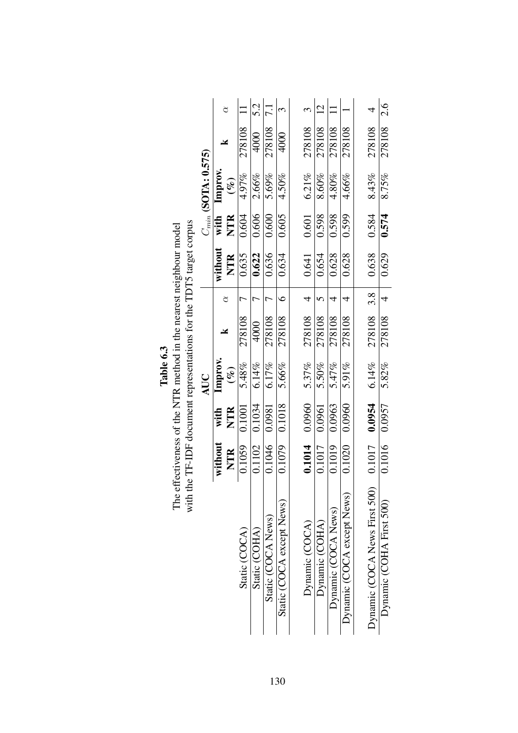|                               |            |            | AUC    |            |   |            |            | $C_{min}$ (SOTA: 0.575) |            |                |
|-------------------------------|------------|------------|--------|------------|---|------------|------------|-------------------------|------------|----------------|
|                               | without    | with       | Improv |            |   | without    |            | with Improv.            |            |                |
|                               | <b>NTR</b> | <b>NTR</b> | $(\%)$ | ¥          |   | <b>NTR</b> | <b>NTR</b> | $(\%)$                  |            |                |
| Static (COCA)                 | 0.1059     | 0.1001     | 5.48%  | 278108     |   | 0.635      | 0.604      | 4.97%                   | 278108     |                |
| Static (COHA)                 | 0.1102     | 0.1034     | 6.14%  | 4000       |   | 0.622      | 0.606      | 2.66%                   | 4000       | 5.2            |
| Static (COCA News)            | 0.1046     | 0.0981     | 6.17%  | 278108     |   | 0.636      | 0.600      | 5.69%                   | 278108 7.1 |                |
| Static (COCA except News)     | 0.1079     | 0.1018     | 5.66%  | 278108     | ७ | 0.634      | 0.605      | 4.50%                   | 4000       | $\mathfrak{c}$ |
|                               |            |            |        |            |   |            |            |                         |            |                |
| Dynamic (COCA)                | 0.1014     | 0.0960     | 5.37%  | 278108     |   | 0.641      | 0.601      | $6.21\%$                | 278108     |                |
| Dynamic (COHA)                | 0.1017     | 0.0961     | 5.50%  | 278108     |   | 0.654      | 0.598      | 8.60%                   | 278108     | $\overline{C}$ |
| Dynamic (COCA News)           | 0.1019     | 0.0963     | 5.47%  | 278108     |   | 0.628      | 0.598      | 4.80%                   | 278108     |                |
| Dynamic (COCA except News)    | 0.1020     | 0.0960     | 5.91%  | 278108     |   | 0.628      | 0.599      | 4.66%                   | 278108     |                |
|                               |            |            |        |            |   |            |            |                         |            |                |
| Dynamic (COCA News First 500) | 0.1017     | 0.0954     | 6.14%  | 278108 3.8 |   | 0.638      | 0.584      | 8.43%                   | 278108     |                |
| Dynamic (COHA First 500)      | 0.1016     | 0.0957     | 5.82%  | 278108     |   | 0.629      | 0.574      | 8.75%                   | 278108     | 2.6            |

The effectiveness of the NTR method in the nearest neighbour model<br>with the TF-IDF document representations for the TDT5 target corpus The effectiveness of the NTR method in the nearest neighbour model

with the TF-IDF document representations for the TDT5 target corpus

130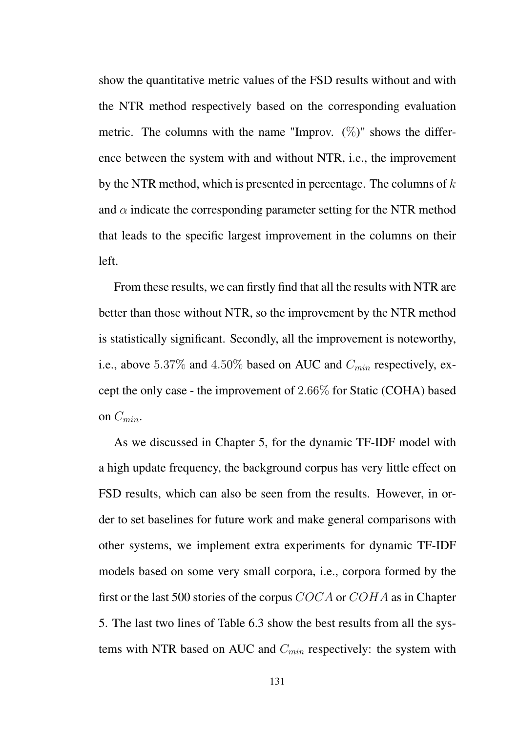show the quantitative metric values of the FSD results without and with the NTR method respectively based on the corresponding evaluation metric. The columns with the name "Improv.  $(\%)$ " shows the difference between the system with and without NTR, i.e., the improvement by the NTR method, which is presented in percentage. The columns of *k* and  $\alpha$  indicate the corresponding parameter setting for the NTR method that leads to the specific largest improvement in the columns on their left.

From these results, we can firstly find that all the results with NTR are better than those without NTR, so the improvement by the NTR method is statistically significant. Secondly, all the improvement is noteworthy, i.e., above 5*.*37% and 4*.*50% based on AUC and *Cmin* respectively, except the only case - the improvement of 2*.*66% for Static (COHA) based on *Cmin*.

As we discussed in Chapter 5, for the dynamic TF-IDF model with a high update frequency, the background corpus has very little effect on FSD results, which can also be seen from the results. However, in order to set baselines for future work and make general comparisons with other systems, we implement extra experiments for dynamic TF-IDF models based on some very small corpora, i.e., corpora formed by the first or the last 500 stories of the corpus *COCA* or *COHA* as in Chapter 5. The last two lines of Table 6.3 show the best results from all the systems with NTR based on AUC and *Cmin* respectively: the system with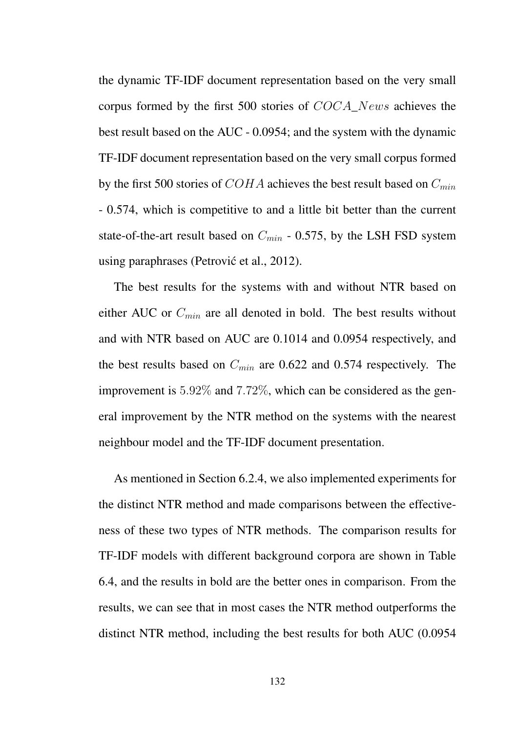the dynamic TF-IDF document representation based on the very small corpus formed by the first 500 stories of *COCA*\_*News* achieves the best result based on the AUC - 0.0954; and the system with the dynamic TF-IDF document representation based on the very small corpus formed by the first 500 stories of *COHA* achieves the best result based on *Cmin* - 0.574, which is competitive to and a little bit better than the current state-of-the-art result based on *Cmin* - 0.575, by the LSH FSD system using paraphrases (Petrović et al., 2012).

The best results for the systems with and without NTR based on either AUC or *Cmin* are all denoted in bold. The best results without and with NTR based on AUC are 0.1014 and 0.0954 respectively, and the best results based on *Cmin* are 0.622 and 0.574 respectively. The improvement is 5*.*92% and 7*.*72%, which can be considered as the general improvement by the NTR method on the systems with the nearest neighbour model and the TF-IDF document presentation.

As mentioned in Section 6.2.4, we also implemented experiments for the distinct NTR method and made comparisons between the effectiveness of these two types of NTR methods. The comparison results for TF-IDF models with different background corpora are shown in Table 6.4, and the results in bold are the better ones in comparison. From the results, we can see that in most cases the NTR method outperforms the distinct NTR method, including the best results for both AUC (0.0954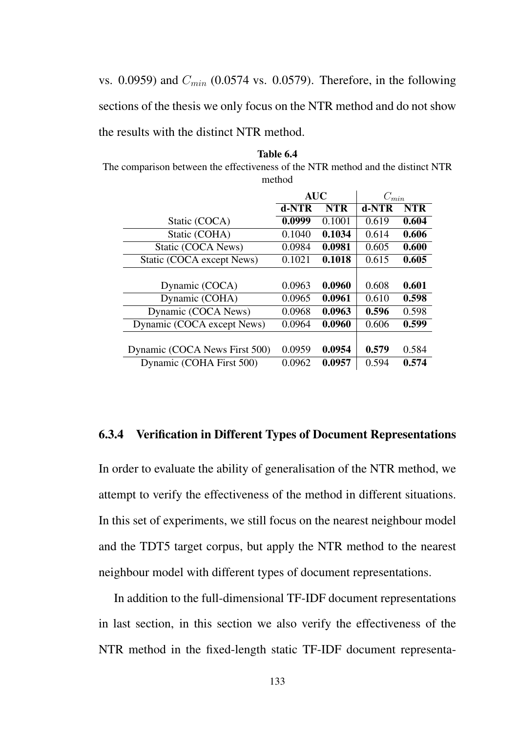vs. 0.0959) and *Cmin* (0.0574 vs. 0.0579). Therefore, in the following sections of the thesis we only focus on the NTR method and do not show the results with the distinct NTR method.

Table 6.4 The comparison between the effectiveness of the NTR method and the distinct NTR method

|                               | <b>AUC</b> |            | $C_{min}$ |            |  |  |
|-------------------------------|------------|------------|-----------|------------|--|--|
|                               | d-NTR      | <b>NTR</b> | d-NTR     | <b>NTR</b> |  |  |
| Static (COCA)                 | 0.0999     | 0.1001     | 0.619     | 0.604      |  |  |
| Static (COHA)                 | 0.1040     | 0.1034     | 0.614     | 0.606      |  |  |
| Static (COCA News)            | 0.0984     | 0.0981     | 0.605     | 0.600      |  |  |
| Static (COCA except News)     | 0.1021     | 0.1018     | 0.615     | 0.605      |  |  |
|                               |            |            |           |            |  |  |
| Dynamic (COCA)                | 0.0963     | 0.0960     | 0.608     | 0.601      |  |  |
| Dynamic (COHA)                | 0.0965     | 0.0961     | 0.610     | 0.598      |  |  |
| Dynamic (COCA News)           | 0.0968     | 0.0963     | 0.596     | 0.598      |  |  |
| Dynamic (COCA except News)    | 0.0964     | 0.0960     | 0.606     | 0.599      |  |  |
|                               |            |            |           |            |  |  |
| Dynamic (COCA News First 500) | 0.0959     | 0.0954     | 0.579     | 0.584      |  |  |
| Dynamic (COHA First 500)      | 0.0962     | 0.0957     | 0.594     | 0.574      |  |  |

### 6.3.4 Verification in Different Types of Document Representations

In order to evaluate the ability of generalisation of the NTR method, we attempt to verify the effectiveness of the method in different situations. In this set of experiments, we still focus on the nearest neighbour model and the TDT5 target corpus, but apply the NTR method to the nearest neighbour model with different types of document representations.

In addition to the full-dimensional TF-IDF document representations in last section, in this section we also verify the effectiveness of the NTR method in the fixed-length static TF-IDF document representa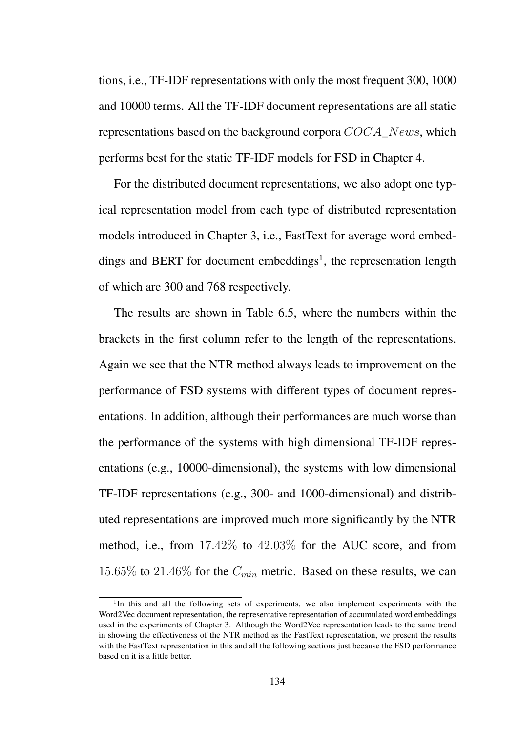tions, i.e., TF-IDF representations with only the most frequent 300, 1000 and 10000 terms. All the TF-IDF document representations are all static representations based on the background corpora *COCA*\_*News*, which performs best for the static TF-IDF models for FSD in Chapter 4.

For the distributed document representations, we also adopt one typical representation model from each type of distributed representation models introduced in Chapter 3, i.e., FastText for average word embeddings and BERT for document embeddings<sup>1</sup>, the representation length of which are 300 and 768 respectively.

The results are shown in Table 6.5, where the numbers within the brackets in the first column refer to the length of the representations. Again we see that the NTR method always leads to improvement on the performance of FSD systems with different types of document representations. In addition, although their performances are much worse than the performance of the systems with high dimensional TF-IDF representations (e.g., 10000-dimensional), the systems with low dimensional TF-IDF representations (e.g., 300- and 1000-dimensional) and distributed representations are improved much more significantly by the NTR method, i.e., from 17*.*42% to 42*.*03% for the AUC score, and from 15*.*65% to 21*.*46% for the *Cmin* metric. Based on these results, we can

<sup>&</sup>lt;sup>1</sup>In this and all the following sets of experiments, we also implement experiments with the Word2Vec document representation, the representative representation of accumulated word embeddings used in the experiments of Chapter 3. Although the Word2Vec representation leads to the same trend in showing the effectiveness of the NTR method as the FastText representation, we present the results with the FastText representation in this and all the following sections just because the FSD performance based on it is a little better.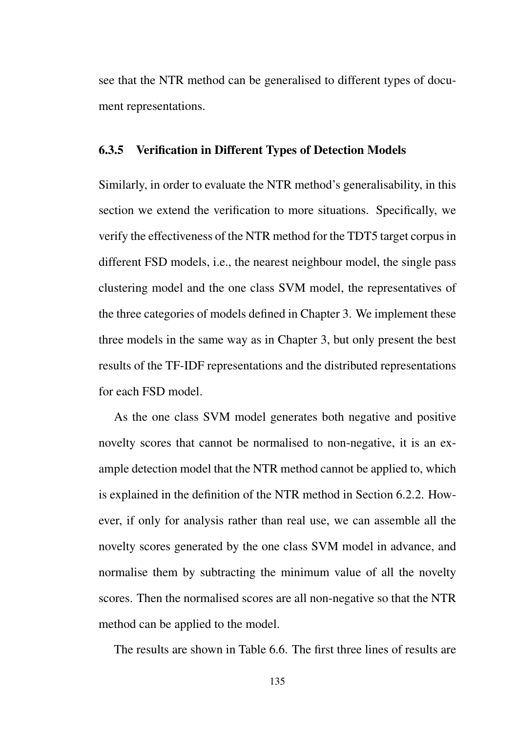see that the NTR method can be generalised to different types of document representations.

#### 6.3.5 Verification in Different Types of Detection Models

Similarly, in order to evaluate the NTR method's generalisability, in this section we extend the verification to more situations. Specifically, we verify the effectiveness of the NTR method for the TDT5 target corpus in different FSD models, i.e., the nearest neighbour model, the single pass clustering model and the one class SVM model, the representatives of the three categories of models defined in Chapter 3. We implement these three models in the same way as in Chapter 3, but only present the best results of the TF-IDF representations and the distributed representations for each FSD model.

As the one class SVM model generates both negative and positive novelty scores that cannot be normalised to non-negative, it is an example detection model that the NTR method cannot be applied to, which is explained in the definition of the NTR method in Section 6.2.2. However, if only for analysis rather than real use, we can assemble all the novelty scores generated by the one class SVM model in advance, and normalise them by subtracting the minimum value of all the novelty scores. Then the normalised scores are all non-negative so that the NTR method can be applied to the model.

The results are shown in Table 6.6. The first three lines of results are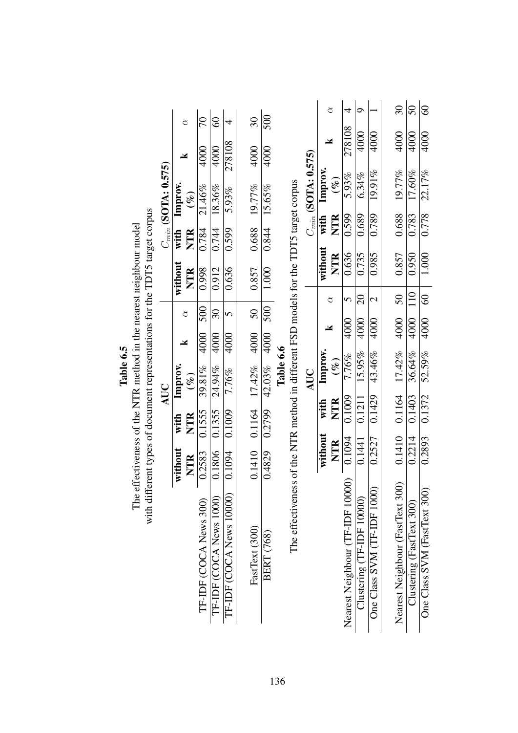|                         |                       |                        |                         |                          |                          |                  |           |                                                                                        |                         | ₫       |            | 4                                | ⌒                         |                             | $\overline{30}$                 | $\mathcal{S}$             | $\delta$                     |
|-------------------------|-----------------------|------------------------|-------------------------|--------------------------|--------------------------|------------------|-----------|----------------------------------------------------------------------------------------|-------------------------|---------|------------|----------------------------------|---------------------------|-----------------------------|---------------------------------|---------------------------|------------------------------|
|                         | ₫                     | 20                     | $^{\circ}$              |                          | $\overline{\mathcal{E}}$ | 500              |           |                                                                                        |                         | Y       |            | 278108                           | 4000                      | 4000                        | 4000                            | 4000                      | 4000                         |
|                         | ¥                     | 4000                   | 4000                    | 278108                   | 4000                     | 4000             |           |                                                                                        |                         |         |            |                                  |                           |                             |                                 |                           |                              |
| $C_{min}$ (SOTA: 0.575) | $(\%)$                | 21.46%                 | 18.36%                  | 5.93%                    |                          | 15.65%           |           |                                                                                        | $C_{min}$ (SOTA: 0.575) | Improv. | $(\%)$     | $5.93\%$                         | $6.34\%$                  | 19.91%                      | 19.77%                          | 17.60%                    | 22.17%                       |
|                         | Improv.               |                        |                         |                          |                          |                  |           |                                                                                        |                         | with    |            |                                  |                           | 0.789                       | 0.688                           | 0.783                     | 0.778                        |
|                         | with<br><b>NTR</b>    | 0.784                  | 0.744                   | 0.599                    | 0.688 19.77%             | 0.844            |           |                                                                                        |                         |         | <b>NTR</b> | 0.599                            | 0.689                     |                             |                                 |                           |                              |
|                         |                       |                        |                         |                          |                          |                  |           |                                                                                        |                         | without | <b>NTR</b> | 0.636                            | 0.735                     | 0.985                       | 0.857                           | 0.950                     | 1.000                        |
|                         | without<br>NTR        | 0.998                  | 0.912                   | 0.636                    | 0.857                    | 1.000            |           |                                                                                        |                         | ₫       |            | 5                                | $\Omega$                  | $\mathcal{C}$               | 50                              | $10\,$                    | $rac{1}{60}$                 |
|                         | $\alpha$              | 500                    | $\Im$                   | 5                        | 50                       | $\overline{500}$ |           |                                                                                        |                         |         |            |                                  |                           |                             |                                 |                           |                              |
| AUC                     | Χ                     | 4000                   | 4000                    | 4000                     |                          | 4000             |           |                                                                                        | AUC                     | X       |            | 4000                             | 4000                      | 4000                        | 4000                            | 4000                      | 4000                         |
|                         |                       |                        |                         |                          |                          |                  | Table 6.6 |                                                                                        |                         | Improv. | $(\%)$     | 7.76%                            | 15.95%                    | 43.46%                      | 17.42%                          | 36.64%                    | 52.59%                       |
|                         | Improv.<br>$(\%)$     | 39.81%                 | 24.94%                  | 7.76%                    | $0.1164$ $17.42\%$ 4000  | $42.03\%$        |           | The effectiveness of the NTR method in different FSD models for the TDT5 target corpus |                         |         |            |                                  |                           |                             |                                 |                           |                              |
|                         |                       |                        |                         |                          |                          |                  |           |                                                                                        |                         | with    | <b>NTR</b> | 0.1009                           | 0.1211                    | 0.1429                      | 0.1164                          | 0.1403                    | 0.1372                       |
|                         | <b>NTR</b><br>with    | 0.1555                 | 0.1355                  | 0.1009                   |                          | 0.2799           |           |                                                                                        |                         |         |            |                                  |                           |                             |                                 |                           |                              |
|                         |                       |                        |                         |                          | 0.1410                   |                  |           |                                                                                        |                         | without | <b>NTR</b> | 0.1094                           | 0.1441                    | 0.2527                      | 0.1410                          | 0.2214                    | 0.2893                       |
|                         | without<br><b>NTR</b> | 0.2583                 | 0.1806                  | 0.1094                   |                          | 0.4829           |           |                                                                                        |                         |         |            |                                  |                           |                             |                                 |                           |                              |
|                         |                       |                        |                         |                          |                          |                  |           |                                                                                        |                         |         |            |                                  |                           |                             |                                 |                           |                              |
|                         |                       |                        |                         |                          |                          |                  |           |                                                                                        |                         |         |            |                                  | Clustering (TF-IDF 10000) |                             |                                 | Clustering (FastText 300) |                              |
|                         |                       |                        |                         |                          |                          |                  |           |                                                                                        |                         |         |            |                                  |                           |                             |                                 |                           |                              |
|                         |                       |                        |                         |                          | FastText (300)           | BERT (768)       |           |                                                                                        |                         |         |            |                                  |                           |                             |                                 |                           |                              |
|                         |                       |                        |                         |                          |                          |                  |           |                                                                                        |                         |         |            |                                  |                           |                             |                                 |                           |                              |
|                         |                       | TF-IDF (COCA News 300) | TF-IDF (COCA News 1000) | TF-IDF (COCA News 10000) |                          |                  |           |                                                                                        |                         |         |            | Nearest Neighbour (TF-IDF 10000) |                           | One Class SVM (TF-IDF 1000) | Nearest Neighbour (FastText 300 |                           | One Class SVM (FastText 300) |
|                         |                       |                        |                         |                          |                          |                  |           |                                                                                        |                         |         |            |                                  |                           |                             |                                 |                           |                              |

The effectiveness of the NTR method in the nearest neighbour model<br>with different types of document representations for the TDT5 target corpus The effectiveness of the NTR method in the nearest neighbour model

136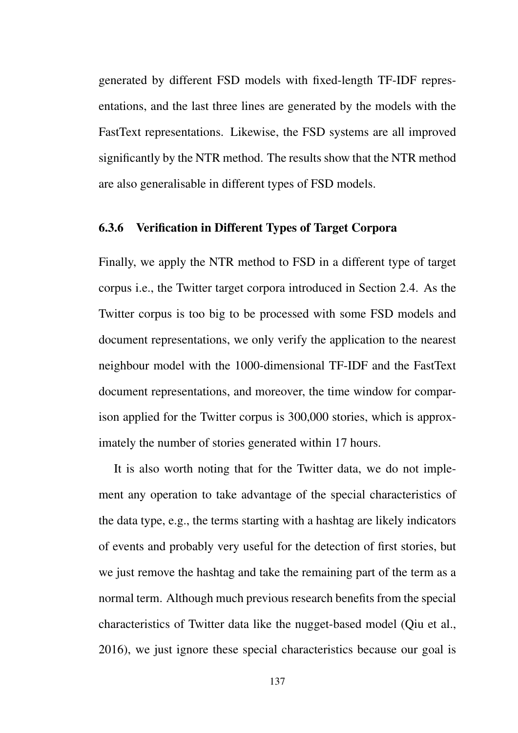generated by different FSD models with fixed-length TF-IDF representations, and the last three lines are generated by the models with the FastText representations. Likewise, the FSD systems are all improved significantly by the NTR method. The results show that the NTR method are also generalisable in different types of FSD models.

### 6.3.6 Verification in Different Types of Target Corpora

Finally, we apply the NTR method to FSD in a different type of target corpus i.e., the Twitter target corpora introduced in Section 2.4. As the Twitter corpus is too big to be processed with some FSD models and document representations, we only verify the application to the nearest neighbour model with the 1000-dimensional TF-IDF and the FastText document representations, and moreover, the time window for comparison applied for the Twitter corpus is 300,000 stories, which is approximately the number of stories generated within 17 hours.

It is also worth noting that for the Twitter data, we do not implement any operation to take advantage of the special characteristics of the data type, e.g., the terms starting with a hashtag are likely indicators of events and probably very useful for the detection of first stories, but we just remove the hashtag and take the remaining part of the term as a normal term. Although much previous research benefits from the special characteristics of Twitter data like the nugget-based model (Qiu et al., 2016), we just ignore these special characteristics because our goal is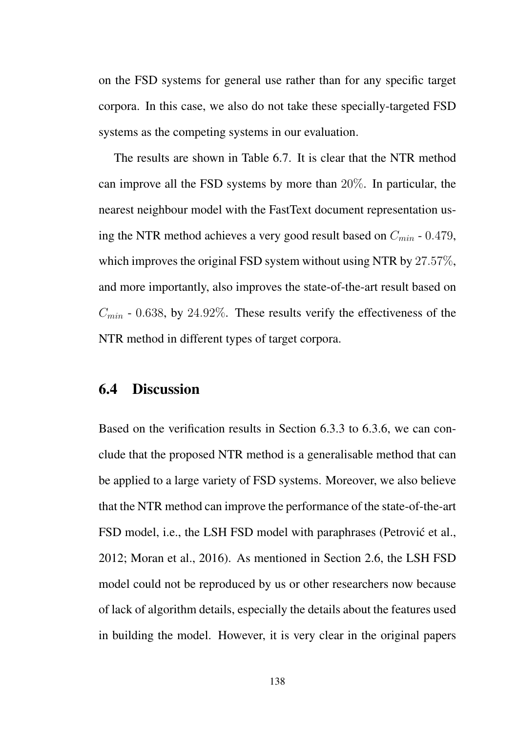on the FSD systems for general use rather than for any specific target corpora. In this case, we also do not take these specially-targeted FSD systems as the competing systems in our evaluation.

The results are shown in Table 6.7. It is clear that the NTR method can improve all the FSD systems by more than 20%. In particular, the nearest neighbour model with the FastText document representation using the NTR method achieves a very good result based on *Cmin* - 0*.*479, which improves the original FSD system without using NTR by 27*.*57%, and more importantly, also improves the state-of-the-art result based on  $C_{min}$  - 0.638, by 24.92%. These results verify the effectiveness of the NTR method in different types of target corpora.

## 6.4 Discussion

Based on the verification results in Section 6.3.3 to 6.3.6, we can conclude that the proposed NTR method is a generalisable method that can be applied to a large variety of FSD systems. Moreover, we also believe that the NTR method can improve the performance of the state-of-the-art FSD model, i.e., the LSH FSD model with paraphrases (Petrović et al., 2012; Moran et al., 2016). As mentioned in Section 2.6, the LSH FSD model could not be reproduced by us or other researchers now because of lack of algorithm details, especially the details about the features used in building the model. However, it is very clear in the original papers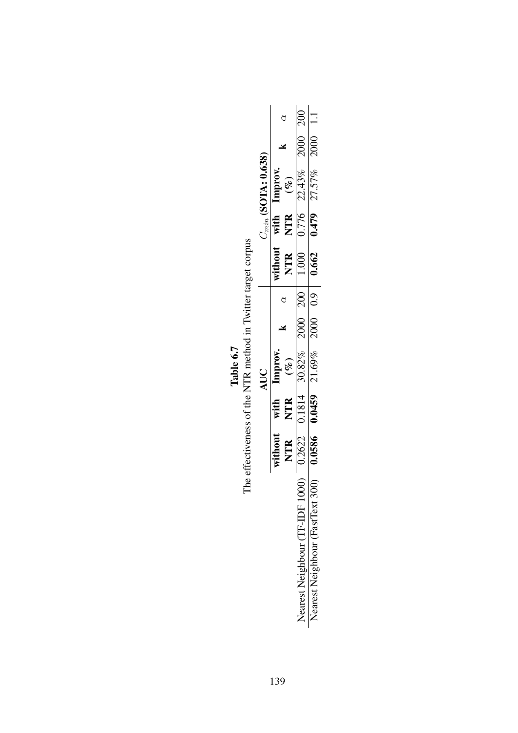|               |                         | 200                                                |                                    |
|---------------|-------------------------|----------------------------------------------------|------------------------------------|
|               |                         | 2000                                               | 2000                               |
| (SOTA: 0.638) | <b>Improx</b><br>$($ %) | 22.43%                                             | 27.57%                             |
| $C_{min}$ (   | with<br><b>NTR</b>      | 0.776                                              | 0.479                              |
|               | vithout<br>NTR          | 1.000                                              | 0.662                              |
|               |                         | $\frac{1}{200}$                                    | $\overline{0.9}$                   |
| AUC           |                         | 2000                                               | 2000                               |
|               | Improv.<br>$($ %)       | 30.82%                                             | 21.69%                             |
|               | with -<br>NTR           | 0.1814                                             | 0.0459                             |
|               | without<br><b>NTR</b>   | 0.2622                                             | 0.0586                             |
|               |                         | $\bigcircledS$<br><b>Jearest Neighbour (TF-IDF</b> | 300<br>Nearest Neighbour (FastText |

The effectiveness of the NTR method in Twitter target corpus The effectiveness of the NTR method in Twitter target corpus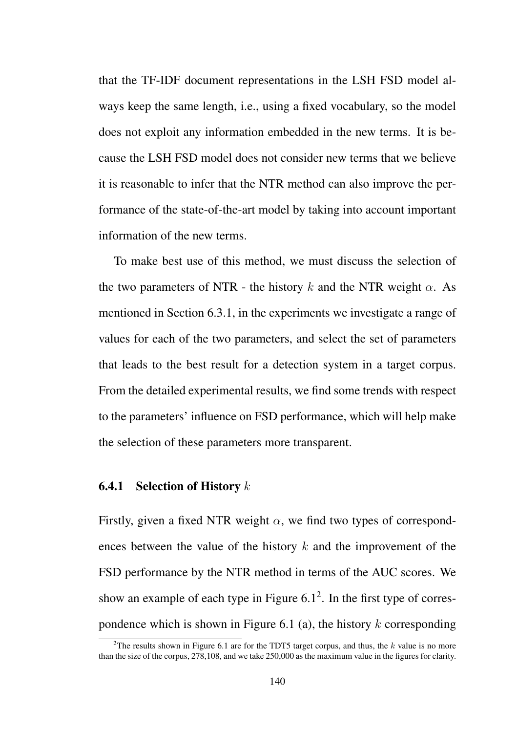that the TF-IDF document representations in the LSH FSD model always keep the same length, i.e., using a fixed vocabulary, so the model does not exploit any information embedded in the new terms. It is because the LSH FSD model does not consider new terms that we believe it is reasonable to infer that the NTR method can also improve the performance of the state-of-the-art model by taking into account important information of the new terms.

To make best use of this method, we must discuss the selection of the two parameters of NTR - the history  $k$  and the NTR weight  $\alpha$ . As mentioned in Section 6.3.1, in the experiments we investigate a range of values for each of the two parameters, and select the set of parameters that leads to the best result for a detection system in a target corpus. From the detailed experimental results, we find some trends with respect to the parameters' influence on FSD performance, which will help make the selection of these parameters more transparent.

#### 6.4.1 Selection of History *k*

Firstly, given a fixed NTR weight  $\alpha$ , we find two types of correspondences between the value of the history *k* and the improvement of the FSD performance by the NTR method in terms of the AUC scores. We show an example of each type in Figure  $6.1<sup>2</sup>$ . In the first type of correspondence which is shown in Figure 6.1 (a), the history *k* corresponding

<sup>2</sup>The results shown in Figure 6.1 are for the TDT5 target corpus, and thus, the *k* value is no more than the size of the corpus, 278,108, and we take 250,000 as the maximum value in the figures for clarity.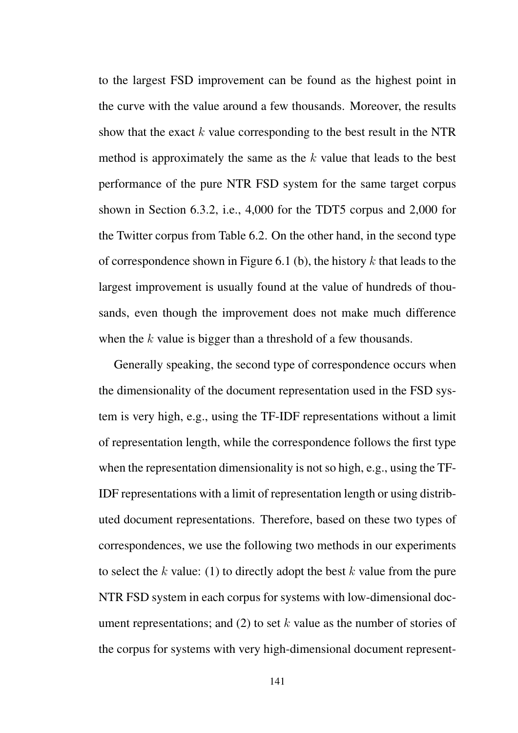to the largest FSD improvement can be found as the highest point in the curve with the value around a few thousands. Moreover, the results show that the exact *k* value corresponding to the best result in the NTR method is approximately the same as the *k* value that leads to the best performance of the pure NTR FSD system for the same target corpus shown in Section 6.3.2, i.e., 4,000 for the TDT5 corpus and 2,000 for the Twitter corpus from Table 6.2. On the other hand, in the second type of correspondence shown in Figure 6.1 (b), the history *k* that leads to the largest improvement is usually found at the value of hundreds of thousands, even though the improvement does not make much difference when the *k* value is bigger than a threshold of a few thousands.

Generally speaking, the second type of correspondence occurs when the dimensionality of the document representation used in the FSD system is very high, e.g., using the TF-IDF representations without a limit of representation length, while the correspondence follows the first type when the representation dimensionality is not so high, e.g., using the TF-IDF representations with a limit of representation length or using distributed document representations. Therefore, based on these two types of correspondences, we use the following two methods in our experiments to select the *k* value: (1) to directly adopt the best *k* value from the pure NTR FSD system in each corpus for systems with low-dimensional document representations; and (2) to set *k* value as the number of stories of the corpus for systems with very high-dimensional document represent-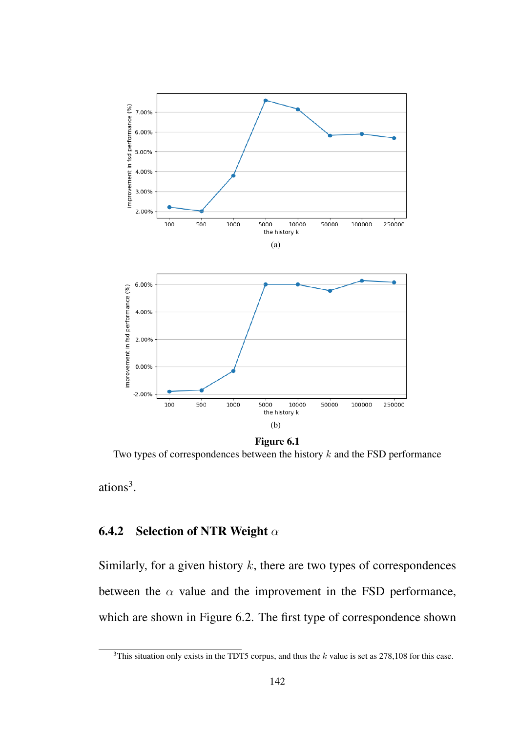

Two types of correspondences between the history *k* and the FSD performance

ations<sup>3</sup>.

## 6.4.2 Selection of NTR Weight *α*

Similarly, for a given history *k*, there are two types of correspondences between the  $\alpha$  value and the improvement in the FSD performance, which are shown in Figure 6.2. The first type of correspondence shown

<sup>3</sup>This situation only exists in the TDT5 corpus, and thus the *k* value is set as 278,108 for this case.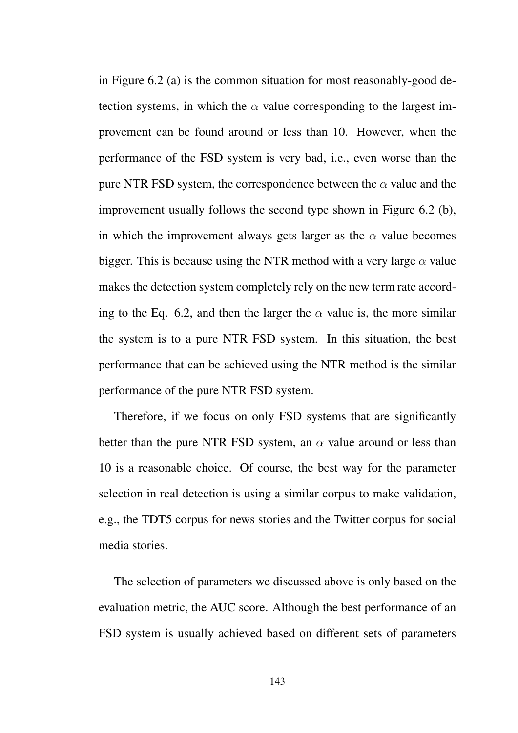in Figure 6.2 (a) is the common situation for most reasonably-good detection systems, in which the  $\alpha$  value corresponding to the largest improvement can be found around or less than 10. However, when the performance of the FSD system is very bad, i.e., even worse than the pure NTR FSD system, the correspondence between the *α* value and the improvement usually follows the second type shown in Figure 6.2 (b), in which the improvement always gets larger as the  $\alpha$  value becomes bigger. This is because using the NTR method with a very large  $\alpha$  value makes the detection system completely rely on the new term rate according to the Eq. 6.2, and then the larger the  $\alpha$  value is, the more similar the system is to a pure NTR FSD system. In this situation, the best performance that can be achieved using the NTR method is the similar performance of the pure NTR FSD system.

Therefore, if we focus on only FSD systems that are significantly better than the pure NTR FSD system, an  $\alpha$  value around or less than 10 is a reasonable choice. Of course, the best way for the parameter selection in real detection is using a similar corpus to make validation, e.g., the TDT5 corpus for news stories and the Twitter corpus for social media stories.

The selection of parameters we discussed above is only based on the evaluation metric, the AUC score. Although the best performance of an FSD system is usually achieved based on different sets of parameters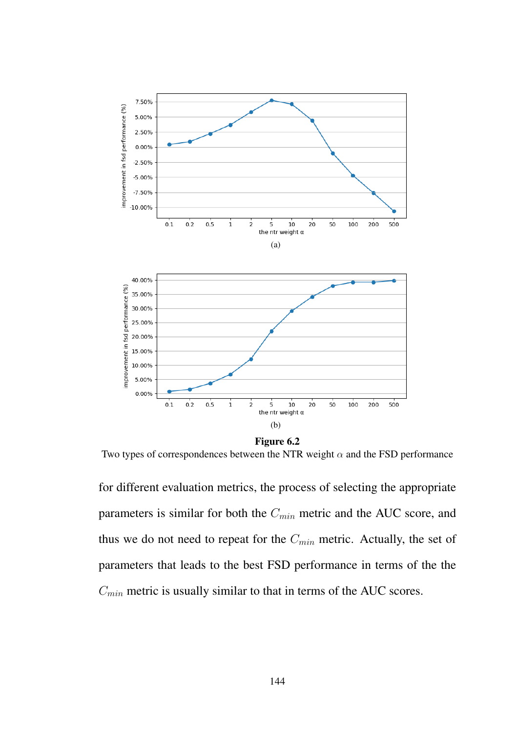

Two types of correspondences between the NTR weight *α* and the FSD performance

for different evaluation metrics, the process of selecting the appropriate parameters is similar for both the *Cmin* metric and the AUC score, and thus we do not need to repeat for the *Cmin* metric. Actually, the set of parameters that leads to the best FSD performance in terms of the the *Cmin* metric is usually similar to that in terms of the AUC scores.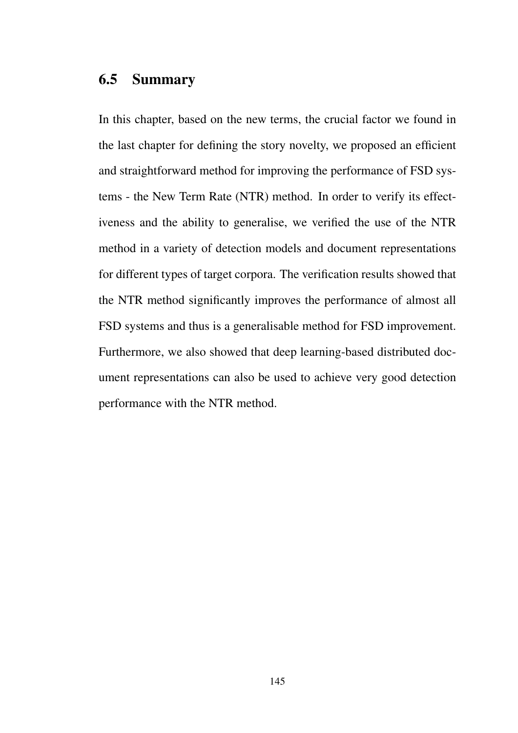## 6.5 Summary

In this chapter, based on the new terms, the crucial factor we found in the last chapter for defining the story novelty, we proposed an efficient and straightforward method for improving the performance of FSD systems - the New Term Rate (NTR) method. In order to verify its effectiveness and the ability to generalise, we verified the use of the NTR method in a variety of detection models and document representations for different types of target corpora. The verification results showed that the NTR method significantly improves the performance of almost all FSD systems and thus is a generalisable method for FSD improvement. Furthermore, we also showed that deep learning-based distributed document representations can also be used to achieve very good detection performance with the NTR method.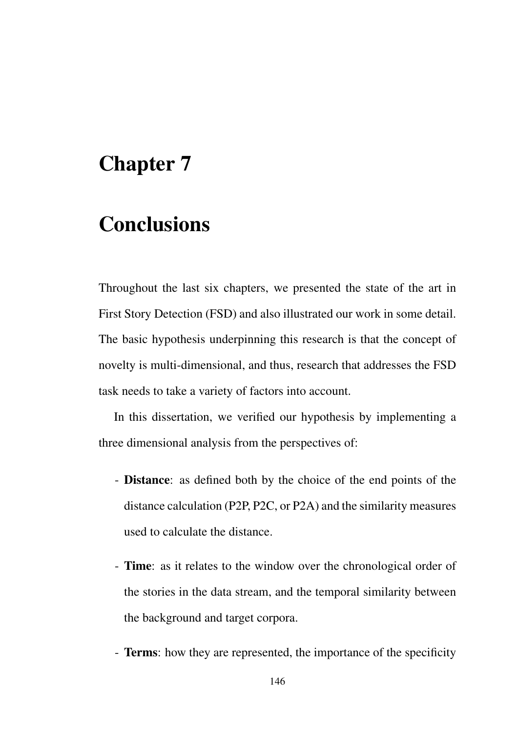# Chapter 7

# Conclusions

Throughout the last six chapters, we presented the state of the art in First Story Detection (FSD) and also illustrated our work in some detail. The basic hypothesis underpinning this research is that the concept of novelty is multi-dimensional, and thus, research that addresses the FSD task needs to take a variety of factors into account.

In this dissertation, we verified our hypothesis by implementing a three dimensional analysis from the perspectives of:

- Distance: as defined both by the choice of the end points of the distance calculation (P2P, P2C, or P2A) and the similarity measures used to calculate the distance.
- Time: as it relates to the window over the chronological order of the stories in the data stream, and the temporal similarity between the background and target corpora.
- Terms: how they are represented, the importance of the specificity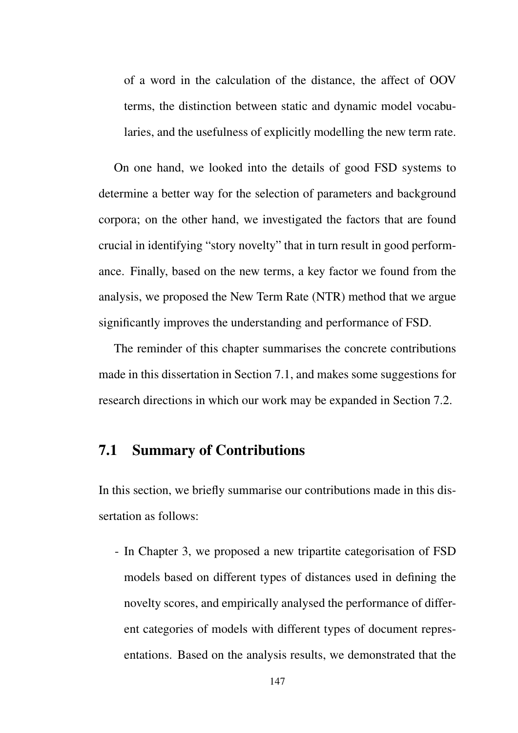of a word in the calculation of the distance, the affect of OOV terms, the distinction between static and dynamic model vocabularies, and the usefulness of explicitly modelling the new term rate.

On one hand, we looked into the details of good FSD systems to determine a better way for the selection of parameters and background corpora; on the other hand, we investigated the factors that are found crucial in identifying "story novelty" that in turn result in good performance. Finally, based on the new terms, a key factor we found from the analysis, we proposed the New Term Rate (NTR) method that we argue significantly improves the understanding and performance of FSD.

The reminder of this chapter summarises the concrete contributions made in this dissertation in Section 7.1, and makes some suggestions for research directions in which our work may be expanded in Section 7.2.

## 7.1 Summary of Contributions

In this section, we briefly summarise our contributions made in this dissertation as follows:

- In Chapter 3, we proposed a new tripartite categorisation of FSD models based on different types of distances used in defining the novelty scores, and empirically analysed the performance of different categories of models with different types of document representations. Based on the analysis results, we demonstrated that the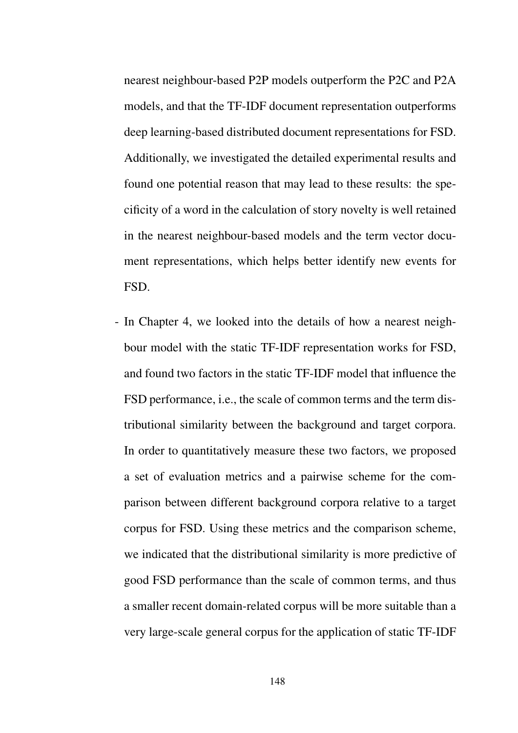nearest neighbour-based P2P models outperform the P2C and P2A models, and that the TF-IDF document representation outperforms deep learning-based distributed document representations for FSD. Additionally, we investigated the detailed experimental results and found one potential reason that may lead to these results: the specificity of a word in the calculation of story novelty is well retained in the nearest neighbour-based models and the term vector document representations, which helps better identify new events for FSD.

- In Chapter 4, we looked into the details of how a nearest neighbour model with the static TF-IDF representation works for FSD, and found two factors in the static TF-IDF model that influence the FSD performance, i.e., the scale of common terms and the term distributional similarity between the background and target corpora. In order to quantitatively measure these two factors, we proposed a set of evaluation metrics and a pairwise scheme for the comparison between different background corpora relative to a target corpus for FSD. Using these metrics and the comparison scheme, we indicated that the distributional similarity is more predictive of good FSD performance than the scale of common terms, and thus a smaller recent domain-related corpus will be more suitable than a very large-scale general corpus for the application of static TF-IDF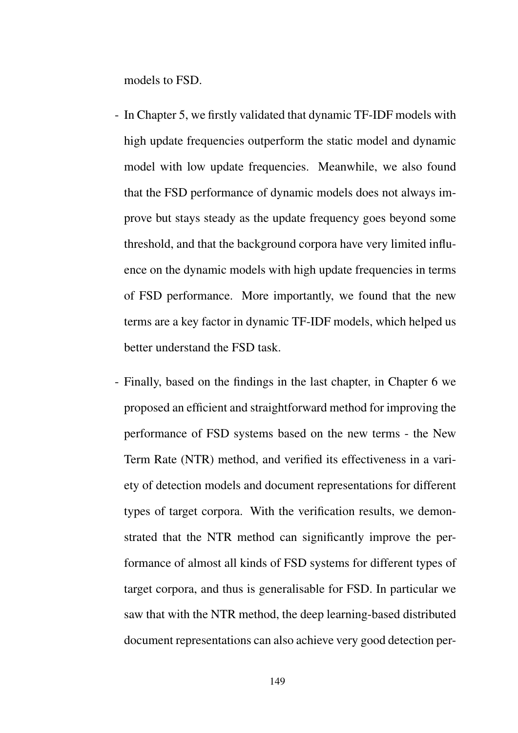models to FSD.

- In Chapter 5, we firstly validated that dynamic TF-IDF models with high update frequencies outperform the static model and dynamic model with low update frequencies. Meanwhile, we also found that the FSD performance of dynamic models does not always improve but stays steady as the update frequency goes beyond some threshold, and that the background corpora have very limited influence on the dynamic models with high update frequencies in terms of FSD performance. More importantly, we found that the new terms are a key factor in dynamic TF-IDF models, which helped us better understand the FSD task.
- Finally, based on the findings in the last chapter, in Chapter 6 we proposed an efficient and straightforward method for improving the performance of FSD systems based on the new terms - the New Term Rate (NTR) method, and verified its effectiveness in a variety of detection models and document representations for different types of target corpora. With the verification results, we demonstrated that the NTR method can significantly improve the performance of almost all kinds of FSD systems for different types of target corpora, and thus is generalisable for FSD. In particular we saw that with the NTR method, the deep learning-based distributed document representations can also achieve very good detection per-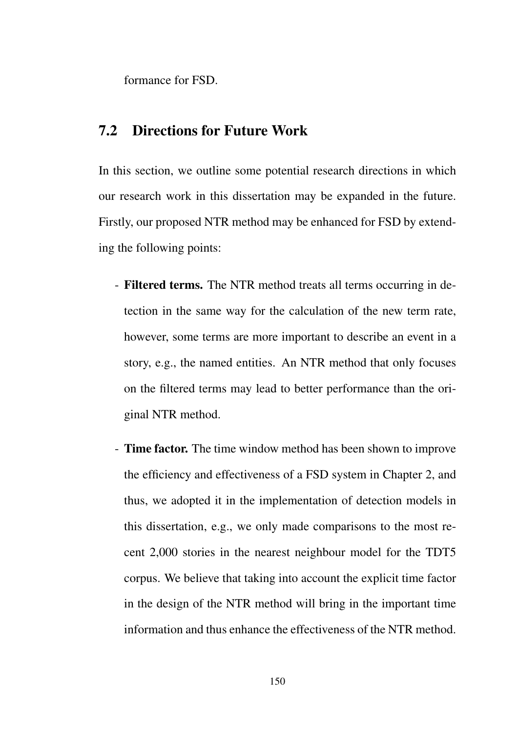formance for FSD.

## 7.2 Directions for Future Work

In this section, we outline some potential research directions in which our research work in this dissertation may be expanded in the future. Firstly, our proposed NTR method may be enhanced for FSD by extending the following points:

- Filtered terms. The NTR method treats all terms occurring in detection in the same way for the calculation of the new term rate, however, some terms are more important to describe an event in a story, e.g., the named entities. An NTR method that only focuses on the filtered terms may lead to better performance than the original NTR method.
- Time factor. The time window method has been shown to improve the efficiency and effectiveness of a FSD system in Chapter 2, and thus, we adopted it in the implementation of detection models in this dissertation, e.g., we only made comparisons to the most recent 2,000 stories in the nearest neighbour model for the TDT5 corpus. We believe that taking into account the explicit time factor in the design of the NTR method will bring in the important time information and thus enhance the effectiveness of the NTR method.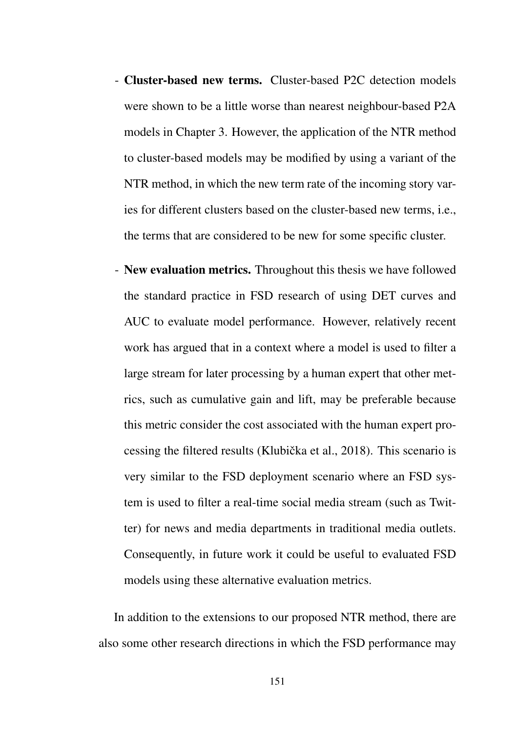- Cluster-based new terms. Cluster-based P2C detection models were shown to be a little worse than nearest neighbour-based P2A models in Chapter 3. However, the application of the NTR method to cluster-based models may be modified by using a variant of the NTR method, in which the new term rate of the incoming story varies for different clusters based on the cluster-based new terms, i.e., the terms that are considered to be new for some specific cluster.
- New evaluation metrics. Throughout this thesis we have followed the standard practice in FSD research of using DET curves and AUC to evaluate model performance. However, relatively recent work has argued that in a context where a model is used to filter a large stream for later processing by a human expert that other metrics, such as cumulative gain and lift, may be preferable because this metric consider the cost associated with the human expert processing the filtered results (Klubička et al., 2018). This scenario is very similar to the FSD deployment scenario where an FSD system is used to filter a real-time social media stream (such as Twitter) for news and media departments in traditional media outlets. Consequently, in future work it could be useful to evaluated FSD models using these alternative evaluation metrics.

In addition to the extensions to our proposed NTR method, there are also some other research directions in which the FSD performance may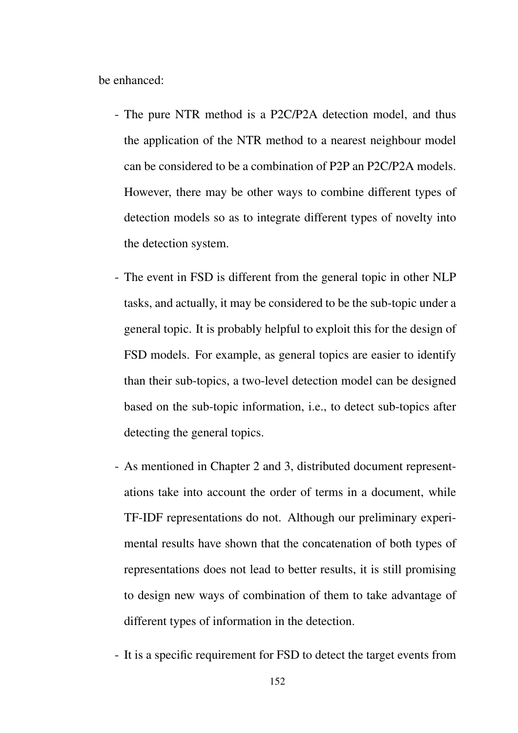be enhanced:

- The pure NTR method is a P2C/P2A detection model, and thus the application of the NTR method to a nearest neighbour model can be considered to be a combination of P2P an P2C/P2A models. However, there may be other ways to combine different types of detection models so as to integrate different types of novelty into the detection system.
- The event in FSD is different from the general topic in other NLP tasks, and actually, it may be considered to be the sub-topic under a general topic. It is probably helpful to exploit this for the design of FSD models. For example, as general topics are easier to identify than their sub-topics, a two-level detection model can be designed based on the sub-topic information, i.e., to detect sub-topics after detecting the general topics.
- As mentioned in Chapter 2 and 3, distributed document representations take into account the order of terms in a document, while TF-IDF representations do not. Although our preliminary experimental results have shown that the concatenation of both types of representations does not lead to better results, it is still promising to design new ways of combination of them to take advantage of different types of information in the detection.
- It is a specific requirement for FSD to detect the target events from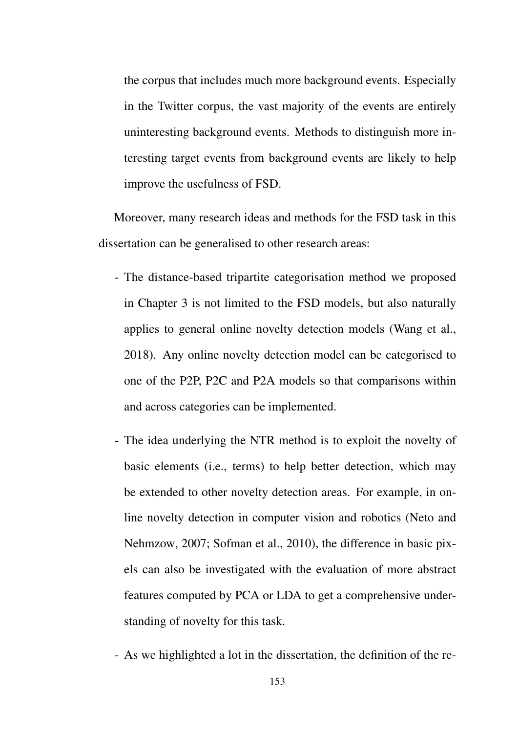the corpus that includes much more background events. Especially in the Twitter corpus, the vast majority of the events are entirely uninteresting background events. Methods to distinguish more interesting target events from background events are likely to help improve the usefulness of FSD.

Moreover, many research ideas and methods for the FSD task in this dissertation can be generalised to other research areas:

- The distance-based tripartite categorisation method we proposed in Chapter 3 is not limited to the FSD models, but also naturally applies to general online novelty detection models (Wang et al., 2018). Any online novelty detection model can be categorised to one of the P2P, P2C and P2A models so that comparisons within and across categories can be implemented.
- The idea underlying the NTR method is to exploit the novelty of basic elements (i.e., terms) to help better detection, which may be extended to other novelty detection areas. For example, in online novelty detection in computer vision and robotics (Neto and Nehmzow, 2007; Sofman et al., 2010), the difference in basic pixels can also be investigated with the evaluation of more abstract features computed by PCA or LDA to get a comprehensive understanding of novelty for this task.
- As we highlighted a lot in the dissertation, the definition of the re-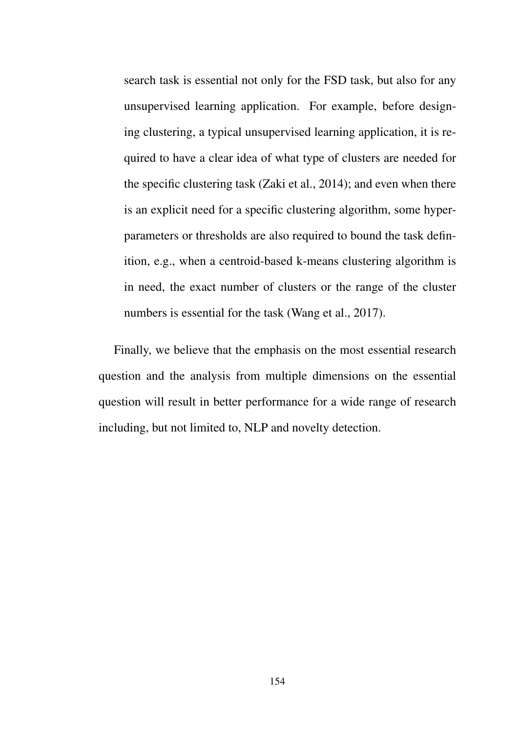search task is essential not only for the FSD task, but also for any unsupervised learning application. For example, before designing clustering, a typical unsupervised learning application, it is required to have a clear idea of what type of clusters are needed for the specific clustering task (Zaki et al., 2014); and even when there is an explicit need for a specific clustering algorithm, some hyperparameters or thresholds are also required to bound the task definition, e.g., when a centroid-based k-means clustering algorithm is in need, the exact number of clusters or the range of the cluster numbers is essential for the task (Wang et al., 2017).

Finally, we believe that the emphasis on the most essential research question and the analysis from multiple dimensions on the essential question will result in better performance for a wide range of research including, but not limited to, NLP and novelty detection.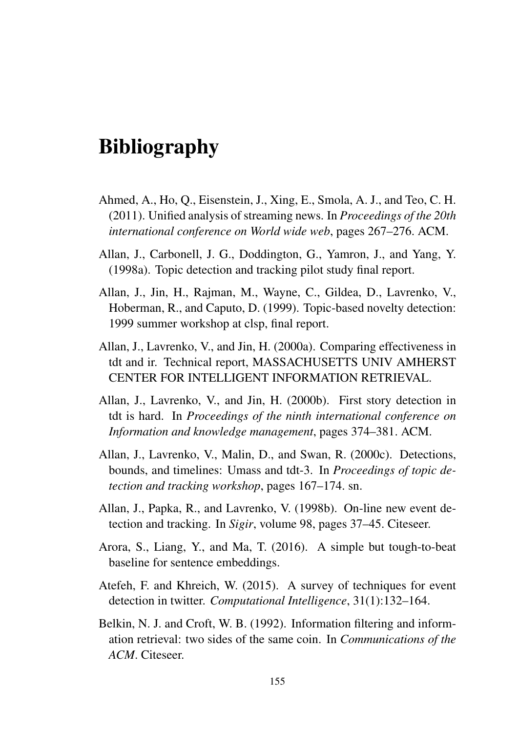# **Bibliography**

- Ahmed, A., Ho, Q., Eisenstein, J., Xing, E., Smola, A. J., and Teo, C. H. (2011). Unified analysis of streaming news. In *Proceedings of the 20th international conference on World wide web*, pages 267–276. ACM.
- Allan, J., Carbonell, J. G., Doddington, G., Yamron, J., and Yang, Y. (1998a). Topic detection and tracking pilot study final report.
- Allan, J., Jin, H., Rajman, M., Wayne, C., Gildea, D., Lavrenko, V., Hoberman, R., and Caputo, D. (1999). Topic-based novelty detection: 1999 summer workshop at clsp, final report.
- Allan, J., Lavrenko, V., and Jin, H. (2000a). Comparing effectiveness in tdt and ir. Technical report, MASSACHUSETTS UNIV AMHERST CENTER FOR INTELLIGENT INFORMATION RETRIEVAL.
- Allan, J., Lavrenko, V., and Jin, H. (2000b). First story detection in tdt is hard. In *Proceedings of the ninth international conference on Information and knowledge management*, pages 374–381. ACM.
- Allan, J., Lavrenko, V., Malin, D., and Swan, R. (2000c). Detections, bounds, and timelines: Umass and tdt-3. In *Proceedings of topic detection and tracking workshop*, pages 167–174. sn.
- Allan, J., Papka, R., and Lavrenko, V. (1998b). On-line new event detection and tracking. In *Sigir*, volume 98, pages 37–45. Citeseer.
- Arora, S., Liang, Y., and Ma, T. (2016). A simple but tough-to-beat baseline for sentence embeddings.
- Atefeh, F. and Khreich, W. (2015). A survey of techniques for event detection in twitter. *Computational Intelligence*, 31(1):132–164.
- Belkin, N. J. and Croft, W. B. (1992). Information filtering and information retrieval: two sides of the same coin. In *Communications of the ACM*. Citeseer.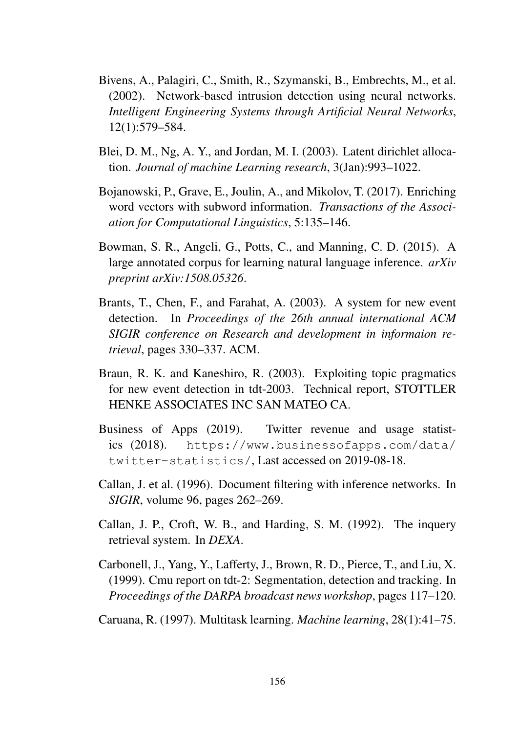- Bivens, A., Palagiri, C., Smith, R., Szymanski, B., Embrechts, M., et al. (2002). Network-based intrusion detection using neural networks. *Intelligent Engineering Systems through Artificial Neural Networks*, 12(1):579–584.
- Blei, D. M., Ng, A. Y., and Jordan, M. I. (2003). Latent dirichlet allocation. *Journal of machine Learning research*, 3(Jan):993–1022.
- Bojanowski, P., Grave, E., Joulin, A., and Mikolov, T. (2017). Enriching word vectors with subword information. *Transactions of the Association for Computational Linguistics*, 5:135–146.
- Bowman, S. R., Angeli, G., Potts, C., and Manning, C. D. (2015). A large annotated corpus for learning natural language inference. *arXiv preprint arXiv:1508.05326*.
- Brants, T., Chen, F., and Farahat, A. (2003). A system for new event detection. In *Proceedings of the 26th annual international ACM SIGIR conference on Research and development in informaion retrieval*, pages 330–337. ACM.
- Braun, R. K. and Kaneshiro, R. (2003). Exploiting topic pragmatics for new event detection in tdt-2003. Technical report, STOTTLER HENKE ASSOCIATES INC SAN MATEO CA.
- Business of Apps (2019). Twitter revenue and usage statistics (2018). https://www.businessofapps.com/data/ twitter-statistics/, Last accessed on 2019-08-18.
- Callan, J. et al. (1996). Document filtering with inference networks. In *SIGIR*, volume 96, pages 262–269.
- Callan, J. P., Croft, W. B., and Harding, S. M. (1992). The inquery retrieval system. In *DEXA*.
- Carbonell, J., Yang, Y., Lafferty, J., Brown, R. D., Pierce, T., and Liu, X. (1999). Cmu report on tdt-2: Segmentation, detection and tracking. In *Proceedings of the DARPA broadcast news workshop*, pages 117–120.
- Caruana, R. (1997). Multitask learning. *Machine learning*, 28(1):41–75.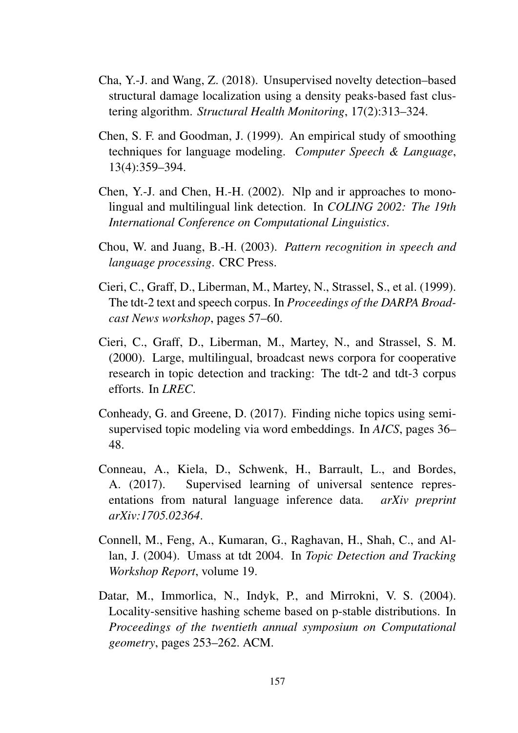- Cha, Y.-J. and Wang, Z. (2018). Unsupervised novelty detection–based structural damage localization using a density peaks-based fast clustering algorithm. *Structural Health Monitoring*, 17(2):313–324.
- Chen, S. F. and Goodman, J. (1999). An empirical study of smoothing techniques for language modeling. *Computer Speech & Language*, 13(4):359–394.
- Chen, Y.-J. and Chen, H.-H. (2002). Nlp and ir approaches to monolingual and multilingual link detection. In *COLING 2002: The 19th International Conference on Computational Linguistics*.
- Chou, W. and Juang, B.-H. (2003). *Pattern recognition in speech and language processing*. CRC Press.
- Cieri, C., Graff, D., Liberman, M., Martey, N., Strassel, S., et al. (1999). The tdt-2 text and speech corpus. In *Proceedings of the DARPA Broadcast News workshop*, pages 57–60.
- Cieri, C., Graff, D., Liberman, M., Martey, N., and Strassel, S. M. (2000). Large, multilingual, broadcast news corpora for cooperative research in topic detection and tracking: The tdt-2 and tdt-3 corpus efforts. In *LREC*.
- Conheady, G. and Greene, D. (2017). Finding niche topics using semisupervised topic modeling via word embeddings. In *AICS*, pages 36– 48.
- Conneau, A., Kiela, D., Schwenk, H., Barrault, L., and Bordes, A. (2017). Supervised learning of universal sentence representations from natural language inference data. *arXiv preprint arXiv:1705.02364*.
- Connell, M., Feng, A., Kumaran, G., Raghavan, H., Shah, C., and Allan, J. (2004). Umass at tdt 2004. In *Topic Detection and Tracking Workshop Report*, volume 19.
- Datar, M., Immorlica, N., Indyk, P., and Mirrokni, V. S. (2004). Locality-sensitive hashing scheme based on p-stable distributions. In *Proceedings of the twentieth annual symposium on Computational geometry*, pages 253–262. ACM.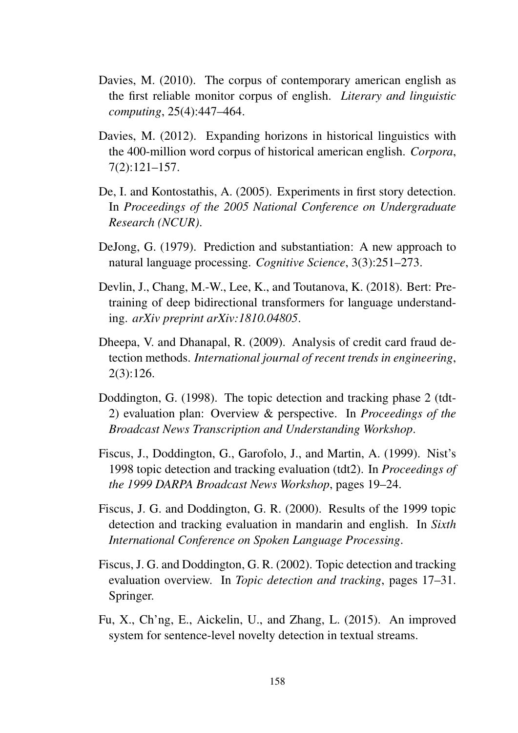- Davies, M. (2010). The corpus of contemporary american english as the first reliable monitor corpus of english. *Literary and linguistic computing*, 25(4):447–464.
- Davies, M. (2012). Expanding horizons in historical linguistics with the 400-million word corpus of historical american english. *Corpora*, 7(2):121–157.
- De, I. and Kontostathis, A. (2005). Experiments in first story detection. In *Proceedings of the 2005 National Conference on Undergraduate Research (NCUR)*.
- DeJong, G. (1979). Prediction and substantiation: A new approach to natural language processing. *Cognitive Science*, 3(3):251–273.
- Devlin, J., Chang, M.-W., Lee, K., and Toutanova, K. (2018). Bert: Pretraining of deep bidirectional transformers for language understanding. *arXiv preprint arXiv:1810.04805*.
- Dheepa, V. and Dhanapal, R. (2009). Analysis of credit card fraud detection methods. *International journal of recent trends in engineering*, 2(3):126.
- Doddington, G. (1998). The topic detection and tracking phase 2 (tdt-2) evaluation plan: Overview & perspective. In *Proceedings of the Broadcast News Transcription and Understanding Workshop*.
- Fiscus, J., Doddington, G., Garofolo, J., and Martin, A. (1999). Nist's 1998 topic detection and tracking evaluation (tdt2). In *Proceedings of the 1999 DARPA Broadcast News Workshop*, pages 19–24.
- Fiscus, J. G. and Doddington, G. R. (2000). Results of the 1999 topic detection and tracking evaluation in mandarin and english. In *Sixth International Conference on Spoken Language Processing*.
- Fiscus, J. G. and Doddington, G. R. (2002). Topic detection and tracking evaluation overview. In *Topic detection and tracking*, pages 17–31. Springer.
- Fu, X., Ch'ng, E., Aickelin, U., and Zhang, L. (2015). An improved system for sentence-level novelty detection in textual streams.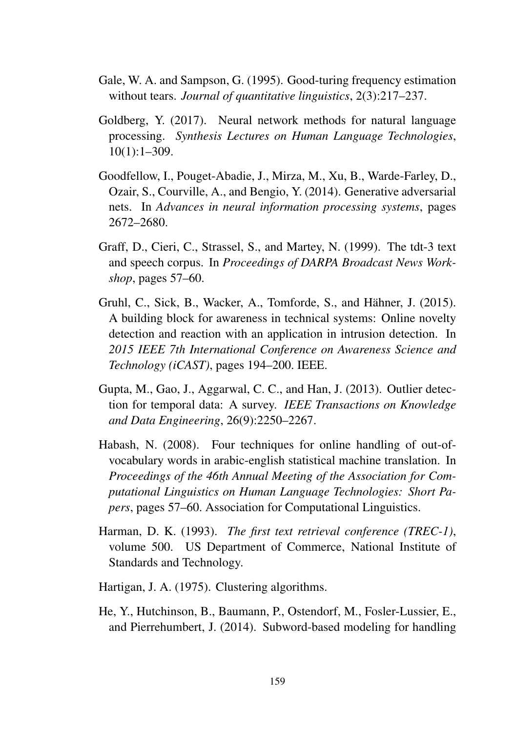- Gale, W. A. and Sampson, G. (1995). Good-turing frequency estimation without tears. *Journal of quantitative linguistics*, 2(3):217–237.
- Goldberg, Y. (2017). Neural network methods for natural language processing. *Synthesis Lectures on Human Language Technologies*, 10(1):1–309.
- Goodfellow, I., Pouget-Abadie, J., Mirza, M., Xu, B., Warde-Farley, D., Ozair, S., Courville, A., and Bengio, Y. (2014). Generative adversarial nets. In *Advances in neural information processing systems*, pages 2672–2680.
- Graff, D., Cieri, C., Strassel, S., and Martey, N. (1999). The tdt-3 text and speech corpus. In *Proceedings of DARPA Broadcast News Workshop*, pages 57–60.
- Gruhl, C., Sick, B., Wacker, A., Tomforde, S., and Hähner, J. (2015). A building block for awareness in technical systems: Online novelty detection and reaction with an application in intrusion detection. In *2015 IEEE 7th International Conference on Awareness Science and Technology (iCAST)*, pages 194–200. IEEE.
- Gupta, M., Gao, J., Aggarwal, C. C., and Han, J. (2013). Outlier detection for temporal data: A survey. *IEEE Transactions on Knowledge and Data Engineering*, 26(9):2250–2267.
- Habash, N. (2008). Four techniques for online handling of out-ofvocabulary words in arabic-english statistical machine translation. In *Proceedings of the 46th Annual Meeting of the Association for Computational Linguistics on Human Language Technologies: Short Papers*, pages 57–60. Association for Computational Linguistics.
- Harman, D. K. (1993). *The first text retrieval conference (TREC-1)*, volume 500. US Department of Commerce, National Institute of Standards and Technology.
- Hartigan, J. A. (1975). Clustering algorithms.
- He, Y., Hutchinson, B., Baumann, P., Ostendorf, M., Fosler-Lussier, E., and Pierrehumbert, J. (2014). Subword-based modeling for handling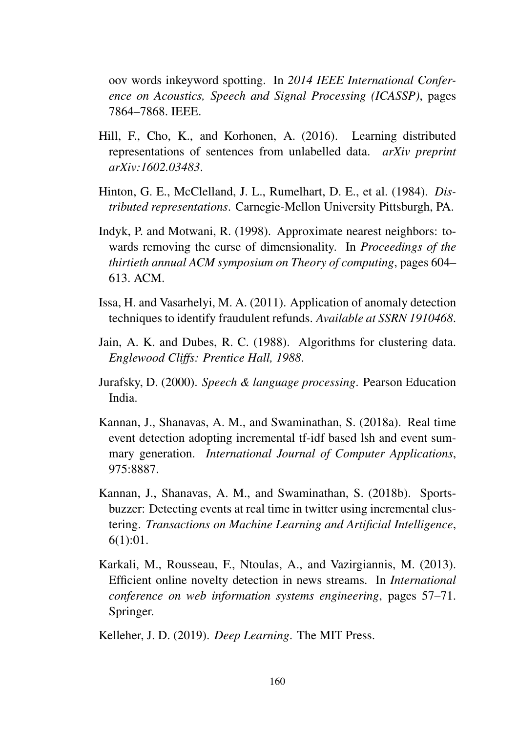oov words inkeyword spotting. In *2014 IEEE International Conference on Acoustics, Speech and Signal Processing (ICASSP)*, pages 7864–7868. IEEE.

- Hill, F., Cho, K., and Korhonen, A. (2016). Learning distributed representations of sentences from unlabelled data. *arXiv preprint arXiv:1602.03483*.
- Hinton, G. E., McClelland, J. L., Rumelhart, D. E., et al. (1984). *Distributed representations*. Carnegie-Mellon University Pittsburgh, PA.
- Indyk, P. and Motwani, R. (1998). Approximate nearest neighbors: towards removing the curse of dimensionality. In *Proceedings of the thirtieth annual ACM symposium on Theory of computing*, pages 604– 613. ACM.
- Issa, H. and Vasarhelyi, M. A. (2011). Application of anomaly detection techniques to identify fraudulent refunds. *Available at SSRN 1910468*.
- Jain, A. K. and Dubes, R. C. (1988). Algorithms for clustering data. *Englewood Cliffs: Prentice Hall, 1988*.
- Jurafsky, D. (2000). *Speech & language processing*. Pearson Education India.
- Kannan, J., Shanavas, A. M., and Swaminathan, S. (2018a). Real time event detection adopting incremental tf-idf based lsh and event summary generation. *International Journal of Computer Applications*, 975:8887.
- Kannan, J., Shanavas, A. M., and Swaminathan, S. (2018b). Sportsbuzzer: Detecting events at real time in twitter using incremental clustering. *Transactions on Machine Learning and Artificial Intelligence*, 6(1):01.
- Karkali, M., Rousseau, F., Ntoulas, A., and Vazirgiannis, M. (2013). Efficient online novelty detection in news streams. In *International conference on web information systems engineering*, pages 57–71. Springer.

Kelleher, J. D. (2019). *Deep Learning*. The MIT Press.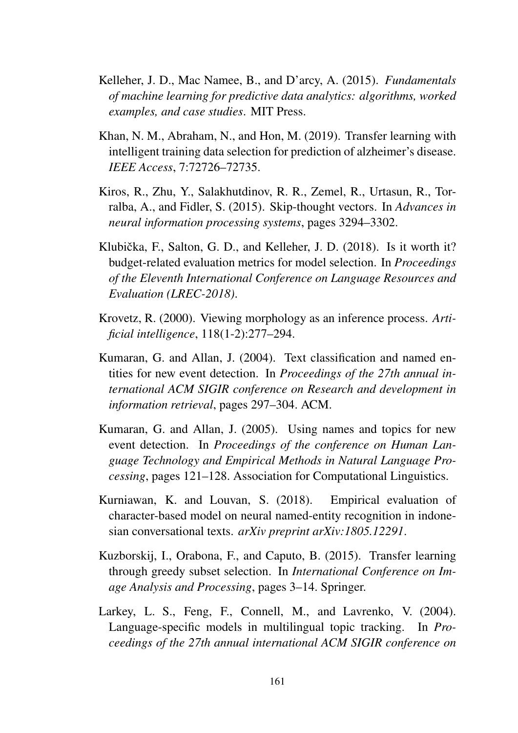- Kelleher, J. D., Mac Namee, B., and D'arcy, A. (2015). *Fundamentals of machine learning for predictive data analytics: algorithms, worked examples, and case studies*. MIT Press.
- Khan, N. M., Abraham, N., and Hon, M. (2019). Transfer learning with intelligent training data selection for prediction of alzheimer's disease. *IEEE Access*, 7:72726–72735.
- Kiros, R., Zhu, Y., Salakhutdinov, R. R., Zemel, R., Urtasun, R., Torralba, A., and Fidler, S. (2015). Skip-thought vectors. In *Advances in neural information processing systems*, pages 3294–3302.
- Klubička, F., Salton, G. D., and Kelleher, J. D. (2018). Is it worth it? budget-related evaluation metrics for model selection. In *Proceedings of the Eleventh International Conference on Language Resources and Evaluation (LREC-2018)*.
- Krovetz, R. (2000). Viewing morphology as an inference process. *Artificial intelligence*, 118(1-2):277–294.
- Kumaran, G. and Allan, J. (2004). Text classification and named entities for new event detection. In *Proceedings of the 27th annual international ACM SIGIR conference on Research and development in information retrieval*, pages 297–304. ACM.
- Kumaran, G. and Allan, J. (2005). Using names and topics for new event detection. In *Proceedings of the conference on Human Language Technology and Empirical Methods in Natural Language Processing*, pages 121–128. Association for Computational Linguistics.
- Kurniawan, K. and Louvan, S. (2018). Empirical evaluation of character-based model on neural named-entity recognition in indonesian conversational texts. *arXiv preprint arXiv:1805.12291*.
- Kuzborskij, I., Orabona, F., and Caputo, B. (2015). Transfer learning through greedy subset selection. In *International Conference on Image Analysis and Processing*, pages 3–14. Springer.
- Larkey, L. S., Feng, F., Connell, M., and Lavrenko, V. (2004). Language-specific models in multilingual topic tracking. In *Proceedings of the 27th annual international ACM SIGIR conference on*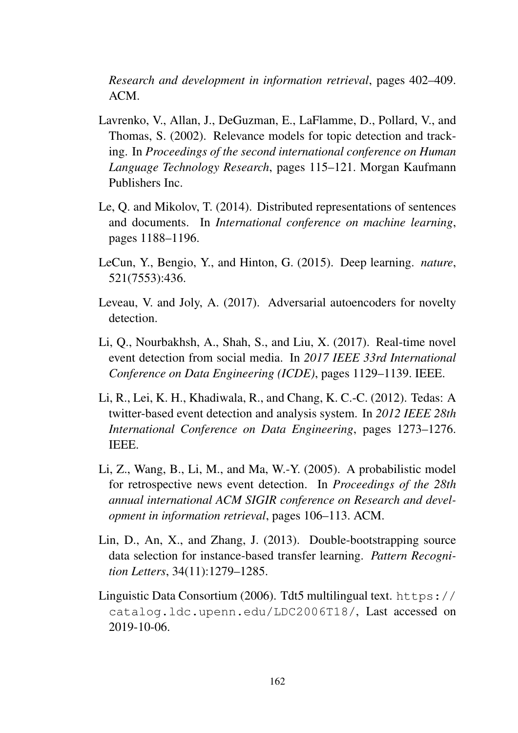*Research and development in information retrieval*, pages 402–409. ACM.

- Lavrenko, V., Allan, J., DeGuzman, E., LaFlamme, D., Pollard, V., and Thomas, S. (2002). Relevance models for topic detection and tracking. In *Proceedings of the second international conference on Human Language Technology Research*, pages 115–121. Morgan Kaufmann Publishers Inc.
- Le, Q. and Mikolov, T. (2014). Distributed representations of sentences and documents. In *International conference on machine learning*, pages 1188–1196.
- LeCun, Y., Bengio, Y., and Hinton, G. (2015). Deep learning. *nature*, 521(7553):436.
- Leveau, V. and Joly, A. (2017). Adversarial autoencoders for novelty detection.
- Li, Q., Nourbakhsh, A., Shah, S., and Liu, X. (2017). Real-time novel event detection from social media. In *2017 IEEE 33rd International Conference on Data Engineering (ICDE)*, pages 1129–1139. IEEE.
- Li, R., Lei, K. H., Khadiwala, R., and Chang, K. C.-C. (2012). Tedas: A twitter-based event detection and analysis system. In *2012 IEEE 28th International Conference on Data Engineering*, pages 1273–1276. IEEE.
- Li, Z., Wang, B., Li, M., and Ma, W.-Y. (2005). A probabilistic model for retrospective news event detection. In *Proceedings of the 28th annual international ACM SIGIR conference on Research and development in information retrieval*, pages 106–113. ACM.
- Lin, D., An, X., and Zhang, J. (2013). Double-bootstrapping source data selection for instance-based transfer learning. *Pattern Recognition Letters*, 34(11):1279–1285.
- Linguistic Data Consortium (2006). Tdt5 multilingual text. https:// catalog.ldc.upenn.edu/LDC2006T18/, Last accessed on 2019-10-06.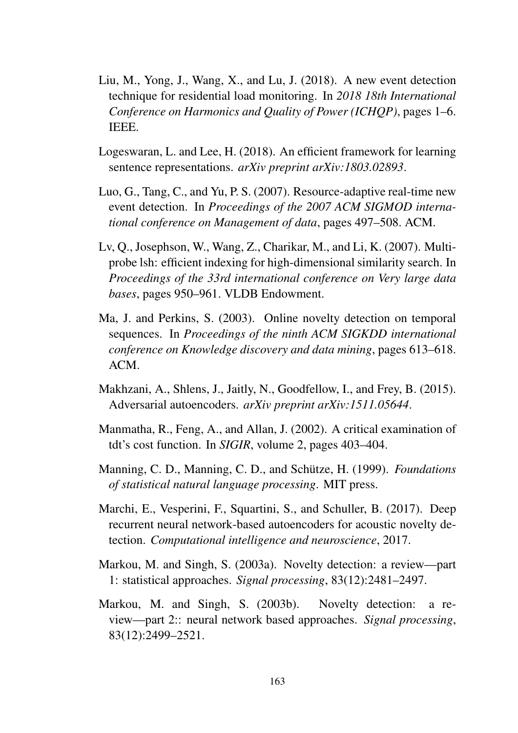- Liu, M., Yong, J., Wang, X., and Lu, J. (2018). A new event detection technique for residential load monitoring. In *2018 18th International Conference on Harmonics and Quality of Power (ICHQP)*, pages 1–6. IEEE.
- Logeswaran, L. and Lee, H. (2018). An efficient framework for learning sentence representations. *arXiv preprint arXiv:1803.02893*.
- Luo, G., Tang, C., and Yu, P. S. (2007). Resource-adaptive real-time new event detection. In *Proceedings of the 2007 ACM SIGMOD international conference on Management of data*, pages 497–508. ACM.
- Lv, Q., Josephson, W., Wang, Z., Charikar, M., and Li, K. (2007). Multiprobe lsh: efficient indexing for high-dimensional similarity search. In *Proceedings of the 33rd international conference on Very large data bases*, pages 950–961. VLDB Endowment.
- Ma, J. and Perkins, S. (2003). Online novelty detection on temporal sequences. In *Proceedings of the ninth ACM SIGKDD international conference on Knowledge discovery and data mining*, pages 613–618. ACM.
- Makhzani, A., Shlens, J., Jaitly, N., Goodfellow, I., and Frey, B. (2015). Adversarial autoencoders. *arXiv preprint arXiv:1511.05644*.
- Manmatha, R., Feng, A., and Allan, J. (2002). A critical examination of tdt's cost function. In *SIGIR*, volume 2, pages 403–404.
- Manning, C. D., Manning, C. D., and Schütze, H. (1999). *Foundations of statistical natural language processing*. MIT press.
- Marchi, E., Vesperini, F., Squartini, S., and Schuller, B. (2017). Deep recurrent neural network-based autoencoders for acoustic novelty detection. *Computational intelligence and neuroscience*, 2017.
- Markou, M. and Singh, S. (2003a). Novelty detection: a review—part 1: statistical approaches. *Signal processing*, 83(12):2481–2497.
- Markou, M. and Singh, S. (2003b). Novelty detection: a review—part 2:: neural network based approaches. *Signal processing*, 83(12):2499–2521.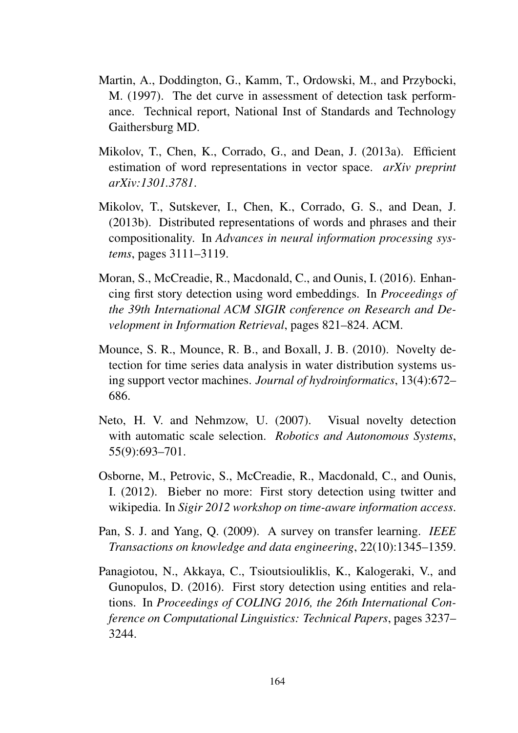- Martin, A., Doddington, G., Kamm, T., Ordowski, M., and Przybocki, M. (1997). The det curve in assessment of detection task performance. Technical report, National Inst of Standards and Technology Gaithersburg MD.
- Mikolov, T., Chen, K., Corrado, G., and Dean, J. (2013a). Efficient estimation of word representations in vector space. *arXiv preprint arXiv:1301.3781*.
- Mikolov, T., Sutskever, I., Chen, K., Corrado, G. S., and Dean, J. (2013b). Distributed representations of words and phrases and their compositionality. In *Advances in neural information processing systems*, pages 3111–3119.
- Moran, S., McCreadie, R., Macdonald, C., and Ounis, I. (2016). Enhancing first story detection using word embeddings. In *Proceedings of the 39th International ACM SIGIR conference on Research and Development in Information Retrieval*, pages 821–824. ACM.
- Mounce, S. R., Mounce, R. B., and Boxall, J. B. (2010). Novelty detection for time series data analysis in water distribution systems using support vector machines. *Journal of hydroinformatics*, 13(4):672– 686.
- Neto, H. V. and Nehmzow, U. (2007). Visual novelty detection with automatic scale selection. *Robotics and Autonomous Systems*, 55(9):693–701.
- Osborne, M., Petrovic, S., McCreadie, R., Macdonald, C., and Ounis, I. (2012). Bieber no more: First story detection using twitter and wikipedia. In *Sigir 2012 workshop on time-aware information access*.
- Pan, S. J. and Yang, Q. (2009). A survey on transfer learning. *IEEE Transactions on knowledge and data engineering*, 22(10):1345–1359.
- Panagiotou, N., Akkaya, C., Tsioutsiouliklis, K., Kalogeraki, V., and Gunopulos, D. (2016). First story detection using entities and relations. In *Proceedings of COLING 2016, the 26th International Conference on Computational Linguistics: Technical Papers*, pages 3237– 3244.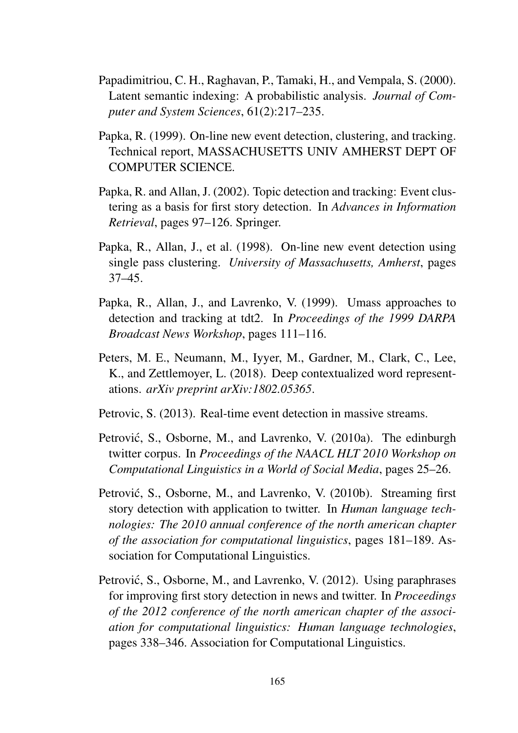- Papadimitriou, C. H., Raghavan, P., Tamaki, H., and Vempala, S. (2000). Latent semantic indexing: A probabilistic analysis. *Journal of Computer and System Sciences*, 61(2):217–235.
- Papka, R. (1999). On-line new event detection, clustering, and tracking. Technical report, MASSACHUSETTS UNIV AMHERST DEPT OF COMPUTER SCIENCE.
- Papka, R. and Allan, J. (2002). Topic detection and tracking: Event clustering as a basis for first story detection. In *Advances in Information Retrieval*, pages 97–126. Springer.
- Papka, R., Allan, J., et al. (1998). On-line new event detection using single pass clustering. *University of Massachusetts, Amherst*, pages 37–45.
- Papka, R., Allan, J., and Lavrenko, V. (1999). Umass approaches to detection and tracking at tdt2. In *Proceedings of the 1999 DARPA Broadcast News Workshop*, pages 111–116.
- Peters, M. E., Neumann, M., Iyyer, M., Gardner, M., Clark, C., Lee, K., and Zettlemoyer, L. (2018). Deep contextualized word representations. *arXiv preprint arXiv:1802.05365*.
- Petrovic, S. (2013). Real-time event detection in massive streams.
- Petrović, S., Osborne, M., and Lavrenko, V. (2010a). The edinburgh twitter corpus. In *Proceedings of the NAACL HLT 2010 Workshop on Computational Linguistics in a World of Social Media*, pages 25–26.
- Petrović, S., Osborne, M., and Lavrenko, V. (2010b). Streaming first story detection with application to twitter. In *Human language technologies: The 2010 annual conference of the north american chapter of the association for computational linguistics*, pages 181–189. Association for Computational Linguistics.
- Petrović, S., Osborne, M., and Lavrenko, V. (2012). Using paraphrases for improving first story detection in news and twitter. In *Proceedings of the 2012 conference of the north american chapter of the association for computational linguistics: Human language technologies*, pages 338–346. Association for Computational Linguistics.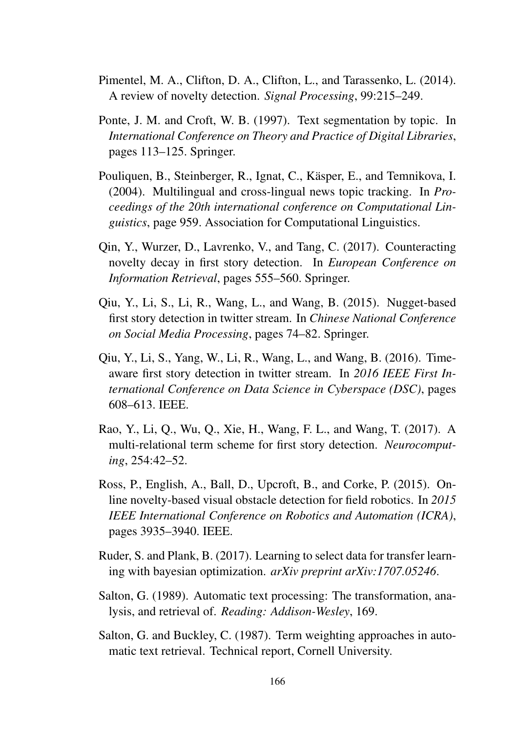- Pimentel, M. A., Clifton, D. A., Clifton, L., and Tarassenko, L. (2014). A review of novelty detection. *Signal Processing*, 99:215–249.
- Ponte, J. M. and Croft, W. B. (1997). Text segmentation by topic. In *International Conference on Theory and Practice of Digital Libraries*, pages 113–125. Springer.
- Pouliquen, B., Steinberger, R., Ignat, C., Käsper, E., and Temnikova, I. (2004). Multilingual and cross-lingual news topic tracking. In *Proceedings of the 20th international conference on Computational Linguistics*, page 959. Association for Computational Linguistics.
- Qin, Y., Wurzer, D., Lavrenko, V., and Tang, C. (2017). Counteracting novelty decay in first story detection. In *European Conference on Information Retrieval*, pages 555–560. Springer.
- Qiu, Y., Li, S., Li, R., Wang, L., and Wang, B. (2015). Nugget-based first story detection in twitter stream. In *Chinese National Conference on Social Media Processing*, pages 74–82. Springer.
- Qiu, Y., Li, S., Yang, W., Li, R., Wang, L., and Wang, B. (2016). Timeaware first story detection in twitter stream. In *2016 IEEE First International Conference on Data Science in Cyberspace (DSC)*, pages 608–613. IEEE.
- Rao, Y., Li, Q., Wu, Q., Xie, H., Wang, F. L., and Wang, T. (2017). A multi-relational term scheme for first story detection. *Neurocomputing*, 254:42–52.
- Ross, P., English, A., Ball, D., Upcroft, B., and Corke, P. (2015). Online novelty-based visual obstacle detection for field robotics. In *2015 IEEE International Conference on Robotics and Automation (ICRA)*, pages 3935–3940. IEEE.
- Ruder, S. and Plank, B. (2017). Learning to select data for transfer learning with bayesian optimization. *arXiv preprint arXiv:1707.05246*.
- Salton, G. (1989). Automatic text processing: The transformation, analysis, and retrieval of. *Reading: Addison-Wesley*, 169.
- Salton, G. and Buckley, C. (1987). Term weighting approaches in automatic text retrieval. Technical report, Cornell University.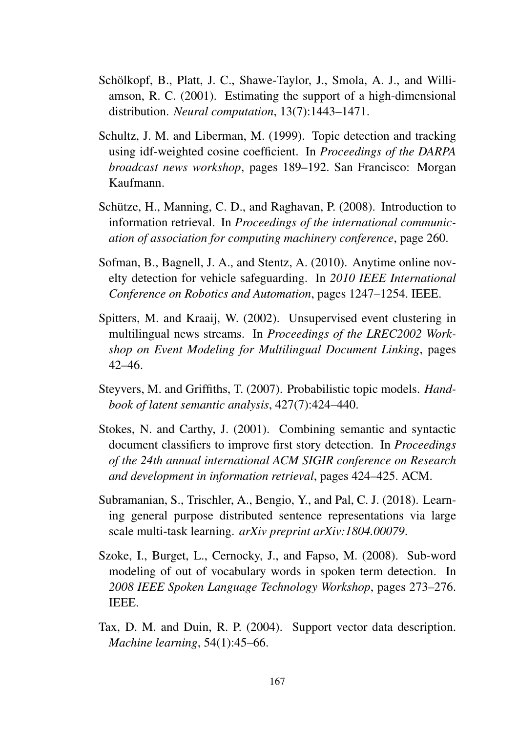- Schölkopf, B., Platt, J. C., Shawe-Taylor, J., Smola, A. J., and Williamson, R. C. (2001). Estimating the support of a high-dimensional distribution. *Neural computation*, 13(7):1443–1471.
- Schultz, J. M. and Liberman, M. (1999). Topic detection and tracking using idf-weighted cosine coefficient. In *Proceedings of the DARPA broadcast news workshop*, pages 189–192. San Francisco: Morgan Kaufmann.
- Schütze, H., Manning, C. D., and Raghavan, P. (2008). Introduction to information retrieval. In *Proceedings of the international communication of association for computing machinery conference*, page 260.
- Sofman, B., Bagnell, J. A., and Stentz, A. (2010). Anytime online novelty detection for vehicle safeguarding. In *2010 IEEE International Conference on Robotics and Automation*, pages 1247–1254. IEEE.
- Spitters, M. and Kraaij, W. (2002). Unsupervised event clustering in multilingual news streams. In *Proceedings of the LREC2002 Workshop on Event Modeling for Multilingual Document Linking*, pages 42–46.
- Steyvers, M. and Griffiths, T. (2007). Probabilistic topic models. *Handbook of latent semantic analysis*, 427(7):424–440.
- Stokes, N. and Carthy, J. (2001). Combining semantic and syntactic document classifiers to improve first story detection. In *Proceedings of the 24th annual international ACM SIGIR conference on Research and development in information retrieval*, pages 424–425. ACM.
- Subramanian, S., Trischler, A., Bengio, Y., and Pal, C. J. (2018). Learning general purpose distributed sentence representations via large scale multi-task learning. *arXiv preprint arXiv:1804.00079*.
- Szoke, I., Burget, L., Cernocky, J., and Fapso, M. (2008). Sub-word modeling of out of vocabulary words in spoken term detection. In *2008 IEEE Spoken Language Technology Workshop*, pages 273–276. IEEE.
- Tax, D. M. and Duin, R. P. (2004). Support vector data description. *Machine learning*, 54(1):45–66.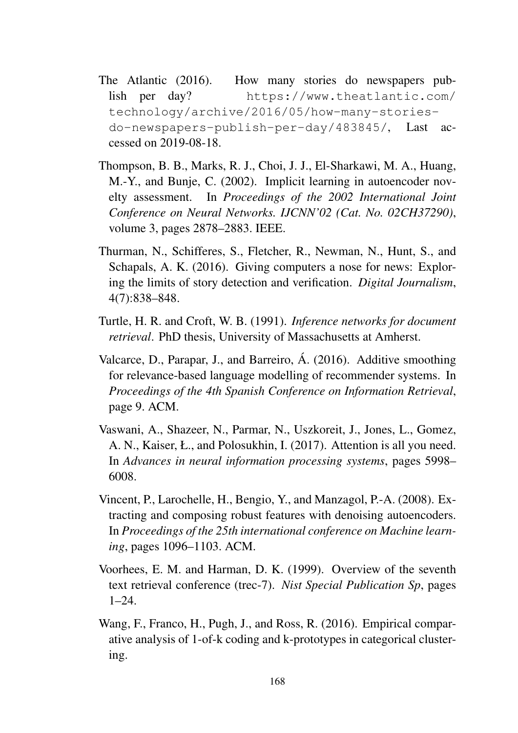- The Atlantic (2016). How many stories do newspapers publish per day? https://www.theatlantic.com/ technology/archive/2016/05/how-many-storiesdo-newspapers-publish-per-day/483845/, Last accessed on 2019-08-18.
- Thompson, B. B., Marks, R. J., Choi, J. J., El-Sharkawi, M. A., Huang, M.-Y., and Bunje, C. (2002). Implicit learning in autoencoder novelty assessment. In *Proceedings of the 2002 International Joint Conference on Neural Networks. IJCNN'02 (Cat. No. 02CH37290)*, volume 3, pages 2878–2883. IEEE.
- Thurman, N., Schifferes, S., Fletcher, R., Newman, N., Hunt, S., and Schapals, A. K. (2016). Giving computers a nose for news: Exploring the limits of story detection and verification. *Digital Journalism*, 4(7):838–848.
- Turtle, H. R. and Croft, W. B. (1991). *Inference networks for document retrieval*. PhD thesis, University of Massachusetts at Amherst.
- Valcarce, D., Parapar, J., and Barreiro, Á. (2016). Additive smoothing for relevance-based language modelling of recommender systems. In *Proceedings of the 4th Spanish Conference on Information Retrieval*, page 9. ACM.
- Vaswani, A., Shazeer, N., Parmar, N., Uszkoreit, J., Jones, L., Gomez, A. N., Kaiser, Ł., and Polosukhin, I. (2017). Attention is all you need. In *Advances in neural information processing systems*, pages 5998– 6008.
- Vincent, P., Larochelle, H., Bengio, Y., and Manzagol, P.-A. (2008). Extracting and composing robust features with denoising autoencoders. In *Proceedings of the 25th international conference on Machine learning*, pages 1096–1103. ACM.
- Voorhees, E. M. and Harman, D. K. (1999). Overview of the seventh text retrieval conference (trec-7). *Nist Special Publication Sp*, pages 1–24.
- Wang, F., Franco, H., Pugh, J., and Ross, R. (2016). Empirical comparative analysis of 1-of-k coding and k-prototypes in categorical clustering.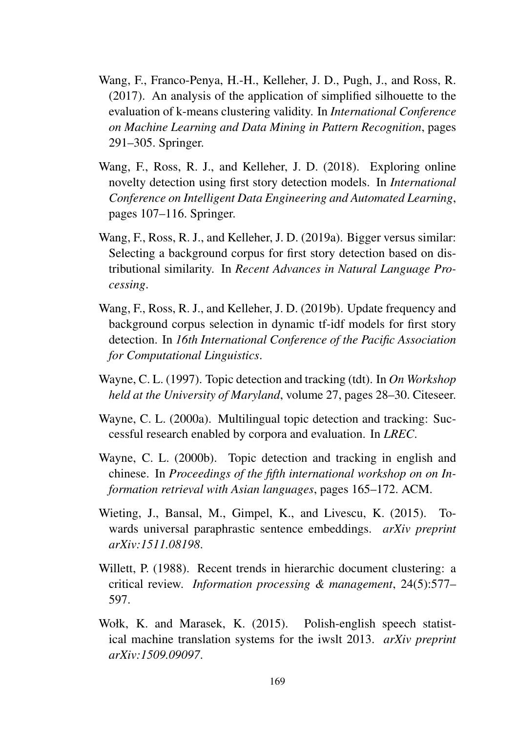- Wang, F., Franco-Penya, H.-H., Kelleher, J. D., Pugh, J., and Ross, R. (2017). An analysis of the application of simplified silhouette to the evaluation of k-means clustering validity. In *International Conference on Machine Learning and Data Mining in Pattern Recognition*, pages 291–305. Springer.
- Wang, F., Ross, R. J., and Kelleher, J. D. (2018). Exploring online novelty detection using first story detection models. In *International Conference on Intelligent Data Engineering and Automated Learning*, pages 107–116. Springer.
- Wang, F., Ross, R. J., and Kelleher, J. D. (2019a). Bigger versus similar: Selecting a background corpus for first story detection based on distributional similarity. In *Recent Advances in Natural Language Processing*.
- Wang, F., Ross, R. J., and Kelleher, J. D. (2019b). Update frequency and background corpus selection in dynamic tf-idf models for first story detection. In *16th International Conference of the Pacific Association for Computational Linguistics*.
- Wayne, C. L. (1997). Topic detection and tracking (tdt). In *On Workshop held at the University of Maryland*, volume 27, pages 28–30. Citeseer.
- Wayne, C. L. (2000a). Multilingual topic detection and tracking: Successful research enabled by corpora and evaluation. In *LREC*.
- Wayne, C. L. (2000b). Topic detection and tracking in english and chinese. In *Proceedings of the fifth international workshop on on Information retrieval with Asian languages*, pages 165–172. ACM.
- Wieting, J., Bansal, M., Gimpel, K., and Livescu, K. (2015). Towards universal paraphrastic sentence embeddings. *arXiv preprint arXiv:1511.08198*.
- Willett, P. (1988). Recent trends in hierarchic document clustering: a critical review. *Information processing & management*, 24(5):577– 597.
- Wołk, K. and Marasek, K. (2015). Polish-english speech statistical machine translation systems for the iwslt 2013. *arXiv preprint arXiv:1509.09097*.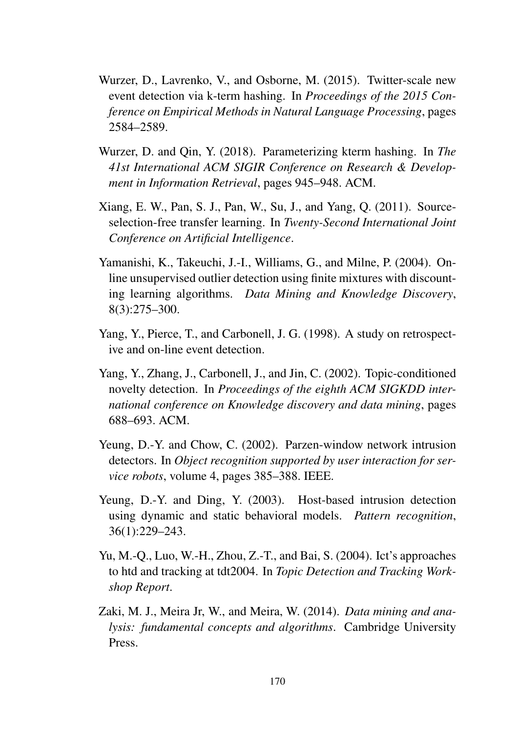- Wurzer, D., Lavrenko, V., and Osborne, M. (2015). Twitter-scale new event detection via k-term hashing. In *Proceedings of the 2015 Conference on Empirical Methods in Natural Language Processing*, pages 2584–2589.
- Wurzer, D. and Qin, Y. (2018). Parameterizing kterm hashing. In *The 41st International ACM SIGIR Conference on Research & Development in Information Retrieval*, pages 945–948. ACM.
- Xiang, E. W., Pan, S. J., Pan, W., Su, J., and Yang, Q. (2011). Sourceselection-free transfer learning. In *Twenty-Second International Joint Conference on Artificial Intelligence*.
- Yamanishi, K., Takeuchi, J.-I., Williams, G., and Milne, P. (2004). Online unsupervised outlier detection using finite mixtures with discounting learning algorithms. *Data Mining and Knowledge Discovery*, 8(3):275–300.
- Yang, Y., Pierce, T., and Carbonell, J. G. (1998). A study on retrospective and on-line event detection.
- Yang, Y., Zhang, J., Carbonell, J., and Jin, C. (2002). Topic-conditioned novelty detection. In *Proceedings of the eighth ACM SIGKDD international conference on Knowledge discovery and data mining*, pages 688–693. ACM.
- Yeung, D.-Y. and Chow, C. (2002). Parzen-window network intrusion detectors. In *Object recognition supported by user interaction for service robots*, volume 4, pages 385–388. IEEE.
- Yeung, D.-Y. and Ding, Y. (2003). Host-based intrusion detection using dynamic and static behavioral models. *Pattern recognition*, 36(1):229–243.
- Yu, M.-Q., Luo, W.-H., Zhou, Z.-T., and Bai, S. (2004). Ict's approaches to htd and tracking at tdt2004. In *Topic Detection and Tracking Workshop Report*.
- Zaki, M. J., Meira Jr, W., and Meira, W. (2014). *Data mining and analysis: fundamental concepts and algorithms*. Cambridge University Press.